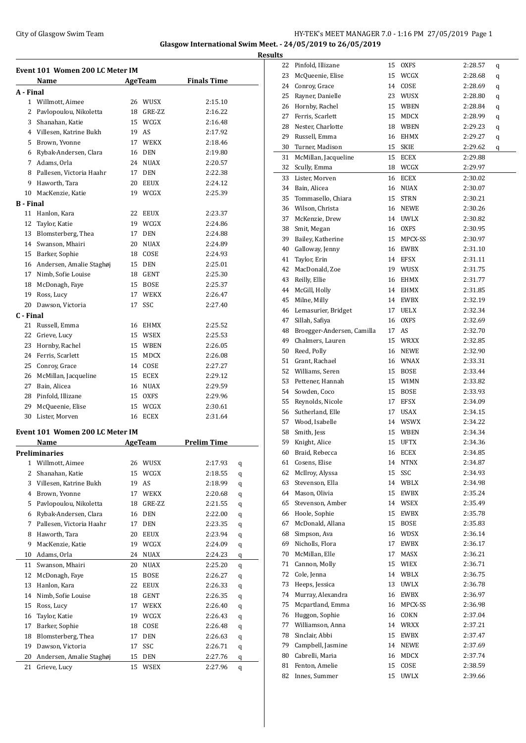#### City of Glasgow Swim Team **HY-TEK's MEET MANAGER 7.0 - 1:16 PM 27/05/2019** Page 1 **Glasgow International Swim Meet. - 24/05/2019 to 26/05/2019**

**Event 101 Women 200 LC Meter IM Name AgeTeam Finals Time A - Final** Willmott, Aimee 26 WUSX 2:15.10 2 Pavlopoulou, Nikoletta 18 GRE-ZZ 2:16.22 Shanahan, Katie 15 WCGX 2:16.48 Villesen, Katrine Bukh 19 AS 2:17.92 Brown, Yvonne 17 WEKX 2:18.46 Rybak-Andersen, Clara 16 DEN 2:19.80 Adams, Orla 24 NUAX 2:20.57 Pallesen, Victoria Haahr 17 DEN 2:22.38 Haworth, Tara 20 EEUX 2:24.12 MacKenzie, Katie 19 WCGX 2:25.39 **B - Final** Hanlon, Kara 22 EEUX 2:23.37 Taylor, Katie 19 WCGX 2:24.86 13 Blomsterberg, Thea 17 DEN 2:24.88 Swanson, Mhairi 20 NUAX 2:24.89 Barker, Sophie 18 COSE 2:24.93 Andersen, Amalie Staghøj 15 DEN 2:25.01 17 Nimb, Sofie Louise 18 GENT 2:25.30 McDonagh, Faye 15 BOSE 2:25.37 Ross, Lucy 17 WEKX 2:26.47 Dawson, Victoria 17 SSC 2:27.40 **C - Final** Russell, Emma 16 EHMX 2:25.52 Grieve, Lucy 15 WSEX 2:25.53 Hornby, Rachel 15 WBEN 2:26.05 Ferris, Scarlett 15 MDCX 2:26.08 Conroy, Grace 14 COSE 2:27.27 McMillan, Jacqueline 15 ECEX 2:29.12 Bain, Alicea 16 NUAX 2:29.59 Pinfold, Illizane 15 OXFS 2:29.96 McQueenie, Elise 15 WCGX 2:30.61 Lister, Morven 16 ECEX 2:31.64 **Event 101 Women 200 LC Meter IM Name AgeTeam Prelim Time Preliminaries** Willmott, Aimee 26 WUSX 2:17.93 q Shanahan, Katie 15 WCGX 2:18.55 q Villesen, Katrine Bukh 19 AS 2:18.99 q Brown, Yvonne 17 WEKX 2:20.68 q 5 Pavlopoulou, Nikoletta 18 GRE-ZZ 2:21.55 q Rybak-Andersen, Clara 16 DEN 2:22.00 q Pallesen, Victoria Haahr 17 DEN 2:23.35 q Haworth, Tara 20 EEUX 2:23.94 q MacKenzie, Katie 19 WCGX 2:24.09 q Adams, Orla 24 NUAX 2:24.23 q Swanson, Mhairi 20 NUAX 2:25.20 q McDonagh, Faye 15 BOSE 2:26.27 q Hanlon, Kara 22 EEUX 2:26.33 q Nimb, Sofie Louise 18 GENT 2:26.35 q Ross, Lucy 17 WEKX 2:26.40 q Taylor, Katie 19 WCGX 2:26.43 q Barker, Sophie 18 COSE 2:26.48 q 18 Blomsterberg, Thea 17 DEN 2:26.63 q Dawson, Victoria 17 SSC 2:26.71 q 20 Andersen, Amalie Staghøj 15 DEN 2:27.76 q Grieve, Lucy 15 WSEX 2:27.96 q

| <b>Results</b> |                               |    |                    |                    |
|----------------|-------------------------------|----|--------------------|--------------------|
| 22             | Pinfold, Illizane             |    | 15 OXFS            | 2:28.57<br>q       |
| 23             | McQueenie, Elise              |    | 15 WCGX            | 2:28.68<br>q       |
| 24             | Conroy, Grace                 |    | 14 COSE            | 2:28.69<br>q       |
| 25             | Rayner, Danielle              |    | 23 WUSX            | 2:28.80<br>q       |
| 26             | Hornby, Rachel                |    | 15 WBEN            | 2:28.84<br>q       |
| 27             | Ferris, Scarlett              | 15 | MDCX               | 2:28.99<br>q       |
|                | 28 Nester, Charlotte          |    | 18 WBEN            | 2:29.23<br>q       |
|                | 29 Russell, Emma              |    | 16 EHMX            | 2:29.27<br>q       |
| 30             | Turner, Madison               |    | 15 SKIE            | 2:29.62<br>q       |
| 31             | McMillan, Jacqueline          | 15 | ECEX               | 2:29.88            |
| 32             | Scully, Emma                  |    | 18 WCGX            | 2:29.97            |
| 33             | Lister, Morven                |    | 16 ECEX            | 2:30.02            |
|                | 34 Bain, Alicea               |    | 16 NUAX            | 2:30.07            |
| 35             | Tommasello, Chiara            |    | 15 STRN            | 2:30.21            |
|                | 36 Wilson, Christa            |    | 16 NEWE            | 2:30.26            |
| 37             | McKenzie, Drew                |    | 14 UWLX            | 2:30.82            |
| 38             | Smit, Megan                   |    | 16 OXFS            | 2:30.95            |
| 39             | Bailey, Katherine             |    | 15 MPCX-SS         | 2:30.97            |
| 40             | Galloway, Jenny               |    | 16 EWBX            | 2:31.10            |
| 41             | Taylor, Erin                  |    | 14 EFSX            | 2:31.11            |
| 42             | MacDonald, Zoe                |    | 19 WUSX            | 2:31.75            |
| 43             | Reilly, Ellie                 |    | 16 EHMX            | 2:31.77            |
| 44             | McGill, Holly                 |    | 14 EHMX            | 2:31.85            |
| 45             | Milne, Milly                  |    | 14 EWBX            | 2:32.19            |
|                | 46 Lemasurier, Bridget        |    | 17 UELX            | 2:32.34            |
| 47             | Sillah, Safiya                |    | 16 OXFS            | 2:32.69            |
|                | 48 Broegger-Andersen, Camilla |    | 17 AS              | 2:32.70            |
| 49<br>50       | Chalmers, Lauren              |    | 15 WRXX<br>16 NEWE | 2:32.85            |
| 51             | Reed, Polly<br>Grant, Rachael |    | 16 WNAX            | 2:32.90<br>2:33.31 |
|                | 52 Williams, Seren            |    | 15 BOSE            | 2:33.44            |
|                | 53 Pettener, Hannah           |    | 15 WIMN            | 2:33.82            |
|                | 54 Sowden, Coco               |    | 15 BOSE            | 2:33.93            |
| 55             | Reynolds, Nicole              | 17 | <b>EFSX</b>        | 2:34.09            |
|                | 56 Sutherland, Elle           |    | 17 USAX            | 2:34.15            |
| 57             | Wood, Isabelle                |    | 14 WSWX            | 2:34.22            |
| 58             | Smith, Jess                   |    | 15 WBEN            | 2:34.34            |
| 59             | Knight, Alice                 | 15 | <b>UFTX</b>        | 2:34.36            |
| 60             | Braid, Rebecca                |    | 16 ECEX            | 2:34.85            |
| 61             | Cosens, Elise                 | 14 | <b>NTNX</b>        | 2:34.87            |
| 62             | McIlroy, Alyssa               | 15 | SSC                | 2:34.93            |
| 63             | Stevenson, Ella               |    | 14 WBLX            | 2:34.98            |
| 64             | Mason, Olivia                 | 15 | EWBX               | 2:35.24            |
| 65             | Stevenson, Amber              |    | 14 WSEX            | 2:35.49            |
| 66             | Hoole, Sophie                 | 15 | EWBX               | 2:35.78            |
| 67             | McDonald, Allana              | 15 | BOSE               | 2:35.83            |
| 68             | Simpson, Ava                  |    | 16 WDSX            | 2:36.14            |
| 69             | Nicholls, Flora               | 17 | EWBX               | 2:36.17            |
| 70             | McMillan, Elle                | 17 | MASX               | 2:36.21            |
| 71             | Cannon, Molly                 |    | 15 WIEX            | 2:36.71            |
| 72             | Cole, Jenna                   |    | 14 WBLX            | 2:36.75            |
| 73             | Heeps, Jessica                | 13 | <b>UWLX</b>        | 2:36.78            |
| 74             | Murray, Alexandra             | 16 | ${\rm EWBX}$       | 2:36.97            |
| 75             | Mcpartland, Emma              | 16 | MPCX-SS            | 2:36.98            |
| 76             | Huggon, Sophie                | 16 | COKN               | 2:37.04            |
| 77             | Williamson, Anna              |    | 14 WRXX            | 2:37.21            |
| 78             | Sinclair, Abbi                | 15 | EWBX               | 2:37.47            |
| 79             | Campbell, Jasmine             | 14 | NEWE               | 2:37.69            |
| 80             | Cabrelli, Maria               | 16 | MDCX               | 2:37.74            |
| 81             | Fenton, Amelie                | 15 | COSE               | 2:38.59            |
| 82             | Innes, Summer                 | 15 | <b>UWLX</b>        | 2:39.66            |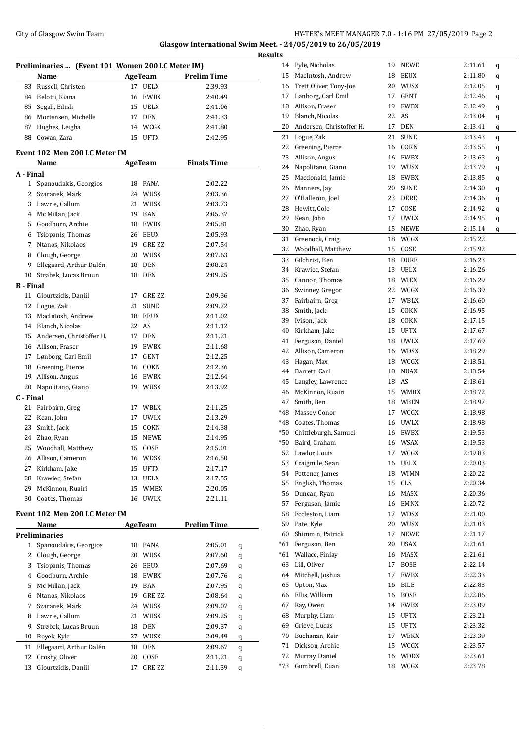### City of Glasgow Swim Team HY-TEK's MEET MANAGER 7.0 - 1:16 PM 27/05/2019 Page 2 **Glasgow International Swim Meet. - 24/05/2019 to 26/05/2019**

|           | Preliminaries  (Event 101 Women 200 LC Meter IM) |    |                |                    |   |
|-----------|--------------------------------------------------|----|----------------|--------------------|---|
|           | Name                                             |    | <b>AgeTeam</b> | <b>Prelim Time</b> |   |
| 83        | Russell, Christen                                |    | 17 UELX        | 2:39.93            |   |
|           | 84 Belotti, Kiana                                |    | 16 EWBX        | 2:40.49            |   |
| 85        | Segall, Eilish                                   |    | 15 UELX        | 2:41.06            |   |
|           | 86 Mortensen, Michelle                           |    | 17 DEN         | 2:41.33            |   |
|           | 87 Hughes, Leigha                                |    | 14 WCGX        | 2:41.80            |   |
| 88        | Cowan, Zara                                      |    | 15 UFTX        | 2:42.95            |   |
|           | Event 102 Men 200 LC Meter IM                    |    |                |                    |   |
|           | Name                                             |    | <b>AgeTeam</b> | <b>Finals Time</b> |   |
| A - Final |                                                  |    |                |                    |   |
|           | 1 Spanoudakis, Georgios                          |    | 18 PANA        | 2:02.22            |   |
|           | 2 Szaranek, Mark                                 |    | 24 WUSX        | 2:03.36            |   |
|           | 3 Lawrie, Callum                                 |    | 21 WUSX        | 2:03.73            |   |
|           | 4 Mc Millan, Jack                                |    | 19 BAN         | 2:05.37            |   |
| 5         | Goodburn, Archie                                 |    | 18 EWBX        | 2:05.81            |   |
| 6         | Tsiopanis, Thomas                                |    | 26 EEUX        | 2:05.93            |   |
|           | 7 Ntanos, Nikolaos                               |    | 19 GRE-ZZ      | 2:07.54            |   |
| 8         | Clough, George                                   |    | 20 WUSX        | 2:07.63            |   |
| 9         | Ellegaard, Arthur Dalén                          |    | 18 DEN         | 2:08.24            |   |
| 10        | Strøbek, Lucas Bruun                             |    | 18 DEN         | 2:09.25            |   |
| B - Final |                                                  |    |                |                    |   |
| 11        | Giourtzidis, Daniil                              |    | 17 GRE-ZZ      | 2:09.36            |   |
|           | 12 Logue, Zak                                    | 21 | <b>SUNE</b>    | 2:09.72            |   |
|           | 13 MacIntosh, Andrew                             |    | 18 EEUX        | 2:11.02            |   |
|           | 14 Blanch, Nicolas                               |    | 22 AS          | 2:11.12            |   |
|           | 15 Andersen, Christoffer H.                      |    | 17 DEN         | 2:11.21            |   |
|           | 16 Allison, Fraser                               |    | 19 EWBX        | 2:11.68            |   |
|           | 17 Lønborg, Carl Emil                            |    | 17 GENT        | 2:12.25            |   |
|           | 18 Greening, Pierce                              |    | 16 COKN        | 2:12.36            |   |
| 19        | Allison, Angus                                   |    | 16 EWBX        | 2:12.64            |   |
| 20        | Napolitano, Giano                                |    | 19 WUSX        | 2:13.92            |   |
| C - Final |                                                  |    |                |                    |   |
| 21        | Fairbairn, Greg                                  |    | 17 WBLX        | 2:11.25            |   |
| 22        | Kean, John                                       |    | 17 UWLX        | 2:13.29            |   |
|           | 23 Smith, Jack                                   |    | 15 COKN        | 2:14.38            |   |
|           | 24 Zhao, Ryan                                    |    | 15 NEWE        | 2:14.95            |   |
|           | 25 Woodhall, Matthew                             |    | 15 COSE        | 2:15.01            |   |
|           | 26 Allison, Cameron                              |    | 16 WDSX        | 2:16.50            |   |
| 27        | Kirkham, Jake                                    | 15 | UFTX           | 2:17.17            |   |
| 28        | Krawiec, Stefan                                  |    | 13 UELX        | 2:17.55            |   |
| 29        | McKinnon, Ruairi                                 | 15 | WMBX           | 2:20.05            |   |
| 30        | Coates, Thomas                                   | 16 | UWLX           | 2:21.11            |   |
|           | Event 102 Men 200 LC Meter IM                    |    |                |                    |   |
|           | Name                                             |    | AgeTeam        | <b>Prelim Time</b> |   |
|           | Preliminaries                                    |    |                |                    |   |
| 1         | Spanoudakis, Georgios                            |    | 18 PANA        | 2:05.01            | q |
| 2         | Clough, George                                   |    | 20 WUSX        | 2:07.60            | q |
| 3         | Tsiopanis, Thomas                                |    | 26 EEUX        | 2:07.69            | q |
| 4         | Goodburn, Archie                                 |    | 18 EWBX        | 2:07.76            | q |
| 5         | Mc Millan, Jack                                  | 19 | BAN            | 2:07.95            | q |
| 6         | Ntanos, Nikolaos                                 | 19 | GRE-ZZ         | 2:08.64            | q |
| 7         | Szaranek, Mark                                   |    | 24 WUSX        | 2:09.07            | q |
| 8         | Lawrie, Callum                                   | 21 | WUSX           | 2:09.25            | q |
| 9         | Strøbek, Lucas Bruun                             | 18 | <b>DEN</b>     | 2:09.37            | q |
| 10        | Boyek, Kyle                                      | 27 | WUSX           | 2:09.49            | q |
| 11        | Ellegaard, Arthur Dalén                          | 18 | DEN            | 2:09.67            | q |
| 12        | Crosby, Oliver                                   | 20 | COSE           | 2:11.21            | q |
|           |                                                  |    |                |                    |   |

13 Giourtzidis, Daniil 17 GRE-ZZ 2:11.39 q

| <b>Results</b> |                                   |       |                 |         |   |
|----------------|-----------------------------------|-------|-----------------|---------|---|
|                | 14 Pyle, Nicholas                 |       | 19 NEWE         | 2:11.61 | q |
| 15             | MacIntosh, Andrew                 |       | 18 EEUX         | 2:11.80 | q |
|                | 16 Trett Oliver, Tony-Joe         |       | 20 WUSX         | 2:12.05 | q |
|                | 17 Lønborg, Carl Emil             | 17    | <b>GENT</b>     | 2:12.46 | q |
| 18             | Allison, Fraser                   | 19    | <b>EWBX</b>     | 2:12.49 | q |
| 19             | Blanch, Nicolas                   | 22 AS |                 | 2:13.04 | q |
| 20             | Andersen, Christoffer H.          | 17    | DEN             | 2:13.41 | q |
| 21             | Logue, Zak                        | 21    | <b>SUNE</b>     | 2:13.43 | q |
| 22             | Greening, Pierce                  |       | 16 COKN         | 2:13.55 | q |
| 23             | Allison, Angus                    |       | 16 EWBX         | 2:13.63 | q |
| 24             | Napolitano, Giano                 |       | 19 WUSX         | 2:13.79 | q |
| 25             | Macdonald, Jamie                  |       | 18 EWBX         | 2:13.85 | q |
|                | 26 Manners, Jay                   |       | 20 SUNE         | 2:14.30 | q |
|                | 27 O'Halleron, Joel               |       | 23 DERE         | 2:14.36 | q |
|                | 28 Hewitt, Cole                   |       | 17 COSE         | 2:14.92 | q |
| 29             | Kean, John                        | 17    | UWLX            | 2:14.95 | q |
| 30             | Zhao, Ryan                        |       | 15 NEWE         | 2:15.14 | q |
| 31             | Greenock, Craig                   | 18    | WCGX            | 2:15.22 |   |
|                | 32 Woodhall, Matthew              | 15    | COSE            | 2:15.92 |   |
| 33             | Gilchrist, Ben                    | 18    | <b>DURE</b>     | 2:16.23 |   |
|                | 34 Krawiec, Stefan                | 13    | <b>UELX</b>     | 2:16.26 |   |
|                | 35 Cannon, Thomas                 |       | 18 WIEX         | 2:16.29 |   |
| 36             | Swinney, Gregor                   |       | 22 WCGX         | 2:16.39 |   |
| 37             | Fairbairn, Greg                   |       | 17 WBLX         | 2:16.60 |   |
| 38             | Smith, Jack                       | 15    | COKN            | 2:16.95 |   |
| 39             | Ivison, Jack                      |       | 18 COKN         | 2:17.15 |   |
| 40             | Kirkham, Jake                     |       | 15 UFTX         | 2:17.67 |   |
| 41             | Ferguson, Daniel                  |       | 18 UWLX         | 2:17.69 |   |
|                | 42 Allison, Cameron               |       | 16 WDSX         | 2:18.29 |   |
|                | 43 Hagan, Max                     |       | 18 WCGX         | 2:18.51 |   |
| 44             | Barrett, Carl                     |       | 18 NUAX         | 2:18.54 |   |
| 45             | Langley, Lawrence                 | 18 AS |                 | 2:18.61 |   |
|                | 46 McKinnon, Ruairi               |       | 15 WMBX         | 2:18.72 |   |
| 47             | Smith, Ben                        |       | 18 WBEN         | 2:18.97 |   |
|                | *48 Massey, Conor                 |       | 17 WCGX         | 2:18.98 |   |
|                | *48 Coates, Thomas                |       | 16 UWLX         | 2:18.98 |   |
| *50            | Chittleburgh, Samuel              |       | 16 EWBX         | 2:19.53 |   |
| $*50$          | Baird, Graham                     |       | 16 WSAX         | 2:19.53 |   |
| 52             | Lawlor, Louis                     |       | 17 WCGX         | 2:19.83 |   |
| 53             | Craigmile, Sean                   |       | 16 UELX         | 2:20.03 |   |
| 54             | Pettener, James                   |       | 18 WIMN         | 2:20.22 |   |
| 55             | English, Thomas                   |       | 15 CLS          | 2:20.34 |   |
| 56             | Duncan, Ryan                      |       | 16 MASX         | 2:20.36 |   |
| 57             | Ferguson, Jamie                   |       | 16 EMNX         | 2:20.72 |   |
| 58             | Eccleston, Liam                   | 17    | WDSX            | 2:21.00 |   |
| 59             | Pate, Kyle                        |       | 20 WUSX         | 2:21.03 |   |
| 60             | Shimmin, Patrick                  | 17    | NEWE            | 2:21.17 |   |
| $*61$          | Ferguson, Ben                     | 20    | USAX            | 2:21.61 |   |
| *61            | Wallace, Finlay                   | 16    | MASX            | 2:21.61 |   |
| 63             | Lill, Oliver                      | 17    | BOSE            | 2:22.14 |   |
| 64             | Mitchell, Joshua                  | 17    | EWBX            | 2:22.33 |   |
| 65             | Upton, Max                        |       | 16 BILE         | 2:22.83 |   |
| 66             | Ellis, William                    |       | 16 BOSE         | 2:22.86 |   |
| 67             | Ray, Owen                         |       | 14 EWBX         | 2:23.09 |   |
| 68             | Murphy, Liam                      |       | 15 UFTX         | 2:23.21 |   |
| 69             | Grieve, Lucas                     |       | 15 UFTX         | 2:23.32 |   |
| 70             | Buchanan, Keir                    |       | 17 WEKX         | 2:23.39 |   |
| 71<br>72       | Dickson, Archie<br>Murray, Daniel | 15    | WCGX            | 2:23.57 |   |
| *73            | Gumbrell, Euan                    | 16    | WDDX<br>18 WCGX | 2:23.61 |   |
|                |                                   |       |                 | 2:23.78 |   |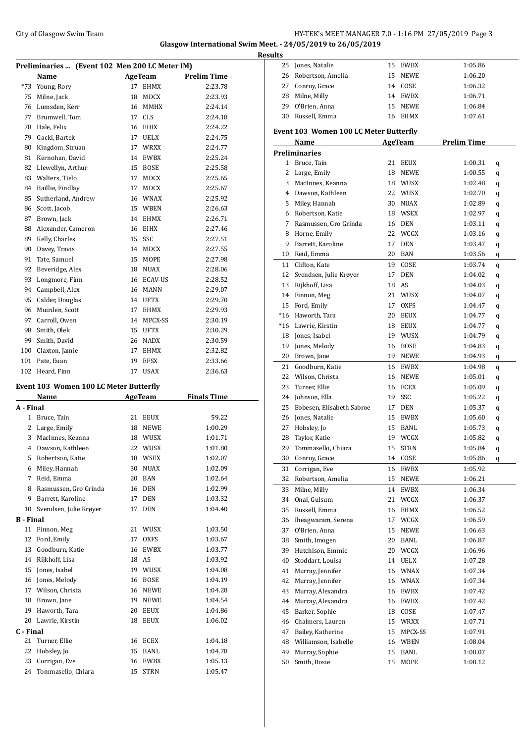### City of Glasgow Swim Team Team Frameters Management City of Glasgow Swim Team Frameters 1.16 PM 27/05/2019 Page 3 **Glasgow International Swim Meet. - 24/05/2019 to 26/05/2019**

**Results**

|              | Preliminaries  (Event 102 Men 200 LC Meter IM) |          |                     |                    |  |
|--------------|------------------------------------------------|----------|---------------------|--------------------|--|
|              | Name                                           |          | AgeTeam             | <b>Prelim Time</b> |  |
| $*73$        | Young, Rory                                    | 17       | EHMX                | 2:23.78            |  |
| 75           | Milne, Jack                                    | 18       | MDCX                | 2:23.93            |  |
| 76           | Lumsden, Kerr                                  |          | 16 MMHX             | 2:24.14            |  |
| 77           | Brumwell, Tom                                  |          | 17 CLS              | 2:24.18            |  |
| 78           | Hale, Felix                                    |          | 16 EIHX             | 2:24.22            |  |
| 79           | Gacki, Bartek                                  |          | 17 UELX             | 2:24.75            |  |
| 80           | Kingdom, Struan                                |          | 17 WRXX             | 2:24.77            |  |
| 81           | Kernohan, David                                |          | 14 EWBX             | 2:25.24            |  |
| 82           | Llewellyn, Arthur                              | 15       | <b>BOSE</b>         | 2:25.58            |  |
| 83           | Walters, Tielo                                 | 17       | <b>MDCX</b>         | 2:25.65            |  |
| 84           | Baillie, Findlay                               | 17       | MDCX                | 2:25.67            |  |
| 85           | Sutherland, Andrew                             |          | 16 WNAX             | 2:25.92            |  |
| 86           | Scott, Jacob                                   |          | 15 WBEN             | 2:26.63            |  |
| 87           | Brown, Jack                                    |          | 14 EHMX             | 2:26.71            |  |
|              |                                                |          | 16 EIHX             |                    |  |
| 88           | Alexander, Cameron                             |          |                     | 2:27.46            |  |
| 89           | Kelly, Charles                                 | 15       | SSC                 | 2:27.51            |  |
| 90           | Davey, Travis                                  |          | 14 MDCX             | 2:27.55            |  |
| 91           | Tate, Samuel                                   |          | 15 MOPE             | 2:27.98            |  |
| 92           | Beveridge, Alex                                | 18       | <b>NUAX</b>         | 2:28.06            |  |
| 93           | Longmore, Finn                                 |          | 16 ECAV-US          | 2:28.52            |  |
| 94           | Campbell, Alex                                 |          | 16 MANN             | 2:29.07            |  |
| 95           | Calder, Douglas                                |          | 14 UFTX             | 2:29.70            |  |
| 96           | Muirden, Scott                                 | 17       | EHMX                | 2:29.93            |  |
| 97           | Carroll, Owen                                  |          | 14 MPCX-SS          | 2:30.19            |  |
| 98           | Smith, Olek                                    |          | 15 UFTX             | 2:30.29            |  |
| 99           | Smith, David                                   |          | 26 NADX             | 2:30.59            |  |
| 100          | Claxton, Jamie                                 |          | 17 EHMX             | 2:32.82            |  |
| 101          | Pate, Euan                                     | 19       | EFSX                | 2:33.66            |  |
|              | 102 Heard, Finn                                | 17       | <b>USAX</b>         | 2:36.63            |  |
|              |                                                |          |                     |                    |  |
|              |                                                |          |                     |                    |  |
|              | <b>Event 103 Women 100 LC Meter Butterfly</b>  |          |                     |                    |  |
|              | Name                                           |          | AgeTeam             | <b>Finals Time</b> |  |
| A - Final    |                                                |          |                     |                    |  |
| $\mathbf{1}$ | Bruce, Tain                                    | 21       | EEUX                | 59.22              |  |
| 2            | Large, Emily                                   | 18       | NEWE                | 1:00.29            |  |
| 3            | MacInnes, Keanna                               | 18       | WUSX                | 1:01.71            |  |
| 4            | Dawson, Kathleen                               | 22       | WUSX                | 1:01.80            |  |
| 5            | Robertson, Katie                               | 18       | WSEX                | 1:02.07            |  |
| 6            | Miley, Hannah                                  | 30       | NUAX                | 1:02.09            |  |
| 7            | Reid, Emma                                     | 20       | BAN                 | 1:02.64            |  |
| 8            | Rasmussen, Gro Grinda                          | 16       | DEN                 | 1:02.99            |  |
| 9            | Barrett, Karoline                              | 17       | <b>DEN</b>          | 1:03.32            |  |
| 10           | Svendsen, Julie Krøver                         | 17       | <b>DEN</b>          | 1:04.40            |  |
| B - Final    |                                                |          |                     |                    |  |
| 11           |                                                | 21       |                     | 1:03.50            |  |
|              | Finnon, Meg                                    |          | WUSX                |                    |  |
| 12           | Ford, Emily                                    | 17       | <b>OXFS</b>         | 1:03.67            |  |
| 13           | Goodburn, Katie                                | 16       | EWBX                | 1:03.77            |  |
| 14           | Rijkhoff, Lisa                                 | 18       | AS                  | 1:03.92            |  |
| 15           | Jones, Isabel                                  | 19       | WUSX                | 1:04.08            |  |
| 16           | Jones, Melody                                  | 16       | BOSE                | 1:04.19            |  |
| 17           | Wilson, Christa                                | 16       | NEWE                | 1:04.28            |  |
| 18           | Brown, Jane                                    | 19       | NEWE                | 1:04.54            |  |
| 19           | Haworth, Tara                                  | 20       | EEUX                | 1:04.86            |  |
| 20           | Lawrie, Kirstin                                | 18       | EEUX                | 1:06.02            |  |
| C - Final    |                                                |          |                     |                    |  |
| 21           | Turner, Ellie                                  |          | 16 ECEX             | 1:04.18            |  |
| 22           | Hobsley, Jo                                    | 15       | BANL                | 1:04.78            |  |
| 23<br>24     | Corrigan, Eve<br>Tommasello, Chiara            | 16<br>15 | EWBX<br><b>STRN</b> | 1:05.13<br>1:05.47 |  |

| 25                                     | Jones, Natalie               | 15 | EWBX           | 1:05.86            |   |  |  |  |  |
|----------------------------------------|------------------------------|----|----------------|--------------------|---|--|--|--|--|
| 26                                     | Robertson, Amelia            | 15 | <b>NEWE</b>    | 1:06.20            |   |  |  |  |  |
|                                        | 27 Conroy, Grace             |    | 14 COSE        | 1:06.32            |   |  |  |  |  |
|                                        | 28 Milne, Milly              |    | 14 EWBX        | 1:06.71            |   |  |  |  |  |
|                                        | 29 O'Brien, Anna             |    | 15 NEWE        | 1:06.84            |   |  |  |  |  |
|                                        | 30 Russell, Emma             | 16 | EHMX           | 1:07.61            |   |  |  |  |  |
| Event 103 Women 100 LC Meter Butterfly |                              |    |                |                    |   |  |  |  |  |
|                                        | Name                         |    | <b>AgeTeam</b> | <b>Prelim Time</b> |   |  |  |  |  |
|                                        | <b>Preliminaries</b>         |    |                |                    |   |  |  |  |  |
|                                        | 1 Bruce, Tain                |    | 21 EEUX        | 1:00.31            | q |  |  |  |  |
| 2                                      | Large, Emily                 | 18 | NEWE           | 1:00.55            | q |  |  |  |  |
| 3                                      | MacInnes, Keanna             |    | 18 WUSX        | 1:02.48            | q |  |  |  |  |
| 4                                      | Dawson, Kathleen             |    | 22 WUSX        | 1:02.70            | q |  |  |  |  |
| 5                                      | Miley, Hannah                |    | 30 NUAX        | 1:02.89            | q |  |  |  |  |
| 6                                      | Robertson, Katie             |    | 18 WSEX        | 1:02.97            | q |  |  |  |  |
| 7                                      | Rasmussen, Gro Grinda        |    | 16 DEN         | 1:03.11            | q |  |  |  |  |
| 8                                      | Horne, Emily                 |    | 22 WCGX        | 1:03.16            | q |  |  |  |  |
| 9                                      | Barrett, Karoline            | 17 | DEN            | 1:03.47            | q |  |  |  |  |
| 10                                     | Reid, Emma                   |    | 20 BAN         | 1:03.56            | q |  |  |  |  |
| 11                                     | Clifton, Kate                |    | 19 COSE        | 1:03.74            | q |  |  |  |  |
|                                        | 12 Svendsen, Julie Krøyer    | 17 | DEN            | 1:04.02            | q |  |  |  |  |
|                                        | 13 Rijkhoff, Lisa            |    | 18 AS          | 1:04.03            | q |  |  |  |  |
|                                        | 14 Finnon, Meg               |    | 21 WUSX        | 1:04.07            | q |  |  |  |  |
|                                        | 15 Ford, Emily               |    | 17 OXFS        | 1:04.47            | q |  |  |  |  |
|                                        | *16 Haworth, Tara            |    | 20 EEUX        | 1:04.77            | q |  |  |  |  |
|                                        | *16 Lawrie, Kirstin          |    | 18 EEUX        | 1:04.77            | q |  |  |  |  |
|                                        | 18 Jones, Isabel             |    | 19 WUSX        | 1:04.79            | q |  |  |  |  |
| 19                                     | Jones, Melody                |    | 16 BOSE        | 1:04.83            | q |  |  |  |  |
| 20                                     | Brown, Jane                  |    | 19 NEWE        | 1:04.93            | q |  |  |  |  |
|                                        | 21 Goodburn, Katie           |    | 16 EWBX        | 1:04.98            | q |  |  |  |  |
|                                        | 22 Wilson, Christa           |    | 16 NEWE        | 1:05.01            | q |  |  |  |  |
| 23                                     | Turner, Ellie                |    | 16 ECEX        | 1:05.09            | q |  |  |  |  |
| 24                                     | Johnson, Ella                |    | 19 SSC         | 1:05.22            | q |  |  |  |  |
|                                        | 25 Ebbesen, Elisabeth Sabroe |    | 17 DEN         | 1:05.37            | q |  |  |  |  |
| 26                                     | Jones, Natalie               |    | 15 EWBX        | 1:05.60            | q |  |  |  |  |
| 27                                     | Hobsley, Jo                  | 15 | BANL           | 1:05.73            | q |  |  |  |  |
| 28                                     | Taylor, Katie                | 19 | WCGX           | 1:05.82            | q |  |  |  |  |
| 29                                     | Tommasello, Chiara           | 15 | <b>STRN</b>    | 1:05.84            | q |  |  |  |  |
| 30                                     | Conroy, Grace                | 14 | COSE           | 1:05.86            | q |  |  |  |  |
| 31                                     | Corrigan, Eve                | 16 | EWBX           | 1:05.92            |   |  |  |  |  |
| 32                                     | Robertson, Amelia            | 15 | NEWE           | 1:06.21            |   |  |  |  |  |
| 33                                     | Milne, Milly                 | 14 | EWBX           | 1:06.34            |   |  |  |  |  |
| 34                                     | Onal, Gulsum                 | 21 | WCGX           | 1:06.37            |   |  |  |  |  |
| 35                                     | Russell, Emma                | 16 | EHMX           | 1:06.52            |   |  |  |  |  |
| 36                                     | Iheagwaram, Serena           |    | 17 WCGX        | 1:06.59            |   |  |  |  |  |
| 37                                     | O'Brien, Anna                | 15 | NEWE           | 1:06.63            |   |  |  |  |  |
| 38                                     | Smith, Imogen                | 20 | BANL           | 1:06.87            |   |  |  |  |  |
| 39                                     | Hutchison, Emmie             | 20 | WCGX           | 1:06.96            |   |  |  |  |  |
| 40                                     | Stoddart, Louisa             | 14 | UELX           | 1:07.28            |   |  |  |  |  |
| 41                                     | Murray, Jennifer             |    | 16 WNAX        | 1:07.34            |   |  |  |  |  |
| 42                                     | Murray, Jennifer             |    | 16 WNAX        | 1:07.34            |   |  |  |  |  |
| 43                                     | Murray, Alexandra            |    | 16 EWBX        | 1:07.42            |   |  |  |  |  |
| 44                                     | Murray, Alexandra            |    | 16 EWBX        | 1:07.42            |   |  |  |  |  |
| 45                                     | Barker, Sophie               |    | 18 COSE        | 1:07.47            |   |  |  |  |  |
| 46                                     | Chalmers, Lauren             |    | 15 WRXX        | 1:07.71            |   |  |  |  |  |
| 47                                     | Bailey, Katherine            | 15 | MPCX-SS        | 1:07.91            |   |  |  |  |  |
| 48                                     | Williamson, Isabelle         |    | 16 WBEN        | 1:08.04            |   |  |  |  |  |
| 49                                     | Murray, Sophie               | 15 | BANL           | 1:08.07            |   |  |  |  |  |
| 50                                     | Smith, Rosie                 | 15 | MOPE           | 1:08.12            |   |  |  |  |  |
|                                        |                              |    |                |                    |   |  |  |  |  |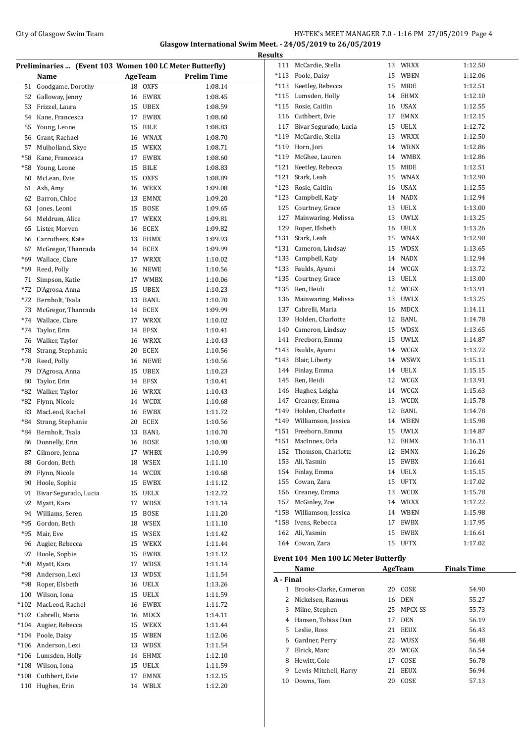### City of Glasgow Swim Team Team Team Fermi Management City of Glasgow Swim Team Fermi Management City of Glasgow Swim Team Fermi Management City of Glasgow Swim Team Fermi Management City of Glasgow Swim Team Fermi Manageme **Glasgow International Swim Meet. - 24/05/2019 to 26/05/2019**

| Preliminaries  (Event 103 Women 100 LC Meter Butterfly) |                                 |          |                     |                    |  |  |  |
|---------------------------------------------------------|---------------------------------|----------|---------------------|--------------------|--|--|--|
|                                                         | <b>Name</b>                     |          | AgeTeam             | <b>Prelim Time</b> |  |  |  |
| 51                                                      | Goodgame, Dorothy               | 18       | <b>OXFS</b>         | 1:08.14            |  |  |  |
| 52                                                      | Galloway, Jenny                 | 16       | <b>EWBX</b>         | 1:08.45            |  |  |  |
| 53                                                      | Frizzel, Laura                  | 15       | <b>UBEX</b>         | 1:08.59            |  |  |  |
| 54                                                      | Kane, Francesca                 | 17       | <b>EWBX</b>         | 1:08.60            |  |  |  |
| 55                                                      | Young, Leone                    | 15       | <b>BILE</b>         | 1:08.83            |  |  |  |
| 56                                                      | Grant, Rachael                  | 16       | <b>WNAX</b>         | 1:08.70            |  |  |  |
| 57                                                      | Mulholland, Skye                | 15       | <b>WEKX</b>         | 1:08.71            |  |  |  |
| *58                                                     | Kane, Francesca                 | 17       | <b>EWBX</b>         | 1:08.60            |  |  |  |
| $*58$                                                   | Young, Leone                    | 15       | <b>BILE</b>         | 1:08.83            |  |  |  |
| 60                                                      | McLean, Evie                    | 15       | <b>OXFS</b>         | 1:08.89            |  |  |  |
| 61                                                      | Ash, Amy                        | 16       | WEKX                | 1:09.08            |  |  |  |
| 62                                                      | Barron, Chloe                   | 13       | <b>EMNX</b>         | 1:09.20            |  |  |  |
| 63                                                      | Jones, Leoni                    | 15       | <b>BOSE</b>         | 1:09.65            |  |  |  |
| 64                                                      | Meldrum, Alice                  | 17       | <b>WEKX</b>         | 1:09.81            |  |  |  |
| 65                                                      | Lister, Morven                  | 16       | <b>ECEX</b>         | 1:09.82            |  |  |  |
| 66                                                      | Carruthers, Kate                | 13       | <b>EHMX</b>         | 1:09.93            |  |  |  |
| 67                                                      | McGregor, Thanrada              | 14       | ECEX                | 1:09.99            |  |  |  |
| *69                                                     | Wallace, Clare                  | 17       | <b>WRXX</b>         | 1:10.02            |  |  |  |
| $*69$                                                   | Reed, Polly                     | 16       | <b>NEWE</b>         | 1:10.56            |  |  |  |
| 71                                                      | Simpson, Katie                  | 17       | <b>WMBX</b>         | 1:10.06            |  |  |  |
| $*72$                                                   | D'Agrosa, Anna                  | 15       | <b>UBEX</b>         | 1:10.23            |  |  |  |
| $*72$                                                   | Bernholt, Tsala                 | 13       | <b>BANL</b>         | 1:10.70            |  |  |  |
| 73                                                      | McGregor, Thanrada              | 14       | ECEX                | 1:09.99            |  |  |  |
| $*74$                                                   | Wallace, Clare                  | 17       | <b>WRXX</b>         | 1:10.02            |  |  |  |
| $*74$                                                   | Taylor, Erin                    | 14       | <b>EFSX</b>         | 1:10.41            |  |  |  |
| 76                                                      | Walker, Taylor                  | 16       | WRXX                | 1:10.43            |  |  |  |
| $^{\ast}78$                                             | Strang, Stephanie               | 20       | ECEX                | 1:10.56            |  |  |  |
| *78                                                     | Reed, Polly                     | 16       | <b>NEWE</b>         | 1:10.56            |  |  |  |
| 79                                                      | D'Agrosa, Anna                  | 15       | <b>UBEX</b>         | 1:10.23            |  |  |  |
| 80                                                      | Taylor, Erin                    | 14       | EFSX                | 1:10.41            |  |  |  |
| *82<br>$*82$                                            | Walker, Taylor<br>Flynn, Nicole | 16<br>14 | <b>WRXX</b>         | 1:10.43            |  |  |  |
| 83                                                      | MacLeod. Rachel                 | 16       | <b>WCDX</b><br>EWBX | 1:10.68<br>1:11.72 |  |  |  |
| $*84$                                                   | Strang, Stephanie               | 20       | <b>ECEX</b>         | 1:10.56            |  |  |  |
| $*84$                                                   | Bernholt, Tsala                 | 13       | BANL                | 1:10.70            |  |  |  |
| 86                                                      | Donnelly, Erin                  | 16       | BOSE                | 1:10.98            |  |  |  |
| 87                                                      | Gilmore, Jenna                  |          | 17 WHBX             | 1:10.99            |  |  |  |
| 88                                                      | Gordon, Beth                    | 18       | <b>WSEX</b>         | 1:11.10            |  |  |  |
| 89                                                      | Flynn, Nicole                   | 14       | <b>WCDX</b>         | 1:10.68            |  |  |  |
| 90                                                      | Hoole, Sophie                   | 15       | EWBX                | 1:11.12            |  |  |  |
| 91                                                      | Bivar Segurado, Lucia           | 15       | UELX                | 1:12.72            |  |  |  |
| 92                                                      | Myatt, Kara                     | 17       | WDSX                | 1:11.14            |  |  |  |
| 94                                                      | Williams, Seren                 | 15       | BOSE                | 1:11.20            |  |  |  |
| $*95$                                                   | Gordon, Beth                    | 18       | WSEX                | 1:11.10            |  |  |  |
| *95                                                     | Mair, Eve                       | 15       | WSEX                | 1:11.42            |  |  |  |
| 96                                                      | Augier, Rebecca                 | 15       | WEKX                | 1:11.44            |  |  |  |
| 97                                                      | Hoole, Sophie                   | 15       | EWBX                | 1:11.12            |  |  |  |
| *98                                                     | Myatt, Kara                     | 17       | WDSX                | 1:11.14            |  |  |  |
| *98                                                     | Anderson, Lexi                  | 13       | <b>WDSX</b>         | 1:11.54            |  |  |  |
| *98                                                     | Roper, Elsbeth                  | 16       | UELX                | 1:13.26            |  |  |  |
| 100                                                     | Wilson, Iona                    | 15       | UELX                | 1:11.59            |  |  |  |
| $*102$                                                  | MacLeod, Rachel                 | 16       | EWBX                | 1:11.72            |  |  |  |
| $*102$                                                  | Cabrelli, Maria                 | 16       | MDCX                | 1:14.11            |  |  |  |
| $*104$                                                  | Augier, Rebecca                 | 15       | WEKX                | 1:11.44            |  |  |  |
| $*104$                                                  | Poole, Daisy                    | 15       | WBEN                | 1:12.06            |  |  |  |
| $*106$                                                  | Anderson, Lexi                  | 13       | <b>WDSX</b>         | 1:11.54            |  |  |  |
| $*106$                                                  | Lumsden, Holly                  | 14       | EHMX                | 1:12.10            |  |  |  |
| $*108$                                                  | Wilson, Iona                    | 15       | UELX                | 1:11.59            |  |  |  |
| $*108$                                                  | Cuthbert, Evie                  | 17       | EMNX                | 1:12.15            |  |  |  |
| 110                                                     | Hughes, Erin                    | 14       | WBLX                | 1:12.20            |  |  |  |
|                                                         |                                 |          |                     |                    |  |  |  |

| <b>Results</b> |                                      |    |             |                    |
|----------------|--------------------------------------|----|-------------|--------------------|
|                | 111 McCardie, Stella                 |    | 13 WRXX     | 1:12.50            |
|                | *113 Poole, Daisy                    |    | 15 WBEN     | 1:12.06            |
|                | *113 Keetley, Rebecca                |    | 15 MIDE     | 1:12.51            |
|                | *115 Lumsden, Holly                  |    | 14 EHMX     | 1:12.10            |
|                | *115 Rosie, Caitlin                  |    | 16 USAX     | 1:12.55            |
|                | 116 Cuthbert, Evie                   |    | 17 EMNX     | 1:12.15            |
|                | 117 Bivar Segurado, Lucia            |    | 15 UELX     | 1:12.72            |
|                | *119 McCardie, Stella                |    | 13 WRXX     | 1:12.50            |
|                | *119 Horn, Jori                      |    | 14 WRNX     | 1:12.86            |
|                | *119 McGhee, Lauren                  |    | 14 WMBX     | 1:12.86            |
|                | *121 Keetley, Rebecca                | 15 | MIDE        | 1:12.51            |
|                | *121 Stark, Leah                     |    | 15 WNAX     | 1:12.90            |
|                | *123 Rosie, Caitlin                  |    | 16 USAX     | 1:12.55            |
|                | *123 Campbell, Katy                  |    | 14 NADX     | 1:12.94            |
|                | 125 Courtney, Grace                  |    | 13 UELX     | 1:13.00            |
|                | 127 Mainwaring, Melissa              |    | 13 UWLX     | 1:13.25            |
|                | 129 Roper, Elsbeth                   |    | 16 UELX     | 1:13.26            |
|                | *131 Stark, Leah                     |    | 15 WNAX     | 1:12.90            |
|                | *131 Cameron, Lindsay                |    | 15 WDSX     | 1:13.65            |
|                | *133 Campbell, Katy                  |    | 14 NADX     | 1:12.94            |
|                | *133 Faulds, Ayumi                   |    | 14 WCGX     | 1:13.72            |
|                | *135 Courtney, Grace                 |    | 13 UELX     | 1:13.00            |
|                | *135 Ren, Heidi                      |    | 12 WCGX     | 1:13.91            |
|                | 136 Mainwaring, Melissa              |    | 13 UWLX     | 1:13.25            |
|                | 137 Cabrelli, Maria                  |    | 16 MDCX     | 1:14.11            |
|                | 139 Holden, Charlotte                |    | 12 BANL     | 1:14.78            |
|                | 140 Cameron, Lindsay                 |    | 15 WDSX     | 1:13.65            |
|                | 141 Freeborn, Emma                   |    | 15 UWLX     | 1:14.87            |
|                | *143 Faulds, Ayumi                   |    | 14 WCGX     | 1:13.72            |
|                | *143 Blair, Liberty                  |    | 14 WSWX     | 1:15.11            |
|                | 144 Finlay, Emma                     |    | 14 UELX     | 1:15.15            |
|                | 145 Ren, Heidi                       |    | 12 WCGX     | 1:13.91            |
|                | 146 Hughes, Leigha                   |    | 14 WCGX     | 1:15.63            |
|                | 147 Creaney, Emma                    |    | 13 WCDX     | 1:15.78            |
|                | *149 Holden, Charlotte               |    | 12 BANL     |                    |
|                | *149 Williamson, Jessica             |    |             | 1:14.78            |
|                |                                      |    | 14 WBEN     | 1:15.98            |
|                | *151 Freeborn, Emma                  |    | 15 UWLX     | 1:14.87            |
| *151           | MacInnes, Orla                       | 12 | <b>EHMX</b> | 1:16.11            |
|                | 152 Thomson, Charlotte               |    | 12 EMNX     | 1:16.26            |
|                | 153 Ali, Yasmin                      |    | 15 EWBX     | 1:16.61            |
|                | 154 Finlay, Emma                     |    | 14 UELX     | 1:15.15            |
|                | 155 Cowan, Zara                      |    | 15 UFTX     | 1:17.02            |
|                | 156 Creaney, Emma                    |    | 13 WCDX     | 1:15.78            |
|                | 157 McGinley, Zoe                    |    | 14 WRXX     | 1:17.22            |
|                | *158 Williamson, Jessica             |    | 14 WBEN     | 1:15.98            |
|                | *158 Ivens, Rebecca                  |    | 17 EWBX     | 1:17.95            |
|                | 162 Ali, Yasmin                      |    | 15 EWBX     | 1:16.61            |
|                | 164 Cowan, Zara                      |    | 15 UFTX     | 1:17.02            |
|                | Event 104 Men 100 LC Meter Butterfly |    |             |                    |
| A - Final      | Name                                 |    | AgeTeam     | <b>Finals Time</b> |
|                | 1 Brooks-Clarke, Cameron             |    | 20 COSE     | 54.90              |
|                | 2 Nickelsen, Rasmus                  |    | 16 DEN      | 55.27              |
|                | 3 Milne, Stephen                     | 25 | MPCX-SS     | 55.73              |
|                | 4 Hansen, Tobias Dan                 |    | 17 DEN      | 56.19              |
|                | 5 Leslie, Ross                       | 21 | EEUX        | 56.43              |
|                | 6 Gardner, Perry                     |    | 22 WUSX     | 56.48              |
|                | 7 Elrick, Marc                       |    | 20 WCGX     | 56.54              |
|                | 8 Hewitt, Cole                       | 17 | COSE        | 56.78              |
|                | 9 Lewis-Mitchell, Harry              |    | 21 EEUX     | 56.94              |
|                |                                      |    |             |                    |

10 Downs, Tom 20 COSE 57.13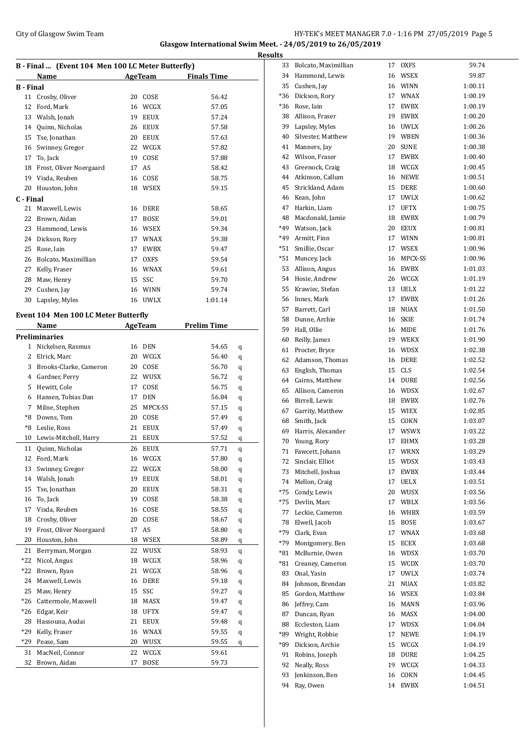### City of Glasgow Swim Team Team Feam Fermion States of the HY-TEK's MEET MANAGER 7.0 - 1:16 PM 27/05/2019 Page 5 **Glasgow International Swim Meet. - 24/05/2019 to 26/05/2019**

| B - Final  (Event 104 Men 100 LC Meter Butterfly) |                                      |    |             |                    |   |  |  |
|---------------------------------------------------|--------------------------------------|----|-------------|--------------------|---|--|--|
|                                                   | Name                                 |    | AgeTeam     | <b>Finals Time</b> |   |  |  |
| <b>B</b> - Final                                  |                                      |    |             |                    |   |  |  |
|                                                   | 11 Crosby, Oliver                    |    | 20 COSE     | 56.42              |   |  |  |
| 12                                                | Ford, Mark                           |    | 16 WCGX     | 57.05              |   |  |  |
| 13                                                | Walsh, Jonah                         |    | 19 EEUX     | 57.24              |   |  |  |
| 14                                                | Quinn, Nicholas                      |    | 26 EEUX     | 57.58              |   |  |  |
|                                                   | 15 Tse, Jonathan                     |    | 20 EEUX     | 57.63              |   |  |  |
|                                                   | 16 Swinney, Gregor                   |    | 22 WCGX     | 57.82              |   |  |  |
| 17                                                | To, Jack                             | 19 | COSE        | 57.88              |   |  |  |
| 18                                                | Frost, Oliver Noergaard              | 17 | AS          | 58.42              |   |  |  |
| 19                                                | Visda, Reuben                        |    | 16 COSE     | 58.75              |   |  |  |
| 20                                                | Houston, John                        |    | 18 WSEX     | 59.15              |   |  |  |
| C - Final                                         |                                      |    |             |                    |   |  |  |
| 21                                                | Maxwell, Lewis                       |    | 16 DERE     | 58.65              |   |  |  |
| 22                                                | Brown, Aidan                         |    | 17 BOSE     | 59.01              |   |  |  |
| 23                                                | Hammond, Lewis                       |    | 16 WSEX     | 59.34              |   |  |  |
|                                                   | 24 Dickson, Rory                     |    | 17 WNAX     | 59.38              |   |  |  |
| 25                                                | Rose, Iain                           |    | 17 EWBX     | 59.47              |   |  |  |
|                                                   | 26 Bolcato, Maximillian              |    | 17 OXFS     | 59.54              |   |  |  |
|                                                   | 27 Kelly, Fraser                     |    | 16 WNAX     | 59.61              |   |  |  |
|                                                   | 28 Maw, Henry                        |    | 15 SSC      | 59.70              |   |  |  |
|                                                   | 29 Cushen, Jay                       |    | 16 WINN     | 59.74              |   |  |  |
| 30                                                | Lapsley, Myles                       |    | 16 UWLX     | 1:01.14            |   |  |  |
|                                                   |                                      |    |             |                    |   |  |  |
|                                                   | Event 104 Men 100 LC Meter Butterfly |    |             |                    |   |  |  |
|                                                   | Name                                 |    | AgeTeam     | <b>Prelim Time</b> |   |  |  |
|                                                   | <b>Preliminaries</b>                 |    |             |                    |   |  |  |
|                                                   | 1 Nickelsen, Rasmus                  |    | 16 DEN      | 54.65              | q |  |  |
|                                                   | 2 Elrick, Marc                       |    | 20 WCGX     | 56.40              | q |  |  |
|                                                   | 3 Brooks-Clarke, Cameron             | 20 | COSE        | 56.70              | q |  |  |
|                                                   | 4 Gardner, Perry                     |    | 22 WUSX     | 56.72              | q |  |  |
|                                                   | 5 Hewitt, Cole                       |    | 17 COSE     | 56.75              | q |  |  |
|                                                   | 6 Hansen, Tobias Dan                 |    | 17 DEN      | 56.84              | q |  |  |
|                                                   | 7 Milne, Stephen                     |    | 25 MPCX-SS  | 57.15              | q |  |  |
| *8                                                | Downs, Tom                           |    | 20 COSE     | 57.49              | q |  |  |
| *8                                                | Leslie, Ross                         |    | 21 EEUX     | 57.49              | q |  |  |
| 10                                                | Lewis-Mitchell, Harry                | 21 | <b>EEUX</b> | 57.52              | q |  |  |
| 11                                                | Quinn, Nicholas                      | 26 | EEUX        | 57.71              | q |  |  |
| 12                                                | Ford, Mark                           |    | 16 WCGX     | 57.80              | q |  |  |
| 13                                                | Swinney, Gregor                      | 22 | WCGX        | 58.00              | q |  |  |
| 14                                                | Walsh, Jonah                         | 19 | EEUX        | 58.01              | q |  |  |
| 15                                                | Tse, Jonathan                        | 20 | EEUX        | 58.31              | q |  |  |
| 16                                                | To, Jack                             | 19 | COSE        | 58.38              | q |  |  |
| 17                                                | Visda, Reuben                        | 16 | COSE        | 58.55              | q |  |  |
| 18                                                | Crosby, Oliver                       | 20 | COSE        | 58.67              | q |  |  |
| 19                                                | Frost, Oliver Noergaard              | 17 | AS          | 58.80              | q |  |  |
| 20                                                | Houston, John                        | 18 | WSEX        | 58.89              | q |  |  |
| 21                                                | Berryman, Morgan                     | 22 | WUSX        | 58.93              | q |  |  |
| $*22$                                             | Nicol, Angus                         | 18 | WCGX        | 58.96              | q |  |  |
| $*22$                                             | Brown, Ryan                          | 21 | WCGX        | 58.96              | q |  |  |
| 24                                                | Maxwell, Lewis                       | 16 | DERE        | 59.18              | q |  |  |
| 25                                                | Maw, Henry                           | 15 | SSC         | 59.27              |   |  |  |
| *26                                               | Cattermole, Maxwell                  | 18 | MASX        | 59.47              | q |  |  |
| *26                                               | Edgar, Keir                          | 18 | UFTX        | 59.47              | q |  |  |
| 28                                                | Hassouna, Audai                      | 21 | EEUX        | 59.48              | q |  |  |
| $*29$                                             | Kelly, Fraser                        | 16 | <b>WNAX</b> | 59.55              | q |  |  |
| *29                                               | Pease, Sam                           |    | 20 WUSX     |                    | q |  |  |
|                                                   |                                      |    |             | 59.55              | q |  |  |
| 31                                                | MacNeil, Connor                      | 22 | WCGX        | 59.61              |   |  |  |
| 32                                                | Brown, Aidan                         | 17 | <b>BOSE</b> | 59.73              |   |  |  |

| <b>Results</b> |                                          |    |             |         |
|----------------|------------------------------------------|----|-------------|---------|
| 33             | Bolcato, Maximillian                     |    | 17 OXFS     | 59.74   |
|                | 34 Hammond, Lewis                        |    | 16 WSEX     | 59.87   |
| 35             | Cushen, Jay                              |    | 16 WINN     | 1:00.11 |
|                | *36 Dickson, Rory                        |    | 17 WNAX     | 1:00.19 |
|                | *36 Rose, Iain                           |    | 17 EWBX     | 1:00.19 |
|                | 38 Allison, Fraser                       |    | 19 EWBX     | 1:00.20 |
| 39             | Lapsley, Myles                           |    | 16 UWLX     | 1:00.26 |
|                | 40 Silvester, Matthew                    |    | 19 WBEN     | 1:00.36 |
| 41             | Manners, Jay                             |    | 20 SUNE     | 1:00.38 |
| 42             | Wilson, Fraser                           |    | 17 EWBX     | 1:00.40 |
| 43             | Greenock, Craig                          |    | 18 WCGX     | 1:00.45 |
|                | 44 Atkinson, Callum                      |    | 16 NEWE     | 1:00.51 |
| 45             | Strickland, Adam                         |    | 15 DERE     | 1:00.60 |
|                | 46 Kean, John                            |    | 17 UWLX     | 1:00.62 |
|                | 47 Harkin, Liam                          |    | 17 UFTX     | 1:00.75 |
|                | 48 Macdonald, Jamie                      |    | 18 EWBX     | 1:00.79 |
|                | *49 Watson, Jack                         |    | 20 EEUX     | 1:00.81 |
| *49            | Armitt, Finn                             |    | 17 WINN     | 1:00.81 |
|                | *51 Smillie, Oscar                       |    | 17 WSEX     | 1:00.96 |
|                | *51 Muncey, Jack                         |    | 16 MPCX-SS  | 1:00.96 |
| 53             | Allison, Angus                           |    | 16 EWBX     | 1:01.03 |
|                | 54 Hosie, Andrew                         |    | 26 WCGX     | 1:01.19 |
|                | 55 Krawiec, Stefan                       |    | 13 UELX     | 1:01.22 |
|                | 56 Innes, Mark                           |    | 17 EWBX     | 1:01.26 |
|                | 57 Barrett, Carl                         |    | 18 NUAX     | 1:01.50 |
|                | 58 Dunne, Archie                         |    | 16 SKIE     | 1:01.74 |
| 59             | Hall, Ollie                              |    | 16 MIDE     | 1:01.76 |
| 60             | Reilly, James                            |    | 19 WEKX     | 1:01.90 |
|                | 61 Procter, Bryce                        |    | 16 WDSX     | 1:02.38 |
| 62             | Adamson, Thomas                          |    | 16 DERE     | 1:02.52 |
| 63             | English, Thomas                          |    | 15 CLS      | 1:02.54 |
|                |                                          |    |             |         |
|                | 64 Cairns, Matthew                       |    | 14 DURE     | 1:02.56 |
|                | 65 Allison, Cameron<br>66 Birrell, Lewis |    | 16 WDSX     | 1:02.67 |
|                |                                          |    | 18 EWBX     | 1:02.76 |
| 67             | Garrity, Matthew                         |    | 15 WIEX     | 1:02.85 |
|                | 68 Smith, Jack                           |    | 15 COKN     | 1:03.07 |
| 69             | Harris, Alexander                        |    | 17 WSWX     | 1:03.22 |
| 70             | Young, Rory                              | 17 | <b>EHMX</b> | 1:03.28 |
| 71             | Fawcett, Johann                          | 17 | WRNX        | 1:03.29 |
| 72             | Sinclair, Elliot                         | 15 | WDSX        | 1:03.43 |
| 73             | Mitchell, Joshua                         | 17 | EWBX        | 1:03.44 |
| 74             | Mellon, Craig                            | 17 | UELX        | 1:03.51 |
| *75            | Condy, Lewis                             | 20 | WUSX        | 1:03.56 |
| *75            | Devlin, Marc                             | 17 | WBLX        | 1:03.56 |
| 77             | Leckie, Cameron                          | 16 | WHBX        | 1:03.59 |
| 78             | Elwell, Jacob                            | 15 | BOSE        | 1:03.67 |
| $*79$          | Clark, Evan                              | 17 | <b>WNAX</b> | 1:03.68 |
| *79            | Montgomery, Ben                          | 15 | ECEX        | 1:03.68 |
| $*81$          | McBurnie, Owen                           |    | 16 WDSX     | 1:03.70 |
| *81            | Creaney, Cameron                         |    | 15 WCDX     | 1:03.70 |
| 83             | Onal, Yasin                              | 17 | UWLX        | 1:03.74 |
| 84             | Johnson, Brendan                         | 21 | NUAX        | 1:03.82 |
| 85             | Gordon, Matthew                          |    | 16 WSEX     | 1:03.84 |
| 86             | Jeffrey, Cam                             |    | 16 MANN     | 1:03.96 |
| 87             | Duncan, Ryan                             |    | 16 MASX     | 1:04.00 |
| 88             | Eccleston, Liam                          | 17 | WDSX        | 1:04.04 |
| *89            | Wright, Robbie                           | 17 | NEWE        | 1:04.19 |
| *89            | Dickson, Archie                          |    | 15 WCGX     | 1:04.19 |
| 91             | Robins, Joseph                           |    | 18 DURE     | 1:04.25 |
| 92             | Neally, Ross                             |    | 19 WCGX     | 1:04.33 |
| 93             | Jenkinson, Ben                           | 16 | COKN        | 1:04.45 |
| 94             | Ray, Owen                                | 14 | EWBX        | 1:04.51 |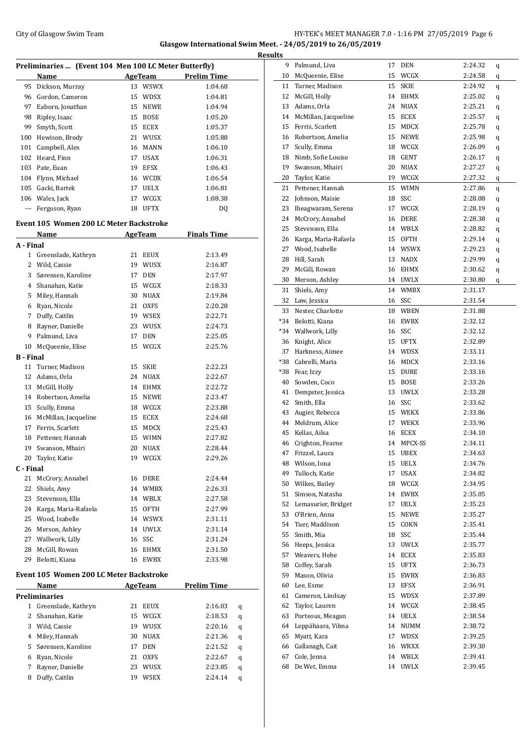### City of Glasgow Swim Team Team Feam Fermion States of Glasgow Swim Team Feam Fermion States of HY-TEK's MEET MANAGER 7.0 - 1:16 PM 27/05/2019 Page 6 **Glasgow International Swim Meet. - 24/05/2019 to 26/05/2019**

| Preliminaries  (Event 104 Men 100 LC Meter Butterfly) |                                         |                   |                    |  |  |  |  |
|-------------------------------------------------------|-----------------------------------------|-------------------|--------------------|--|--|--|--|
|                                                       | Name                                    | AgeTeam           | <b>Prelim Time</b> |  |  |  |  |
| 95                                                    | Dickson, Murray                         | 13 WSWX           | 1:04.68            |  |  |  |  |
| 96                                                    | Gordon, Cameron                         | 15<br>WDSX        | 1:04.81            |  |  |  |  |
| 97                                                    | Eaborn, Jonathan                        | 15<br><b>NEWE</b> | 1:04.94            |  |  |  |  |
| 98                                                    | Ripley, Isaac                           | 15<br><b>BOSE</b> | 1:05.20            |  |  |  |  |
| 99                                                    | Smyth, Scott                            | 15<br>ECEX        | 1:05.37            |  |  |  |  |
| 100                                                   | Hewison, Brody                          | 21<br>WUSX        | 1:05.88            |  |  |  |  |
| 101                                                   | Campbell, Alex                          | 16<br><b>MANN</b> | 1:06.10            |  |  |  |  |
|                                                       | 102 Heard, Finn                         | 17 USAX           | 1:06.31            |  |  |  |  |
|                                                       | 103 Pate, Euan                          | <b>EFSX</b><br>19 | 1:06.43            |  |  |  |  |
|                                                       | 104 Flynn, Michael                      | 16 WCDX           | 1:06.54            |  |  |  |  |
|                                                       | 105 Gacki, Bartek                       | UELX<br>17        | 1:06.81            |  |  |  |  |
|                                                       | 106 Wales, Jack                         | 17<br>WCGX        | 1:08.38            |  |  |  |  |
| $\cdots$                                              | Ferguson, Ryan                          | 18<br>UFTX        | DQ                 |  |  |  |  |
|                                                       | Event 105 Women 200 LC Meter Backstroke |                   |                    |  |  |  |  |
|                                                       | Name                                    | AgeTeam           | <b>Finals Time</b> |  |  |  |  |
| A - Final                                             |                                         |                   |                    |  |  |  |  |
| $\mathbf{1}$                                          | Greenslade, Kathryn                     | 21<br>EEUX        | 2:13.49            |  |  |  |  |
|                                                       | 2 Wild, Cassie                          | WUSX<br>19        | 2:16.87            |  |  |  |  |
| 3                                                     | Sørensen, Karoline                      | 17<br><b>DEN</b>  | 2:17.97            |  |  |  |  |
|                                                       | 4 Shanahan, Katie                       | 15 WCGX           | 2:18.33            |  |  |  |  |
| 5                                                     | Miley, Hannah                           | 30<br>NUAX        | 2:19.84            |  |  |  |  |
|                                                       | 6 Ryan, Nicole                          | 21<br><b>OXFS</b> | 2:20.28            |  |  |  |  |
|                                                       | 7 Duffy, Caitlin                        | 19 WSEX           | 2:22.71            |  |  |  |  |
| 8                                                     | Rayner, Danielle                        | 23<br>WUSX        | 2:24.73            |  |  |  |  |
| 9                                                     | Palmund, Liva                           | 17<br><b>DEN</b>  | 2:25.05            |  |  |  |  |
| 10                                                    | McQueenie, Elise                        | 15<br>WCGX        | 2:25.76            |  |  |  |  |
| B - Final                                             |                                         |                   |                    |  |  |  |  |
| 11                                                    | Turner, Madison                         | <b>SKIE</b><br>15 | 2:22.23            |  |  |  |  |
| 12                                                    | Adams, Orla                             | 24<br>NUAX        | 2:22.67            |  |  |  |  |
| 13                                                    | McGill, Holly                           | 14<br>EHMX        | 2:22.72            |  |  |  |  |
| 14                                                    | Robertson, Amelia                       | 15<br>NEWE        | 2:23.47            |  |  |  |  |
| 15                                                    | Scully, Emma                            | WCGX<br>18        | 2:23.88            |  |  |  |  |
| 16                                                    | McMillan, Jacqueline                    | ECEX<br>15        | 2:24.68            |  |  |  |  |
|                                                       | 17 Ferris, Scarlett                     | 15<br>MDCX        | 2:25.43            |  |  |  |  |
| 18                                                    | Pettener, Hannah                        | 15<br>WIMN        | 2:27.82            |  |  |  |  |
| 19                                                    | Swanson, Mhairi                         | 20<br><b>NUAX</b> | 2:28.44            |  |  |  |  |
| 20                                                    | Taylor, Katie                           | 19 WCGX           | 2:29.26            |  |  |  |  |
| C - Final                                             |                                         |                   |                    |  |  |  |  |
| 21                                                    | McCrory, Annabel                        | DERE<br>16        | 2:24.44            |  |  |  |  |
| 22                                                    | Shiels, Amy                             | WMBX<br>14        | 2:26.33            |  |  |  |  |
| 23                                                    | Stevenson, Ella                         | WBLX<br>14        | 2:27.58            |  |  |  |  |
| 24                                                    | Karga, Maria-Rafaela                    | 15<br>OFTH        | 2:27.99            |  |  |  |  |
| 25                                                    | Wood, Isabelle                          | WSWX<br>14        | 2:31.11            |  |  |  |  |
| 26                                                    | Merson, Ashley                          | UWLX<br>14        | 2:31.14            |  |  |  |  |
|                                                       | 27 Wallwork, Lilly                      | SSC<br>16         | 2:31.24            |  |  |  |  |
| 28                                                    | McGill, Rowan                           | 16 EHMX           | 2:31.50            |  |  |  |  |
| 29                                                    | Belotti, Kiana                          | 16 EWBX           | 2:33.98            |  |  |  |  |
|                                                       | Event 105 Women 200 LC Meter Backstroke |                   |                    |  |  |  |  |
|                                                       | Name                                    | <b>AgeTeam</b>    | <b>Prelim Time</b> |  |  |  |  |
|                                                       | <b>Preliminaries</b>                    |                   |                    |  |  |  |  |
|                                                       | 1 Greenslade, Kathryn                   | 21<br>EEUX        | 2:16.03<br>q       |  |  |  |  |
| $\mathbf{2}$                                          | Shanahan, Katie                         | <b>WCGX</b><br>15 | 2:18.53<br>q       |  |  |  |  |
|                                                       | 3 Wild, Cassie                          | WUSX<br>19        | 2:20.16<br>q       |  |  |  |  |
| 4                                                     | Miley, Hannah                           | 30<br><b>NUAX</b> | 2:21.36<br>q       |  |  |  |  |
| 5                                                     | Sørensen, Karoline                      | 17<br>DEN         | 2:21.52<br>q       |  |  |  |  |
| 6                                                     | Ryan, Nicole                            | 21<br>OXFS        | 2:22.67<br>q       |  |  |  |  |
| 7                                                     | Rayner, Danielle                        | 23<br>WUSX        | 2:23.85<br>q       |  |  |  |  |
| 8                                                     | Duffy, Caitlin                          | <b>WSEX</b><br>19 | 2:24.14<br>q       |  |  |  |  |
|                                                       |                                         |                   |                    |  |  |  |  |

| <b>Results</b> |                                       |    |                    |                    |   |
|----------------|---------------------------------------|----|--------------------|--------------------|---|
|                | 9 Palmund, Liva                       |    | 17 DEN             | 2:24.32            | q |
| 10             | McQueenie, Elise                      | 15 | WCGX               | 2:24.58            | q |
| 11             | Turner, Madison                       | 15 | SKIE               | 2:24.92            | q |
|                | 12 McGill, Holly                      |    | 14 EHMX            | 2:25.02            | q |
|                | 13 Adams, Orla                        |    | 24 NUAX            | 2:25.21            | q |
|                | 14 McMillan, Jacqueline               |    | 15 ECEX            | 2:25.57            | q |
|                | 15 Ferris, Scarlett                   |    | 15 MDCX            | 2:25.78            | q |
|                | 16 Robertson, Amelia                  |    | 15 NEWE            | 2:25.98            | q |
| 17             | Scully, Emma                          |    | 18 WCGX            | 2:26.09            | q |
| 18             | Nimb, Sofie Louise                    |    | 18 GENT            | 2:26.17            | q |
| 19             | Swanson, Mhairi                       | 20 | NUAX               | 2:27.27            | q |
| 20             | Taylor, Katie                         |    | 19 WCGX            | 2:27.32            | q |
|                | 21 Pettener, Hannah                   |    | 15 WIMN            | 2:27.86            | q |
|                | 22 Johnson, Maisie                    |    | 18 SSC             | 2:28.08            | q |
| 23             | Iheagwaram, Serena                    |    | 17 WCGX            | 2:28.19            | q |
|                | 24 McCrory, Annabel                   |    | 16 DERE            | 2:28.38            | q |
|                | 25 Stevenson, Ella                    |    | 14 WBLX            | 2:28.82            | q |
|                | 26 Karga, Maria-Rafaela               |    | 15 OFTH            | 2:29.14            | q |
|                | 27 Wood, Isabelle                     |    | 14 WSWX            | 2:29.23            | q |
| 28             | Hill, Sarah                           |    | 13 NADX            | 2:29.99            | q |
| 29             | McGill, Rowan                         |    | 16 EHMX            | 2:30.62            | q |
| 30             | Merson, Ashley                        |    | 14 UWLX            | 2:30.80            | q |
| 31             | Shiels, Amy                           |    | 14 WMBX            | 2:31.17            |   |
|                | 32 Law, Jessica                       |    | 16 SSC             | 2:31.54            |   |
|                | 33 Nester, Charlotte                  |    | 18 WBEN            | 2:31.88            |   |
|                | *34 Belotti, Kiana                    |    | 16 EWBX            | 2:32.12            |   |
|                | *34 Wallwork, Lilly                   |    | 16 SSC             | 2:32.12            |   |
|                | 36 Knight, Alice                      |    | 15 UFTX            | 2:32.89            |   |
| 37             | Harkness, Aimee                       |    | 14 WDSX            | 2:33.11            |   |
| *38            | Cabrelli, Maria                       |    | 16 MDCX            | 2:33.16            |   |
|                | *38 Fear, Izzy                        |    | 15 DURE            | 2:33.16            |   |
|                | 40 Sowden, Coco                       |    | 15 BOSE            | 2:33.26            |   |
|                | 41 Dempster, Jessica                  |    | 13 UWLX            | 2:33.28            |   |
|                | 42 Smith, Ella                        |    | 16 SSC             | 2:33.62            |   |
|                | 43 Augier, Rebecca                    |    | 15 WEKX            | 2:33.86            |   |
| 44             | Meldrum, Alice                        |    | 17 WEKX            | 2:33.96            |   |
| 45             | Kellas, Ailsa                         |    | 16 ECEX            | 2:34.10            |   |
|                | 46 Crighton, Fearne                   |    | 14 MPCX-SS         | 2:34.11            |   |
|                | 47 Frizzel, Laura                     |    | 15 UBEX            | 2:34.63            |   |
|                | 48 Wilson, Iona                       |    | 15 UELX            | 2:34.76            |   |
| 49             | Tulloch, Katie                        | 17 | USAX               | 2:34.82            |   |
|                | 50 Wilkes, Bailey                     |    | 18 WCGX            | 2:34.95            |   |
|                | 51 Simson, Natasha                    |    | 14 EWBX            | 2:35.05            |   |
|                | 52 Lemasurier, Bridget                |    | 17 UELX            | 2:35.23            |   |
|                | 53 O'Brien, Anna                      | 15 | NEWE               | 2:35.27            |   |
|                | 54 Tuer, Maddison                     |    | 15 COKN            | 2:35.41            |   |
| 55             | Smith, Mia                            | 18 | SSC                | 2:35.44            |   |
|                | 56 Heeps, Jessica                     | 13 | UWLX               | 2:35.77            |   |
|                | 57 Weavers, Hebe                      |    | 14 ECEX            | 2:35.83            |   |
| 58             | Coffey, Sarah                         |    | 15 UFTX            | 2:36.73            |   |
| 59             | Mason, Olivia<br>60 Lee, Esme         | 15 | EWBX               | 2:36.83            |   |
|                |                                       |    | 13 EFSX            | 2:36.91            |   |
|                | 61 Cameron, Lindsay<br>Taylor, Lauren |    | 15 WDSX            | 2:37.89            |   |
| 62             | 63 Porteous, Meagan                   |    | 14 WCGX<br>14 UELX | 2:38.45            |   |
|                | 64 Leppähaara, Vilma                  |    | 14 NUMM            | 2:38.54            |   |
| 65             | Myatt, Kara                           |    | 17 WDSX            | 2:38.72<br>2:39.25 |   |
|                | 66 Gallanagh, Cait                    |    | 16 WRXX            | 2:39.30            |   |
| 67             | Cole, Jenna                           |    | 14 WBLX            | 2:39.41            |   |
| 68             | De Wet, Emma                          |    | 14 UWLX            | 2:39.45            |   |
|                |                                       |    |                    |                    |   |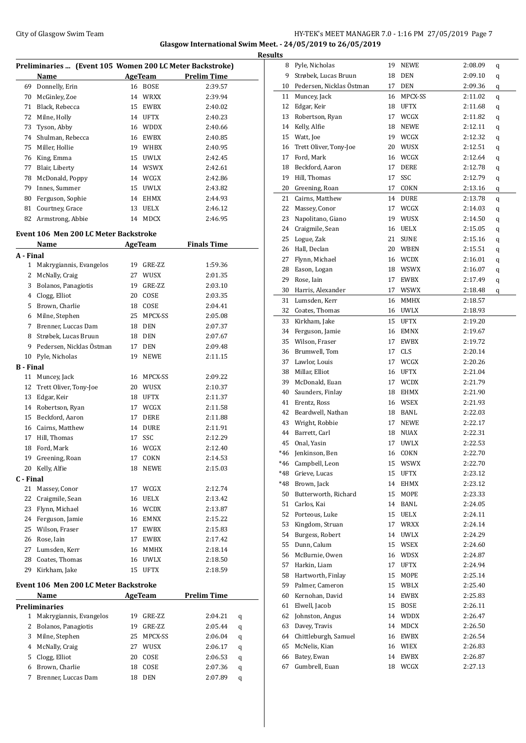# City of Glasgow Swim Team HY-TEK's MEET MANAGER 7.0 - 1:16 PM 27/05/2019 Page 7 **Glasgow International Swim Meet. - 24/05/2019 to 26/05/2019**

|           | Preliminaries  (Event 105 Women 200 LC Meter Backstroke) |    |             |                    |  |
|-----------|----------------------------------------------------------|----|-------------|--------------------|--|
|           | Name                                                     |    | AgeTeam     | <b>Prelim Time</b> |  |
| 69        | Donnelly, Erin                                           |    | 16 BOSE     | 2:39.57            |  |
| 70        | McGinley, Zoe                                            |    | 14 WRXX     | 2:39.94            |  |
| 71        | Black, Rebecca                                           |    | 15 EWBX     | 2:40.02            |  |
| 72        | Milne, Holly                                             |    | 14 UFTX     | 2:40.23            |  |
| 73        | Tyson, Abby                                              |    | 16 WDDX     | 2:40.66            |  |
| 74        | Shulman, Rebecca                                         |    | 16 EWBX     | 2:40.85            |  |
|           |                                                          |    |             |                    |  |
| 75        | Miller, Hollie                                           |    | 19 WHBX     | 2:40.95            |  |
| 76        | King, Emma                                               |    | 15 UWLX     | 2:42.45            |  |
| 77        | Blair, Liberty                                           |    | 14 WSWX     | 2:42.61            |  |
| 78        | McDonald, Poppy                                          |    | 14 WCGX     | 2:42.86            |  |
| 79        | Innes, Summer                                            |    | 15 UWLX     | 2:43.82            |  |
| 80        | Ferguson, Sophie                                         |    | 14 EHMX     | 2:44.93            |  |
| 81        | Courtney, Grace                                          |    | 13 UELX     | 2:46.12            |  |
| 82        | Armstrong, Abbie                                         |    | 14 MDCX     | 2:46.95            |  |
|           | <b>Event 106 Men 200 LC Meter Backstroke</b>             |    |             |                    |  |
|           |                                                          |    |             |                    |  |
|           | Name                                                     |    | AgeTeam     | <b>Finals Time</b> |  |
| A - Final |                                                          |    |             |                    |  |
| 1         | Makrygiannis, Evangelos                                  |    | 19 GRE-ZZ   | 1:59.36            |  |
| 2         | McNally, Craig                                           |    | 27 WUSX     | 2:01.35            |  |
| 3         | Bolanos, Panagiotis                                      |    | 19 GRE-ZZ   | 2:03.10            |  |
|           | 4 Clogg, Elliot                                          |    | 20 COSE     | 2:03.35            |  |
| 5.        | Brown, Charlie                                           |    | 18 COSE     | 2:04.41            |  |
| 6         | Milne, Stephen                                           |    | 25 MPCX-SS  | 2:05.08            |  |
| 7         | Brenner, Luccas Dam                                      |    | 18 DEN      | 2:07.37            |  |
| 8         | Strøbek, Lucas Bruun                                     |    | 18 DEN      | 2:07.67            |  |
| 9         | Pedersen, Nicklas Östman                                 | 17 | DEN         | 2:09.48            |  |
| 10        | Pyle, Nicholas                                           | 19 | <b>NEWE</b> | 2:11.15            |  |
| B - Final |                                                          |    |             |                    |  |
| 11        | Muncey, Jack                                             |    | 16 MPCX-SS  | 2:09.22            |  |
| 12        | Trett Oliver, Tony-Joe                                   |    | 20 WUSX     | 2:10.37            |  |
| 13        | Edgar, Keir                                              |    | 18 UFTX     | 2:11.37            |  |
| 14        |                                                          |    | 17 WCGX     | 2:11.58            |  |
|           | Robertson, Ryan                                          |    |             |                    |  |
| 15        | Beckford, Aaron                                          | 17 | <b>DERE</b> | 2:11.88            |  |
| 16        | Cairns, Matthew                                          |    | 14 DURE     | 2:11.91            |  |
| 17        | Hill, Thomas                                             | 17 | SSC         | 2:12.29            |  |
|           | 18 Ford, Mark                                            |    | 16 WCGX     | 2:12.40            |  |
| 19        | Greening, Roan                                           | 17 | COKN        | 2:14.53            |  |
| 20        | Kelly, Alfie                                             | 18 | NEWE        | 2:15.03            |  |
| C - Final |                                                          |    |             |                    |  |
| 21        | Massey, Conor                                            |    | 17 WCGX     | 2:12.74            |  |
| 22        | Craigmile, Sean                                          |    | 16 UELX     | 2:13.42            |  |
| 23        | Flynn, Michael                                           |    | 16 WCDX     | 2:13.87            |  |
| 24        | Ferguson, Jamie                                          |    | 16 EMNX     | 2:15.22            |  |
| 25        | Wilson, Fraser                                           | 17 | EWBX        | 2:15.83            |  |
| 26        | Rose, Iain                                               | 17 | EWBX        | 2:17.42            |  |
|           | 27 Lumsden, Kerr                                         |    | 16 MMHX     | 2:18.14            |  |
| 28        | Coates, Thomas                                           |    | 16 UWLX     | 2:18.50            |  |
| 29        | Kirkham, Jake                                            |    | 15 UFTX     | 2:18.59            |  |
|           |                                                          |    |             |                    |  |
|           | Event 106 Men 200 LC Meter Backstroke                    |    |             |                    |  |
|           | Name                                                     |    | AgeTeam     | <u>Prelim Time</u> |  |
|           | Preliminaries                                            |    |             |                    |  |
| 1         | Makrygiannis, Evangelos                                  | 19 | GRE-ZZ      | 2:04.21<br>q       |  |
| 2         | Bolanos, Panagiotis                                      | 19 | GRE-ZZ      | 2:05.44<br>q       |  |
| 3         | Milne, Stephen                                           | 25 | MPCX-SS     | 2:06.04<br>q       |  |
| 4         | McNally, Craig                                           |    | 27 WUSX     | 2:06.17<br>q       |  |
| 5         | Clogg, Elliot                                            | 20 | COSE        | 2:06.53<br>q       |  |
| 6         | Brown, Charlie                                           | 18 | COSE        | 2:07.36<br>q       |  |
| 7         | Brenner, Luccas Dam                                      | 18 | DEN         | 2:07.89<br>q       |  |
|           |                                                          |    |             |                    |  |

| <b>Results</b> |                              |          |                            |                    |   |
|----------------|------------------------------|----------|----------------------------|--------------------|---|
|                | 8 Pyle, Nicholas             |          | 19 NEWE                    | 2:08.09            | q |
|                | 9 Strøbek, Lucas Bruun       | 18       | <b>DEN</b>                 | 2:09.10            | q |
|                | 10 Pedersen, Nicklas Östman  | 17       | DEN                        | 2:09.36            | q |
|                | 11 Muncey, Jack              | 16       | MPCX-SS                    | 2:11.02            | q |
| 12             | Edgar, Keir                  | 18       | <b>UFTX</b>                | 2:11.68            | q |
| 13             | Robertson, Ryan              | 17       | WCGX                       | 2:11.82            | q |
| 14             | Kelly, Alfie                 | 18       | NEWE                       | 2:12.11            | q |
|                | 15 Watt, Joe                 |          | 19 WCGX                    | 2:12.32            | q |
| 16             | Trett Oliver, Tony-Joe       |          | 20 WUSX                    | 2:12.51            | q |
| 17             | Ford, Mark                   |          | 16 WCGX                    | 2:12.64            | q |
|                | 18 Beckford, Aaron           | 17       | DERE                       | 2:12.78            | q |
| 19             | Hill, Thomas                 | 17       | SSC                        | 2:12.79            | q |
|                | 20 Greening, Roan            | 17       | COKN                       | 2:13.16            | q |
| 21             | Cairns, Matthew              | 14       | DURE                       | 2:13.78            | q |
| 22             | Massey, Conor                | 17       | WCGX                       | 2:14.03            | q |
| 23             | Napolitano, Giano            |          | 19 WUSX                    | 2:14.50            | q |
| 24             | Craigmile, Sean              | 16       | UELX                       | 2:15.05            | q |
|                | 25 Logue, Zak                | 21       | <b>SUNE</b>                | 2:15.16            | q |
| 26             | Hall, Declan                 | 20       | WBEN                       | 2:15.51            | q |
| 27             | Flynn, Michael               |          | 16 WCDX                    | 2:16.01            | q |
| 28             | Eason, Logan                 | 18       | WSWX                       | 2:16.07            | q |
| 29             | Rose, Iain                   | 17       | EWBX                       | 2:17.49            | q |
| 30             | Harris, Alexander            | 17       | WSWX                       | 2:18.48            | q |
| 31             | Lumsden, Kerr                | 16       | <b>MMHX</b>                | 2:18.57            |   |
| 32             | Coates, Thomas               | 16       | <b>UWLX</b>                | 2:18.93            |   |
| 33             | Kirkham, Jake                | 15       | <b>UFTX</b>                | 2:19.20            |   |
| 34             | Ferguson, Jamie              | 16       | <b>EMNX</b>                | 2:19.67            |   |
|                | 35 Wilson, Fraser            | 17       | EWBX                       | 2:19.72            |   |
|                | 36 Brumwell, Tom             |          | 17 CLS                     | 2:20.14            |   |
|                | 37 Lawlor, Louis             |          | 17 WCGX                    | 2:20.26            |   |
|                | 38 Millar, Elliot            |          | 16 UFTX                    | 2:21.04            |   |
| 39             | McDonald, Euan               | 17       | <b>WCDX</b>                | 2:21.79            |   |
| 40             | Saunders, Finlay             | 18       | EHMX                       | 2:21.90            |   |
| 41             | Erentz, Ross                 |          | 16 WSEX                    | 2:21.93            |   |
| 42             | Beardwell, Nathan            |          | 18 BANL                    | 2:22.03            |   |
| 43<br>44       | Wright, Robbie               | 17       | <b>NEWE</b><br><b>NUAX</b> | 2:22.17            |   |
| 45             | Barrett, Carl<br>Onal, Yasin | 18<br>17 | <b>UWLX</b>                | 2:22.31<br>2:22.53 |   |
|                | *46 Jenkinson, Ben           |          | 16 COKN                    | 2:22.70            |   |
|                | *46 Campbell, Leon           |          | 15 WSWX                    | 2:22.70            |   |
|                | *48 Grieve, Lucas            |          | 15 UFTX                    | 2:23.12            |   |
|                | *48 Brown, Jack              |          | 14 EHMX                    | 2:23.12            |   |
|                | 50 Butterworth, Richard      |          | 15 MOPE                    | 2:23.33            |   |
|                | 51 Carlos, Kai               |          | 14 BANL                    | 2:24.05            |   |
|                | 52 Porteous, Luke            |          | 15 UELX                    | 2:24.11            |   |
| 53             | Kingdom, Struan              |          | 17 WRXX                    | 2:24.14            |   |
| 54             | Burgess, Robert              |          | 14 UWLX                    | 2:24.29            |   |
| 55             | Dunn, Calum                  |          | 15 WSEX                    | 2:24.60            |   |
|                | 56 McBurnie, Owen            |          | 16 WDSX                    | 2:24.87            |   |
|                | 57 Harkin, Liam              | 17       | UFTX                       | 2:24.94            |   |
|                | 58 Hartworth, Finlay         | 15       | MOPE                       | 2:25.14            |   |
|                | 59 Palmer, Cameron           |          | 15 WBLX                    | 2:25.40            |   |
|                | 60 Kernohan, David           |          | 14 EWBX                    | 2:25.83            |   |
|                | 61 Elwell, Jacob             |          | 15 BOSE                    | 2:26.11            |   |
|                | 62 Johnston, Angus           |          | 14 WDDX                    | 2:26.47            |   |
|                | 63 Davey, Travis             |          | 14 MDCX                    | 2:26.50            |   |
|                | 64 Chittleburgh, Samuel      |          | 16 EWBX                    | 2:26.54            |   |
|                | 65 McNelis, Kian             |          | 16 WIEX                    | 2:26.83            |   |
|                | 66 Batey, Ewan               |          | 14 EWBX                    | 2:26.87            |   |
| 67             | Gumbrell, Euan               |          | 18 WCGX                    | 2:27.13            |   |
|                |                              |          |                            |                    |   |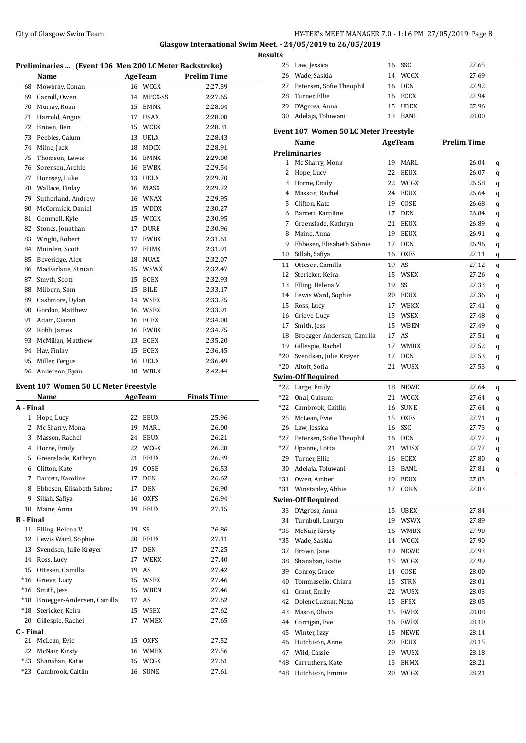# City of Glasgow Swim Team Team Frameters Management City of Glasgow Swim Team Frameters Management City of Glasgow Swim Team

**Glasgow International Swim Meet. - 24/05/2019 to 26/05/2019**

|                  |                                                        |    |                | I                  |
|------------------|--------------------------------------------------------|----|----------------|--------------------|
|                  | Preliminaries  (Event 106 Men 200 LC Meter Backstroke) |    |                |                    |
|                  | Name                                                   |    | <b>AgeTeam</b> | <b>Prelim Time</b> |
| 68               | Mowbray, Conan                                         |    | 16 WCGX        | 2:27.39            |
|                  | 69 Carroll, Owen                                       |    | 14 MPCX-SS     | 2:27.65            |
| 70               | Murray, Roan                                           |    | 15 EMNX        | 2:28.04            |
| 71               | Harrold, Angus                                         |    | 17 USAX        | 2:28.08            |
| 72               | Brown, Ben                                             |    | 15 WCDX        | 2:28.31            |
| 73               | Peebles, Calum                                         |    | 13 UELX        | 2:28.43            |
|                  | 74 Milne, Jack                                         |    | 18 MDCX        | 2:28.91            |
| 75               | Thomson, Lewis                                         |    | 16 EMNX        | 2:29.00            |
| 76               | Sorensen, Archie                                       |    | 16 EWBX        | 2:29.54            |
| 77               | Hornsey, Luke                                          |    | 13 UELX        | 2:29.70            |
|                  | 78 Wallace, Finlay                                     |    | 16 MASX        | 2:29.72            |
| 79               | Sutherland, Andrew                                     |    | 16 WNAX        | 2:29.95            |
| 80               | McCormick, Daniel                                      |    | 15 WDDX        | 2:30.27            |
| 81               | Gemmell, Kyle                                          |    | 15 WCGX        | 2:30.95            |
| 82               | Stones, Jonathan                                       |    | 17 DURE        | 2:30.96            |
| 83               | Wright, Robert                                         | 17 | EWBX           | 2:31.61            |
| 84               | Muirden, Scott                                         |    | 17 EHMX        | 2:31.91            |
| 85               | Beveridge, Alex                                        |    | 18 NUAX        | 2:32.07            |
| 86               | MacFarlane, Struan                                     |    | 15 WSWX        | 2:32.47            |
| 87               | Smyth, Scott                                           |    | 15 ECEX        | 2:32.93            |
|                  |                                                        |    |                |                    |
| 88               | Milburn, Sam                                           |    | 15 BILE        | 2:33.17            |
| 89               | Cashmore, Dylan                                        |    | 14 WSEX        | 2:33.75            |
| 90               | Gordon, Matthew                                        |    | 16 WSEX        | 2:33.91            |
|                  | 91 Adam, Ciaran                                        |    | 16 ECEX        | 2:34.00            |
|                  | 92 Robb, James                                         |    | 16 EWBX        | 2:34.75            |
| 93               | McMillan, Matthew                                      |    | 13 ECEX        | 2:35.20            |
| 94               | Hay, Finlay                                            |    | 15 ECEX        | 2:36.45            |
| 95               | Miller, Fergus                                         |    | 16 UELX        | 2:36.49            |
| 96               | Anderson, Ryan                                         |    | 18 WBLX        | 2:42.44            |
|                  | Event 107 Women 50 LC Meter Freestyle                  |    |                |                    |
|                  | Name                                                   |    | AgeTeam        | <b>Finals Time</b> |
| A - Final        |                                                        |    |                |                    |
|                  | 1 Hope, Lucy                                           |    | 22 EEUX        | 25.96              |
|                  | 2 Mc Sharry, Mona                                      | 19 | MARL           | 26.00              |
| 3                | Masson, Rachel                                         | 24 | <b>EEUX</b>    | 26.21              |
|                  |                                                        |    | 22 WCGX        | 26.28              |
|                  | 4 Horne, Emily<br>5 Greenslade, Kathryn                |    |                |                    |
|                  |                                                        |    | 21 EEUX        | 26.39              |
| 6                | Clifton, Kate                                          | 19 | COSE           | 26.53              |
| 7                | Barrett, Karoline                                      | 17 | DEN            | 26.62              |
| 8                | Ebbesen, Elisabeth Sabroe                              | 17 | DEN            | 26.90              |
| 9                | Sillah, Safiya                                         | 16 | OXFS           | 26.94              |
| 10               | Maine, Anna                                            | 19 | <b>EEUX</b>    | 27.15              |
| <b>B</b> - Final |                                                        |    |                |                    |
| 11               | Elling, Helena V.                                      | 19 | SS             | 26.86              |
| 12               | Lewis Ward, Sophie                                     | 20 | EEUX           | 27.11              |
| 13               | Svendsen, Julie Krøyer                                 | 17 | DEN            | 27.25              |
|                  | 14 Ross, Lucy                                          | 17 | WEKX           | 27.40              |
|                  | 15 Ottesen, Camilla                                    | 19 | AS             | 27.42              |
|                  | *16 Grieve, Lucy                                       |    | 15 WSEX        | 27.46              |
|                  | *16 Smith, Jess                                        |    | 15 WBEN        | 27.46              |
| $*18$            | Broegger-Andersen, Camilla                             |    | 17 AS          | 27.62              |
| $^*18$           | Stericker, Keira                                       |    | 15 WSEX        | 27.62              |
| 20               | Gillespie, Rachel                                      | 17 | WMBX           | 27.65              |
| C - Final        |                                                        |    |                |                    |
| 21               | McLean, Evie                                           |    | 15 OXFS        | 27.52              |
|                  | 22 McNair, Kirsty                                      |    | 16 WMBX        | 27.56              |
| $*23$            | Shanahan, Katie                                        |    | 15 WCGX        | 27.61              |
| $*23$            | Cambrook, Caitlin                                      | 16 | SUNE           | 27.61              |
|                  |                                                        |    |                |                    |

| <b>Results</b> |                                       |    |             |                    |   |
|----------------|---------------------------------------|----|-------------|--------------------|---|
|                | 25 Law, Jessica                       |    | 16 SSC      | 27.65              |   |
|                | 26 Wade, Saskia                       |    | 14 WCGX     | 27.69              |   |
|                | 27 Petersen, Sofie Theophil           |    | 16 DEN      | 27.92              |   |
|                | 28 Turner, Ellie                      |    | 16 ECEX     | 27.94              |   |
|                | 29 D'Agrosa, Anna                     |    | 15 UBEX     | 27.96              |   |
|                | 30 Adelaja, Toluwani                  |    | 13 BANL     | 28.00              |   |
|                |                                       |    |             |                    |   |
|                | Event 107 Women 50 LC Meter Freestyle |    |             |                    |   |
|                | Name                                  |    | AgeTeam     | <b>Prelim Time</b> |   |
|                | <b>Preliminaries</b>                  |    |             |                    |   |
|                | 1 Mc Sharry, Mona                     |    | 19 MARL     | 26.04              | q |
|                | 2 Hope, Lucy                          | 22 | <b>EEUX</b> | 26.07              | q |
|                | 3 Horne, Emily                        |    | 22 WCGX     | 26.58              | q |
|                | 4 Masson, Rachel                      |    | 24 EEUX     | 26.64              | q |
|                | 5 Clifton, Kate                       |    | 19 COSE     | 26.68              | q |
|                | 6 Barrett, Karoline                   |    | 17 DEN      | 26.84              | q |
|                | 7 Greenslade, Kathryn                 |    | 21 EEUX     | 26.89              | q |
|                | 8 Maine, Anna                         |    | 19 EEUX     | 26.91              | q |
|                | 9 Ebbesen, Elisabeth Sabroe           |    | 17 DEN      | 26.96              | q |
|                | 10 Sillah, Safiya                     |    | 16 OXFS     | 27.11              | q |
|                | 11 Ottesen, Camilla                   |    | 19 AS       | 27.12              | q |
|                | 12 Stericker, Keira                   |    | 15 WSEX     | 27.26              | q |
|                | 13 Elling, Helena V.                  | 19 | SS          | 27.33              | q |
|                | 14 Lewis Ward, Sophie                 |    | 20 EEUX     | 27.36              | q |
|                | 15 Ross, Lucy                         |    | 17 WEKX     | 27.41              | q |
|                | 16 Grieve, Lucy                       |    | 15 WSEX     | 27.48              | q |
|                | 17 Smith, Jess                        |    | 15 WBEN     | 27.49              | q |
|                | 18 Broegger-Andersen, Camilla         |    | 17 AS       | 27.51              | q |
|                | 19 Gillespie, Rachel                  |    | 17 WMBX     | 27.52              | q |
|                | *20 Svendsen, Julie Krøyer            |    | 17 DEN      | 27.53              | q |
|                | *20 Altoft, Sofia                     |    | 21 WUSX     | 27.53              |   |
|                | <b>Swim-Off Required</b>              |    |             |                    | q |
|                | *22 Large, Emily                      |    | 18 NEWE     | 27.64              |   |
|                | *22 Onal, Gulsum                      |    | 21 WCGX     | 27.64              | q |
|                | *22 Cambrook, Caitlin                 |    | 16 SUNE     | 27.64              | q |
|                | 25 McLean, Evie                       |    | 15 OXFS     | 27.71              | q |
|                |                                       | 16 | SSC         |                    | q |
|                | 26 Law, Jessica                       |    |             | 27.73              | q |
|                | *27 Petersen, Sofie Theophil          |    | 16 DEN      | 27.77              | q |
|                | *27 Upanne, Lotta                     |    | 21 WUSX     | 27.77              | q |
|                | 29 Turner, Ellie                      |    | 16 ECEX     | 27.80              | q |
|                | 30 Adelaja, Toluwani                  | 13 | BANL        | 27.81              | q |
|                | *31 Owen, Amber                       |    | 19 EEUX     | 27.83              |   |
|                | *31 Winstanley, Abbie                 | 17 | COKN        | 27.83              |   |
|                | <b>Swim-Off Required</b>              |    |             |                    |   |
|                | 33 D'Agrosa, Anna                     |    | 15 UBEX     | 27.84              |   |
|                | 34 Turnbull, Lauryn                   |    | 19 WSWX     | 27.89              |   |
|                | *35 McNair, Kirsty                    |    | 16 WMBX     | 27.90              |   |
|                | *35 Wade, Saskia                      |    | 14 WCGX     | 27.90              |   |
|                | 37 Brown, Jane                        |    | 19 NEWE     | 27.93              |   |
|                | 38 Shanahan, Katie                    |    | 15 WCGX     | 27.99              |   |
|                | 39 Conroy, Grace                      | 14 | COSE        | 28.00              |   |
|                | 40 Tommasello, Chiara                 | 15 | STRN        | 28.01              |   |
|                | 41 Grant, Emily                       |    | 22 WUSX     | 28.03              |   |
| 42             | Dolenc Luznar, Neza                   |    | 15 EFSX     | 28.05              |   |
|                | 43 Mason, Olivia                      |    | 15 EWBX     | 28.08              |   |
|                | 44 Corrigan, Eve                      |    | 16 EWBX     | 28.10              |   |
|                | 45 Winter, Izzy                       | 15 | NEWE        | 28.14              |   |
|                | 46 Hutchison, Anne                    |    | 20 EEUX     | 28.15              |   |
|                | 47 Wild, Cassie                       |    | 19 WUSX     | 28.18              |   |
|                | *48 Carruthers, Kate                  |    | 13 EHMX     | 28.21              |   |
|                | *48 Hutchison, Emmie                  |    | 20 WCGX     | 28.21              |   |
|                |                                       |    |             |                    |   |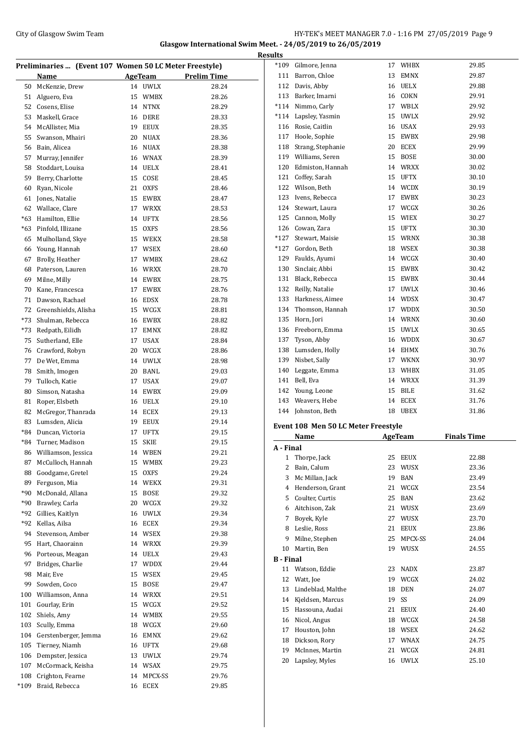#### City of Glasgow Swim Team Team Frameters Management City of Glasgow Swim Team Frameters Management City of Glasgow Swim Team **Glasgow International Swim Meet. - 24/05/2019 to 26/05/2019 Results**

|       | Preliminaries  (Event 107 Women 50 LC Meter Freestyle) |    |                |                    |
|-------|--------------------------------------------------------|----|----------------|--------------------|
|       | Name                                                   |    | <b>AgeTeam</b> | <b>Prelim Time</b> |
| 50    | McKenzie, Drew                                         |    | 14 UWLX        | 28.24              |
| 51    | Alguero, Eva                                           | 15 | <b>WMBX</b>    | 28.26              |
| 52    | Cosens, Elise                                          | 14 | <b>NTNX</b>    | 28.29              |
| 53    | Maskell, Grace                                         |    | 16 DERE        | 28.33              |
| 54    | McAllister, Mia                                        | 19 | EEUX           | 28.35              |
| 55    | Swanson, Mhairi                                        |    | 20 NUAX        | 28.36              |
| 56    | Bain, Alicea                                           |    | 16 NUAX        | 28.38              |
| 57    | Murray, Jennifer                                       |    | 16 WNAX        | 28.39              |
| 58    | Stoddart, Louisa                                       |    | 14 UELX        | 28.41              |
| 59    | Berry, Charlotte                                       | 15 | COSE           | 28.45              |
| 60    | Ryan, Nicole                                           | 21 | <b>OXFS</b>    | 28.46              |
| 61    | Jones, Natalie                                         | 15 | EWBX           | 28.47              |
| 62    | Wallace, Clare                                         | 17 | <b>WRXX</b>    | 28.53              |
| $*63$ | Hamilton, Ellie                                        | 14 | <b>UFTX</b>    | 28.56              |
| $*63$ | Pinfold, Illizane                                      | 15 | <b>OXFS</b>    | 28.56              |
| 65    | Mulholland, Skye                                       |    | 15 WEKX        | 28.58              |
| 66    | Young, Hannah                                          |    | 17 WSEX        | 28.60              |
| 67    | Brolly, Heather                                        |    | 17 WMBX        | 28.62              |
| 68    | Paterson, Lauren                                       | 16 | WRXX           | 28.70              |
| 69    | Milne, Milly                                           | 14 | EWBX           | 28.75              |
| 70    | Kane, Francesca                                        | 17 | EWBX           | 28.76              |
| 71    | Dawson, Rachael                                        | 16 | EDSX           | 28.78              |
| 72    | Greenshields, Alisha                                   | 15 | WCGX           | 28.81              |
| *73   | Shulman, Rebecca                                       | 16 | EWBX           | 28.82              |
| *73   | Redpath, Eilidh                                        | 17 | <b>EMNX</b>    | 28.82              |
| 75    | Sutherland, Elle                                       | 17 | USAX           | 28.84              |
| 76    | Crawford, Robyn                                        | 20 | WCGX           | 28.86              |
| 77    | De Wet, Emma                                           | 14 | UWLX           | 28.98              |
| 78    | Smith, Imogen                                          | 20 | BANL           | 29.03              |
| 79    | Tulloch, Katie                                         |    | 17 USAX        | 29.07              |
| 80    | Simson, Natasha                                        |    | 14 EWBX        | 29.09              |
| 81    | Roper, Elsbeth                                         |    | 16 UELX        | 29.10              |
| 82    | McGregor, Thanrada                                     |    | 14 ECEX        | 29.13              |
| 83    | Lumsden, Alicia                                        |    | 19 EEUX        | 29.14              |
| *84   | Duncan, Victoria                                       | 17 | <b>UFTX</b>    | 29.15              |
| *84   | Turner, Madison                                        | 15 | <b>SKIE</b>    | 29.15              |
|       | 86 Williamson, Jessica                                 |    | 14 WBEN        | 29.21              |
| 87    | McCulloch, Hannah                                      | 15 | WMBX           | 29.23              |
| 88    | Goodgame, Gretel                                       | 15 | <b>OXFS</b>    | 29.24              |
| 89    | Ferguson, Mia                                          | 14 | WEKX           | 29.31              |
| *90   | McDonald, Allana                                       | 15 | <b>BOSE</b>    | 29.32              |
| *90   | Brawley, Carla                                         |    | 20 WCGX        | 29.32              |
| *92   | Gillies, Kaitlyn                                       | 16 | UWLX           | 29.34              |
| *92   | Kellas, Ailsa                                          | 16 | <b>ECEX</b>    | 29.34              |
| 94    | Stevenson, Amber                                       |    | 14 WSEX        | 29.38              |
| 95    | Hart, Chaorainn                                        | 14 | WRXX           | 29.39              |
| 96    | Porteous, Meagan                                       | 14 | UELX           | 29.43              |
| 97    | Bridges, Charlie                                       | 17 | <b>WDDX</b>    | 29.44              |
| 98    | Mair, Eve                                              | 15 | WSEX           | 29.45              |
| 99    | Sowden, Coco                                           | 15 | <b>BOSE</b>    | 29.47              |
| 100   | Williamson, Anna                                       | 14 | WRXX           | 29.51              |
| 101   | Gourlay, Erin                                          |    | 15 WCGX        | 29.52              |
| 102   | Shiels, Amy                                            |    | 14 WMBX        | 29.55              |
| 103   | Scully, Emma                                           |    | 18 WCGX        | 29.60              |
| 104   | Gerstenberger, Jemma                                   | 16 | EMNX           | 29.62              |
| 105   | Tierney, Niamh                                         |    | 16 UFTX        | 29.68              |
| 106   | Dempster, Jessica                                      |    | 13 UWLX        | 29.74              |
| 107   | McCormack, Keisha                                      |    | 14 WSAX        | 29.75              |
| 108   | Crighton, Fearne                                       | 14 | MPCX-SS        | 29.76              |
| *109  | Braid, Rebecca                                         | 16 | ECEX           | 29.85              |

| $*109$           | Gilmore, Jenna                      | 17       | WHBX         | 29.85              |
|------------------|-------------------------------------|----------|--------------|--------------------|
| 111              | Barron, Chloe                       | 13       | EMNX         | 29.87              |
| 112              | Davis, Abby                         | 16       | UELX         | 29.88              |
|                  | 113 Barker, Imarni                  |          | 16 COKN      | 29.91              |
|                  | *114 Nimmo, Carly                   |          | 17 WBLX      | 29.92              |
|                  | *114 Lapsley, Yasmin                | 15       | UWLX         | 29.92              |
| 116              | Rosie, Caitlin                      | 16       | USAX         | 29.93              |
| 117              | Hoole, Sophie                       | 15       | EWBX         | 29.98              |
| 118              | Strang, Stephanie                   |          | 20 ECEX      | 29.99              |
| 119              | Williams, Seren                     | 15       | BOSE         | 30.00              |
| 120              | Edmiston, Hannah                    |          | 14 WRXX      | 30.02              |
| 121              | Coffey, Sarah                       | 15       | UFTX         | 30.10              |
|                  | 122 Wilson, Beth                    | 14       | <b>WCDX</b>  | 30.19              |
|                  |                                     |          |              |                    |
| 123              | Ivens, Rebecca                      | 17<br>17 | EWBX         | 30.23              |
| 124              | Stewart, Laura                      |          | WCGX         | 30.26              |
| 125              | Cannon, Molly                       |          | 15 WIEX      | 30.27              |
|                  | 126 Cowan, Zara                     | 15       | UFTX         | 30.30              |
| $*127$           | Stewart, Maisie                     |          | 15 WRNX      | 30.38              |
| *127             | Gordon, Beth                        |          | 18 WSEX      | 30.38              |
| 129              | Faulds, Ayumi                       |          | 14 WCGX      | 30.40              |
| 130              | Sinclair, Abbi                      | 15       | EWBX         | 30.42              |
| 131              | Black, Rebecca                      | 15       | EWBX         | 30.44              |
| 132              | Reilly, Natalie                     | 17       | UWLX         | 30.46              |
| 133              | Harkness, Aimee                     | 14       | WDSX         | 30.47              |
| 134              | Thomson, Hannah                     | 17       | WDDX         | 30.50              |
| 135              | Horn, Jori                          |          | 14 WRNX      | 30.60              |
| 136              | Freeborn, Emma                      | 15       | UWLX         | 30.65              |
| 137              | Tyson, Abby                         |          | 16 WDDX      | 30.67              |
| 138              | Lumsden, Holly                      |          | 14 EHMX      | 30.76              |
| 139              | Nisbet, Sally                       |          | 17 WKNX      | 30.97              |
|                  |                                     |          |              |                    |
| 140              |                                     | 13       | WHBX         | 31.05              |
| 141              | Leggate, Emma                       |          | 14 WRXX      |                    |
| 142              | Bell, Eva                           | 15       |              | 31.39              |
|                  | Young, Leone                        |          | BILE         | 31.62              |
| 143              | Weavers, Hebe                       | 14       | ECEX         | 31.76              |
| 144              | Johnston, Beth                      | 18       | UBEX         | 31.86              |
|                  | Event 108 Men 50 LC Meter Freestyle |          |              |                    |
|                  | Name                                |          | AgeTeam      | <b>Finals Time</b> |
|                  |                                     |          |              |                    |
|                  | 1 Thorpe, Jack                      | 25       | EEUX         | 22.88              |
| 2                | Bain, Calum                         | 23       | WUSX         | 23.36              |
| 3                | Mc Millan, Jack                     | 19       | BAN          | 23.49              |
| 4                | Henderson, Grant                    | 21       | WCGX         | 23.54              |
| 5                | Coulter, Curtis                     | 25       | BAN          | 23.62              |
| A - Final<br>6   | Aitchison, Zak                      | 21       | WUSX         | 23.69              |
| 7                | Boyek, Kyle                         | 27       |              | 23.70              |
| 8                | Leslie, Ross                        | 21       | WUSX         |                    |
|                  |                                     |          | EEUX         | 23.86              |
| 9                | Milne, Stephen                      | 25       | MPCX-SS      | 24.04              |
| 10               | Martin, Ben                         | 19       | WUSX         | 24.55              |
| <b>B</b> - Final |                                     |          |              |                    |
| 11               | Watson, Eddie                       | 23       | <b>NADX</b>  | 23.87              |
| 12               | Watt, Joe                           | 19       | WCGX         | 24.02              |
| 13               | Lindeblad, Malthe                   | 18       | DEN          | 24.07              |
| 14               | Kjeldsen, Marcus                    | 19       | SS           | 24.09              |
| 15               | Hassouna, Audai                     | 21       | EEUX         | 24.40              |
| 16               | Nicol, Angus                        | 18       | WCGX         | 24.58              |
| 17               | Houston, John                       | 18       | WSEX         | 24.62              |
| 18               | Dickson, Rory                       | 17       | WNAX         | 24.75              |
| 19<br>20         | McInnes, Martin<br>Lapsley, Myles   | 21<br>16 | WCGX<br>UWLX | 24.81<br>25.10     |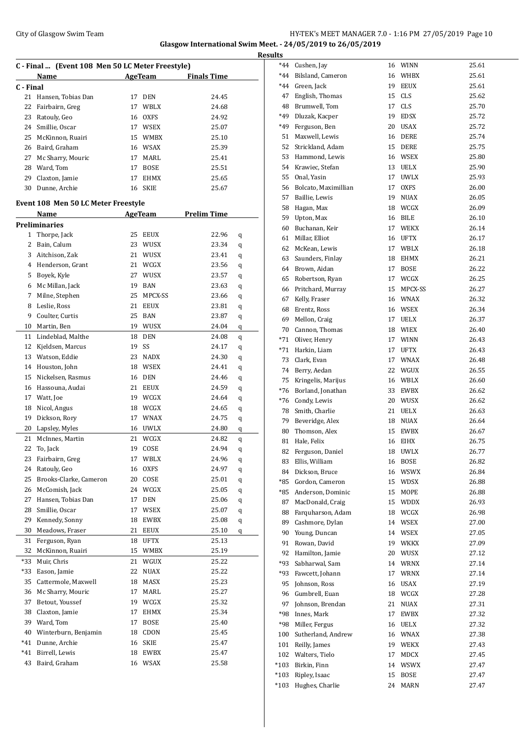### City of Glasgow Swim Team Team Frameters Music City of Glasgow Swim Team Frameters Music City of Glasgow Swim Team Frameters Music City of Glasgow Swim Team Frameters Music City of Glasgow Swim Team Frameters Music City of **Glasgow International Swim Meet. - 24/05/2019 to 26/05/2019**

|           |                                                  |    |                    |                                       |        | <b>Results</b>       |
|-----------|--------------------------------------------------|----|--------------------|---------------------------------------|--------|----------------------|
|           | C - Final  (Event 108 Men 50 LC Meter Freestyle) |    |                    |                                       |        | $*_{44}$             |
|           | Name                                             |    |                    | AgeTeam Finals Time                   |        | $*_{44}$             |
| C - Final |                                                  |    |                    |                                       |        | $*_{44}$             |
| 21        | Hansen, Tobias Dan                               |    | 17 DEN             | 24.45                                 |        | $4^{\prime}$         |
| 22        | Fairbairn, Greg                                  |    | 17 WBLX            | 24.68                                 |        | 48                   |
| 23        | Ratouly, Geo                                     |    | 16 OXFS            | 24.92                                 |        | $*49$                |
|           | 24 Smillie, Oscar                                |    | 17 WSEX            | 25.07                                 |        | $*49$                |
| 25        | McKinnon, Ruairi                                 |    | 15 WMBX            | 25.10                                 |        | 51                   |
| 26        | Baird, Graham                                    |    | 16 WSAX            | 25.39                                 |        | 52                   |
| 27        | Mc Sharry, Mouric                                |    | 17 MARL            | 25.41                                 |        | 5:                   |
|           | 28 Ward, Tom                                     |    | 17 BOSE            | 25.51                                 |        | 54                   |
|           | 29 Claxton, Jamie                                |    | 17 EHMX            | 25.65                                 |        | 5!<br>5 <sub>0</sub> |
|           | 30 Dunne, Archie                                 |    | 16 SKIE            | 25.67                                 |        | 51                   |
|           | Event 108 Men 50 LC Meter Freestyle              |    |                    |                                       |        | 58                   |
|           | Name                                             |    |                    | <b>Example 21 AgeTeam</b> Prelim Time |        | 59                   |
|           | <b>Preliminaries</b>                             |    |                    |                                       |        | 6                    |
|           | 1 Thorpe, Jack                                   |    | 25 EEUX            | 22.96                                 | q      | 6 <sup>2</sup>       |
|           | 2 Bain, Calum                                    |    | 23 WUSX            | 23.34                                 | q      | 6.                   |
|           | 3 Aitchison, Zak                                 |    | 21 WUSX            | 23.41                                 | q      | 6.                   |
|           | 4 Henderson, Grant                               |    | 21 WCGX            | 23.56                                 | q      | 64                   |
| 5         | Boyek, Kyle                                      |    | 27 WUSX            | 23.57                                 | q      | 6.                   |
|           | 6 Mc Millan, Jack                                |    | 19 BAN             | 23.63                                 | q      | 6                    |
| 7         | Milne, Stephen                                   |    | 25 MPCX-SS         | 23.66                                 | q      | 6 <sup>′</sup>       |
| 8         | Leslie, Ross                                     |    | 21 EEUX            | 23.81                                 | q      | 68                   |
| 9         | Coulter, Curtis                                  |    | 25 BAN             | 23.87                                 | q      | 6 <sup>0</sup>       |
| 10        | Martin, Ben                                      |    | 19 WUSX            | 24.04                                 | q      | 7                    |
| 11        | Lindeblad, Malthe                                |    | 18 DEN             | 24.08                                 | q      | $*7.$                |
|           | 12 Kjeldsen, Marcus                              |    | 19 SS              | 24.17                                 | q      | $*7.$                |
|           | 13 Watson, Eddie                                 |    | 23 NADX            | 24.30                                 | q      | 7:                   |
|           | 14 Houston, John                                 |    | 18 WSEX            | 24.41                                 | q      | 7 <sup>1</sup>       |
| 15        | Nickelsen, Rasmus                                |    | 16 DEN             | 24.46                                 | q      | 7!                   |
|           | 16 Hassouna, Audai<br>Watt, Joe                  |    | 21 EEUX            | 24.59                                 | q      | $*7($                |
| 17<br>18  | Nicol, Angus                                     |    | 19 WCGX<br>18 WCGX | 24.64<br>24.65                        | q      | *7(                  |
| 19        | Dickson, Rory                                    |    | 17 WNAX            | 24.75                                 | q      | 78                   |
| 20        | Lapsley, Myles                                   |    | 16 UWLX            | 24.80                                 | q      | 79                   |
| 21        | McInnes. Martin                                  |    | 21 WCGX            | 24.82                                 | q<br>q | 8                    |
| 22        | To, Jack                                         | 19 | COSE               | 24.94                                 | q      | $8^{\circ}$          |
| 23        | Fairbairn, Greg                                  | 17 | WBLX               | 24.96                                 | q      | 8.                   |
| 24        | Ratouly, Geo                                     | 16 | OXFS               | 24.97                                 | q      | 8                    |
| 25        | Brooks-Clarke, Cameron                           |    | 20 COSE            | 25.01                                 | q      | 8 <sup>4</sup>       |
| 26        | McComish, Jack                                   |    | 24 WCGX            | 25.05                                 | q      | *8.                  |
| 27        | Hansen, Tobias Dan                               |    | 17 DEN             | 25.06                                 | q      | *8.                  |
| 28        | Smillie, Oscar                                   |    | 17 WSEX            | 25.07                                 | q      | 8                    |
| 29        | Kennedy, Sonny                                   |    | 18 EWBX            | 25.08                                 | q      | 8<br>8 <sup>0</sup>  |
| 30        | Meadows, Fraser                                  | 21 | EEUX               | 25.10                                 | q      | 9                    |
| 31        | Ferguson, Ryan                                   | 18 | UFTX               | 25.13                                 |        | 9 <sup>°</sup>       |
| 32        | McKinnon, Ruairi                                 |    | 15 WMBX            | 25.19                                 |        | 9                    |
| *33       | Muir, Chris                                      | 21 | WGUX               | 25.22                                 |        | *9:                  |
| $*33$     | Eason, Jamie                                     | 22 | NUAX               | 25.22                                 |        | *9.                  |
| 35        | Cattermole, Maxwell                              | 18 | MASX               | 25.23                                 |        | 9.                   |
| 36        | Mc Sharry, Mouric                                | 17 | MARL               | 25.27                                 |        | 9                    |
| 37        | Betout, Youssef                                  |    | 19 WCGX            | 25.32                                 |        | 9 <sub>1</sub>       |
| 38        | Claxton, Jamie                                   | 17 | EHMX               | 25.34                                 |        | *98                  |
| 39        | Ward, Tom                                        |    | 17 BOSE            | 25.40                                 |        | *98                  |
| 40        | Winterburn, Benjamin                             |    | 18 CDON            | 25.45                                 |        | 10                   |
| *41       | Dunne, Archie                                    | 16 | SKIE               | 25.47                                 |        | 10 <sub>1</sub>      |
| *41       | Birrell, Lewis                                   |    | 18 EWBX            | 25.47                                 |        | 102                  |
| 43        | Baird, Graham                                    |    | 16 WSAX            | 25.58                                 |        | $*10.$               |
|           |                                                  |    |                    |                                       |        |                      |

| *44    | Cushen, Jay          | 16 | WINN        | 25.61 |
|--------|----------------------|----|-------------|-------|
| *44    | Bilsland, Cameron    | 16 | WHBX        | 25.61 |
| $*44$  | Green, Jack          | 19 | <b>EEUX</b> | 25.61 |
| 47     | English, Thomas      | 15 | <b>CLS</b>  | 25.62 |
| 48     | Brumwell, Tom        | 17 | CLS         | 25.70 |
| *49    | Dluzak, Kacper       | 19 | <b>EDSX</b> | 25.72 |
| *49    | Ferguson, Ben        | 20 | <b>USAX</b> | 25.72 |
| 51     | Maxwell, Lewis       | 16 | DERE        | 25.74 |
| 52     | Strickland, Adam     | 15 | DERE        | 25.75 |
| 53     | Hammond, Lewis       | 16 | WSEX        | 25.80 |
| 54     | Krawiec, Stefan      | 13 | <b>UELX</b> | 25.90 |
| 55     | Onal, Yasin          | 17 | <b>UWLX</b> | 25.93 |
|        |                      |    |             |       |
| 56     | Bolcato, Maximillian | 17 | <b>OXFS</b> | 26.00 |
| 57     | Baillie, Lewis       | 19 | <b>NUAX</b> | 26.05 |
| 58     | Hagan, Max           | 18 | WCGX        | 26.09 |
| 59     | Upton, Max           | 16 | <b>BILE</b> | 26.10 |
| 60     | Buchanan, Keir       | 17 | WEKX        | 26.14 |
| 61     | Millar, Elliot       | 16 | UFTX        | 26.17 |
| 62     | McKean, Lewis        | 17 | WBLX        | 26.18 |
| 63     | Saunders, Finlay     | 18 | EHMX        | 26.21 |
| 64     | Brown, Aidan         | 17 | BOSE        | 26.22 |
| 65     | Robertson, Ryan      | 17 | WCGX        | 26.25 |
| 66     | Pritchard, Murray    | 15 | MPCX-SS     | 26.27 |
| 67     | Kelly, Fraser        | 16 | WNAX        | 26.32 |
| 68     | Erentz, Ross         | 16 | WSEX        | 26.34 |
| 69     | Mellon, Craig        | 17 | <b>UELX</b> | 26.37 |
| 70     | Cannon, Thomas       | 18 | WIEX        | 26.40 |
| *71    | Oliver, Henry        | 17 | <b>WINN</b> | 26.43 |
| $*71$  | Harkin, Liam         | 17 | UFTX        | 26.43 |
| 73     | Clark, Evan          | 17 | WNAX        | 26.48 |
| 74     | Berry, Aedan         | 22 | WGUX        | 26.55 |
| 75     | Kringelis, Marijus   | 16 | WBLX        | 26.60 |
| $*76$  | Borland, Jonathan    | 33 | EWBX        | 26.62 |
|        | *76 Condy, Lewis     | 20 | WUSX        | 26.62 |
| 78     | Smith, Charlie       | 21 | UELX        | 26.63 |
| 79     | Beveridge, Alex      | 18 | NUAX        | 26.64 |
| 80     | Thomson, Alex        | 15 | EWBX        | 26.67 |
| 81     | Hale, Felix          | 16 | EIHX        | 26.75 |
| 82     | Ferguson, Daniel     | 18 | <b>UWLX</b> | 26.77 |
| 83     | Ellis, William       | 16 | <b>BOSE</b> | 26.82 |
| 84     | Dickson, Bruce       | 16 | WSWX        | 26.84 |
| *85    | Gordon, Cameron      | 15 | WDSX        | 26.88 |
| *85    | Anderson, Dominic    | 15 | MOPE        | 26.88 |
| 87     | MacDonald, Craig     | 15 | WDDX        | 26.93 |
| 88     | Farquharson, Adam    | 18 | WCGX        | 26.98 |
| 89     | Cashmore, Dylan      | 14 | WSEX        | 27.00 |
| 90     | Young, Duncan        | 14 | WSEX        | 27.05 |
| 91     | Rowan, David         | 19 | WKKX        | 27.09 |
| 92     | Hamilton, Jamie      | 20 | WUSX        | 27.12 |
| *93    | Sabharwal, Sam       |    |             | 27.14 |
|        | Fawcett, Johann      | 14 | WRNX        |       |
| *93    |                      | 17 | WRNX        | 27.14 |
| 95     | Johnson, Ross        | 16 | USAX        | 27.19 |
| 96     | Gumbrell, Euan       | 18 | WCGX        | 27.28 |
| 97     | Johnson, Brendan     | 21 | <b>NUAX</b> | 27.31 |
| *98    | Innes, Mark          | 17 | EWBX        | 27.32 |
| *98    | Miller, Fergus       | 16 | UELX        | 27.32 |
| 100    | Sutherland, Andrew   | 16 | WNAX        | 27.38 |
| 101    | Reilly, James        | 19 | WEKX        | 27.43 |
| 102    | Walters, Tielo       | 17 | MDCX        | 27.45 |
| $*103$ | Birkin, Finn         | 14 | WSWX        | 27.47 |
| $*103$ | Ripley, Isaac        | 15 | <b>BOSE</b> | 27.47 |
| *103   | Hughes, Charlie      | 24 | MARN        | 27.47 |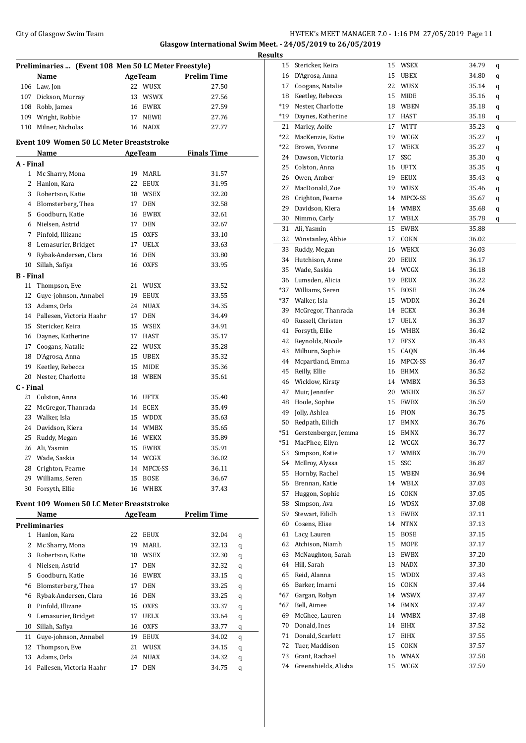## City of Glasgow Swim Team Team Team Fermi Management City of Glasgow Swim Team Fermi Management City of Glasgow Swim Team Fermi Management City of Glasgow Swim Team Fermi Management City of Glasgow Swim Team Fermi Manageme **Glasgow International Swim Meet. - 24/05/2019 to 26/05/2019**

|                  | Preliminaries  (Event 108 Men 50 LC Meter Freestyle) |    |                |                     |   |
|------------------|------------------------------------------------------|----|----------------|---------------------|---|
|                  | Name                                                 |    |                | AgeTeam Prelim Time |   |
|                  | 106 Law, Jon                                         |    | 22 WUSX        | 27.50               |   |
|                  | 107 Dickson, Murray                                  |    | 13 WSWX        | 27.56               |   |
|                  | 108 Robb, James                                      |    | 16 EWBX        | 27.59               |   |
|                  | 109 Wright, Robbie                                   |    | 17 NEWE        | 27.76               |   |
|                  | 110 Milner, Nicholas                                 |    | 16 NADX        | 27.77               |   |
|                  | <b>Event 109 Women 50 LC Meter Breaststroke</b>      |    |                |                     |   |
|                  | <b>Name</b>                                          |    | AgeTeam        | <b>Finals Time</b>  |   |
| A - Final        |                                                      |    |                |                     |   |
| 1                | Mc Sharry, Mona                                      |    | 19 MARL        | 31.57               |   |
| 2                | Hanlon, Kara                                         |    | 22 EEUX        | 31.95               |   |
| 3                | Robertson, Katie                                     |    | 18 WSEX        | 32.20               |   |
|                  | 4 Blomsterberg, Thea                                 |    | 17 DEN         | 32.58               |   |
|                  | 5 Goodburn, Katie                                    |    | 16 EWBX        | 32.61               |   |
|                  | 6 Nielsen, Astrid                                    |    | 17 DEN         | 32.67               |   |
|                  | 7 Pinfold, Illizane                                  |    | 15 OXFS        | 33.10               |   |
|                  | 8 Lemasurier, Bridget                                |    | 17 UELX        | 33.63               |   |
| 9                | Rybak-Andersen, Clara                                |    | 16 DEN         | 33.80               |   |
| 10               | Sillah, Safiya                                       |    | 16 OXFS        | 33.95               |   |
| <b>B</b> - Final |                                                      |    |                |                     |   |
| 11               | Thompson, Eve                                        |    | 21 WUSX        | 33.52               |   |
| 12               | Guye-johnson, Annabel                                |    | 19 EEUX        | 33.55               |   |
|                  |                                                      |    |                |                     |   |
|                  | 13 Adams, Orla                                       |    | 24 NUAX        | 34.35               |   |
|                  | 14 Pallesen, Victoria Haahr                          |    | 17 DEN         | 34.49               |   |
|                  | 15 Stericker, Keira                                  |    | 15 WSEX        | 34.91               |   |
| 16               | Daynes, Katherine                                    |    | 17 HAST        | 35.17               |   |
| 17               | Coogans, Natalie                                     |    | 22 WUSX        | 35.28               |   |
| 18               | D'Agrosa, Anna                                       |    | 15 UBEX        | 35.32               |   |
| 19               | Keetley, Rebecca                                     |    | 15 MIDE        | 35.36               |   |
| 20               | Nester, Charlotte                                    |    | 18 WBEN        | 35.61               |   |
| C - Final        |                                                      |    |                |                     |   |
| 21               | Colston, Anna                                        |    | 16 UFTX        | 35.40               |   |
| 22               | McGregor, Thanrada                                   |    | 14 ECEX        | 35.49               |   |
|                  | 23 Walker, Isla                                      |    | 15 WDDX        | 35.63               |   |
|                  | 24 Davidson, Kiera                                   |    | 14 WMBX        | 35.65               |   |
| 25               | Ruddy, Megan                                         |    | 16 WEKX        | 35.89               |   |
| 26               | Ali, Yasmin                                          |    | 15 EWBX        | 35.91               |   |
| 27               | Wade, Saskia                                         |    | 14 WCGX        | 36.02               |   |
| 28               | Crighton, Fearne                                     | 14 | MPCX-SS        | 36.11               |   |
| 29               | Williams, Seren                                      | 15 | <b>BOSE</b>    | 36.67               |   |
| 30               | Forsyth, Ellie                                       | 16 | WHBX           | 37.43               |   |
|                  | <b>Event 109 Women 50 LC Meter Breaststroke</b>      |    |                |                     |   |
|                  | <b>Name</b>                                          |    | <b>AgeTeam</b> | <b>Prelim Time</b>  |   |
|                  | <b>Preliminaries</b>                                 |    |                |                     |   |
| 1                | Hanlon, Kara                                         | 22 | EEUX           | 32.04               | q |
| 2                | Mc Sharry, Mona                                      | 19 | MARL           | 32.13               | q |
| 3                | Robertson, Katie                                     |    | 18 WSEX        | 32.30               | q |
| 4                | Nielsen, Astrid                                      | 17 | DEN            | 32.32               | q |
| 5                | Goodburn, Katie                                      | 16 | EWBX           | 33.15               | q |
| *6               | Blomsterberg, Thea                                   | 17 | <b>DEN</b>     | 33.25               | q |
| *6               | Rybak-Andersen, Clara                                | 16 | DEN            | 33.25               | q |
| 8                | Pinfold, Illizane                                    |    | 15 OXFS        | 33.37               | q |
| 9                | Lemasurier, Bridget                                  |    | 17 UELX        | 33.64               | q |
| 10               | Sillah, Safiya                                       |    | 16 OXFS        | 33.77               | q |
| 11               | Guye-johnson, Annabel                                | 19 | EEUX           | 34.02               | q |
| 12               | Thompson, Eve                                        | 21 | WUSX           | 34.15               |   |
| 13               | Adams, Orla                                          |    | 24 NUAX        |                     | q |
|                  |                                                      |    |                | 34.32               | q |

Pallesen, Victoria Haahr 17 DEN 34.75 q

| <b>Results</b> |                          |    |             |       |   |
|----------------|--------------------------|----|-------------|-------|---|
|                | 15 Stericker, Keira      |    | 15 WSEX     | 34.79 | q |
|                | 16 D'Agrosa, Anna        |    | 15 UBEX     | 34.80 | q |
|                | 17 Coogans, Natalie      |    | 22 WUSX     | 35.14 | q |
|                | 18 Keetley, Rebecca      |    | 15 MIDE     | 35.16 | q |
| *19            | Nester, Charlotte        |    | 18 WBEN     | 35.18 | q |
| $*19$          | Daynes, Katherine        |    | 17 HAST     | 35.18 | q |
|                | 21 Marley, Aoife         |    | 17 WITT     | 35.23 | q |
|                | *22 MacKenzie, Katie     |    | 19 WCGX     | 35.27 | q |
|                | *22 Brown, Yvonne        |    | 17 WEKX     | 35.27 | q |
|                | 24 Dawson, Victoria      | 17 | SSC         | 35.30 | q |
|                | 25 Colston, Anna         |    | 16 UFTX     | 35.35 | q |
|                | 26 Owen, Amber           |    | 19 EEUX     | 35.43 | q |
|                | 27 MacDonald, Zoe        |    | 19 WUSX     | 35.46 | q |
|                | 28 Crighton, Fearne      |    | 14 MPCX-SS  | 35.67 | q |
|                | 29 Davidson, Kiera       |    | 14 WMBX     | 35.68 | q |
|                | 30 Nimmo, Carly          |    | 17 WBLX     | 35.78 | q |
| 31             | Ali, Yasmin              |    | 15 EWBX     | 35.88 |   |
|                | 32 Winstanley, Abbie     |    | 17 COKN     | 36.02 |   |
| 33             | Ruddy, Megan             |    | 16 WEKX     | 36.03 |   |
|                | 34 Hutchison, Anne       | 20 | EEUX        | 36.17 |   |
|                | 35 Wade, Saskia          |    | 14 WCGX     | 36.18 |   |
|                | 36 Lumsden, Alicia       |    | 19 EEUX     | 36.22 |   |
|                | *37 Williams, Seren      |    | 15 BOSE     | 36.24 |   |
|                | *37 Walker, Isla         |    | 15 WDDX     | 36.24 |   |
| 39             | McGregor, Thanrada       |    | 14 ECEX     | 36.34 |   |
| 40             | Russell, Christen        |    | 17 UELX     | 36.37 |   |
| 41             | Forsyth, Ellie           |    | 16 WHBX     | 36.42 |   |
|                | 42 Reynolds, Nicole      |    | 17 EFSX     | 36.43 |   |
| 43             | Milburn, Sophie          |    | 15 CAQN     | 36.44 |   |
|                | 44 Mcpartland, Emma      |    | 16 MPCX-SS  | 36.47 |   |
| 45             | Reilly, Ellie            |    | 16 EHMX     | 36.52 |   |
| 46             | Wicklow, Kirsty          |    | 14 WMBX     | 36.53 |   |
| 47             | Muir, Jennifer           |    | 20 WKHX     | 36.57 |   |
|                | 48 Hoole, Sophie         |    | 15 EWBX     | 36.59 |   |
|                | 49 Jolly, Ashlea         |    | 16 PION     | 36.75 |   |
|                | 50 Redpath, Eilidh       |    | 17 EMNX     | 36.76 |   |
|                | *51 Gerstenberger, Jemma |    | 16 EMNX     | 36.77 |   |
| $*51$          | MacPhee, Ellyn           | 12 | WCGX        | 36.77 |   |
| 53             | Simpson, Katie           |    | 17 WMBX     | 36.79 |   |
| 54             | McIlroy, Alyssa          | 15 | SSC         | 36.87 |   |
| 55             | Hornby, Rachel           |    | 15 WBEN     | 36.94 |   |
| 56             | Brennan, Katie           |    | 14 WBLX     | 37.03 |   |
| 57             | Huggon, Sophie           |    | 16 COKN     | 37.05 |   |
| 58             | Simpson, Ava             |    | 16 WDSX     | 37.08 |   |
| 59             | Stewart, Eilidh          |    | 13 EWBX     | 37.11 |   |
| 60             | Cosens, Elise            | 14 | <b>NTNX</b> | 37.13 |   |
| 61             | Lacy, Lauren             | 15 | <b>BOSE</b> | 37.15 |   |
| 62             | Atchison, Niamh          | 15 | MOPE        | 37.17 |   |
| 63             | McNaughton, Sarah        | 13 | EWBX        | 37.20 |   |
| 64             | Hill, Sarah              |    | 13 NADX     | 37.30 |   |
| 65             | Reid, Alanna             |    | 15 WDDX     | 37.43 |   |
| 66             | Barker, Imarni           |    | 16 COKN     | 37.44 |   |
|                | *67 Gargan, Robyn        |    | 14 WSWX     | 37.47 |   |
| *67            | Bell, Aimee              |    | 14 EMNX     | 37.47 |   |
| 69             | McGhee, Lauren           |    | 14 WMBX     | 37.48 |   |
| 70             | Donald, Ines             | 14 | EIHX        | 37.52 |   |
| 71             | Donald, Scarlett         | 17 | EIHX        | 37.55 |   |
| 72             | Tuer, Maddison           | 15 | COKN        | 37.57 |   |
| 73             | Grant, Rachael           | 16 | WNAX        | 37.58 |   |
| 74             | Greenshields, Alisha     |    | 15 WCGX     | 37.59 |   |
|                |                          |    |             |       |   |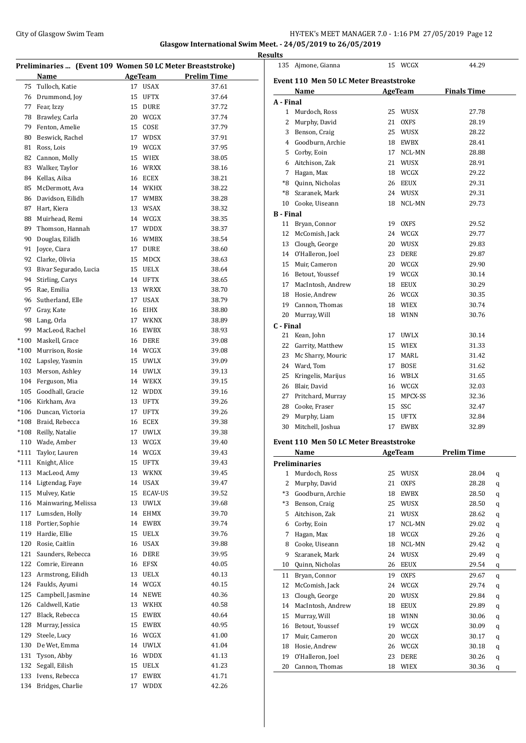# City of Glasgow Swim Team Team Team Fermi Management City of Glasgow Swim Team Fermi Management City of Glasgow Swim Team Fermi Management City of Glasgow Swim Team Fermi Management City of Glasgow Swim Team Fermi Manageme

**Glasgow International Swim Meet. - 24/05/2019 to 26/05/2019 Results**

 $\overline{\phantom{0}}$ 

|        | Preliminaries  (Event 109 Women 50 LC Meter Breaststroke) |          |                     |                    |
|--------|-----------------------------------------------------------|----------|---------------------|--------------------|
|        | Name                                                      |          | AgeTeam             | <b>Prelim Time</b> |
| 75     | Tulloch, Katie                                            | 17       | <b>USAX</b>         | 37.61              |
| 76     | Drummond, Joy                                             | 15       | <b>UFTX</b>         | 37.64              |
| 77     | Fear, Izzy                                                | 15       | <b>DURE</b>         | 37.72              |
| 78     | Brawley, Carla                                            | 20       | WCGX                | 37.74              |
| 79     | Fenton, Amelie                                            | 15       | COSE                | 37.79              |
| 80     | Beswick, Rachel                                           | 17       | <b>WDSX</b>         | 37.91              |
| 81     | Ross, Lois                                                | 19       | <b>WCGX</b>         | 37.95              |
| 82     | Cannon, Molly                                             | 15       | <b>WIEX</b>         | 38.05              |
| 83     | Walker, Taylor                                            | 16       | <b>WRXX</b>         | 38.16              |
| 84     | Kellas, Ailsa                                             | 16       | ECEX                | 38.21              |
| 85     | McDermott, Ava                                            |          | 14 WKHX             | 38.22              |
| 86     | Davidson, Eilidh                                          | 17       | <b>WMBX</b>         | 38.28              |
| 87     | Hart, Kiera                                               | 13       | <b>WSAX</b>         | 38.32              |
| 88     | Muirhead, Remi                                            | 14       | WCGX                | 38.35              |
| 89     | Thomson. Hannah                                           | 17       | <b>WDDX</b>         | 38.37              |
| 90     | Douglas, Eilidh                                           | 16       | <b>WMBX</b>         | 38.54              |
| 91     | Joyce, Ciara                                              | 17       | DURE                | 38.60              |
| 92     | Clarke, Olivia                                            | 15       | <b>MDCX</b>         | 38.63              |
| 93     | Bivar Segurado, Lucia                                     | 15       | <b>UELX</b>         | 38.64              |
| 94     | Stirling, Carys                                           | 14       | <b>UFTX</b>         | 38.65              |
| 95     | Rae, Emilia                                               | 13       | <b>WRXX</b>         | 38.70              |
| 96     | Sutherland, Elle                                          | 17       | <b>USAX</b>         | 38.79              |
| 97     | Gray, Kate                                                | 16       | <b>EIHX</b>         | 38.80              |
| 98     | Lang, Orla                                                | 17       | <b>WKNX</b>         | 38.89              |
| 99     | MacLeod, Rachel                                           | 16       | <b>EWBX</b>         | 38.93              |
| $*100$ | Maskell, Grace                                            | 16       | DERE                | 39.08              |
| $*100$ | Murrison, Rosie                                           | 14       | WCGX                | 39.08              |
|        | 102 Lapsley, Yasmin                                       | 15       | <b>UWLX</b>         | 39.09              |
| 103    | Merson, Ashley                                            | 14       | <b>UWLX</b>         | 39.13              |
|        | 104 Ferguson, Mia                                         | 14       | WEKX                | 39.15              |
|        | 105 Goodhall, Gracie                                      | 12       | <b>WDDX</b>         | 39.16              |
|        | *106 Kirkham. Ava                                         | 13       | <b>UFTX</b>         | 39.26              |
|        | *106 Duncan, Victoria                                     | 17       | <b>UFTX</b>         | 39.26              |
| $*108$ | *108 Braid, Rebecca                                       | 16<br>17 | ECEX<br><b>UWLX</b> | 39.38              |
|        | Reilly, Natalie<br>110 Wade, Amber                        | 13       | WCGX                | 39.38<br>39.40     |
| *111   | Taylor, Lauren                                            | 14       | WCGX                | 39.43              |
| $*111$ | Knight, Alice                                             | 15       | <b>UFTX</b>         | 39.43              |
| 113    | MacLeod, Amy                                              | 13       | WKNX                | 39.45              |
| 114    | Ligtendag, Faye                                           | 14       | <b>USAX</b>         | 39.47              |
| 115    | Mulvey, Katie                                             | 15       | <b>ECAV-US</b>      | 39.52              |
| 116    | Mainwaring, Melissa                                       | 13       | <b>UWLX</b>         | 39.68              |
| 117    | Lumsden, Holly                                            | 14       | EHMX                | 39.70              |
| 118    | Portier, Sophie                                           | 14       | EWBX                | 39.74              |
| 119    | Hardie, Ellie                                             | 15       | <b>UELX</b>         | 39.76              |
| 120    | Rosie, Caitlin                                            | 16       | <b>USAX</b>         | 39.88              |
| 121    | Saunders, Rebecca                                         | 16       | DERE                | 39.95              |
| 122    | Comrie, Eireann                                           | 16       | EFSX                | 40.05              |
| 123    | Armstrong, Eilidh                                         | 13       | UELX                | 40.13              |
| 124    | Faulds, Ayumi                                             | 14       | WCGX                | 40.15              |
| 125    | Campbell, Jasmine                                         | 14       | NEWE                | 40.36              |
| 126    | Caldwell, Katie                                           | 13       | WKHX                | 40.58              |
| 127    | Black, Rebecca                                            | 15       | EWBX                | 40.64              |
| 128    | Murray, Jessica                                           | 15       | EWBX                | 40.95              |
| 129    | Steele, Lucy                                              | 16       | WCGX                | 41.00              |
| 130    | De Wet, Emma                                              | 14       | UWLX                | 41.04              |
| 131    | Tyson, Abby                                               | 16       | <b>WDDX</b>         | 41.13              |
| 132    | Segall, Eilish                                            | 15       | UELX                | 41.23              |
| 133    | Ivens, Rebecca                                            | 17       | EWBX                | 41.71              |
| 134    | Bridges, Charlie                                          | 17       | WDDX                | 42.26              |
|        |                                                           |          |                     |                    |

| படல              | 135 Ajmone, Gianna                            |         | 15 WCGX        | 44.29              |   |
|------------------|-----------------------------------------------|---------|----------------|--------------------|---|
|                  | <b>Event 110 Men 50 LC Meter Breaststroke</b> |         |                |                    |   |
|                  | Name                                          |         | <b>AgeTeam</b> | <b>Finals Time</b> |   |
| A - Final        |                                               |         |                |                    |   |
| 1                | Murdoch, Ross                                 | 25      | WUSX           | 27.78              |   |
| 2                | Murphy, David                                 | 21      | <b>OXFS</b>    | 28.19              |   |
| 3                | Benson, Craig                                 | 25      | WUSX           | 28.22              |   |
| 4                | Goodburn, Archie                              | 18      | EWBX           | 28.41              |   |
| 5                | Corby, Eoin                                   | 17      | NCL-MN         | 28.88              |   |
| 6                | Aitchison, Zak                                | 21      | WUSX           | 28.91              |   |
|                  | 7 Hagan, Max                                  |         | 18 WCGX        | 29.22              |   |
| *8               | Quinn, Nicholas                               |         | 26 EEUX        | 29.31              |   |
|                  | *8 Szaranek, Mark                             |         | 24 WUSX        | 29.31              |   |
|                  | 10 Cooke, Uiseann                             | 18      | NCL-MN         | 29.73              |   |
| <b>B</b> - Final |                                               |         |                |                    |   |
| 11               | Bryan, Connor                                 | 19      | OXFS           | 29.52              |   |
| 12               | McComish, Jack                                | 24      | WCGX           | 29.77              |   |
| 13               | Clough, George                                | 20      | WUSX           | 29.83              |   |
| 14               | O'Halleron, Joel                              | 23      | DERE           | 29.87              |   |
| 15               | Muir, Cameron                                 | 20      | WCGX           | 29.90              |   |
|                  | 16 Betout, Youssef                            |         | 19 WCGX        | 30.14              |   |
|                  | 17 MacIntosh, Andrew                          | 18      | EEUX           | 30.29              |   |
| 18               | Hosie, Andrew                                 |         | 26 WCGX        | 30.35              |   |
| 19               | Cannon, Thomas                                |         | 18 WIEX        | 30.74              |   |
| 20               | Murray, Will                                  |         | 18 WINN        | 30.76              |   |
| C - Final<br>21  | Kean, John                                    | 17      | UWLX           | 30.14              |   |
| 22               | Garrity, Matthew                              | 15      | WIEX           | 31.33              |   |
| 23               | Mc Sharry, Mouric                             | 17      | MARL           | 31.42              |   |
|                  | 24 Ward, Tom                                  | 17      | BOSE           | 31.62              |   |
| 25               | Kringelis, Marijus                            |         | 16 WBLX        | 31.65              |   |
| 26               | Blair, David                                  |         | 16 WCGX        | 32.03              |   |
| 27               | Pritchard, Murray                             | 15      | MPCX-SS        | 32.36              |   |
| 28               | Cooke, Fraser                                 | 15      | SSC            | 32.47              |   |
| 29               | Murphy, Liam                                  | 15      | UFTX           | 32.84              |   |
|                  | 30 Mitchell, Joshua                           | 17      | EWBX           | 32.89              |   |
|                  | <b>Event 110 Men 50 LC Meter Breaststroke</b> |         |                |                    |   |
|                  | Name                                          | AgeTeam |                | <b>Prelim Time</b> |   |
|                  | <b>Preliminaries</b>                          |         |                |                    |   |
| $\mathbf{1}$     | Murdoch, Ross                                 | 25      | WUSX           | 28.04              | q |
| 2                | Murphy, David                                 | 21      | OXFS           | 28.28              | q |
| *3               | Goodburn, Archie                              | 18      | EWBX           | 28.50              | q |
| *3               | Benson, Craig                                 | 25      | WUSX           | 28.50              | q |
| 5                | Aitchison, Zak                                | 21      | WUSX           | 28.62              | q |
| 6                | Corby, Eoin                                   | 17      | NCL-MN         | 29.02              | q |
| 7                | Hagan, Max                                    | 18      | WCGX           | 29.26              | q |
| 8                | Cooke, Uiseann                                | 18      | NCL-MN         | 29.42              | q |
| 9                | Szaranek, Mark                                | 24      | WUSX           | 29.49              | q |
| 10               | Quinn, Nicholas                               | 26      | <b>EEUX</b>    | 29.54              | q |
| 11               | Bryan, Connor                                 | 19      | OXFS           | 29.67              | q |
| 12               | McComish, Jack                                | 24      | WCGX           | 29.74              | q |
| 13               | Clough, George                                | 20      | WUSX           | 29.84              | q |
| 14               | MacIntosh, Andrew                             | 18      | EEUX           | 29.89              | q |
| 15               | Murray, Will                                  | 18      | WINN           | 30.06              | q |
| 16               | Betout, Youssef                               | 19      | WCGX           | 30.09              | q |
| 17               | Muir, Cameron                                 | 20      | WCGX           | 30.17              | q |
| 18               | Hosie, Andrew                                 | 26      | WCGX           | 30.18              | q |
| 19               | O'Halleron, Joel                              | 23      | DERE           | 30.26              | q |
| 20               | Cannon, Thomas                                | 18      | WIEX           | 30.36              | q |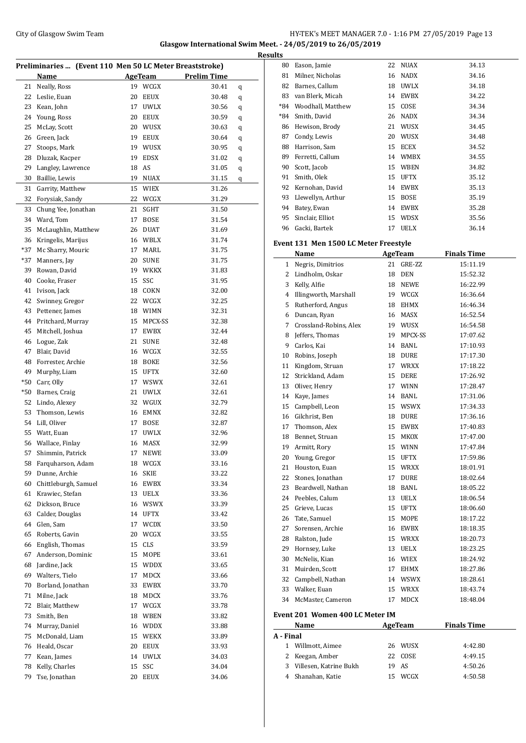### City of Glasgow Swim Team Team Team Fermic Management of the HY-TEK's MEET MANAGER 7.0 - 1:16 PM 27/05/2019 Page 13 **Glasgow International Swim Meet. - 24/05/2019 to 26/05/2019**

| Preliminaries  (Event 110 Men 50 LC Meter Breaststroke) |                      |    |                |                    |   |
|---------------------------------------------------------|----------------------|----|----------------|--------------------|---|
|                                                         | Name                 |    | <b>AgeTeam</b> | <b>Prelim Time</b> |   |
| 21                                                      | Neally, Ross         | 19 | WCGX           | 30.41              | q |
| 22                                                      | Leslie, Euan         | 20 | <b>EEUX</b>    | 30.48              | q |
| 23                                                      | Kean, John           | 17 | <b>UWLX</b>    | 30.56              | q |
| 24                                                      | Young, Ross          | 20 | <b>EEUX</b>    | 30.59              | q |
| 25                                                      | McLay, Scott         | 20 | WUSX           | 30.63              | q |
| 26                                                      | Green, Jack          | 19 | EEUX           | 30.64              | q |
| 27                                                      | Stoops, Mark         | 19 | WUSX           | 30.95              | q |
| 28                                                      | Dluzak, Kacper       | 19 | EDSX           | 31.02              | q |
| 29                                                      | Langley, Lawrence    | 18 | AS             | 31.05              | q |
| 30                                                      | Baillie, Lewis       | 19 | <b>NUAX</b>    | 31.15              | q |
| 31                                                      | Garrity, Matthew     | 15 | WIEX           | 31.26              |   |
| 32                                                      | Forysiak, Sandy      | 22 | WCGX           | 31.29              |   |
| 33                                                      | Chung Yee, Jonathan  | 21 | SGHT           | 31.50              |   |
| 34                                                      | Ward, Tom            | 17 | <b>BOSE</b>    | 31.54              |   |
| 35                                                      | McLaughlin, Matthew  | 26 | <b>DUAT</b>    | 31.69              |   |
| 36                                                      | Kringelis, Marijus   | 16 | WBLX           | 31.74              |   |
| $*37$                                                   | Mc Sharry, Mouric    | 17 | MARL           | 31.75              |   |
| *37                                                     | Manners, Jay         | 20 | <b>SUNE</b>    | 31.75              |   |
| 39                                                      | Rowan, David         | 19 | WKKX           | 31.83              |   |
| 40                                                      | Cooke, Fraser        | 15 | SSC            | 31.95              |   |
| 41                                                      | Ivison, Jack         | 18 | COKN           | 32.00              |   |
| 42                                                      | Swinney, Gregor      | 22 | WCGX           | 32.25              |   |
| 43                                                      | Pettener, James      | 18 | WIMN           | 32.31              |   |
| 44                                                      | Pritchard, Murray    | 15 | MPCX-SS        | 32.38              |   |
| 45                                                      | Mitchell, Joshua     | 17 | EWBX           | 32.44              |   |
| 46                                                      | Logue, Zak           | 21 | <b>SUNE</b>    | 32.48              |   |
| 47                                                      | Blair, David         | 16 | WCGX           | 32.55              |   |
| 48                                                      | Forrester, Archie    | 18 | BOKE           | 32.56              |   |
| 49                                                      | Murphy, Liam         | 15 | UFTX           | 32.60              |   |
| $*50$                                                   | Carr, Olly           | 17 | <b>WSWX</b>    | 32.61              |   |
| *50                                                     | Barnes, Craig        | 21 | UWLX           | 32.61              |   |
| 52                                                      | Lindo, Alexey        | 32 | WGUX           | 32.79              |   |
| 53                                                      | Thomson, Lewis       | 16 | EMNX           | 32.82              |   |
| 54                                                      | Lill, Oliver         | 17 | <b>BOSE</b>    | 32.87              |   |
| 55                                                      | Watt, Euan           | 17 | <b>UWLX</b>    | 32.96              |   |
| 56                                                      | Wallace, Finlay      | 16 | MASX           | 32.99              |   |
| 57                                                      | Shimmin, Patrick     | 17 | <b>NEWE</b>    | 33.09              |   |
| 58                                                      | Farquharson, Adam    | 18 | WCGX           | 33.16              |   |
| 59                                                      | Dunne, Archie        | 16 | SKIE           | 33.22              |   |
| 60                                                      | Chittleburgh, Samuel | 16 | EWBX           | 33.34              |   |
| 61                                                      | Krawiec, Stefan      | 13 | UELX           | 33.36              |   |
| 62                                                      | Dickson, Bruce       | 16 | WSWX           | 33.39              |   |
| 63                                                      | Calder, Douglas      | 14 | <b>UFTX</b>    | 33.42              |   |
| 64                                                      | Glen, Sam            | 17 | WCDX           | 33.50              |   |
| 65                                                      | Roberts, Gavin       | 20 | WCGX           | 33.55              |   |
| 66                                                      | English, Thomas      | 15 | <b>CLS</b>     | 33.59              |   |
| 67                                                      | Anderson, Dominic    | 15 | MOPE           | 33.61              |   |
| 68                                                      | Jardine, Jack        | 15 | WDDX           | 33.65              |   |
| 69                                                      | Walters, Tielo       | 17 | MDCX           | 33.66              |   |
| 70                                                      | Borland, Jonathan    | 33 | EWBX           | 33.70              |   |
| 71                                                      | Milne, Jack          | 18 | MDCX           | 33.76              |   |
| 72                                                      | Blair, Matthew       | 17 | WCGX           | 33.78              |   |
| 73                                                      | Smith, Ben           | 18 | WBEN           | 33.82              |   |
| 74                                                      | Murray, Daniel       | 16 | WDDX           | 33.88              |   |
| 75                                                      | McDonald, Liam       | 15 | WEKX           | 33.89              |   |
| 76                                                      | Heald, Oscar         | 20 | EEUX           | 33.93              |   |
| 77                                                      | Kean, James          | 14 | <b>UWLX</b>    | 34.03              |   |
| 78                                                      | Kelly, Charles       | 15 | SSC            | 34.04              |   |
| 79                                                      | Tse, Jonathan        | 20 | EEUX           | 34.06              |   |
|                                                         |                      |    |                |                    |   |

| <b>Results</b> |                   |    |             |       |  |  |  |
|----------------|-------------------|----|-------------|-------|--|--|--|
| 80             | Eason, Jamie      | 22 | NUAX        | 34.13 |  |  |  |
| 81             | Milner, Nicholas  | 16 | <b>NADX</b> | 34.16 |  |  |  |
| 82             | Barnes, Callum    | 18 | <b>UWLX</b> | 34.18 |  |  |  |
| 83             | van Blerk, Micah  | 14 | <b>EWBX</b> | 34.22 |  |  |  |
| $*84$          | Woodhall, Matthew | 15 | COSE        | 34.34 |  |  |  |
| $*84$          | Smith, David      | 26 | <b>NADX</b> | 34.34 |  |  |  |
| 86             | Hewison, Brody    | 21 | WUSX        | 34.45 |  |  |  |
| 87             | Condy, Lewis      | 20 | WUSX        | 34.48 |  |  |  |
| 88             | Harrison, Sam     | 15 | <b>ECEX</b> | 34.52 |  |  |  |
| 89             | Ferretti, Callum  | 14 | <b>WMBX</b> | 34.55 |  |  |  |
| 90             | Scott, Jacob      | 15 | <b>WBEN</b> | 34.82 |  |  |  |
| 91             | Smith, Olek       | 15 | <b>UFTX</b> | 35.12 |  |  |  |
| 92             | Kernohan, David   | 14 | EWBX        | 35.13 |  |  |  |
| 93             | Llewellyn, Arthur | 15 | <b>BOSE</b> | 35.19 |  |  |  |
| 94             | Batey, Ewan       | 14 | <b>EWBX</b> | 35.28 |  |  |  |
| 95             | Sinclair, Elliot  | 15 | <b>WDSX</b> | 35.56 |  |  |  |
| 96             | Gacki, Bartek     | 17 | <b>UELX</b> | 36.14 |  |  |  |
|                |                   |    |             |       |  |  |  |

#### **Event 131 Men 1500 LC Meter Freestyle**

 $\overline{a}$ 

|                | Name                   | <b>AgeTeam</b> |             | <b>Finals Time</b> |
|----------------|------------------------|----------------|-------------|--------------------|
| $\mathbf{1}$   | Negris, Dimitrios      | 21             | GRE-ZZ      | 15:11.19           |
| $\overline{2}$ | Lindholm, Oskar        | 18             | <b>DEN</b>  | 15:52.32           |
| 3              | Kelly, Alfie           | 18             | NEWE        | 16:22.99           |
| 4              | Illingworth, Marshall  |                | 19 WCGX     | 16:36.64           |
| 5              | Rutherford, Angus      | 18             | EHMX        | 16:46.34           |
| 6              | Duncan, Ryan           | 16             | MASX        | 16:52.54           |
| 7              | Crossland-Robins, Alex |                | 19 WUSX     | 16:54.58           |
| 8              | Jeffers, Thomas        | 19             | MPCX-SS     | 17:07.62           |
| 9              | Carlos, Kai            | 14             | BANL        | 17:10.93           |
| 10             | Robins, Joseph         | 18             | <b>DURE</b> | 17:17.30           |
| 11             | Kingdom, Struan        | 17             | <b>WRXX</b> | 17:18.22           |
| 12             | Strickland, Adam       | 15             | DERE        | 17:26.92           |
| 13             | Oliver, Henry          | 17             | <b>WINN</b> | 17:28.47           |
| 14             | Kave, James            | 14             | BANL        | 17:31.06           |
| 15             | Campbell, Leon         |                | 15 WSWX     | 17:34.33           |
| 16             | Gilchrist, Ben         | 18             | DURE        | 17:36.16           |
| 17             | Thomson, Alex          |                | 15 EWBX     | 17:40.83           |
| 18             | Bennet, Struan         | 15             | MKOX        | 17:47.00           |
| 19             | Armitt, Rory           | 15             | <b>WINN</b> | 17:47.84           |
| 20             | Young, Gregor          | 15             | <b>UFTX</b> | 17:59.86           |
| 21             | Houston, Euan          | 15             | WRXX        | 18:01.91           |
| 22             | Stones, Jonathan       | 17             | <b>DURE</b> | 18:02.64           |
| 23             | Beardwell, Nathan      | 18             | BANL        | 18:05.22           |
| 24             | Peebles, Calum         | 13             | UELX        | 18:06.54           |
| 25             | Grieve, Lucas          |                | 15 UFTX     | 18:06.60           |
| 26             | Tate, Samuel           | 15             | MOPE        | 18:17.22           |
| 27             | Sorensen, Archie       | 16             | EWBX        | 18:18.35           |
| 28             | Ralston, Jude          |                | 15 WRXX     | 18:20.73           |
| 29             | Hornsey, Luke          | 13             | UELX        | 18:23.25           |
| 30             | McNelis, Kian          |                | 16 WIEX     | 18:24.92           |
| 31             | Muirden, Scott         | 17             | EHMX        | 18:27.86           |
| 32             | Campbell, Nathan       |                | 14 WSWX     | 18:28.61           |
| 33             | Walker, Euan           | 15             | <b>WRXX</b> | 18:43.74           |
| 34             | McMaster, Cameron      | 17             | <b>MDCX</b> | 18:48.04           |
|                |                        |                |             |                    |

#### **Event 201 Women 400 LC Meter IM**

|           | Name                     |  | AgeTeam     | <b>Finals Time</b> |  |
|-----------|--------------------------|--|-------------|--------------------|--|
| A - Final |                          |  |             |                    |  |
|           | 1 Willmott, Aimee        |  | 26 WUSX     | 4:42.80            |  |
|           | 2 Keegan, Amber          |  | 22 COSE     | 4:49.15            |  |
|           | 3 Villesen, Katrine Bukh |  | 19 AS       | 4:50.26            |  |
|           | 4 Shanahan, Katie        |  | <b>WCGX</b> | 4:50.58            |  |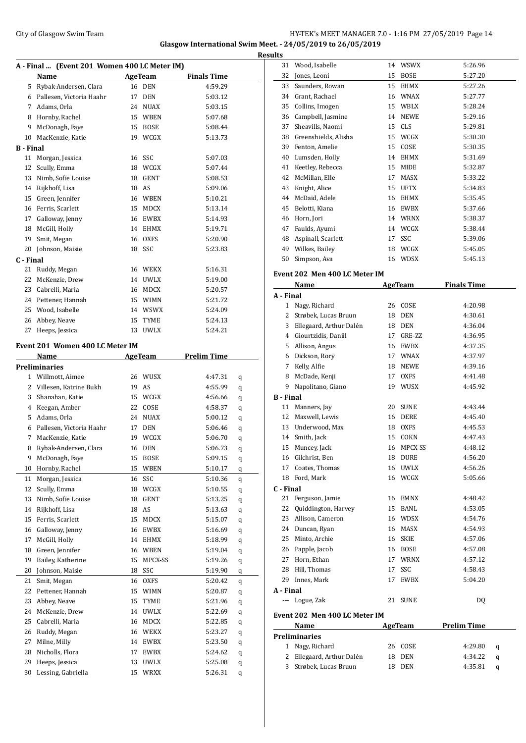### City of Glasgow Swim Team Team Team Fermi Management City of Glasgow Swim Team Fermi Management City of Glasgow Swim Team Fermi Management City of Glasgow Swim Team Fermi Management City of Glasgow Swim Team Fermi Manageme **Glasgow International Swim Meet. - 24/05/2019 to 26/05/2019**

|                  |                                              |    |                    |                    |   | <b>Results</b> |
|------------------|----------------------------------------------|----|--------------------|--------------------|---|----------------|
|                  | A - Final  (Event 201 Women 400 LC Meter IM) |    |                    |                    |   |                |
|                  | Name                                         |    | <b>AgeTeam</b>     | <b>Finals Time</b> |   |                |
|                  | 5 Rybak-Andersen, Clara                      |    | 16 DEN             | 4:59.29            |   | G              |
|                  | 6 Pallesen, Victoria Haahr                   |    | 17 DEN             | 5:03.12            |   | E              |
|                  | 7 Adams, Orla                                |    | 24 NUAX            | 5:03.15            |   | Э              |
|                  | 8 Hornby, Rachel                             |    | 15 WBEN            | 5:07.68            |   | Э              |
| 9                | McDonagh, Faye                               |    | 15 BOSE            | 5:08.44            |   | З              |
|                  | 10 MacKenzie, Katie                          |    | 19 WCGX            | 5:13.73            |   | G              |
| <b>B</b> - Final |                                              |    |                    |                    |   | Э              |
| 11               | Morgan, Jessica                              |    | 16 SSC             | 5:07.03            |   |                |
| 12               | Scully, Emma                                 |    | 18 WCGX            | 5:07.44            |   |                |
|                  | 13 Nimb, Sofie Louise                        | 18 | GENT               | 5:08.53            |   |                |
|                  | 14 Rijkhoff, Lisa                            |    | 18 AS              | 5:09.06            |   |                |
|                  | 15 Green, Jennifer                           |    | 16 WBEN            | 5:10.21            |   |                |
|                  | 16 Ferris, Scarlett                          |    | 15 MDCX            | 5:13.14            |   |                |
|                  | 17 Galloway, Jenny                           |    | 16 EWBX            | 5:14.93            |   |                |
| 18               | McGill, Holly                                |    | 14 EHMX            | 5:19.71            |   |                |
| 19               | Smit, Megan                                  | 16 | <b>OXFS</b>        | 5:20.90            |   |                |
|                  | 20 Johnson, Maisie                           |    | 18 SSC             | 5:23.83            |   |                |
| C - Final        |                                              |    |                    |                    |   | 5              |
|                  | 21 Ruddy, Megan                              |    | 16 WEKX            | 5:16.31            |   | Eve            |
| 22               | McKenzie, Drew                               |    | 14 UWLX            | 5:19.00            |   |                |
|                  | 23 Cabrelli, Maria                           |    | 16 MDCX            | 5:20.57            |   |                |
|                  | 24 Pettener, Hannah                          |    | 15 WIMN            | 5:21.72            |   | A -            |
|                  | 25 Wood, Isabelle                            |    | 14 WSWX            | 5:24.09            |   |                |
|                  | 26 Abbey, Neave                              | 15 | TYME               | 5:24.13            |   |                |
|                  | 27 Heeps, Jessica                            |    | 13 UWLX            | 5:24.21            |   |                |
|                  | Event 201 Women 400 LC Meter IM              |    |                    |                    |   |                |
|                  | Name                                         |    | AgeTeam            | <b>Prelim Time</b> |   |                |
|                  | <b>Preliminaries</b>                         |    |                    |                    |   |                |
|                  | 1 Willmott, Aimee                            |    | 26 WUSX            | 4:47.31            |   |                |
|                  | 2 Villesen, Katrine Bukh                     | 19 | AS                 | 4:55.99            | q |                |
|                  | 3 Shanahan, Katie                            |    | 15 WCGX            | 4:56.66            | q | в.             |
|                  | 4 Keegan, Amber                              | 22 | COSE               | 4:58.37            | q |                |
| 5                | Adams, Orla                                  |    | 24 NUAX            | 5:00.12            | q |                |
|                  | 6 Pallesen, Victoria Haahr                   | 17 | DEN                | 5:06.46            | q |                |
| 7                | MacKenzie, Katie                             |    | 19 WCGX            | 5:06.70            | q | 1              |
|                  | Rybak-Andersen, Clara                        | 16 |                    |                    | q |                |
| 8<br>9           | McDonagh, Faye                               | 15 | DEN<br><b>BOSE</b> | 5:06.73<br>5:09.15 | q |                |
| 10               | Hornby, Rachel                               | 15 | WBEN               | 5:10.17            | q |                |
|                  |                                              |    |                    |                    | q | 1              |
| 11               | Morgan, Jessica                              | 16 | SSC                | 5:10.36            | q |                |
| 12               | Scully, Emma<br>Nimb, Sofie Louise           |    | 18 WCGX            | 5:10.55            | q | C - 1          |
| 13               |                                              | 18 | GENT               | 5:13.25            | q | 2<br>2         |
| 14               | Rijkhoff, Lisa                               | 18 | AS                 | 5:13.63            | q | 2              |
| 15               | Ferris, Scarlett                             | 15 | MDCX               | 5:15.07            | q | 2              |
| 16               | Galloway, Jenny                              | 16 | EWBX               | 5:16.69            | q | 2              |
| 17               | McGill, Holly                                | 14 | EHMX               | 5:18.99            | q | 2              |
| 18               | Green, Jennifer                              | 16 | WBEN               | 5:19.04            | q |                |
| 19               | Bailey, Katherine                            | 15 | MPCX-SS            | 5:19.26            | q | 2              |
| 20               | Johnson, Maisie                              | 18 | SSC                | 5:19.90            | q | 2<br>2         |
| 21               | Smit, Megan                                  | 16 | <b>OXFS</b>        | 5:20.42            | q |                |
| 22               | Pettener, Hannah                             | 15 | WIMN               | 5:20.87            | q | А -            |
| 23               | Abbey, Neave                                 | 15 | TYME               | 5:21.96            | q |                |
| 24               | McKenzie, Drew                               | 14 | UWLX               | 5:22.69            | q | Eve            |
| 25               | Cabrelli, Maria                              | 16 | MDCX               | 5:22.85            | q |                |
| 26               | Ruddy, Megan                                 | 16 | WEKX               | 5:23.27            | q | Pre            |
| 27               | Milne, Milly                                 | 14 | EWBX               | 5:23.50            | q |                |
| 28               | Nicholls, Flora                              | 17 | EWBX               | 5:24.62            | q |                |
| 29               | Heeps, Jessica                               | 13 | UWLX               | 5:25.08            | q |                |
| 30               | Lessing, Gabriella                           | 15 | <b>WRXX</b>        | 5:26.31            | q |                |

| 31               | Wood, Isabelle                | 14 | WSWX           | 5:26.96            |   |
|------------------|-------------------------------|----|----------------|--------------------|---|
| 32               | Jones, Leoni                  | 15 | <b>BOSE</b>    | 5:27.20            |   |
| 33               | Saunders, Rowan               |    | 15 EHMX        | 5:27.26            |   |
| 34               | Grant, Rachael                |    | 16 WNAX        | 5:27.77            |   |
| 35               | Collins, Imogen               |    | 15 WBLX        | 5:28.24            |   |
| 36               | Campbell, Jasmine             |    | 14 NEWE        | 5:29.16            |   |
| 37               | Sheavills, Naomi              |    | 15 CLS         | 5:29.81            |   |
| 38               | Greenshields, Alisha          |    | 15 WCGX        | 5:30.30            |   |
| 39               | Fenton, Amelie                |    | 15 COSE        | 5:30.35            |   |
| 40               | Lumsden, Holly                |    | 14 EHMX        | 5:31.69            |   |
| 41               | Keetley, Rebecca              |    | 15 MIDE        | 5:32.87            |   |
| 42               | McMillan. Elle                | 17 | MASX           | 5:33.22            |   |
| 43               | Knight, Alice                 |    | 15 UFTX        | 5:34.83            |   |
| 44               | McDaid, Adele                 |    | 16 EHMX        | 5:35.45            |   |
| 45               | Belotti, Kiana                |    | 16 EWBX        | 5:37.66            |   |
|                  | 46 Horn, Jori                 |    | 14 WRNX        | 5:38.37            |   |
| 47               | Faulds, Ayumi                 |    | 14 WCGX        | 5:38.44            |   |
| 48               | Aspinall, Scarlett            |    | 17 SSC         | 5:39.06            |   |
| 49               | Wilkes, Bailey                |    | 18 WCGX        | 5:45.05            |   |
| 50               | Simpson, Ava                  |    | 16 WDSX        | 5:45.13            |   |
|                  |                               |    |                |                    |   |
|                  | Event 202 Men 400 LC Meter IM |    |                |                    |   |
|                  | Name                          |    | <b>AgeTeam</b> | <b>Finals Time</b> |   |
| A - Final        |                               |    |                |                    |   |
| 1                | Nagy, Richard                 |    | 26 COSE        | 4:20.98            |   |
|                  | 2 Strøbek, Lucas Bruun        |    | 18 DEN         | 4:30.61            |   |
|                  | 3 Ellegaard, Arthur Dalén     |    | 18 DEN         | 4:36.04            |   |
|                  | 4 Giourtzidis, Daniil         |    | 17 GRE-ZZ      | 4:36.95            |   |
| 5                | Allison, Angus                |    | 16 EWBX        | 4:37.35            |   |
|                  | 6 Dickson, Rory               |    | 17 WNAX        | 4:37.97            |   |
| 7                | Kelly, Alfie                  |    | 18 NEWE        | 4:39.16            |   |
| 8                | McDade, Kenji                 |    | 17 OXFS        | 4:41.48            |   |
| 9                | Napolitano, Giano             |    | 19 WUSX        | 4:45.92            |   |
| <b>B</b> - Final |                               |    |                |                    |   |
| 11               | Manners, Jay                  |    | 20 SUNE        | 4:43.44            |   |
| 12               | Maxwell, Lewis                |    | 16 DERE        | 4:45.40            |   |
|                  | 13 Underwood, Max             |    | 18 OXFS        | 4:45.53            |   |
| 14               | Smith, Jack                   | 15 | COKN           | 4:47.43            |   |
| 15               | Muncey, Jack                  |    | 16 MPCX-SS     | 4:48.12            |   |
| 16               | Gilchrist, Ben                |    | 18 DURE        | 4:56.20            |   |
| 17               | Coates, Thomas                | 16 | UWLX           | 4:56.26            |   |
| 18               | Ford, Mark                    | 16 | WCGX           | 5:05.66            |   |
| C - Final        |                               |    |                |                    |   |
| 21               | Ferguson, Jamie               |    | 16 EMNX        | 4:48.42            |   |
|                  | 22 Quiddington, Harvey        |    | 15 BANL        | 4:53.05            |   |
|                  | 23 Allison, Cameron           |    | 16 WDSX        | 4:54.76            |   |
|                  | 24 Duncan, Ryan               |    | 16 MASX        | 4:54.93            |   |
|                  | 25 Minto, Archie              |    | 16 SKIE        | 4:57.06            |   |
|                  | 26 Papple, Jacob              |    | 16 BOSE        | 4:57.08            |   |
| 27               | Horn, Ethan                   |    | 17 WRNX        | 4:57.12            |   |
|                  | 28 Hill, Thomas               | 17 | SSC            | 4:58.43            |   |
|                  | 29 Innes, Mark                | 17 | EWBX           | 5:04.20            |   |
| A - Final        |                               |    |                |                    |   |
| ---              | Logue, Zak                    | 21 | <b>SUNE</b>    | DQ                 |   |
|                  | Event 202 Men 400 LC Meter IM |    |                |                    |   |
|                  | Name                          |    | AgeTeam        | <b>Prelim Time</b> |   |
|                  | <b>Preliminaries</b>          |    |                |                    |   |
|                  | 1 Nagy, Richard               |    | 26 COSE        | 4:29.80            | q |
|                  | 2 Ellegaard, Arthur Dalén     |    | 18 DEN         | 4:34.22            | q |
| 3                | Strøbek, Lucas Bruun          | 18 | DEN            | 4:35.81            | q |
|                  |                               |    |                |                    |   |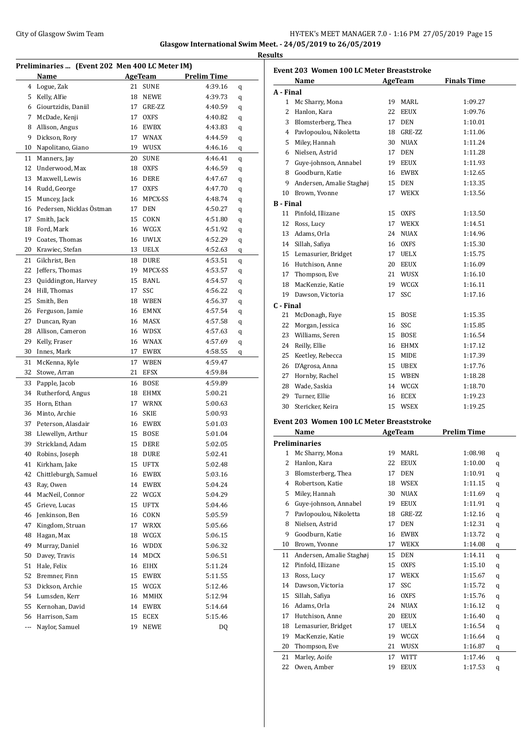|     |                                   | Preliminaries  (Event 202 Men 400 LC Meter IM) |                    |                    |   |  |
|-----|-----------------------------------|------------------------------------------------|--------------------|--------------------|---|--|
|     | Name                              |                                                | AgeTeam            | <b>Prelim Time</b> |   |  |
| 4   | Logue, Zak                        | 21                                             | <b>SUNE</b>        | 4:39.16            | q |  |
| 5   | Kelly, Alfie                      | 18                                             | NEWE               | 4:39.73            | q |  |
| 6   | Giourtzidis, Daniil               | 17                                             | GRE-ZZ             | 4:40.59            | q |  |
| 7   | McDade, Kenji                     | 17                                             | <b>OXFS</b>        | 4:40.82            | q |  |
| 8   | Allison, Angus                    |                                                | 16 EWBX            | 4:43.83            | q |  |
| 9   | Dickson, Rory                     |                                                | 17 WNAX            | 4:44.59            | q |  |
| 10  | Napolitano, Giano                 |                                                | 19 WUSX            | 4:46.16            | q |  |
| 11  | Manners, Jay                      | 20                                             | <b>SUNE</b>        | 4:46.41            | q |  |
| 12  | Underwood, Max                    |                                                | 18 OXFS            | 4:46.59            | q |  |
| 13  | Maxwell, Lewis                    |                                                | 16 DERE            | 4:47.67            | q |  |
| 14  | Rudd, George                      | 17                                             | <b>OXFS</b>        | 4:47.70            | q |  |
| 15  | Muncey, Jack                      | 16                                             | MPCX-SS            | 4:48.74            | q |  |
| 16  | Pedersen, Nicklas Östman          | 17                                             | <b>DEN</b>         | 4:50.27            | q |  |
| 17  | Smith, Jack                       | 15                                             | COKN               | 4:51.80            | q |  |
| 18  | Ford, Mark                        | 16                                             | WCGX               | 4:51.92            | q |  |
| 19  | Coates, Thomas                    |                                                | 16 UWLX            | 4:52.29            | q |  |
| 20  | Krawiec, Stefan                   |                                                | 13 UELX            | 4:52.63            |   |  |
| 21  |                                   |                                                |                    |                    | q |  |
| 22  | Gilchrist, Ben<br>Jeffers, Thomas | 19                                             | 18 DURE<br>MPCX-SS | 4:53.51            | q |  |
|     |                                   |                                                | 15 BANL            | 4:53.57            | q |  |
| 23  | Quiddington, Harvey               |                                                |                    | 4:54.57            | q |  |
| 24  | Hill, Thomas                      | 17                                             | SSC                | 4:56.22            | q |  |
| 25  | Smith, Ben                        |                                                | 18 WBEN            | 4:56.37            | q |  |
| 26  | Ferguson, Jamie                   |                                                | 16 EMNX            | 4:57.54            | q |  |
| 27  | Duncan, Ryan                      |                                                | 16 MASX            | 4:57.58            | q |  |
| 28  | Allison, Cameron                  |                                                | 16 WDSX            | 4:57.63            | q |  |
| 29  | Kelly, Fraser                     | 16                                             | WNAX               | 4:57.69            | q |  |
| 30  | Innes, Mark                       | 17                                             | EWBX               | 4:58.55            | q |  |
| 31  | McKenna, Kyle                     | 17                                             | WBEN               | 4:59.47            |   |  |
| 32  | Stowe, Arran                      | 21                                             | <b>EFSX</b>        | 4:59.84            |   |  |
| 33  | Papple, Jacob                     |                                                | 16 BOSE            | 4:59.89            |   |  |
| 34  | Rutherford, Angus                 |                                                | 18 EHMX            | 5:00.21            |   |  |
| 35  | Horn, Ethan                       | 17                                             | WRNX               | 5:00.63            |   |  |
| 36  | Minto, Archie                     | 16                                             | <b>SKIE</b>        | 5:00.93            |   |  |
| 37  | Peterson, Alasdair                |                                                | 16 EWBX            | 5:01.03            |   |  |
| 38  | Llewellyn, Arthur                 |                                                | 15 BOSE            | 5:01.04            |   |  |
| 39  | Strickland, Adam                  | 15                                             | DERE               | 5:02.05            |   |  |
| 40  | Robins, Joseph                    | 18                                             | DURE               | 5:02.41            |   |  |
| 41  | Kirkham, Jake                     | 15                                             | UFTX               | 5:02.48            |   |  |
| 42  | Chittleburgh, Samuel              | 16                                             | EWBX               | 5:03.16            |   |  |
| 43  | Ray, Owen                         |                                                | 14 EWBX            | 5:04.24            |   |  |
| 44  | MacNeil, Connor                   |                                                | 22 WCGX            | 5:04.29            |   |  |
| 45  | Grieve, Lucas                     | 15                                             | UFTX               | 5:04.46            |   |  |
| 46  | Jenkinson, Ben                    |                                                | 16 COKN            | 5:05.59            |   |  |
| 47  | Kingdom, Struan                   | 17                                             | WRXX               | 5:05.66            |   |  |
| 48  | Hagan, Max                        |                                                | 18 WCGX            | 5:06.15            |   |  |
| 49  | Murray, Daniel                    |                                                | 16 WDDX            | 5:06.32            |   |  |
| 50  | Davey, Travis                     | 14                                             | MDCX               | 5:06.51            |   |  |
| 51  | Hale, Felix                       | 16                                             | EIHX               | 5:11.24            |   |  |
| 52  | Bremner, Finn                     |                                                | 15 EWBX            | 5:11.55            |   |  |
| 53  | Dickson, Archie                   |                                                | 15 WCGX            | 5:12.46            |   |  |
| 54  | Lumsden, Kerr                     | 16                                             | MMHX               | 5:12.94            |   |  |
| 55  | Kernohan, David                   | 14                                             | EWBX               | 5:14.64            |   |  |
| 56  | Harrison, Sam                     | 15                                             | ECEX               | 5:15.46            |   |  |
| --- | Naylor, Samuel                    | 19                                             | <b>NEWE</b>        | DQ                 |   |  |
|     |                                   |                                                |                    |                    |   |  |

| Event 203 Women 100 LC Meter Breaststroke |                                                  |    |             |                    |  |  |  |
|-------------------------------------------|--------------------------------------------------|----|-------------|--------------------|--|--|--|
|                                           | Name                                             |    | AgeTeam     | <b>Finals Time</b> |  |  |  |
| A - Final                                 |                                                  |    |             |                    |  |  |  |
| $\mathbf{1}$                              | Mc Sharry, Mona                                  |    | 19 MARL     | 1:09.27            |  |  |  |
| 2                                         | Hanlon, Kara                                     |    | 22 EEUX     | 1:09.76            |  |  |  |
|                                           | 3 Blomsterberg, Thea                             |    | 17 DEN      | 1:10.01            |  |  |  |
|                                           | 4 Pavlopoulou, Nikoletta                         |    | 18 GRE-ZZ   | 1:11.06            |  |  |  |
| 5                                         | Miley, Hannah                                    |    | 30 NUAX     | 1:11.24            |  |  |  |
|                                           | 6 Nielsen, Astrid                                |    | 17 DEN      | 1:11.28            |  |  |  |
| 7                                         | Guye-johnson, Annabel                            |    | 19 EEUX     | 1:11.93            |  |  |  |
|                                           | 8 Goodburn, Katie                                | 16 | EWBX        | 1:12.65            |  |  |  |
| 9                                         | Andersen, Amalie Staghøj                         | 15 | DEN         | 1:13.35            |  |  |  |
|                                           | 10 Brown, Yvonne                                 | 17 | <b>WEKX</b> | 1:13.56            |  |  |  |
| <b>B</b> - Final                          |                                                  |    |             |                    |  |  |  |
| 11                                        | Pinfold, Illizane                                |    | 15 OXFS     | 1:13.50            |  |  |  |
|                                           | 12 Ross, Lucy                                    |    | 17 WEKX     | 1:14.51            |  |  |  |
|                                           | 13 Adams, Orla                                   |    | 24 NUAX     | 1:14.96            |  |  |  |
|                                           | 14 Sillah, Safiya                                |    | 16 OXFS     | 1:15.30            |  |  |  |
|                                           | 15 Lemasurier, Bridget                           |    | 17 UELX     | 1:15.75            |  |  |  |
|                                           | 16 Hutchison, Anne                               |    | 20 EEUX     | 1:16.09            |  |  |  |
|                                           | 17 Thompson, Eve                                 |    | 21 WUSX     | 1:16.10            |  |  |  |
|                                           | 18 MacKenzie, Katie                              |    | 19 WCGX     | 1:16.11            |  |  |  |
|                                           | 19 Dawson, Victoria                              | 17 | SSC         | 1:17.16            |  |  |  |
| C - Final                                 |                                                  |    |             |                    |  |  |  |
| 21                                        | McDonagh, Faye                                   | 15 | BOSE        | 1:15.35            |  |  |  |
| 22                                        | Morgan, Jessica                                  |    | 16 SSC      | 1:15.85            |  |  |  |
|                                           | 23 Williams, Seren                               |    | 15 BOSE     | 1:16.54            |  |  |  |
|                                           | 24 Reilly, Ellie                                 |    | 16 EHMX     | 1:17.12            |  |  |  |
| 25                                        | Keetley, Rebecca                                 |    | 15 MIDE     | 1:17.39            |  |  |  |
| 26                                        | D'Agrosa, Anna                                   |    | 15 UBEX     | 1:17.76            |  |  |  |
|                                           | 27 Hornby, Rachel                                |    | 15 WBEN     | 1:18.28            |  |  |  |
|                                           | 28 Wade, Saskia                                  |    | 14 WCGX     | 1:18.70            |  |  |  |
|                                           | 29 Turner, Ellie                                 | 16 | ECEX        | 1:19.23            |  |  |  |
| 30                                        | Stericker, Keira                                 |    | 15 WSEX     | 1:19.25            |  |  |  |
|                                           | <b>Event 203 Women 100 LC Meter Breaststroke</b> |    |             |                    |  |  |  |
|                                           | Name                                             |    | AgeTeam     | <b>Prelim Time</b> |  |  |  |
|                                           | <b>Preliminaries</b>                             |    |             |                    |  |  |  |
| 1                                         | Mc Sharry, Mona                                  | 19 | MARL        | 1:08.98<br>q       |  |  |  |

|    | Preliminaries            |    |             |         |   |  |
|----|--------------------------|----|-------------|---------|---|--|
| 1  | Mc Sharry, Mona          | 19 | MARL        | 1:08.98 | q |  |
| 2  | Hanlon, Kara             | 22 | <b>EEUX</b> | 1:10.00 | q |  |
| 3  | Blomsterberg, Thea       | 17 | <b>DEN</b>  | 1:10.91 | q |  |
| 4  | Robertson, Katie         | 18 | <b>WSEX</b> | 1:11.15 | q |  |
| 5  | Miley, Hannah            | 30 | <b>NUAX</b> | 1:11.69 | q |  |
| 6  | Guye-johnson, Annabel    | 19 | <b>EEUX</b> | 1:11.91 | q |  |
| 7  | Pavlopoulou, Nikoletta   | 18 | GRE-ZZ      | 1:12.16 | q |  |
| 8  | Nielsen, Astrid          | 17 | <b>DEN</b>  | 1:12.31 | q |  |
| 9  | Goodburn, Katie          | 16 | <b>EWBX</b> | 1:13.72 | q |  |
| 10 | Brown, Yvonne            | 17 | WEKX        | 1:14.08 | q |  |
| 11 | Andersen, Amalie Staghøj | 15 | <b>DEN</b>  | 1:14.11 | q |  |
| 12 | Pinfold, Illizane        | 15 | <b>OXFS</b> | 1:15.10 | q |  |
| 13 | Ross, Lucy               | 17 | <b>WEKX</b> | 1:15.67 | q |  |
| 14 | Dawson, Victoria         | 17 | SSC         | 1:15.72 | q |  |
| 15 | Sillah, Safiya           | 16 | <b>OXFS</b> | 1:15.76 | q |  |
| 16 | Adams, Orla              | 24 | <b>NUAX</b> | 1:16.12 | q |  |
| 17 | Hutchison, Anne          | 20 | <b>EEUX</b> | 1:16.40 | q |  |
| 18 | Lemasurier, Bridget      | 17 | <b>UELX</b> | 1:16.54 | q |  |
| 19 | MacKenzie, Katie         | 19 | WCGX        | 1:16.64 | q |  |
| 20 | Thompson, Eve            | 21 | WUSX        | 1:16.87 | q |  |
| 21 | Marley, Aoife            | 17 | <b>WITT</b> | 1:17.46 | q |  |
| 22 | Owen, Amber              | 19 | <b>EEUX</b> | 1:17.53 | q |  |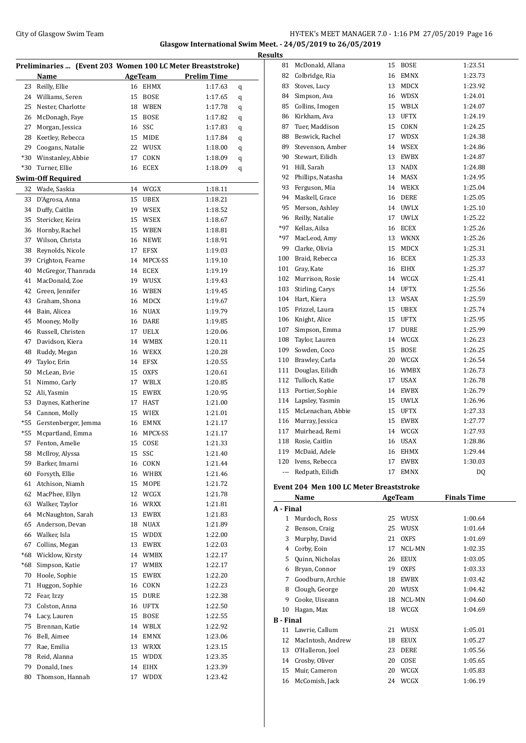### City of Glasgow Swim Team Team Feam Fermi States of Glasgow Swim Team Feam Fermi States of Glasgow Swim Team Fermi States of Glasgow Swim Team Fermi States of Glasgow Swim Team Fermi States of Glasgow Swim Team Fermi State **Glasgow International Swim Meet. - 24/05/2019 to 26/05/2019**

|       |                                    |    | Preliminaries  (Event 203 Women 100 LC Meter Breaststroke) |                    |   |
|-------|------------------------------------|----|------------------------------------------------------------|--------------------|---|
|       | Name                               |    | <b>AgeTeam</b>                                             | <b>Prelim Time</b> |   |
| 23    | Reilly, Ellie                      | 16 | <b>EHMX</b>                                                | 1:17.63            | q |
| 24    | Williams, Seren                    | 15 | BOSE                                                       | 1:17.65            | q |
| 25    | Nester, Charlotte                  |    | 18 WBEN                                                    | 1:17.78            | q |
| 26    | McDonagh, Faye                     | 15 | <b>BOSE</b>                                                | 1:17.82            | q |
| 27    | Morgan, Jessica                    | 16 | SSC                                                        | 1:17.83            | q |
| 28    | Keetley, Rebecca                   | 15 | MIDE                                                       | 1:17.84            | q |
| 29    | Coogans, Natalie                   | 22 | WUSX                                                       | 1:18.00            | q |
| $*30$ | Winstanley, Abbie                  | 17 | COKN                                                       | 1:18.09            | q |
| *30   | Turner, Ellie                      | 16 | ECEX                                                       | 1:18.09            | q |
|       | <b>Swim-Off Required</b>           |    |                                                            |                    |   |
| 32    | Wade, Saskia                       | 14 | WCGX                                                       | 1:18.11            |   |
| 33    | D'Agrosa, Anna                     | 15 | UBEX                                                       | 1:18.21            |   |
| 34    | Duffy, Caitlin                     | 19 | WSEX                                                       | 1:18.52            |   |
| 35    | Stericker, Keira                   | 15 | WSEX                                                       | 1:18.67            |   |
| 36    | Hornby, Rachel                     |    | 15 WBEN                                                    | 1:18.81            |   |
| 37    | Wilson, Christa                    | 16 | NEWE                                                       | 1:18.91            |   |
| 38    | Reynolds, Nicole                   |    | 17 EFSX                                                    | 1:19.03            |   |
| 39    | Crighton, Fearne                   |    | 14 MPCX-SS                                                 | 1:19.10            |   |
| 40    | McGregor, Thanrada                 |    | 14 ECEX                                                    | 1:19.19            |   |
| 41    | MacDonald, Zoe                     |    | 19 WUSX                                                    | 1:19.43            |   |
| 42    | Green, Jennifer                    | 16 | WBEN                                                       | 1:19.45            |   |
| 43    | Graham, Shona                      | 16 | MDCX                                                       | 1:19.67            |   |
| 44    | Bain, Alicea                       |    | 16 NUAX                                                    | 1:19.79            |   |
| 45    | Mooney, Molly                      |    | 16 DARE                                                    | 1:19.85            |   |
| 46    | Russell, Christen                  |    | 17 UELX                                                    | 1:20.06            |   |
| 47    | Davidson, Kiera                    | 14 | WMBX                                                       | 1:20.11            |   |
| 48    | Ruddy, Megan                       | 16 | WEKX                                                       | 1:20.28            |   |
| 49    | Taylor, Erin                       | 14 | EFSX                                                       | 1:20.55            |   |
| 50    |                                    |    | <b>OXFS</b>                                                | 1:20.61            |   |
| 51    | McLean, Evie<br>Nimmo, Carly       | 15 |                                                            |                    |   |
| 52    |                                    |    | 17 WBLX                                                    | 1:20.85            |   |
|       | Ali, Yasmin                        |    | 15 EWBX                                                    | 1:20.95            |   |
| 53    | Daynes, Katherine                  |    | 17 HAST                                                    | 1:21.00            |   |
| 54    | Cannon, Molly                      |    | 15 WIEX                                                    | 1:21.01            |   |
| $*55$ | Gerstenberger, Jemma               |    | 16 EMNX                                                    | 1:21.17            |   |
| *55   | Mcpartland, Emma<br>Fenton, Amelie |    | 16 MPCX-SS                                                 | 1:21.17            |   |
| 57    |                                    | 15 | COSE                                                       | 1:21.33            |   |
|       | 58 McIlroy, Alyssa                 |    | 15 SSC                                                     | 1:21.40            |   |
| 59    | Barker, Imarni                     |    | 16 COKN                                                    | 1:21.44            |   |
| 60    | Forsyth, Ellie                     |    | 16 WHBX                                                    | 1:21.46            |   |
| 61    | Atchison, Niamh                    | 15 | MOPE                                                       | 1:21.72            |   |
| 62    | MacPhee, Ellyn                     |    | 12 WCGX                                                    | 1:21.78            |   |
| 63    | Walker, Taylor                     |    | 16 WRXX                                                    | 1:21.81            |   |
| 64    | McNaughton, Sarah                  | 13 | EWBX                                                       | 1:21.83            |   |
| 65    | Anderson, Devan                    | 18 | NUAX                                                       | 1:21.89            |   |
| 66    | Walker, Isla                       |    | 15 WDDX                                                    | 1:22.00            |   |
| 67    | Collins, Megan                     | 13 | EWBX                                                       | 1:22.03            |   |
| *68   | Wicklow, Kirsty                    |    | 14 WMBX                                                    | 1:22.17            |   |
| *68   | Simpson, Katie                     | 17 | WMBX                                                       | 1:22.17            |   |
| 70    | Hoole, Sophie                      | 15 | EWBX                                                       | 1:22.20            |   |
| 71    | Huggon, Sophie                     |    | 16 COKN                                                    | 1:22.23            |   |
| 72    | Fear, Izzy                         | 15 | DURE                                                       | 1:22.38            |   |
| 73    | Colston, Anna                      | 16 | UFTX                                                       | 1:22.50            |   |
| 74    | Lacy, Lauren                       | 15 | BOSE                                                       | 1:22.55            |   |
| 75    | Brennan, Katie                     |    | 14 WBLX                                                    | 1:22.92            |   |
| 76    | Bell, Aimee                        |    | 14 EMNX                                                    | 1:23.06            |   |
| 77    | Rae, Emilia                        |    | 13 WRXX                                                    | 1:23.15            |   |
| 78    | Reid, Alanna                       |    | 15 WDDX                                                    | 1:23.35            |   |
| 79    | Donald, Ines                       |    | 14 EIHX                                                    | 1:23.39            |   |
| 80    | Thomson, Hannah                    | 17 | WDDX                                                       | 1:23.42            |   |
|       |                                    |    |                                                            |                    |   |

| <b>Results</b> |                                         |    |             |         |
|----------------|-----------------------------------------|----|-------------|---------|
| 81             | McDonald, Allana                        | 15 | <b>BOSE</b> | 1:23.51 |
| 82             | Colbridge, Ria                          | 16 | <b>EMNX</b> | 1:23.73 |
| 83             | Stoves, Lucy                            |    | 13 MDCX     | 1:23.92 |
| 84             | Simpson, Ava                            |    | 16 WDSX     | 1:24.01 |
| 85             | Collins, Imogen                         |    | 15 WBLX     | 1:24.07 |
|                | 86 Kirkham, Ava                         |    | 13 UFTX     | 1:24.19 |
|                | 87 Tuer, Maddison                       | 15 | COKN        | 1:24.25 |
| 88             | Beswick, Rachel                         | 17 | <b>WDSX</b> | 1:24.38 |
|                | 89 Stevenson, Amber                     |    | 14 WSEX     | 1:24.86 |
|                | 90 Stewart, Eilidh                      |    | 13 EWBX     | 1:24.87 |
|                | 91 Hill, Sarah                          | 13 | <b>NADX</b> | 1:24.88 |
| 92             | Phillips, Natasha                       | 14 | <b>MASX</b> | 1:24.95 |
| 93             | Ferguson, Mia                           |    | 14 WEKX     | 1:25.04 |
|                | 94 Maskell, Grace                       |    | 16 DERE     | 1:25.05 |
| 95             | Merson, Ashley                          |    | 14 UWLX     | 1:25.10 |
|                | 96 Reilly, Natalie                      | 17 | <b>UWLX</b> | 1:25.22 |
|                | *97 Kellas, Ailsa                       |    | 16 ECEX     | 1:25.26 |
|                | *97 MacLeod, Amy                        |    | 13 WKNX     | 1:25.26 |
|                | 99 Clarke, Olivia                       | 15 | <b>MDCX</b> | 1:25.31 |
|                | 100 Braid, Rebecca                      |    | 16 ECEX     | 1:25.33 |
|                | 101 Gray, Kate                          |    | 16 EIHX     | 1:25.37 |
|                | 102 Murrison, Rosie                     |    | 14 WCGX     | 1:25.41 |
|                | 103 Stirling, Carys                     |    | 14 UFTX     | 1:25.56 |
|                | 104 Hart, Kiera                         |    | 13 WSAX     | 1:25.59 |
|                | 105 Frizzel, Laura                      | 15 | <b>UBEX</b> | 1:25.74 |
|                | 106 Knight, Alice                       | 15 | <b>UFTX</b> | 1:25.95 |
| 107            | Simpson, Emma                           | 17 | <b>DURE</b> | 1:25.99 |
| 108            | Taylor, Lauren                          |    | 14 WCGX     | 1:26.23 |
| 109            | Sowden, Coco                            | 15 | <b>BOSE</b> | 1:26.25 |
|                | 110 Brawley, Carla                      |    | 20 WCGX     | 1:26.54 |
|                | 111 Douglas, Eilidh                     |    | 16 WMBX     | 1:26.73 |
|                | 112 Tulloch, Katie                      | 17 | <b>USAX</b> | 1:26.78 |
|                | 113 Portier, Sophie                     | 14 | EWBX        | 1:26.79 |
|                | 114 Lapsley, Yasmin                     |    | 15 UWLX     | 1:26.96 |
|                | 115 McLenachan, Abbie                   | 15 | <b>UFTX</b> | 1:27.33 |
|                | 116 Murray, Jessica                     | 15 | EWBX        | 1:27.77 |
|                | 117 Muirhead, Remi                      |    | 14 WCGX     | 1:27.93 |
|                | 118 Rosie, Caitlin                      |    | 16 USAX     | 1:28.86 |
|                | 119 McDaid, Adele                       | 16 | EHMX        | 1:29.44 |
|                | 120 Ivens, Rebecca                      | 17 | <b>EWBX</b> | 1:30.03 |
| ---            | Redpath, Eilidh                         | 17 | <b>EMNX</b> | DQ      |
|                | Event 204 Men 100 LC Meter Breaststroke |    |             |         |

|                  | Name              |    | <b>AgeTeam</b> | <b>Finals Time</b> |
|------------------|-------------------|----|----------------|--------------------|
| A - Final        |                   |    |                |                    |
| 1                | Murdoch, Ross     | 25 | WUSX           | 1:00.64            |
| 2                | Benson, Craig     | 25 | WUSX           | 1:01.64            |
| 3                | Murphy, David     | 21 | <b>OXFS</b>    | 1:01.69            |
| 4                | Corby, Eoin       | 17 | NCL-MN         | 1:02.35            |
| 5                | Quinn, Nicholas   | 26 | <b>EEUX</b>    | 1:03.05            |
| 6                | Bryan, Connor     | 19 | <b>OXFS</b>    | 1:03.33            |
| 7                | Goodburn, Archie  | 18 | <b>EWBX</b>    | 1:03.42            |
| 8                | Clough, George    | 20 | WUSX           | 1:04.42            |
| 9                | Cooke, Uiseann    | 18 | NCL-MN         | 1:04.60            |
| 10               | Hagan, Max        | 18 | WCGX           | 1:04.69            |
| <b>B</b> - Final |                   |    |                |                    |
| 11               | Lawrie, Callum    | 21 | WUSX           | 1:05.01            |
| 12               | MacIntosh, Andrew | 18 | <b>EEUX</b>    | 1:05.27            |
| 13               | O'Halleron, Joel  | 23 | <b>DERE</b>    | 1:05.56            |
| 14               | Crosby, Oliver    | 20 | COSE           | 1:05.65            |
| 15               | Muir, Cameron     | 20 | WCGX           | 1:05.83            |
| 16               | McComish, Jack    | 24 | WCGX           | 1:06.19            |
|                  |                   |    |                |                    |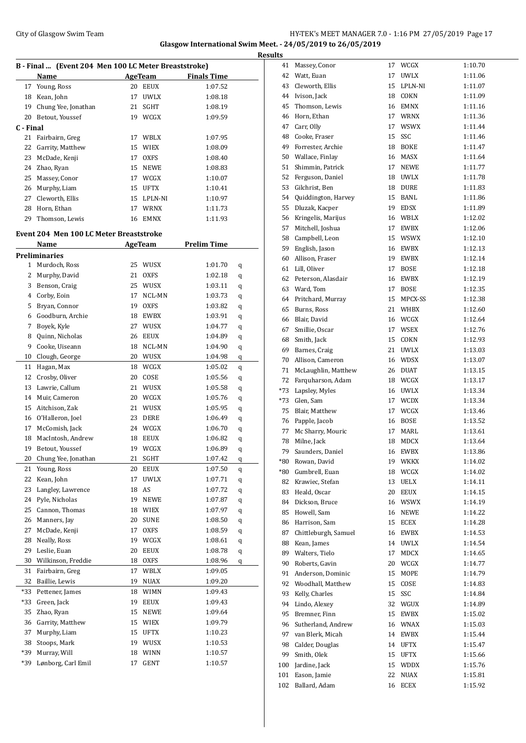### City of Glasgow Swim Team Team Frameters Music City of Glasgow Swim Team Frameters Music City of Glasgow Swim Team Frameters Music City of Glasgow Swim Team Frameters Music City of Glasgow Swim Team Frameters Music City of **Glasgow International Swim Meet. - 24/05/2019 to 26/05/2019**

| B - Final  (Event 204 Men 100 LC Meter Breaststroke) |                                         |    |             |                    |   |  |  |  |  |
|------------------------------------------------------|-----------------------------------------|----|-------------|--------------------|---|--|--|--|--|
|                                                      | Name                                    |    | AgeTeam     | <b>Finals Time</b> |   |  |  |  |  |
| 17                                                   | Young, Ross                             |    | 20 EEUX     | 1:07.52            |   |  |  |  |  |
| 18                                                   | Kean, John                              | 17 | UWLX        | 1:08.18            |   |  |  |  |  |
| 19                                                   | Chung Yee, Jonathan                     | 21 | SGHT        | 1:08.19            |   |  |  |  |  |
| 20                                                   | Betout, Youssef                         |    | 19 WCGX     | 1:09.59            |   |  |  |  |  |
| C - Final                                            |                                         |    |             |                    |   |  |  |  |  |
| 21                                                   | Fairbairn, Greg                         | 17 | WBLX        | 1:07.95            |   |  |  |  |  |
| 22                                                   | Garrity, Matthew                        | 15 | <b>WIEX</b> | 1:08.09            |   |  |  |  |  |
| 23                                                   | McDade, Kenji                           | 17 | <b>OXFS</b> | 1:08.40            |   |  |  |  |  |
| 24                                                   | Zhao, Ryan                              |    | 15 NEWE     | 1:08.83            |   |  |  |  |  |
| 25                                                   | Massey, Conor                           |    | 17 WCGX     | 1:10.07            |   |  |  |  |  |
| 26                                                   | Murphy, Liam                            |    | 15 UFTX     | 1:10.41            |   |  |  |  |  |
| 27                                                   | Cleworth, Ellis                         |    | 15 LPLN-NI  | 1:10.97            |   |  |  |  |  |
| 28                                                   | Horn, Ethan                             | 17 | <b>WRNX</b> | 1:11.73            |   |  |  |  |  |
| 29                                                   | Thomson, Lewis                          | 16 | EMNX        | 1:11.93            |   |  |  |  |  |
|                                                      | Event 204 Men 100 LC Meter Breaststroke |    |             |                    |   |  |  |  |  |
|                                                      | Name                                    |    | AgeTeam     | <b>Prelim Time</b> |   |  |  |  |  |
|                                                      | Preliminaries                           |    |             |                    |   |  |  |  |  |
| 1                                                    | Murdoch, Ross                           | 25 | WUSX        | 1:01.70            | q |  |  |  |  |
| 2                                                    | Murphy, David                           | 21 | <b>OXFS</b> | 1:02.18            | q |  |  |  |  |
| 3                                                    | Benson, Craig                           | 25 | <b>WUSX</b> | 1:03.11            | q |  |  |  |  |
| 4                                                    | Corby, Eoin                             | 17 | NCL-MN      | 1:03.73            | q |  |  |  |  |
| 5                                                    | Bryan, Connor                           | 19 | <b>OXFS</b> | 1:03.82            | q |  |  |  |  |
| 6                                                    | Goodburn, Archie                        |    | 18 EWBX     | 1:03.91            | q |  |  |  |  |
| 7                                                    | Boyek, Kyle                             |    | 27 WUSX     | 1:04.77            | q |  |  |  |  |
| 8                                                    | Quinn, Nicholas                         |    | 26 EEUX     | 1:04.89            | q |  |  |  |  |
| 9                                                    | Cooke, Uiseann                          |    | 18 NCL-MN   | 1:04.90            | q |  |  |  |  |
| 10                                                   | Clough, George                          |    | 20 WUSX     | 1:04.98            | q |  |  |  |  |
| 11                                                   | Hagan, Max                              | 18 | WCGX        | 1:05.02            | q |  |  |  |  |
| 12                                                   | Crosby, Oliver                          | 20 | COSE        | 1:05.56            | q |  |  |  |  |
| 13                                                   | Lawrie, Callum                          | 21 | WUSX        | 1:05.58            | q |  |  |  |  |
| 14                                                   | Muir, Cameron                           |    | 20 WCGX     | 1:05.76            | q |  |  |  |  |
| 15                                                   | Aitchison, Zak                          | 21 | <b>WUSX</b> | 1:05.95            | q |  |  |  |  |
| 16                                                   | O'Halleron, Joel                        | 23 | DERE        | 1:06.49            | q |  |  |  |  |
| 17                                                   | McComish, Jack                          |    | 24 WCGX     | 1:06.70            | q |  |  |  |  |
| 18                                                   | MacIntosh, Andrew                       | 18 | EEUX        | 1:06.82            | q |  |  |  |  |
| 19                                                   | Betout, Youssef                         | 19 | WCGX        | 1:06.89            | q |  |  |  |  |
| 20                                                   | Chung Yee, Jonathan                     | 21 | <b>SGHT</b> | 1:07.42            | q |  |  |  |  |
| 21                                                   | Young, Ross                             | 20 | EEUX        | 1:07.50            | q |  |  |  |  |
| 22                                                   | Kean, John                              | 17 | <b>UWLX</b> | 1:07.71            | q |  |  |  |  |
| 23                                                   | Langley, Lawrence                       | 18 | AS          | 1:07.72            | q |  |  |  |  |
| 24                                                   | Pyle, Nicholas                          | 19 | NEWE        | 1:07.87            | q |  |  |  |  |
| 25                                                   | Cannon, Thomas                          | 18 | WIEX        | 1:07.97            | q |  |  |  |  |
| 26                                                   | Manners, Jay                            | 20 | <b>SUNE</b> | 1:08.50            | q |  |  |  |  |
| 27                                                   | McDade, Kenji                           | 17 | <b>OXFS</b> | 1:08.59            | q |  |  |  |  |
| 28                                                   | Neally, Ross                            | 19 | WCGX        | 1:08.61            | q |  |  |  |  |
| 29                                                   | Leslie, Euan                            | 20 | EEUX        | 1:08.78            | q |  |  |  |  |
| 30                                                   | Wilkinson, Freddie                      | 18 | <b>OXFS</b> | 1:08.96            | q |  |  |  |  |
| 31                                                   | Fairbairn, Greg                         | 17 | WBLX        | 1:09.05            |   |  |  |  |  |
| 32                                                   | Baillie, Lewis                          | 19 | $\rm NUAX$  | 1:09.20            |   |  |  |  |  |
| *33                                                  | Pettener, James                         | 18 | WIMN        | 1:09.43            |   |  |  |  |  |
| *33                                                  | Green, Jack                             | 19 | EEUX        | 1:09.43            |   |  |  |  |  |
| 35                                                   | Zhao, Ryan                              | 15 | NEWE        | 1:09.64            |   |  |  |  |  |
| 36                                                   | Garrity, Matthew                        | 15 | WIEX        | 1:09.79            |   |  |  |  |  |
| 37                                                   | Murphy, Liam                            | 15 | UFTX        | 1:10.23            |   |  |  |  |  |
| 38                                                   | Stoops, Mark                            | 19 | WUSX        | 1:10.53            |   |  |  |  |  |
| *39                                                  | Murray, Will                            | 18 | WINN        | 1:10.57            |   |  |  |  |  |
| *39                                                  | Lønborg, Carl Emil                      | 17 | GENT        | 1:10.57            |   |  |  |  |  |

| <b>Results</b> |                                       |    |                    |                    |
|----------------|---------------------------------------|----|--------------------|--------------------|
| 41             | Massey, Conor                         |    | 17 WCGX            | 1:10.70            |
|                | 42 Watt, Euan                         |    | 17 UWLX            | 1:11.06            |
|                | 43 Cleworth, Ellis                    |    | 15 LPLN-NI         | 1:11.07            |
|                | 44 Ivison, Jack                       |    | 18 COKN            | 1:11.09            |
| 45             | Thomson, Lewis                        |    | 16 EMNX            | 1:11.16            |
| 46             | Horn, Ethan                           |    | 17 WRNX            | 1:11.36            |
| 47             | Carr, Olly                            | 17 | <b>WSWX</b>        | 1:11.44            |
|                | 48 Cooke, Fraser                      | 15 | SSC                | 1:11.46            |
|                | 49 Forrester, Archie                  |    | 18 BOKE            | 1:11.47            |
|                | 50 Wallace, Finlay                    |    | 16 MASX            | 1:11.64            |
| 51             | Shimmin, Patrick                      |    | 17 NEWE            | 1:11.77            |
|                | 52 Ferguson, Daniel                   |    | 18 UWLX            | 1:11.78            |
|                | 53 Gilchrist, Ben                     |    | 18 DURE            | 1:11.83            |
|                | 54 Quiddington, Harvey                |    | 15 BANL            | 1:11.86            |
| 55             | Dluzak, Kacper                        |    | 19 EDSX            | 1:11.89            |
|                | 56 Kringelis, Marijus                 |    | 16 WBLX            | 1:12.02            |
| 57             | Mitchell, Joshua                      |    | 17 EWBX            | 1:12.06            |
| 58             | Campbell, Leon                        |    | 15 WSWX            | 1:12.10            |
| 59             | English, Jason                        |    | 16 EWBX            | 1:12.13            |
| 60             | Allison, Fraser                       |    | 19 EWBX            | 1:12.14            |
|                | 61 Lill, Oliver                       | 17 | <b>BOSE</b>        | 1:12.18            |
|                | 62 Peterson, Alasdair                 |    | 16 EWBX            | 1:12.19            |
|                | 63 Ward, Tom                          | 17 | <b>BOSE</b>        | 1:12.35            |
|                | 64 Pritchard, Murray                  | 15 | MPCX-SS            | 1:12.38            |
| 65             | Burns, Ross                           |    | 21 WHBX            | 1:12.60            |
|                | 66 Blair, David                       |    | 16 WCGX            | 1:12.64            |
| 67             | Smillie, Oscar                        |    | 17 WSEX            | 1:12.76            |
| 68             | Smith, Jack                           |    | 15 COKN            | 1:12.93            |
| 69             | Barnes, Craig                         |    | 21 UWLX            | 1:13.03            |
| 70             | Allison, Cameron                      |    | 16 WDSX            | 1:13.07            |
| 71             | McLaughlin, Matthew                   |    | 26 DUAT            | 1:13.15            |
| 72             | Farquharson, Adam                     |    | 18 WCGX            | 1:13.17            |
| *73            | Lapsley, Myles                        |    | 16 UWLX            | 1:13.34            |
|                | *73 Glen, Sam                         |    | 17 WCDX            | 1:13.34            |
|                | 75 Blair, Matthew                     |    | 17 WCGX<br>16 BOSE | 1:13.46            |
| 77             | 76 Papple, Jacob<br>Mc Sharry, Mouric | 17 | MARL               | 1:13.52<br>1:13.61 |
| 78             | Milne, Jack                           | 18 | MDCX               | 1:13.64            |
| 79             | Saunders, Daniel                      |    | 16 EWBX            | 1:13.86            |
| *80            | Rowan, David                          |    | 19 WKKX            | 1:14.02            |
| *80            | Gumbrell, Euan                        |    | 18 WCGX            | 1:14.02            |
| 82             | Krawiec, Stefan                       | 13 | UELX               | 1:14.11            |
| 83             | Heald, Oscar                          |    | 20 EEUX            | 1:14.15            |
| 84             | Dickson, Bruce                        |    | 16 WSWX            | 1:14.19            |
| 85             | Howell, Sam                           | 16 | NEWE               | 1:14.22            |
| 86             | Harrison, Sam                         | 15 | ECEX               | 1:14.28            |
| 87             | Chittleburgh, Samuel                  |    | 16 EWBX            | 1:14.53            |
| 88             | Kean, James                           |    | 14 UWLX            | 1:14.54            |
| 89             | Walters, Tielo                        | 17 | MDCX               | 1:14.65            |
| 90             | Roberts, Gavin                        |    | 20 WCGX            | 1:14.77            |
| 91             | Anderson, Dominic                     | 15 | MOPE               | 1:14.79            |
|                | 92 Woodhall, Matthew                  | 15 | COSE               | 1:14.83            |
| 93             | Kelly, Charles                        | 15 | SSC                | 1:14.84            |
| 94             | Lindo, Alexey                         | 32 | WGUX               | 1:14.89            |
| 95             | Bremner, Finn                         | 15 | EWBX               | 1:15.02            |
| 96             | Sutherland, Andrew                    |    | 16 WNAX            | 1:15.03            |
| 97             | van Blerk, Micah                      |    | 14 EWBX            | 1:15.44            |
| 98             | Calder, Douglas                       |    | 14 UFTX            | 1:15.47            |
| 99             | Smith, Olek                           | 15 | UFTX               | 1:15.66            |
| 100            | Jardine, Jack                         |    | 15 WDDX            | 1:15.76            |
| 101            | Eason, Jamie                          | 22 | NUAX               | 1:15.81            |
| 102            | Ballard, Adam                         |    | 16 ECEX            | 1:15.92            |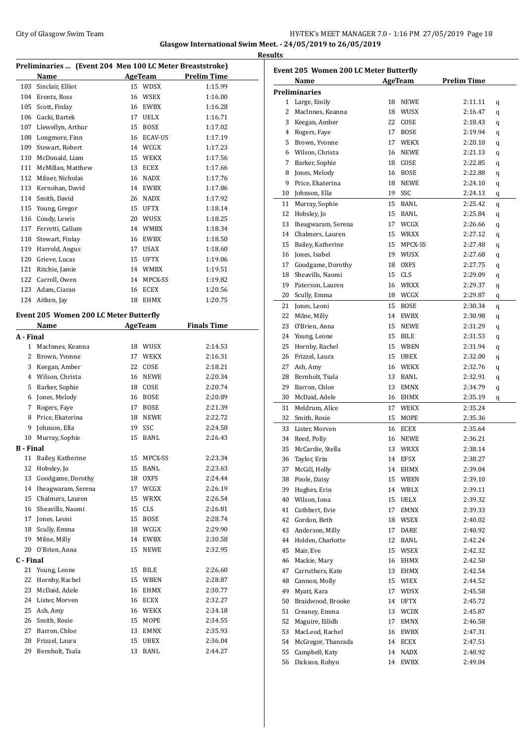#### City of Glasgow Swim Team Team Feam Fermi States of Glasgow Swim Team Feam Fermi States of Base 18 **Glasgow International Swim Meet. - 24/05/2019 to 26/05/2019 Results**

|                  | Preliminaries  (Event 204 Men 100 LC Meter Breaststroke) |    |                |                    |
|------------------|----------------------------------------------------------|----|----------------|--------------------|
|                  | Name                                                     |    | <b>AgeTeam</b> | <b>Prelim Time</b> |
|                  | 103 Sinclair, Elliot                                     |    | 15 WDSX        | 1:15.99            |
|                  | 104 Erentz, Ross                                         |    | 16 WSEX        | 1:16.00            |
|                  | 105 Scott, Finlay                                        |    | 16 EWBX        | 1:16.28            |
|                  | 106 Gacki, Bartek                                        |    | 17 UELX        | 1:16.71            |
|                  | 107 Llewellyn, Arthur                                    |    | 15 BOSE        | 1:17.02            |
|                  | 108 Longmore, Finn                                       |    | 16 ECAV-US     | 1:17.19            |
|                  | 109 Stewart, Robert                                      |    | 14 WCGX        | 1:17.23            |
|                  | 110 McDonald, Liam                                       |    | 15 WEKX        | 1:17.56            |
|                  | 111 McMillan, Matthew                                    |    | 13 ECEX        | 1:17.66            |
|                  | 112 Milner, Nicholas                                     |    | 16 NADX        | 1:17.76            |
|                  | 113 Kernohan, David                                      |    | 14 EWBX        | 1:17.86            |
|                  | 114 Smith, David                                         |    | 26 NADX        | 1:17.92            |
|                  | 115 Young, Gregor                                        |    | 15 UFTX        | 1:18.14            |
|                  | 116 Condy, Lewis                                         |    | 20 WUSX        | 1:18.25            |
|                  | 117 Ferretti, Callum                                     |    | 14 WMBX        | 1:18.34            |
|                  | 118 Stewart, Finlay                                      |    | 16 EWBX        | 1:18.50            |
|                  | 119 Harrold, Angus                                       |    | 17 USAX        | 1:18.60            |
|                  | 120 Grieve, Lucas                                        |    | 15 UFTX        | 1:19.06            |
|                  | 121 Ritchie, Jamie                                       |    | 14 WMBX        | 1:19.51            |
|                  | 122 Carroll, Owen                                        |    | 14 MPCX-SS     | 1:19.82            |
|                  | 123 Adam, Ciaran                                         |    | 16 ECEX        | 1:20.56            |
|                  | 124 Aitken, Jay                                          |    | 18 EHMX        | 1:20.75            |
|                  |                                                          |    |                |                    |
|                  | <b>Event 205 Women 200 LC Meter Butterfly</b>            |    |                |                    |
|                  | Name                                                     |    | AgeTeam        | <b>Finals Time</b> |
| A - Final        |                                                          |    |                |                    |
|                  | 1 MacInnes, Keanna                                       |    | 18 WUSX        | 2:14.53            |
|                  | 2 Brown, Yvonne                                          |    | 17 WEKX        | 2:16.31            |
|                  | 3 Keegan, Amber                                          |    | 22 COSE        | 2:18.21            |
|                  | 4 Wilson, Christa                                        |    | 16 NEWE        | 2:20.34            |
|                  | 5 Barker, Sophie                                         |    | 18 COSE        | 2:20.74            |
|                  | 6 Jones, Melody                                          |    | 16 BOSE        | 2:20.89            |
|                  | 7 Rogers, Faye                                           |    | 17 BOSE        | 2:21.39            |
|                  | 8 Price, Ekaterina                                       |    | 18 NEWE        | 2:22.72            |
|                  | 9 Johnson, Ella                                          |    | 19 SSC         | 2:24.58            |
| 10               | Murray, Sophie                                           | 15 | BANL           | 2:26.43            |
| <b>B</b> - Final |                                                          |    |                |                    |
| 11               | Bailey, Katherine                                        | 15 | MPCX-SS        | 2:23.34            |
| 12               | Hobsley, Jo                                              | 15 | BANL           | 2:23.63            |
| 13               | Goodgame, Dorothy                                        | 18 | OXFS           | 2:24.44            |
| 14               | Iheagwaram, Serena                                       | 17 | ${\sf WCGX}$   | 2:26.19            |
| 15               | Chalmers, Lauren                                         | 15 | <b>WRXX</b>    | 2:26.54            |
| 16               | Sheavills, Naomi                                         | 15 | CLS            | 2:26.81            |
| 17               | Jones, Leoni                                             | 15 | BOSE           | 2:28.74            |
| 18               | Scully, Emma                                             |    | 18 WCGX        | 2:29.90            |
| 19               | Milne, Milly                                             | 14 | EWBX           | 2:30.58            |
| 20               | O'Brien, Anna                                            | 15 | <b>NEWE</b>    | 2:32.95            |
| C - Final        |                                                          |    |                |                    |
|                  | 21 Young, Leone                                          | 15 | BILE           | 2:26.60            |
| 22               | Hornby, Rachel                                           | 15 | WBEN           | 2:28.87            |
| 23               | McDaid, Adele                                            | 16 | EHMX           | 2:30.77            |
| 24               | Lister, Morven                                           | 16 | ECEX           | 2:32.27            |
| 25               | Ash, Amy                                                 |    | 16 WEKX        | 2:34.18            |
| 26               | Smith, Rosie                                             | 15 | MOPE           | 2:34.55            |
| 27               | Barron, Chloe                                            | 13 | EMNX           | 2:35.93            |
| 28               | Frizzel, Laura                                           | 15 | UBEX           | 2:36.04            |
| 29               | Bernholt, Tsala                                          | 13 | BANL           | 2:44.27            |

|              | Event 205 Women 200 LC Meter Butterfly<br><b>Name</b> |    | AgeTeam     | <b>Prelim Time</b> |   |
|--------------|-------------------------------------------------------|----|-------------|--------------------|---|
|              | <b>Preliminaries</b>                                  |    |             |                    |   |
|              | 1 Large, Emily                                        | 18 | <b>NEWE</b> | 2:11.11            | q |
| $\mathbf{2}$ | MacInnes, Keanna                                      | 18 | WUSX        | 2:16.47            | q |
|              | 3 Keegan, Amber                                       | 22 | COSE        | 2:18.43            | q |
|              | 4 Rogers, Faye                                        | 17 | <b>BOSE</b> | 2:19.94            | q |
|              | 5 Brown, Yvonne                                       | 17 | <b>WEKX</b> | 2:20.10            | q |
|              | 6 Wilson, Christa                                     | 16 | <b>NEWE</b> | 2:21.13            | q |
| 7            | Barker, Sophie                                        | 18 | COSE        | 2:22.85            | q |
|              | 8 Jones, Melody                                       | 16 | <b>BOSE</b> | 2:22.88            | q |
| 9            | Price, Ekaterina                                      | 18 | <b>NEWE</b> | 2:24.10            | q |
|              | 10 Johnson, Ella                                      | 19 | SSC         | 2:24.13            | q |
|              | 11 Murray, Sophie                                     | 15 | BANL        | 2:25.42            | q |
| 12           | Hobsley, Jo                                           | 15 | BANL        | 2:25.84            | q |
| 13           | Iheagwaram, Serena                                    | 17 | WCGX        | 2:26.66            | q |
| 14           | Chalmers, Lauren                                      | 15 | WRXX        | 2:27.12            | q |
| 15           | Bailey, Katherine                                     | 15 | MPCX-SS     | 2:27.48            | q |
|              | 16 Jones, Isabel                                      | 19 | WUSX        | 2:27.68            |   |
| 17           | Goodgame, Dorothy                                     | 18 | <b>OXFS</b> | 2:27.75            | q |
| 18           | Sheavills, Naomi                                      | 15 | <b>CLS</b>  | 2:29.09            | q |
| 19           |                                                       | 16 | <b>WRXX</b> | 2:29.37            | q |
|              | Paterson, Lauren                                      |    | WCGX        |                    | q |
|              | 20 Scully, Emma                                       | 18 |             | 2:29.87            | q |
|              | 21 Jones, Leoni                                       | 15 | <b>BOSE</b> | 2:30.34            | q |
| 22           | Milne, Milly                                          | 14 | <b>EWBX</b> | 2:30.98            | q |
| 23           | O'Brien, Anna                                         | 15 | <b>NEWE</b> | 2:31.29            | q |
|              | 24 Young, Leone                                       | 15 | <b>BILE</b> | 2:31.53            | q |
|              | 25 Hornby, Rachel                                     | 15 | WBEN        | 2:31.94            | q |
| 26           | Frizzel, Laura                                        | 15 | <b>UBEX</b> | 2:32.00            | q |
| 27           | Ash, Amy                                              | 16 | WEKX        | 2:32.76            | q |
| 28           | Bernholt, Tsala                                       | 13 | BANL        | 2:32.91            | q |
| 29           | Barron, Chloe                                         | 13 | <b>EMNX</b> | 2:34.79            | q |
| 30           | McDaid, Adele                                         | 16 | EHMX        | 2:35.19            | q |
| 31           | Meldrum, Alice                                        | 17 | WEKX        | 2:35.24            |   |
| 32           | Smith, Rosie                                          | 15 | MOPE        | 2:35.36            |   |
| 33           | Lister, Morven                                        | 16 | ECEX        | 2:35.64            |   |
| 34           | Reed, Polly                                           | 16 | <b>NEWE</b> | 2:36.21            |   |
| 35           | McCardie, Stella                                      | 13 | <b>WRXX</b> | 2:38.14            |   |
| 36           | Taylor, Erin                                          | 14 | <b>EFSX</b> | 2:38.27            |   |
| 37           | McGill, Holly                                         | 14 | EHMX        | 2:39.04            |   |
| 38           | Poole, Daisy                                          | 15 | WBEN        | 2:39.10            |   |
| 39           | Hughes, Erin                                          | 14 | WBLX        | 2:39.11            |   |
| 40           | Wilson, Iona                                          | 15 | UELX        | 2:39.32            |   |
| 41           | Cuthbert, Evie                                        | 17 | EMNX        | 2:39.33            |   |
| 42           | Gordon, Beth                                          | 18 | WSEX        | 2:40.02            |   |
| 43           | Anderson, Milly                                       | 17 | DARE        | 2:40.92            |   |
| 44           | Holden, Charlotte                                     | 12 | BANL        | 2:42.24            |   |
| 45           | Mair, Eve                                             | 15 | WSEX        | 2:42.32            |   |
| 46           | Mackie, Mary                                          | 16 | EHMX        | 2:42.50            |   |
| 47           | Carruthers, Kate                                      | 13 | EHMX        | 2:42.54            |   |
| 48           | Cannon, Molly                                         | 15 | WIEX        | 2:44.52            |   |
| 49           | Myatt, Kara                                           | 17 | WDSX        | 2:45.58            |   |
| 50           | Braidwood, Brooke                                     | 14 | UFTX        | 2:45.72            |   |
| 51           | Creaney, Emma                                         | 13 | <b>WCDX</b> | 2:45.87            |   |
|              |                                                       |    |             |                    |   |
| 52           | Maguire, Eilidh                                       | 17 | EMNX        | 2:46.58            |   |
| 53           | MacLeod, Rachel                                       | 16 | EWBX        | 2:47.31            |   |
| 54           | McGregor, Thanrada                                    | 14 | ECEX        | 2:47.51            |   |
| 55           | Campbell, Katy                                        | 14 | NADX        | 2:48.92            |   |
| 56           | Dickson, Robyn                                        | 14 | EWBX        | 2:49.04            |   |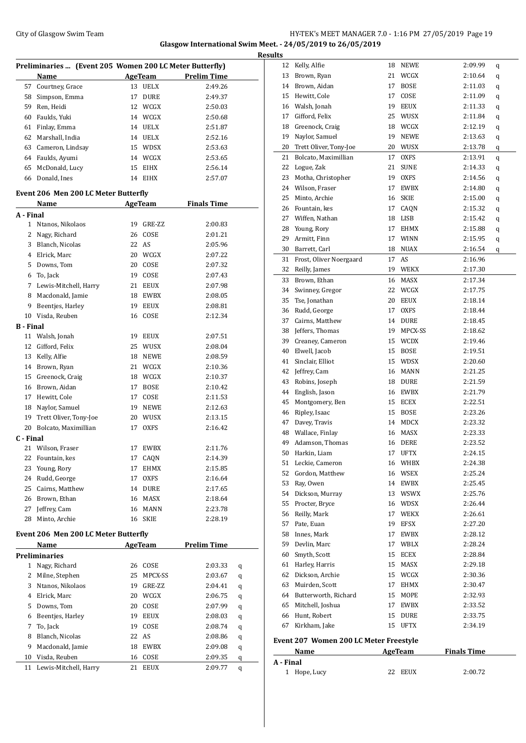### City of Glasgow Swim Team Team Frameters Music City of Glasgow Swim Team Frameters Music City of Glasgow Swim Team Frameters Music City of Glasgow Swim Team Frameters Music City of Glasgow Swim Team Frameters Music City of **Glasgow International Swim Meet. - 24/05/2019 to 26/05/2019**

|              | Preliminaries  (Event 205 Women 200 LC Meter Butterfly) |    |             |                    |   |
|--------------|---------------------------------------------------------|----|-------------|--------------------|---|
|              | Name                                                    |    | AgeTeam     | <b>Prelim Time</b> |   |
| 57           | Courtney, Grace                                         | 13 | <b>UELX</b> | 2:49.26            |   |
| 58           | Simpson, Emma                                           |    | 17 DURE     | 2:49.37            |   |
| 59           | Ren, Heidi                                              |    | 12 WCGX     | 2:50.03            |   |
| 60           | Faulds, Yuki                                            |    | 14 WCGX     | 2:50.68            |   |
| 61           | Finlay, Emma                                            |    | 14 UELX     | 2:51.87            |   |
|              | 62 Marshall, India                                      |    | 14 UELX     | 2:52.16            |   |
| 63           | Cameron, Lindsay                                        |    | 15 WDSX     | 2:53.63            |   |
| 64           | Faulds, Ayumi                                           |    | 14 WCGX     | 2:53.65            |   |
| 65           | McDonald, Lucy                                          |    | 15 EIHX     | 2:56.14            |   |
|              | 66 Donald, Ines                                         |    | 14 EIHX     | 2:57.07            |   |
|              | <b>Event 206 Men 200 LC Meter Butterfly</b>             |    |             |                    |   |
|              | Name                                                    |    | AgeTeam     | <b>Finals Time</b> |   |
| A - Final    |                                                         |    |             |                    |   |
| 1            | Ntanos, Nikolaos                                        | 19 | GRE-ZZ      | 2:00.83            |   |
| $\mathbf{2}$ | Nagy, Richard                                           |    | 26 COSE     | 2:01.21            |   |
| 3            | Blanch, Nicolas                                         |    | 22 AS       | 2:05.96            |   |
|              | 4 Elrick, Marc                                          |    | 20 WCGX     | 2:07.22            |   |
|              | 5 Downs, Tom                                            |    | 20 COSE     | 2:07.32            |   |
| 6            | To, Jack                                                |    | 19 COSE     | 2:07.43            |   |
|              | 7 Lewis-Mitchell, Harry                                 |    | 21 EEUX     | 2:07.98            |   |
| 8            | Macdonald, Jamie                                        |    | 18 EWBX     | 2:08.05            |   |
| 9            | Beentjes, Harley                                        |    | 19 EEUX     | 2:08.81            |   |
|              | 10 Visda, Reuben                                        |    | 16 COSE     | 2:12.34            |   |
| B - Final    |                                                         |    |             |                    |   |
| 11           | Walsh, Jonah                                            |    | 19 EEUX     | 2:07.51            |   |
| 12           | Gifford, Felix                                          |    | 25 WUSX     | 2:08.04            |   |
| 13           | Kelly, Alfie                                            |    | 18 NEWE     | 2:08.59            |   |
| 14           | Brown, Ryan                                             |    | 21 WCGX     | 2:10.36            |   |
| 15           | Greenock, Craig                                         |    | 18 WCGX     | 2:10.37            |   |
|              | 16 Brown, Aidan                                         |    | 17 BOSE     | 2:10.42            |   |
|              | 17 Hewitt, Cole                                         |    | 17 COSE     | 2:11.53            |   |
| 18           | Naylor, Samuel                                          |    | 19 NEWE     | 2:12.63            |   |
| 19           | Trett Oliver, Tony-Joe                                  |    | 20 WUSX     | 2:13.15            |   |
|              | 20 Bolcato, Maximillian                                 | 17 | OXFS        | 2:16.42            |   |
| C - Final    |                                                         |    |             |                    |   |
|              | 21 Wilson, Fraser                                       | 17 | EWBX        | 2:11.76            |   |
| 22           | Fountain, kes                                           | 17 | CAQN        | 2:14.39            |   |
| 23           | Young, Rory                                             | 17 | EHMX        | 2:15.85            |   |
| 24           | Rudd, George                                            | 17 | OXFS        | 2:16.64            |   |
| 25           | Cairns, Matthew                                         | 14 | DURE        | 2:17.65            |   |
| 26           | Brown, Ethan                                            |    | 16 MASX     | 2:18.64            |   |
| 27           | Jeffrey, Cam                                            | 16 | MANN        | 2:23.78            |   |
| 28           | Minto, Archie                                           | 16 | <b>SKIE</b> | 2:28.19            |   |
|              | <b>Event 206 Men 200 LC Meter Butterfly</b>             |    |             |                    |   |
|              | Name                                                    |    | AgeTeam     | <u>Prelim Time</u> |   |
|              | <b>Preliminaries</b>                                    |    |             |                    |   |
| 1            | Nagy, Richard                                           | 26 | COSE        | 2:03.33            | q |
| 2            | Milne, Stephen                                          | 25 | MPCX-SS     | 2:03.67            | q |
| 3            | Ntanos, Nikolaos                                        | 19 | GRE-ZZ      | 2:04.41            | q |
| 4            | Elrick, Marc                                            | 20 | WCGX        | 2:06.75            | q |
| 5            | Downs, Tom                                              | 20 | COSE        | 2:07.99            | q |
| 6            | Beentjes, Harley                                        | 19 | EEUX        | 2:08.03            | q |
| 7            | To, Jack                                                | 19 | COSE        | 2:08.74            | q |
| 8            | Blanch, Nicolas                                         | 22 | AS          | 2:08.86            | q |
| 9            | Macdonald, Jamie                                        | 18 | EWBX        | 2:09.08            | q |
| 10           | Visda, Reuben                                           | 16 | COSE        | 2:09.35            | q |

Lewis-Mitchell, Harry 21 EEUX 2:09.77 q

| <b>Results</b> |                                        |    |                    |                    |   |
|----------------|----------------------------------------|----|--------------------|--------------------|---|
| 12             | Kelly, Alfie                           |    | 18 NEWE            | 2:09.99            | q |
| 13             | Brown, Ryan                            |    | 21 WCGX            | 2:10.64            | q |
| 14             | Brown, Aidan                           | 17 | <b>BOSE</b>        | 2:11.03            | q |
| 15             | Hewitt, Cole                           | 17 | COSE               | 2:11.09            | q |
|                | 16 Walsh, Jonah                        | 19 | EEUX               | 2:11.33            | q |
| 17             | Gifford, Felix                         | 25 | WUSX               | 2:11.84            | q |
| 18             | Greenock, Craig                        | 18 | WCGX               | 2:12.19            | q |
| 19             | Navlor, Samuel                         | 19 | NEWE               | 2:13.63            | q |
| 20             | Trett Oliver, Tony-Joe                 |    | 20 WUSX            | 2:13.78            | q |
| 21             | Bolcato, Maximillian                   | 17 | <b>OXFS</b>        | 2:13.91            | q |
| 22             | Logue, Zak                             | 21 | <b>SUNE</b>        | 2:14.33            | q |
| 23             | Motha, Christopher                     | 19 | OXFS               | 2:14.56            | q |
| 24             | Wilson, Fraser                         | 17 | EWBX               | 2:14.80            | q |
| 25             | Minto, Archie                          | 16 | SKIE               | 2:15.00            | q |
| 26             | Fountain, kes                          |    | 17 CAQN            | 2:15.32            | q |
| 27             | Wiffen, Nathan                         |    | 18 LISB            | 2:15.42            | q |
| 28             | Young, Rory                            |    | 17 EHMX            | 2:15.88            | q |
| 29             | Armitt, Finn                           | 17 | <b>WINN</b>        | 2:15.95            | q |
| 30             | Barrett, Carl                          | 18 | NUAX               | 2:16.54            | q |
| 31             | Frost, Oliver Noergaard                | 17 | AS                 | 2:16.96            |   |
| 32             | Reilly, James                          | 19 | WEKX               | 2:17.30            |   |
| 33             | Brown, Ethan                           | 16 | MASX               | 2:17.34            |   |
| 34             | Swinney, Gregor                        | 22 | WCGX               | 2:17.75            |   |
| 35             | Tse, Jonathan                          |    | 20 EEUX            | 2:18.14            |   |
| 36             | Rudd, George                           | 17 | <b>OXFS</b>        | 2:18.44            |   |
| 37             | Cairns, Matthew                        |    | 14 DURE            | 2:18.45            |   |
| 38             | Jeffers, Thomas                        | 19 | MPCX-SS            | 2:18.62            |   |
| 39             | Creaney, Cameron                       |    | 15 WCDX            | 2:19.46            |   |
| 40             | Elwell, Jacob                          |    | 15 BOSE            | 2:19.51            |   |
| 41             | Sinclair, Elliot                       |    | 15 WDSX            | 2:20.60            |   |
| 42             | Jeffrey, Cam                           |    | 16 MANN            | 2:21.25            |   |
| 43             | Robins, Joseph                         |    | 18 DURE            | 2:21.59            |   |
| 44             | English, Jason                         |    | 16 EWBX            | 2:21.79            |   |
| 45             | Montgomery, Ben                        | 15 | ECEX               | 2:22.51            |   |
| 46             | Ripley, Isaac                          |    | 15 BOSE            | 2:23.26            |   |
| 47             | Davey, Travis                          | 14 | MDCX               | 2:23.32            |   |
| 48             | Wallace, Finlay                        | 16 | <b>MASX</b>        | 2:23.33            |   |
| 49             | Adamson, Thomas                        |    | 16 DERE            | 2:23.52            |   |
| 50             | Harkin, Liam                           |    | 17 UFTX            | 2:24.15            |   |
| 51             | Leckie, Cameron                        | 16 | WHBX               | 2:24.38            |   |
| 52<br>53       | Gordon, Matthew                        |    | 16 WSEX            | 2:25.24            |   |
| 54             | Ray, Owen                              |    | 14 EWBX            | 2:25.45<br>2:25.76 |   |
|                | Dickson, Murray                        |    | 13 WSWX<br>16 WDSX |                    |   |
| 55<br>56       | Procter, Bryce<br>Reilly, Mark         | 17 | WEKX               | 2:26.44<br>2:26.61 |   |
| 57             | Pate, Euan                             | 19 | EFSX               | 2:27.20            |   |
| 58             | Innes, Mark                            | 17 | EWBX               | 2:28.12            |   |
| 59             | Devlin, Marc                           | 17 | WBLX               | 2:28.24            |   |
| 60             | Smyth, Scott                           |    | 15 ECEX            | 2:28.84            |   |
| 61             | Harley, Harris                         | 15 | MASX               | 2:29.18            |   |
| 62             | Dickson, Archie                        |    | 15 WCGX            | 2:30.36            |   |
| 63             | Muirden, Scott                         |    | 17 EHMX            | 2:30.47            |   |
|                | 64 Butterworth, Richard                | 15 | MOPE               | 2:32.93            |   |
| 65             | Mitchell, Joshua                       | 17 | EWBX               | 2:33.52            |   |
| 66             | Hunt, Robert                           | 15 | DURE               | 2:33.75            |   |
| 67             | Kirkham, Jake                          | 15 | UFTX               | 2:34.19            |   |
|                |                                        |    |                    |                    |   |
|                | Event 207 Women 200 LC Meter Freestyle |    |                    |                    |   |

| Name         | AgeTeam    | <b>Finals Time</b> |  |
|--------------|------------|--------------------|--|
| A - Final    |            |                    |  |
| 1 Hope, Lucy | 22<br>EEUX | 2:00.72            |  |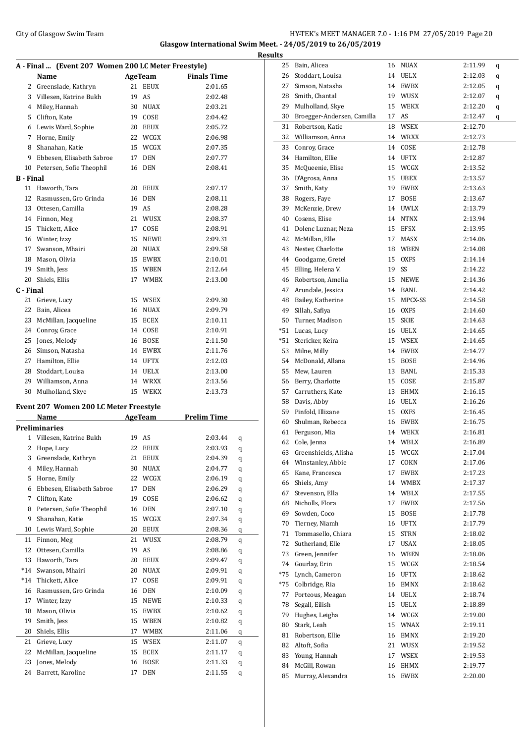### City of Glasgow Swim Team Team Frameters Music City of Glasgow Swim Team Frameters 2.0 - 1:16 PM 27/05/2019 Page 20 **Glasgow International Swim Meet. - 24/05/2019 to 26/05/2019**

|                  | A - Final  (Event 207 Women 200 LC Meter Freestyle) |    |             |                     |   |
|------------------|-----------------------------------------------------|----|-------------|---------------------|---|
|                  | Name                                                |    |             | AgeTeam Finals Time |   |
|                  | 2 Greenslade, Kathryn                               | 21 | <b>EEUX</b> | 2:01.65             |   |
|                  | 3 Villesen, Katrine Bukh                            | 19 | AS          | 2:02.48             |   |
|                  | 4 Miley, Hannah                                     | 30 | <b>NUAX</b> | 2:03.21             |   |
|                  | 5 Clifton, Kate                                     | 19 | COSE        | 2:04.42             |   |
|                  | 6 Lewis Ward, Sophie                                | 20 | <b>EEUX</b> | 2:05.72             |   |
|                  | 7 Horne, Emily                                      | 22 | WCGX        | 2:06.98             |   |
| 8                | Shanahan, Katie                                     | 15 | WCGX        | 2:07.35             |   |
| 9                | Ebbesen, Elisabeth Sabroe                           | 17 | <b>DEN</b>  | 2:07.77             |   |
| 10               | Petersen, Sofie Theophil                            | 16 | DEN         | 2:08.41             |   |
| <b>B</b> - Final |                                                     |    |             |                     |   |
|                  | 11 Haworth, Tara                                    | 20 | <b>EEUX</b> | 2:07.17             |   |
|                  | 12 Rasmussen, Gro Grinda                            | 16 | DEN         | 2:08.11             |   |
|                  | 13 Ottesen, Camilla                                 | 19 | AS          | 2:08.28             |   |
|                  | 14 Finnon, Meg                                      | 21 | WUSX        | 2:08.37             |   |
|                  | 15 Thickett, Alice                                  | 17 | COSE        | 2:08.91             |   |
|                  | 16 Winter, Izzy                                     | 15 | <b>NEWE</b> | 2:09.31             |   |
|                  | 17 Swanson, Mhairi                                  | 20 | <b>NUAX</b> | 2:09.58             |   |
|                  | 18 Mason, Olivia                                    | 15 | EWBX        | 2:10.01             |   |
| 19               | Smith, Jess                                         | 15 | WBEN        | 2:12.64             |   |
| 20               | Shiels, Ellis                                       | 17 | <b>WMBX</b> | 2:13.00             |   |
| C - Final        |                                                     |    |             |                     |   |
| 21               | Grieve, Lucy                                        | 15 | WSEX        | 2:09.30             |   |
| 22               | Bain, Alicea                                        | 16 | <b>NUAX</b> | 2:09.79             |   |
| 23               | McMillan, Jacqueline                                | 15 | ECEX        | 2:10.11             |   |
|                  | 24 Conroy, Grace                                    | 14 | COSE        | 2:10.91             |   |
|                  | 25 Jones, Melody                                    | 16 | <b>BOSE</b> | 2:11.50             |   |
|                  | 26 Simson, Natasha                                  | 14 | EWBX        | 2:11.76             |   |
|                  | 27 Hamilton, Ellie                                  | 14 | UFTX        | 2:12.03             |   |
|                  | 28 Stoddart, Louisa                                 | 14 | <b>UELX</b> | 2:13.00             |   |
|                  | 29 Williamson, Anna                                 | 14 | WRXX        | 2:13.56             |   |
| 30               | Mulholland, Skye                                    | 15 | WEKX        | 2:13.73             |   |
|                  |                                                     |    |             |                     |   |
|                  | Event 207 Women 200 LC Meter Freestyle              |    |             |                     |   |
|                  | Name                                                |    | AgeTeam     | <b>Prelim Time</b>  |   |
|                  | <b>Preliminaries</b>                                |    |             |                     |   |
| 1                | Villesen, Katrine Bukh                              | 19 | AS          | 2:03.44             | q |
| 2                | Hope, Lucy                                          | 22 | EEUX        | 2:03.93             | q |
|                  | 3 Greenslade, Kathryn                               |    | 21 EEUX     | 2:04.39             | q |
| 4                | Miley, Hannah                                       | 30 | <b>NUAX</b> | 2:04.77             | q |
| 5                | Horne, Emily                                        | 22 | WCGX        | 2:06.19             | q |
| 6                | Ebbesen, Elisabeth Sabroe                           | 17 | DEN         | 2:06.29             | q |
| 7                | Clifton, Kate                                       | 19 | COSE        | 2:06.62             | q |
| 8                | Petersen, Sofie Theophil                            | 16 | DEN         | 2:07.10             | q |
| 9                | Shanahan, Katie                                     | 15 | WCGX        | 2:07.34             | q |
| 10               | Lewis Ward, Sophie                                  | 20 | <b>EEUX</b> | 2:08.36             | q |

| 3     | Greenslade, Kathryn       | 21 | EEUX        | 2:04.39 | q |
|-------|---------------------------|----|-------------|---------|---|
| 4     | Miley, Hannah             | 30 | <b>NUAX</b> | 2:04.77 | q |
| 5     | Horne, Emily              | 22 | WCGX        | 2:06.19 | q |
| 6     | Ebbesen, Elisabeth Sabroe | 17 | <b>DEN</b>  | 2:06.29 | q |
| 7     | Clifton, Kate             | 19 | COSE        | 2:06.62 | q |
| 8     | Petersen, Sofie Theophil  | 16 | <b>DEN</b>  | 2:07.10 | q |
| 9     | Shanahan, Katie           | 15 | WCGX        | 2:07.34 | q |
| 10    | Lewis Ward, Sophie        | 20 | EEUX        | 2:08.36 | q |
| 11    | Finnon, Meg               | 21 | WUSX        | 2:08.79 | q |
| 12    | Ottesen, Camilla          | 19 | AS          | 2:08.86 | q |
| 13    | Haworth, Tara             | 20 | EEUX        | 2:09.47 | q |
| *14   | Swanson, Mhairi           | 20 | NUAX        | 2:09.91 | q |
| $*14$ | Thickett, Alice           | 17 | COSE        | 2:09.91 | q |
| 16    | Rasmussen, Gro Grinda     | 16 | <b>DEN</b>  | 2:10.09 | q |
| 17    | Winter, Izzy              | 15 | <b>NEWE</b> | 2:10.33 | q |
| 18    | Mason, Olivia             | 15 | EWBX        | 2:10.62 | q |
| 19    | Smith, Jess               | 15 | <b>WBEN</b> | 2:10.82 | q |
| 20    | Shiels, Ellis             | 17 | <b>WMBX</b> | 2:11.06 | q |
| 21    | Grieve, Lucy              | 15 | <b>WSEX</b> | 2:11.07 | q |
| 22    | McMillan, Jacqueline      | 15 | ECEX        | 2:11.17 | q |
| 23    | Jones, Melody             | 16 | <b>BOSE</b> | 2:11.33 | q |
| 24    | Barrett, Karoline         | 17 | <b>DEN</b>  | 2:11.55 | q |

| <b>Results</b> |                                     |    |                 |                    |   |
|----------------|-------------------------------------|----|-----------------|--------------------|---|
| 25             | Bain, Alicea                        |    | 16 NUAX         | 2:11.99            | q |
|                | 26 Stoddart, Louisa                 |    | 14 UELX         | 2:12.03            | q |
| 27             | Simson, Natasha                     |    | 14 EWBX         | 2:12.05            | q |
|                | 28 Smith, Chantal                   |    | 19 WUSX         | 2:12.07            | q |
| 29             | Mulholland, Skye                    |    | 15 WEKX         | 2:12.20            | q |
| 30             | Broegger-Andersen, Camilla          |    | 17 AS           | 2:12.47            | q |
| 31             | Robertson, Katie                    | 18 | WSEX            | 2:12.70            |   |
|                | 32 Williamson, Anna                 |    | 14 WRXX         | 2:12.73            |   |
| 33             | Conroy, Grace                       |    | 14 COSE         | 2:12.78            |   |
|                | 34 Hamilton, Ellie                  |    | 14 UFTX         | 2:12.87            |   |
| 35             | McQueenie, Elise                    |    | 15 WCGX         | 2:13.52            |   |
| 36             | D'Agrosa, Anna                      |    | 15 UBEX         | 2:13.57            |   |
| 37             | Smith, Katy                         |    | 19 EWBX         | 2:13.63            |   |
|                | 38 Rogers, Faye                     |    | 17 BOSE         | 2:13.67            |   |
|                | 39 McKenzie, Drew                   |    | 14 UWLX         | 2:13.79            |   |
|                | 40 Cosens, Elise                    |    | 14 NTNX         | 2:13.94            |   |
|                | 41 Dolenc Luznar, Neza              |    | 15 EFSX         | 2:13.95            |   |
|                | 42 McMillan, Elle                   |    | 17 MASX         | 2:14.06            |   |
| 43             | Nester, Charlotte                   |    | 18 WBEN         | 2:14.08            |   |
| 44             | Goodgame, Gretel                    | 15 | OXFS            | 2:14.14            |   |
| 45             | Elling, Helena V.                   | 19 | SS              | 2:14.22            |   |
|                | 46 Robertson, Amelia                |    | 15 NEWE         | 2:14.36            |   |
| 47             | Arundale, Jessica                   |    | 14 BANL         | 2:14.42            |   |
|                | 48 Bailey, Katherine                |    | 15 MPCX-SS      | 2:14.58            |   |
| 49             | Sillah, Safiya                      |    | 16 OXFS         | 2:14.60            |   |
|                | 50 Turner, Madison                  |    | 15 SKIE         | 2:14.63            |   |
|                | *51 Lucas, Lucy                     |    | 16 UELX         | 2:14.65            |   |
|                | *51 Stericker, Keira                |    | 15 WSEX         | 2:14.65            |   |
|                | 53 Milne, Milly                     |    | 14 EWBX         | 2:14.77            |   |
|                | 54 McDonald, Allana                 |    | 15 BOSE         | 2:14.96            |   |
|                | 55 Mew, Lauren                      |    | 13 BANL         | 2:15.33            |   |
|                | 56 Berry, Charlotte                 |    | 15 COSE         | 2:15.87            |   |
|                | 57 Carruthers, Kate                 |    | 13 EHMX         | 2:16.15            |   |
|                | 58 Davis, Abby                      |    | 16 UELX         | 2:16.26            |   |
|                | 59 Pinfold, Illizane                |    | 15 OXFS         | 2:16.45            |   |
| 60             | Shulman, Rebecca                    |    | 16 EWBX         | 2:16.75            |   |
| 61<br>62       | Ferguson, Mia                       | 14 | 14 WEKX<br>WBLX | 2:16.81<br>2:16.89 |   |
| 63             | Cole, Jenna<br>Greenshields, Alisha |    | 15 WCGX         |                    |   |
| 64             | Winstanley, Abbie                   | 17 | COKN            | 2:17.04<br>2:17.06 |   |
| 65             | Kane, Francesca                     | 17 | EWBX            | 2:17.23            |   |
| 66             | Shiels, Amy                         |    | 14 WMBX         | 2:17.37            |   |
| 67             | Stevenson, Ella                     |    | 14 WBLX         | 2:17.55            |   |
| 68             | Nicholls, Flora                     | 17 | EWBX            | 2:17.56            |   |
| 69             | Sowden, Coco                        | 15 | BOSE            | 2:17.78            |   |
| 70             | Tierney, Niamh                      |    | 16 UFTX         | 2:17.79            |   |
| 71             | Tommasello, Chiara                  | 15 | <b>STRN</b>     | 2:18.02            |   |
| 72             | Sutherland, Elle                    | 17 | USAX            | 2:18.05            |   |
| 73             | Green, Jennifer                     |    | 16 WBEN         | 2:18.06            |   |
| 74             | Gourlay, Erin                       |    | 15 WCGX         | 2:18.54            |   |
| *75            | Lynch, Cameron                      |    | 16 UFTX         | 2:18.62            |   |
| *75            | Colbridge, Ria                      |    | 16 EMNX         | 2:18.62            |   |
| 77             | Porteous, Meagan                    |    | 14 UELX         | 2:18.74            |   |
| 78             | Segall, Eilish                      |    | 15 UELX         | 2:18.89            |   |
| 79             | Hughes, Leigha                      |    | 14 WCGX         | 2:19.00            |   |
| 80             | Stark, Leah                         |    | 15 WNAX         | 2:19.11            |   |
| 81             | Robertson, Ellie                    |    | 16 EMNX         | 2:19.20            |   |
| 82             | Altoft, Sofia                       |    | 21 WUSX         | 2:19.52            |   |
| 83             | Young, Hannah                       |    | 17 WSEX         | 2:19.53            |   |
| 84             | McGill, Rowan                       | 16 | EHMX            | 2:19.77            |   |
| 85             | Murray, Alexandra                   | 16 | EWBX            | 2:20.00            |   |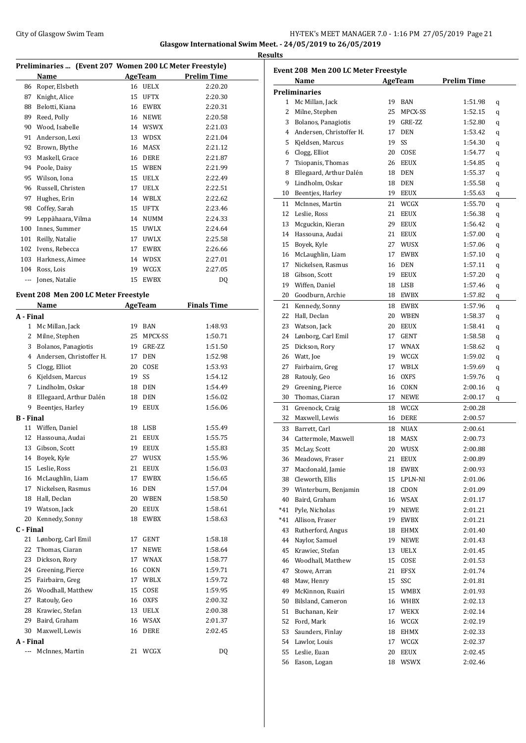#### City of Glasgow Swim Team Team Team Fermi Management City of Glasgow Swim Team Fermi Management City of Glasgow Swim Team Fermi Management City of Glasgow Swim Team Fermi Management City of Glasgow Swim Team Fermi Manageme **Glasgow International Swim Meet. - 24/05/2019 to 26/05/2019 Results**

|                  | Preliminaries  (Event 207 Women 200 LC Meter Freestyle) |    | AgeTeam                      | <b>Prelim Time</b> |
|------------------|---------------------------------------------------------|----|------------------------------|--------------------|
|                  | Name                                                    |    |                              |                    |
| 86               | Roper, Elsbeth                                          |    | 16 UELX                      | 2:20.20            |
| 87               | Knight, Alice                                           |    | 15 UFTX                      | 2:20.30            |
| 88               | Belotti, Kiana                                          |    | 16 EWBX                      | 2:20.31            |
| 89               | Reed, Polly                                             |    | 16 NEWE                      | 2:20.58            |
| 90               | Wood, Isabelle                                          |    | 14 WSWX                      | 2:21.03            |
| 91               | Anderson, Lexi                                          |    | 13 WDSX                      | 2:21.04            |
| 92               | Brown, Blythe                                           |    | 16 MASX                      | 2:21.12            |
| 93               | Maskell, Grace                                          |    | 16 DERE                      | 2:21.87            |
| 94               | Poole, Daisy                                            |    | 15 WBEN                      | 2:21.99            |
| 95               | Wilson, Iona                                            |    | 15 UELX                      | 2:22.49            |
| 96               | Russell, Christen                                       |    | 17 UELX                      | 2:22.51            |
| 97               | Hughes, Erin                                            |    | 14 WBLX                      | 2:22.62            |
|                  | 98 Coffey, Sarah                                        |    | 15 UFTX                      | 2:23.46            |
| 99               | Leppähaara, Vilma                                       |    | 14 NUMM                      | 2:24.33            |
| 100              | Innes, Summer                                           |    | 15 UWLX                      | 2:24.64            |
| 101              | Reilly, Natalie                                         | 17 | <b>UWLX</b>                  | 2:25.58            |
|                  | 102 Ivens, Rebecca                                      | 17 | EWBX                         | 2:26.66            |
|                  | 103 Harkness, Aimee                                     |    | 14 WDSX                      | 2:27.01            |
|                  | 104 Ross, Lois                                          |    | 19 WCGX                      | 2:27.05            |
| ---              | Jones, Natalie                                          | 15 | EWBX                         | DQ                 |
|                  |                                                         |    |                              |                    |
|                  | Event 208 Men 200 LC Meter Freestyle                    |    |                              |                    |
|                  | Name                                                    |    | AgeTeam                      | <b>Finals Time</b> |
| A - Final        |                                                         |    |                              |                    |
| $\mathbf{1}$     | Mc Millan, Jack                                         |    | 19 BAN                       | 1:48.93            |
| 2                | Milne, Stephen                                          |    | 25 MPCX-SS                   | 1:50.71            |
| 3                | Bolanos, Panagiotis                                     |    | 19 GRE-ZZ                    | 1:51.50            |
| 4                | Andersen, Christoffer H.                                | 17 | DEN                          | 1:52.98            |
| 5.               | Clogg, Elliot                                           | 20 | COSE                         | 1:53.93            |
| 6                | Kjeldsen, Marcus                                        | 19 | SS                           | 1:54.12            |
| 7                | Lindholm, Oskar                                         |    | 18 DEN                       | 1:54.49            |
| 8                | Ellegaard, Arthur Dalén                                 |    | 18 DEN                       | 1:56.02            |
| 9                | Beenties, Harley                                        | 19 | <b>EEUX</b>                  | 1:56.06            |
| <b>B</b> - Final |                                                         |    |                              |                    |
| 11               | Wiffen, Daniel                                          | 18 | LISB                         | 1:55.49            |
| 12               | Hassouna, Audai                                         | 21 | <b>EEUX</b>                  | 1:55.75            |
| 13               | Gibson, Scott                                           | 19 | <b>EEUX</b>                  | 1:55.83            |
| 14               | Boyek, Kyle                                             |    | 27 WUSX                      | 1:55.96            |
| 15               | Leslie, Ross                                            | 21 | EEUX                         | 1:56.03            |
| 16               | McLaughlin, Liam                                        | 17 | EWBX                         | 1:56.65            |
| 17               | Nickelsen, Rasmus                                       | 16 | <b>DEN</b>                   | 1:57.04            |
| 18               | Hall, Declan                                            | 20 | WBEN                         | 1:58.50            |
| 19               | Watson, Jack                                            | 20 | EEUX                         | 1:58.61            |
| 20               | Kennedy, Sonny                                          | 18 | EWBX                         | 1:58.63            |
| C - Final        |                                                         |    |                              |                    |
| 21               | Lønborg, Carl Emil                                      | 17 | GENT                         | 1:58.18            |
| 22               | Thomas, Ciaran                                          | 17 | NEWE                         | 1:58.64            |
| 23               | Dickson, Rory                                           | 17 | <b>WNAX</b>                  | 1:58.77            |
| 24               | Greening, Pierce                                        | 16 | COKN                         | 1:59.71            |
| 25               | Fairbairn, Greg                                         | 17 | $\ensuremath{\mathsf{WBLX}}$ | 1:59.72            |
|                  | 26 Woodhall, Matthew                                    | 15 | COSE                         | 1:59.95            |
| 27               | Ratouly, Geo                                            |    | 16 OXFS                      | 2:00.32            |
| 28               | Krawiec, Stefan                                         | 13 | UELX                         | 2:00.38            |
| 29               | Baird, Graham                                           | 16 | WSAX                         | 2:01.37            |
| 30               | Maxwell, Lewis                                          | 16 | DERE                         | 2:02.45            |
| A - Final        |                                                         |    |                              |                    |
| ---              | McInnes, Martin                                         | 21 | WCGX                         | DQ                 |

|              | Event 208 Men 200 LC Meter Freestyle |          |               |                    |   |
|--------------|--------------------------------------|----------|---------------|--------------------|---|
|              | Name                                 |          | AgeTeam       | <b>Prelim Time</b> |   |
|              | <b>Preliminaries</b>                 |          | BAN           |                    |   |
| $\mathbf{2}$ | 1 Mc Millan, Jack<br>Milne, Stephen  | 19<br>25 | MPCX-SS       | 1:51.98            | q |
|              | Bolanos, Panagiotis                  | 19       |               | 1:52.15            | q |
| 3<br>4       | Andersen, Christoffer H.             | 17       | GRE-ZZ<br>DEN | 1:52.80            | q |
| 5            |                                      | 19       | SS            | 1:53.42<br>1:54.30 | q |
|              | Kjeldsen, Marcus                     | 20       |               |                    | q |
| 6<br>7       | Clogg, Elliot                        |          | COSE          | 1:54.77            | q |
|              | Tsiopanis, Thomas                    | 26       | <b>EEUX</b>   | 1:54.85            | q |
| 8            | Ellegaard, Arthur Dalén              | 18       | DEN           | 1:55.37            | q |
| 9            | Lindholm, Oskar                      | 18       | DEN           | 1:55.58            | q |
| $10\,$       | Beentjes, Harley                     | 19       | EEUX          | 1:55.63            | q |
| 11           | McInnes, Martin                      | 21       | WCGX          | 1:55.70            | q |
| 12           | Leslie, Ross                         | 21       | <b>EEUX</b>   | 1:56.38            | q |
| 13           | Mcguckin, Kieran                     | 29       | <b>EEUX</b>   | 1:56.42            | q |
| 14           | Hassouna, Audai                      | 21       | EEUX          | 1:57.00            | q |
| 15           | Boyek, Kyle                          | 27       | WUSX          | 1:57.06            | q |
| 16           | McLaughlin, Liam                     | 17       | EWBX          | 1:57.10            | q |
| 17           | Nickelsen, Rasmus                    | 16       | DEN           | 1:57.11            | q |
| 18           | Gibson, Scott                        | 19       | <b>EEUX</b>   | 1:57.20            | q |
| 19           | Wiffen, Daniel                       | 18       | LISB          | 1:57.46            | q |
| 20           | Goodburn, Archie                     | 18       | EWBX          | 1:57.82            | q |
| 21           | Kennedy, Sonny                       | 18       | EWBX          | 1:57.96            | q |
| 22           | Hall, Declan                         | 20       | <b>WBEN</b>   | 1:58.37            | q |
| 23           | Watson, Jack                         | 20       | <b>EEUX</b>   | 1:58.41            | q |
| 24           | Lønborg, Carl Emil                   | 17       | GENT          | 1:58.58            | q |
| 25           | Dickson, Rory                        | 17       | WNAX          | 1:58.62            | q |
|              | 26 Watt, Joe                         |          | 19 WCGX       | 1:59.02            | q |
| 27           | Fairbairn, Greg                      | 17       | WBLX          | 1:59.69            | q |
| 28           | Ratouly, Geo                         | 16       | <b>OXFS</b>   | 1:59.76            | q |
| 29           | Greening, Pierce                     | 16       | COKN          | 2:00.16            | q |
| 30           | Thomas, Ciaran                       | 17       | NEWE          | 2:00.17            | q |
| 31           | Greenock, Craig                      | 18       | WCGX          | 2:00.28            |   |
| 32           | Maxwell, Lewis                       | 16       | DERE          | 2:00.57            |   |
| 33           | Barrett, Carl                        | 18       | <b>NUAX</b>   | 2:00.61            |   |
| 34           | Cattermole, Maxwell                  | 18       | MASX          | 2:00.73            |   |
| 35           | McLay, Scott                         | 20       | WUSX          | 2:00.88            |   |
| 36           | Meadows, Fraser                      | 21       | EEUX          | 2:00.89            |   |
| 37           | Macdonald, Jamie                     |          | 18 EWBX       | 2:00.93            |   |
| 38           | Cleworth, Ellis                      | 15       | LPLN-NI       | 2:01.06            |   |
| 39           | Winterburn, Benjamin                 | 18       | CDON          | 2:01.09            |   |
| 40           | Baird, Graham                        | 16       | WSAX          | 2:01.17            |   |
| *41          | Pyle, Nicholas                       | 19       | NEWE          | 2:01.21            |   |
| $*41$        | Allison, Fraser                      | 19       | EWBX          | 2:01.21            |   |
| 43           | Rutherford, Angus                    | 18       | EHMX          | 2:01.40            |   |
| 44           | Naylor, Samuel                       | 19       | NEWE          | 2:01.43            |   |
| 45           | Krawiec, Stefan                      | 13       | UELX          | 2:01.45            |   |
| 46           | Woodhall, Matthew                    | 15       | COSE          | 2:01.53            |   |
| 47           | Stowe, Arran                         | 21       | EFSX          | 2:01.74            |   |
| 48           | Maw, Henry                           | 15       | SSC           | 2:01.81            |   |
| 49           | McKinnon, Ruairi                     | 15       | WMBX          | 2:01.93            |   |
| 50           | Bilsland, Cameron                    | 16       | WHBX          | 2:02.13            |   |
| 51           | Buchanan, Keir                       | 17       | WEKX          | 2:02.14            |   |
| 52           | Ford, Mark                           | 16       | WCGX          | 2:02.19            |   |
| 53           | Saunders, Finlay                     | 18       | EHMX          | 2:02.33            |   |
| 54           | Lawlor, Louis                        | 17       | WCGX          | 2:02.37            |   |
| 55           | Leslie, Euan                         | 20       | EEUX          | 2:02.45            |   |
| 56           | Eason, Logan                         | 18       | WSWX          | 2:02.46            |   |
|              |                                      |          |               |                    |   |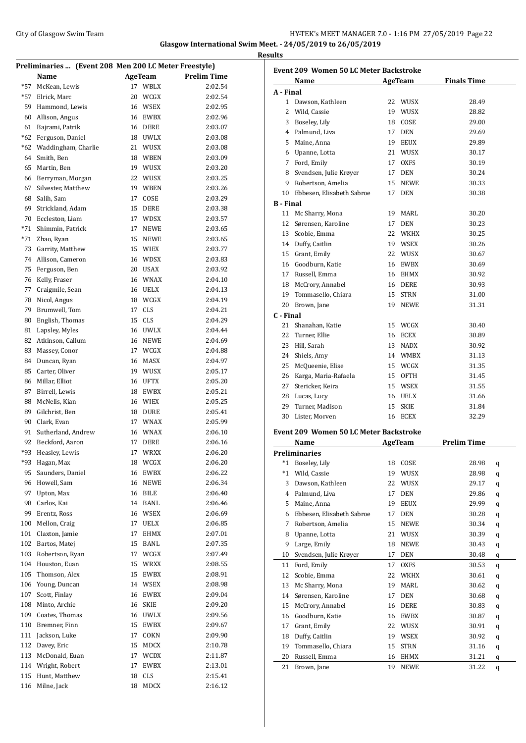#### City of Glasgow Swim Team **HY-TEK's MEET MANAGER 7.0 - 1:16 PM 27/05/2019** Page 22 **Glasgow International Swim Meet. - 24/05/2019 to 26/05/2019**

**Results**

**Preliminaries ... (Event 208 Men 200 LC Meter Freestyle) Name AgeTeam Prelim Time** \*57 McKean, Lewis 17 WBLX 2:02.54 \*57 Elrick, Marc 20 WCGX 2:02.54 Hammond, Lewis 16 WSEX 2:02.95 Allison, Angus 16 EWBX 2:02.96 Bajrami, Patrik 16 DERE 2:03.07 \*62 Ferguson, Daniel 18 UWLX 2:03.08 \*62 Waddingham, Charlie 21 WUSX 2:03.08 Smith, Ben 18 WBEN 2:03.09 Martin, Ben 19 WUSX 2:03.20 Berryman, Morgan 22 WUSX 2:03.25 Silvester, Matthew 19 WBEN 2:03.26 Salih, Sam 17 COSE 2:03.29 Strickland, Adam 15 DERE 2:03.38 Eccleston, Liam 17 WDSX 2:03.57 \*71 Shimmin, Patrick 17 NEWE 2:03.65 \*71 Zhao, Ryan 15 NEWE 2:03.65 Garrity, Matthew 15 WIEX 2:03.77 Allison, Cameron 16 WDSX 2:03.83 Ferguson, Ben 20 USAX 2:03.92 Kelly, Fraser 16 WNAX 2:04.10 Craigmile, Sean 16 UELX 2:04.13 Nicol, Angus 18 WCGX 2:04.19 Brumwell, Tom 17 CLS 2:04.21 80 English, Thomas 15 CLS 2:04.29 Lapsley, Myles 16 UWLX 2:04.44 Atkinson, Callum 16 NEWE 2:04.69 Massey, Conor 17 WCGX 2:04.88 Duncan, Ryan 16 MASX 2:04.97 Carter, Oliver 19 WUSX 2:05.17 Millar, Elliot 16 UFTX 2:05.20 Birrell, Lewis 18 EWBX 2:05.21 McNelis, Kian 16 WIEX 2:05.25 89 Gilchrist, Ben 18 DURE 2:05.41 Clark, Evan 17 WNAX 2:05.99 Sutherland, Andrew 16 WNAX 2:06.10 Beckford, Aaron 17 DERE 2:06.16 \*93 Heasley, Lewis 17 WRXX 2:06.20 \*93 Hagan, Max 18 WCGX 2:06.20 95 Saunders, Daniel 16 EWBX 2:06.22 Howell, Sam 16 NEWE 2:06.34 Upton, Max 16 BILE 2:06.40 Carlos, Kai 14 BANL 2:06.46 Erentz, Ross 16 WSEX 2:06.69 Mellon, Craig 17 UELX 2:06.85 Claxton, Jamie 17 EHMX 2:07.01 Bartos, Matej 15 BANL 2:07.35 Robertson, Ryan 17 WCGX 2:07.49 Houston, Euan 15 WRXX 2:08.55 Thomson, Alex 15 EWBX 2:08.91 Young, Duncan 14 WSEX 2:08.98 Scott, Finlay 16 EWBX 2:09.04 Minto, Archie 16 SKIE 2:09.20 Coates, Thomas 16 UWLX 2:09.56 Bremner, Finn 15 EWBX 2:09.67 Jackson, Luke 17 COKN 2:09.90 Davey, Eric 15 MDCX 2:10.78 McDonald, Euan 17 WCDX 2:11.87 Wright, Robert 17 EWBX 2:13.01 Hunt, Matthew 18 CLS 2:15.41 Milne, Jack 18 MDCX 2:16.12

| <b>Event 209 Women 50 LC Meter Backstroke</b> |                                               |    |                |                    |   |  |
|-----------------------------------------------|-----------------------------------------------|----|----------------|--------------------|---|--|
|                                               | <b>Name</b>                                   |    | <b>AgeTeam</b> | <b>Finals Time</b> |   |  |
| A - Final                                     |                                               |    |                |                    |   |  |
|                                               | 1 Dawson, Kathleen                            |    | 22 WUSX        | 28.49              |   |  |
|                                               | 2 Wild, Cassie                                |    | 19 WUSX        | 28.82              |   |  |
|                                               | 3 Boseley, Lily                               |    | 18 COSE        | 29.00              |   |  |
|                                               | 4 Palmund, Liva                               |    | 17 DEN         | 29.69              |   |  |
|                                               | 5 Maine, Anna                                 |    | 19 EEUX        | 29.89              |   |  |
|                                               | 6 Upanne, Lotta                               |    | 21 WUSX        | 30.17              |   |  |
|                                               | 7 Ford, Emily                                 |    | 17 OXFS        | 30.19              |   |  |
|                                               | 8 Svendsen, Julie Krøyer                      |    | 17 DEN         | 30.24              |   |  |
|                                               | 9 Robertson, Amelia                           |    | 15 NEWE        | 30.33              |   |  |
|                                               | 10 Ebbesen, Elisabeth Sabroe                  |    | 17 DEN         | 30.38              |   |  |
| <b>B</b> - Final                              |                                               |    |                |                    |   |  |
|                                               | 11 Mc Sharry, Mona                            |    | 19 MARL        | 30.20              |   |  |
|                                               | 12 Sørensen, Karoline                         |    | 17 DEN         | 30.23              |   |  |
|                                               | 13 Scobie, Emma                               |    | 22 WKHX        | 30.25              |   |  |
|                                               | 14 Duffy, Caitlin                             |    | 19 WSEX        | 30.26              |   |  |
|                                               | 15 Grant, Emily                               |    | 22 WUSX        | 30.67              |   |  |
|                                               | 16 Goodburn, Katie                            |    | 16 EWBX        | 30.69              |   |  |
|                                               | 17 Russell, Emma                              |    | 16 EHMX        | 30.92              |   |  |
|                                               | 18 McCrory, Annabel                           |    | 16 DERE        | 30.93              |   |  |
|                                               | 19 Tommasello, Chiara                         |    | 15 STRN        | 31.00              |   |  |
|                                               | 20 Brown, Jane                                |    | 19 NEWE        | 31.31              |   |  |
| C - Final                                     |                                               |    |                |                    |   |  |
|                                               | 21 Shanahan, Katie                            |    | 15 WCGX        | 30.40              |   |  |
|                                               | 22 Turner, Ellie                              |    | 16 ECEX        | 30.89              |   |  |
|                                               | 23 Hill, Sarah                                |    | 13 NADX        | 30.92              |   |  |
|                                               | 24 Shiels, Amy                                |    | 14 WMBX        | 31.13              |   |  |
|                                               |                                               |    |                | 31.35              |   |  |
|                                               | 25 McQueenie, Elise                           |    | 15 WCGX        |                    |   |  |
|                                               | 26 Karga, Maria-Rafaela                       |    | 15 OFTH        | 31.45              |   |  |
|                                               | 27 Stericker, Keira                           |    | 15 WSEX        | 31.55              |   |  |
|                                               | 28 Lucas, Lucy                                |    | 16 UELX        | 31.66              |   |  |
|                                               | 29 Turner, Madison                            |    | 15 SKIE        | 31.84              |   |  |
|                                               | 30 Lister. Morven                             |    | 16 ECEX        | 32.29              |   |  |
|                                               | <b>Event 209 Women 50 LC Meter Backstroke</b> |    |                |                    |   |  |
|                                               | Name                                          |    | AgeTeam        | <b>Prelim Time</b> |   |  |
|                                               | <b>Preliminaries</b>                          |    |                |                    |   |  |
| $*1$                                          | Boseley, Lily                                 | 18 | COSE           | 28.98              | q |  |
| $^*1$                                         | Wild, Cassie                                  | 19 | WUSX           | 28.98              | q |  |
| 3                                             | Dawson, Kathleen                              | 22 | WUSX           | 29.17              | q |  |
| 4                                             | Palmund, Liva                                 | 17 | DEN            | 29.86              | q |  |
| 5                                             | Maine, Anna                                   | 19 | EEUX           | 29.99              | q |  |
|                                               | 6 Ebbesen, Elisabeth Sabroe                   | 17 | DEN            | 30.28              | q |  |
| 7                                             | Robertson, Amelia                             | 15 | NEWE           | 30.34              | q |  |
| 8                                             | Upanne, Lotta                                 | 21 | WUSX           | 30.39              | q |  |
| 9                                             | Large, Emily                                  | 18 | NEWE           | 30.43              | q |  |
| 10                                            | Svendsen, Julie Krøyer                        | 17 | DEN            | 30.48              | q |  |
| 11                                            | Ford, Emily                                   | 17 | <b>OXFS</b>    | 30.53              | q |  |
| 12                                            | Scobie, Emma                                  | 22 | WKHX           | 30.61              | q |  |
| 13                                            | Mc Sharry, Mona                               | 19 | MARL           | 30.62              | q |  |
| 14                                            | Sørensen, Karoline                            | 17 | DEN            | 30.68              | q |  |
| 15                                            | McCrory, Annabel                              | 16 | DERE           | 30.83              | q |  |
| 16                                            | Goodburn, Katie                               | 16 | EWBX           | 30.87              | q |  |
| 17                                            | Grant, Emily                                  | 22 | WUSX           | 30.91              | q |  |
| 18                                            | Duffy, Caitlin                                | 19 | WSEX           | 30.92              | q |  |
| 19                                            | Tommasello, Chiara                            | 15 | STRN           | 31.16              | q |  |
| 20                                            | Russell, Emma                                 | 16 | EHMX           | 31.21              |   |  |
| 21                                            | Brown, Jane                                   | 19 | NEWE           | 31.22              | q |  |
|                                               |                                               |    |                |                    | q |  |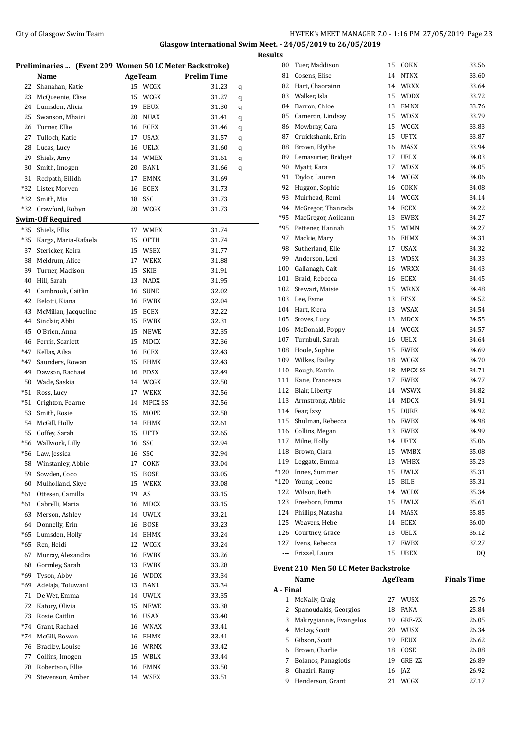### City of Glasgow Swim Team Team Feam Fermi States of Glasgow Swim Team Feam Fermi States of Glasgow Swim Team Fermi States of Glasgow Swim Team Fermi States of Glasgow Swim Team Fermi States of Glasgow Swim Team Fermi State **Glasgow International Swim Meet. - 24/05/2019 to 26/05/2019**

| Preliminaries  (Event 209 Women 50 LC Meter Backstroke) |                      |    |                |                    |   |
|---------------------------------------------------------|----------------------|----|----------------|--------------------|---|
|                                                         | Name                 |    | <b>AgeTeam</b> | <b>Prelim Time</b> |   |
| 22                                                      | Shanahan, Katie      | 15 | WCGX           | 31.23              | q |
| 23                                                      | McQueenie, Elise     | 15 | WCGX           | 31.27              | q |
| 24                                                      | Lumsden, Alicia      | 19 | EEUX           | 31.30              | q |
| 25                                                      | Swanson, Mhairi      | 20 | <b>NUAX</b>    | 31.41              | q |
| 26                                                      | Turner, Ellie        | 16 | ECEX           | 31.46              | q |
| 27                                                      | Tulloch, Katie       | 17 | USAX           | 31.57              | q |
| 28                                                      | Lucas, Lucy          | 16 | <b>UELX</b>    | 31.60              | q |
| 29                                                      | Shiels, Amy          | 14 | <b>WMBX</b>    | 31.61              | q |
| 30                                                      | Smith, Imogen        | 20 | BANL           | 31.66              | q |
| 31                                                      | Redpath, Eilidh      | 17 | <b>EMNX</b>    | 31.69              |   |
| *32                                                     | Lister, Morven       | 16 | <b>ECEX</b>    | 31.73              |   |
| *32                                                     | Smith, Mia           | 18 | SSC            | 31.73              |   |
| *32                                                     | Crawford, Robyn      | 20 | WCGX           | 31.73              |   |
|                                                         | Swim-Off Required    |    |                |                    |   |
| *35                                                     | Shiels, Ellis        | 17 | WMBX           | 31.74              |   |
| *35                                                     | Karga, Maria-Rafaela | 15 | OFTH           | 31.74              |   |
| 37                                                      | Stericker, Keira     | 15 | WSEX           | 31.77              |   |
| 38                                                      | Meldrum, Alice       | 17 | <b>WEKX</b>    | 31.88              |   |
| 39                                                      | Turner, Madison      | 15 | <b>SKIE</b>    | 31.91              |   |
| 40                                                      | Hill, Sarah          | 13 | <b>NADX</b>    | 31.95              |   |
| 41                                                      | Cambrook, Caitlin    | 16 | SUNE           | 32.02              |   |
| 42                                                      | Belotti, Kiana       | 16 | EWBX           | 32.04              |   |
| 43                                                      | McMillan, Jacqueline |    | 15 ECEX        | 32.22              |   |
| 44                                                      | Sinclair, Abbi       | 15 | EWBX           | 32.31              |   |
| 45                                                      | O'Brien, Anna        |    | 15 NEWE        | 32.35              |   |
| 46                                                      | Ferris, Scarlett     | 15 | MDCX           | 32.36              |   |
| *47                                                     | Kellas, Ailsa        | 16 | ECEX           | 32.43              |   |
| *47                                                     | Saunders, Rowan      | 15 | EHMX           | 32.43              |   |
| 49                                                      | Dawson, Rachael      | 16 | EDSX           | 32.49              |   |
| 50                                                      | Wade, Saskia         |    | 14 WCGX        | 32.50              |   |
| *51                                                     | Ross, Lucy           | 17 | WEKX           | 32.56              |   |
| *51                                                     | Crighton, Fearne     | 14 | MPCX-SS        | 32.56              |   |
| 53                                                      | Smith, Rosie         | 15 | MOPE           | 32.58              |   |
| 54                                                      | McGill, Holly        |    | 14 EHMX        | 32.61              |   |
| 55                                                      | Coffey, Sarah        | 15 | UFTX           | 32.65              |   |
| *56                                                     | Wallwork, Lilly      | 16 | SSC            | 32.94              |   |
|                                                         | *56 Law, Jessica     |    | 16 SSC         | 32.94              |   |
| 58                                                      | Winstanley, Abbie    | 17 | COKN           | 33.04              |   |
| 59                                                      | Sowden, Coco         | 15 | <b>BOSE</b>    | 33.05              |   |
| 60                                                      | Mulholland, Skye     | 15 | WEKX           | 33.08              |   |
| $*61$                                                   | Ottesen, Camilla     | 19 | AS             | 33.15              |   |
| $*61$                                                   | Cabrelli, Maria      | 16 | MDCX           | 33.15              |   |
| 63                                                      | Merson, Ashley       | 14 | UWLX           | 33.21              |   |
| 64                                                      | Donnelly, Erin       | 16 | BOSE           | 33.23              |   |
| $*65$                                                   | Lumsden, Holly       | 14 | <b>EHMX</b>    | 33.24              |   |
| *65                                                     | Ren, Heidi           | 12 | WCGX           | 33.24              |   |
| 67                                                      | Murray, Alexandra    | 16 | EWBX           | 33.26              |   |
| 68                                                      | Gormley, Sarah       | 13 | EWBX           | 33.28              |   |
| *69                                                     | Tyson, Abby          | 16 | WDDX           | 33.34              |   |
| *69                                                     | Adelaja, Toluwani    | 13 | BANL           | 33.34              |   |
| 71                                                      | De Wet, Emma         | 14 | UWLX           | 33.35              |   |
| 72                                                      | Katory, Olivia       | 15 | NEWE           | 33.38              |   |
| 73                                                      | Rosie, Caitlin       | 16 | USAX           | 33.40              |   |
| $*74$                                                   | Grant, Rachael       |    | 16 WNAX        | 33.41              |   |
| $*74$                                                   | McGill, Rowan        |    | 16 EHMX        | 33.41              |   |
| 76                                                      | Bradley, Louise      |    | 16 WRNX        | 33.42              |   |
| 77                                                      | Collins, Imogen      |    | 15 WBLX        | 33.44              |   |
| 78                                                      | Robertson, Ellie     | 16 | EMNX           | 33.50              |   |
| 79                                                      | Stevenson, Amber     | 14 | WSEX           | 33.51              |   |
|                                                         |                      |    |                |                    |   |

| <b>Results</b> |                                                     |                    |                    |
|----------------|-----------------------------------------------------|--------------------|--------------------|
|                | 80 Tuer, Maddison                                   | 15 COKN            | 33.56              |
|                | 81 Cosens, Elise                                    | 14 NTNX            | 33.60              |
|                | 82 Hart, Chaorainn                                  | 14 WRXX            | 33.64              |
|                | 83 Walker, Isla                                     | 15 WDDX            | 33.72              |
|                | 84 Barron, Chloe                                    | 13 EMNX            | 33.76              |
|                | 85 Cameron, Lindsay                                 | 15 WDSX            | 33.79              |
|                | 86 Mowbray, Cara                                    | 15 WCGX            | 33.83              |
|                | 87 Cruickshank, Erin                                | 15 UFTX            | 33.87              |
|                | 88 Brown, Blythe                                    | 16 MASX            | 33.94              |
|                | 89 Lemasurier, Bridget                              | 17 UELX            | 34.03              |
|                | 90 Myatt, Kara                                      | 17 WDSX            | 34.05              |
|                | 91 Taylor, Lauren                                   | 14 WCGX            | 34.06              |
|                | 92 Huggon, Sophie                                   | 16 COKN            | 34.08              |
|                | 93 Muirhead, Remi                                   | 14 WCGX            | 34.14              |
|                | 94 McGregor, Thanrada                               | 14 ECEX            | 34.22              |
|                | *95 MacGregor, Aoileann                             | 13 EWBX            | 34.27              |
|                | *95 Pettener, Hannah                                | 15 WIMN            | 34.27              |
|                | 97 Mackie, Mary                                     | 16 EHMX            | 34.31              |
|                | 98 Sutherland, Elle                                 | 17 USAX            | 34.32              |
|                | 99 Anderson, Lexi                                   | 13 WDSX            | 34.33              |
|                | 100 Gallanagh, Cait                                 | 16 WRXX            | 34.43              |
|                | 101 Braid, Rebecca                                  | 16 ECEX            | 34.45              |
|                | 102 Stewart, Maisie                                 | 15 WRNX            | 34.48              |
|                | 103 Lee, Esme                                       | 13 EFSX            | 34.52              |
|                | 104 Hart, Kiera                                     | 13 WSAX            | 34.54              |
|                | 105 Stoves, Lucy                                    | 13 MDCX            | 34.55              |
|                | 106 McDonald, Poppy                                 | 14 WCGX            | 34.57              |
|                | 107 Turnbull, Sarah                                 | 16 UELX            | 34.64              |
|                | 108 Hoole, Sophie                                   | 15 EWBX            | 34.69              |
|                | 109 Wilkes, Bailey                                  | 18 WCGX            | 34.70              |
|                | 110 Rough, Katrin                                   | 18 MPCX-SS         | 34.71              |
|                | 111 Kane, Francesca                                 | 17 EWBX            | 34.77              |
|                | 112 Blair, Liberty                                  | 14 WSWX            | 34.82              |
|                | 113 Armstrong, Abbie                                | 14 MDCX            | 34.91              |
|                | 114 Fear, Izzy                                      | 15 DURE            | 34.92              |
|                | 115 Shulman, Rebecca                                | 16 EWBX            | 34.98              |
|                | 116 Collins, Megan                                  | 13 EWBX            | 34.99              |
| 117            | Milne, Holly                                        | 14 UFTX            | 35.06              |
|                | 118 Brown, Ciara                                    | 15 WMBX            | 35.08              |
|                | 119 Leggate, Emma                                   | 13 WHBX            | 35.23              |
|                | *120 Innes, Summer<br>*120 Young, Leone             | 15 UWLX<br>15 BILE | 35.31<br>35.31     |
|                | 122 Wilson, Beth                                    | 14 WCDX            | 35.34              |
|                | 123 Freeborn, Emma                                  | 15 UWLX            | 35.61              |
|                | 124 Phillips, Natasha                               | 14 MASX            | 35.85              |
|                | 125 Weavers, Hebe                                   | 14 ECEX            | 36.00              |
|                | 126 Courtney, Grace                                 | 13 UELX            | 36.12              |
|                | 127 Ivens, Rebecca                                  | 17 EWBX            | 37.27              |
|                | --- Frizzel, Laura                                  | 15 UBEX            | DQ                 |
|                |                                                     |                    |                    |
|                | <b>Event 210 Men 50 LC Meter Backstroke</b><br>Name | <b>AgeTeam</b>     | <b>Finals Time</b> |
| A - Final      |                                                     |                    |                    |
|                | 1 McNally, Craig                                    | 27 WUSX            | 25.76              |
|                | 2 Spanoudakis, Georgios                             | 18 PANA            | 25.84              |
|                | 3 Makrygiannis, Evangelos                           | 19 GRE-ZZ          | 26.05              |
|                | 4 McLay, Scott                                      | 20 WUSX            | 26.34              |
|                | 5 Gibson, Scott                                     | 19 EEUX            | 26.62              |
|                | 6 Brown, Charlie                                    | 18 COSE            | 26.88              |
|                | 7 Bolanos, Panagiotis                               | 19 GRE-ZZ          | 26.89              |
|                | 8 Ghaziri, Ramy                                     | 16 JAZ             | 26.92              |

9 Henderson, Grant 21 WCGX 27.17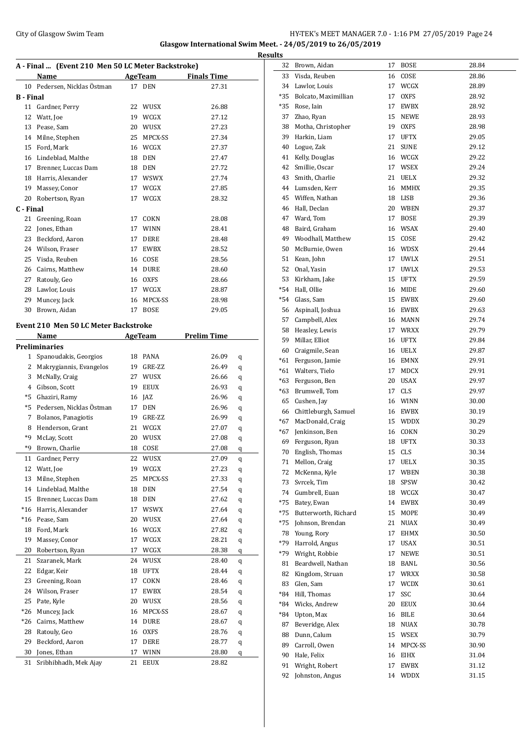#### City of Glasgow Swim Team **HY-TEK's MEET MANAGER 7.0 - 1:16 PM 27/05/2019** Page 24 **Glasgow International Swim Meet. - 24/05/2019 to 26/05/2019**

**Results A - Final ... (Event 210 Men 50 LC Meter Backstroke) Name AgeTeam Finals Time** 10 Pedersen, Nicklas Östman 17 DEN 27.31 **B - Final** 11 Gardner, Perry 22 WUSX 26.88 12 Watt, Joe 19 WCGX 27.12 13 Pease, Sam 20 WUSX 27.23 14 Milne, Stephen 25 MPCX-SS 27.34 15 Ford, Mark 16 WCGX 27.37 16 Lindeblad, Malthe 18 DEN 27.47 17 Brenner, Luccas Dam 18 DEN 27.72 18 Harris, Alexander 17 WSWX 27.74 19 Massey, Conor 17 WCGX 27.85 20 Robertson, Ryan 17 WCGX 28.32 **C - Final** 21 Greening, Roan 17 COKN 28.08 22 Jones, Ethan 17 WINN 28.41 23 Beckford, Aaron 17 DERE 28.48 24 Wilson, Fraser 17 EWBX 28.52 25 Visda, Reuben 16 COSE 28.56 26 Cairns, Matthew 14 DURE 28.60 27 Ratouly, Geo 16 OXFS 28.66 28 Lawlor, Louis 17 WCGX 28.87 29 Muncey, Jack 16 MPCX-SS 28.98 30 Brown, Aidan 17 BOSE 29.05 **Event 210 Men 50 LC Meter Backstroke Name AgeTeam Prelim Time Preliminaries** 1 Spanoudakis, Georgios 18 PANA 26.09 q 2 Makrygiannis, Evangelos 19 GRE-ZZ 26.49 q 3 McNally, Craig 27 WUSX 26.66 q 4 Gibson, Scott 19 EEUX 26.93 q \*5 Ghaziri, Ramy 16 JAZ 26.96 q \*5 Pedersen, Nicklas OÖstman 17 DEN 26.96 q 7 Bolanos, Panagiotis 19 GRE-ZZ 26.99 q 8 Henderson, Grant 21 WCGX 27.07 q \*9 McLay, Scott 20 WUSX 27.08 q \*9 Brown, Charlie 18 COSE 27.08 q 11 Gardner, Perry 22 WUSX 27.09 q 12 Watt, Joe 19 WCGX 27.23 q 13 Milne, Stephen 25 MPCX-SS 27.33 q 14 Lindeblad, Malthe 18 DEN 27.54 q 15 Brenner, Luccas Dam 18 DEN 27.62 q \*16 Harris, Alexander 17 WSWX 27.64 q \*16 Pease, Sam 20 WUSX 27.64 q 18 Ford, Mark 16 WCGX 27.82 q 19 Massey, Conor 17 WCGX 28.21 q 20 Robertson, Ryan 17 WCGX 28.38 q 21 Szaranek, Mark 24 WUSX 28.40 q 22 Edgar, Keir 18 UFTX 28.44 q 23 Greening, Roan 17 COKN 28.46 q 24 Wilson, Fraser 17 EWBX 28.54 q 25 Pate, Kyle 20 WUSX 28.56 q \*26 Muncey, Jack 16 MPCX-SS 28.67 q \*26 Cairns, Matthew 14 DURE 28.67 q 28 Ratouly, Geo 28.76 q 29 Beckford, Aaron 17 DERE 28.77 q 30 Jones, Ethan 17 WINN 28.80 q 31 Sribhibhadh, Mek Ajay 21 EEUX 28.82

| 32    | Brown, Aidan         | 17 | <b>BOSE</b> | 28.84 |
|-------|----------------------|----|-------------|-------|
| 33    | Visda, Reuben        | 16 | COSE        | 28.86 |
| 34    | Lawlor, Louis        | 17 | WCGX        | 28.89 |
| $*35$ | Bolcato, Maximillian | 17 | OXFS        | 28.92 |
| *35   | Rose, Iain           | 17 | EWBX        | 28.92 |
| 37    | Zhao, Ryan           | 15 | NEWE        | 28.93 |
| 38    | Motha, Christopher   | 19 | <b>OXFS</b> | 28.98 |
| 39    | Harkin, Liam         | 17 | UFTX        | 29.05 |
| 40    | Logue, Zak           | 21 | SUNE        | 29.12 |
| 41    | Kelly, Douglas       |    | 16 WCGX     | 29.22 |
| 42    | Smillie, Oscar       | 17 | WSEX        | 29.24 |
| 43    | Smith, Charlie       | 21 | UELX        | 29.32 |
| 44    | Lumsden, Kerr        | 16 | MMHX        | 29.35 |
| 45    | Wiffen, Nathan       | 18 | LISB        | 29.36 |
| 46    | Hall, Declan         | 20 | WBEN        | 29.37 |
| 47    | Ward, Tom            | 17 | BOSE        | 29.39 |
| 48    | Baird, Graham        | 16 | WSAX        | 29.40 |
| 49    | Woodhall, Matthew    | 15 | COSE        | 29.42 |
| 50    | McBurnie, Owen       |    | 16 WDSX     | 29.44 |
| 51    | Kean, John           |    | 17 UWLX     | 29.51 |
| 52    | Onal, Yasin          | 17 | UWLX        | 29.53 |
| 53    | Kirkham, Jake        | 15 | UFTX        | 29.59 |
| *54   | Hall, Ollie          | 16 | MIDE        | 29.60 |
| *54   | Glass, Sam           | 15 | EWBX        | 29.60 |
| 56    | Aspinall, Joshua     | 16 | EWBX        | 29.63 |
| 57    | Campbell, Alex       | 16 | MANN        | 29.74 |
| 58    | Heasley, Lewis       | 17 | WRXX        | 29.79 |
| 59    | Millar, Elliot       | 16 | UFTX        | 29.84 |
| 60    | Craigmile, Sean      | 16 | <b>UELX</b> | 29.87 |
| $*61$ | Ferguson, Jamie      | 16 | EMNX        | 29.91 |
| $*61$ | Walters, Tielo       | 17 | MDCX        | 29.91 |
| $*63$ | Ferguson, Ben        | 20 | USAX        | 29.97 |
| $*63$ | Brumwell, Tom        | 17 | CLS         | 29.97 |
| 65    | Cushen, Jay          | 16 | WINN        | 30.00 |
| 66    | Chittleburgh, Samuel | 16 | EWBX        | 30.19 |
| *67   | MacDonald, Craig     | 15 | WDDX        | 30.29 |
| *67   | Jenkinson, Ben       | 16 | COKN        | 30.29 |
| 69    | Ferguson, Ryan       | 18 | <b>UFTX</b> | 30.33 |
| 70    | English, Thomas      | 15 | CLS         | 30.34 |
| 71    | Mellon, Craig        | 17 | UELX        | 30.35 |
| 72    | McKenna, Kyle        | 17 | WBEN        | 30.38 |
| 73    | Svrcek, Tim          | 18 | SPSW        | 30.42 |
| 74    | Gumbrell, Euan       | 18 | WCGX        | 30.47 |
| $*75$ | Batey, Ewan          | 14 | EWBX        | 30.49 |
| $*75$ | Butterworth, Richard | 15 | MOPE        | 30.49 |
| $*75$ | Johnson, Brendan     | 21 | NUAX        | 30.49 |
| 78    | Young, Rory          | 17 | <b>EHMX</b> | 30.50 |
| *79   | Harrold, Angus       | 17 | USAX        | 30.51 |
| *79   | Wright, Robbie       | 17 | NEWE        | 30.51 |
| 81    | Beardwell, Nathan    | 18 | BANL        | 30.56 |
| 82    | Kingdom, Struan      | 17 | WRXX        | 30.58 |
| 83    | Glen, Sam            | 17 | <b>WCDX</b> | 30.61 |
| *84   | Hill, Thomas         | 17 | SSC         | 30.64 |
| *84   | Wicks, Andrew        | 20 | EEUX        | 30.64 |
| *84   | Upton, Max           | 16 | BILE        | 30.64 |
| 87    | Beveridge, Alex      | 18 | NUAX        | 30.78 |
| 88    | Dunn, Calum          | 15 | WSEX        | 30.79 |
| 89    | Carroll, Owen        | 14 | MPCX-SS     | 30.90 |
| 90    | Hale, Felix          | 16 | EIHX        | 31.04 |
| 91    | Wright, Robert       | 17 | EWBX        | 31.12 |
| 92    | Johnston, Angus      | 14 | WDDX        | 31.15 |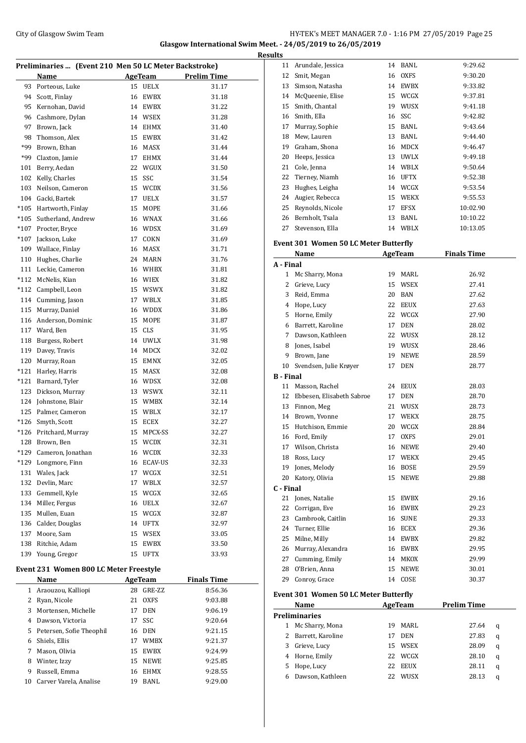### City of Glasgow Swim Team Team Team Fermi Management City of Glasgow Swim Team Fermi Management City of Glasgow Swim Team Fermi Management City of Glasgow Swim Team Fermi Management City of Glasgow Swim Team Fermi Manageme **Glasgow International Swim Meet. - 24/05/2019 to 26/05/2019**

| Preliminaries  (Event 210 Men 50 LC Meter Backstroke) |                                        |    |                |                    |  |  |
|-------------------------------------------------------|----------------------------------------|----|----------------|--------------------|--|--|
|                                                       | Name                                   |    | <b>AgeTeam</b> | <b>Prelim Time</b> |  |  |
| 93                                                    | Porteous, Luke                         |    | 15 UELX        | 31.17              |  |  |
| 94                                                    | Scott, Finlay                          | 16 | EWBX           | 31.18              |  |  |
| 95                                                    | Kernohan, David                        |    | 14 EWBX        | 31.22              |  |  |
| 96                                                    | Cashmore, Dylan                        |    | 14 WSEX        | 31.28              |  |  |
| 97                                                    | Brown, Jack                            | 14 | EHMX           | 31.40              |  |  |
| 98                                                    | Thomson, Alex                          | 15 | <b>EWBX</b>    | 31.42              |  |  |
| *99                                                   | Brown. Ethan                           | 16 | <b>MASX</b>    | 31.44              |  |  |
| *99                                                   | Claxton, Jamie                         | 17 | EHMX           | 31.44              |  |  |
| 101                                                   | Berry, Aedan                           | 22 | WGUX           | 31.50              |  |  |
| 102                                                   | Kelly, Charles                         | 15 | SSC            | 31.54              |  |  |
| 103                                                   | Neilson, Cameron                       | 15 | <b>WCDX</b>    | 31.56              |  |  |
| 104                                                   | Gacki, Bartek                          | 17 | UELX           | 31.57              |  |  |
| $*105$                                                | Hartworth, Finlay                      | 15 | MOPE           | 31.66              |  |  |
|                                                       | Sutherland, Andrew                     | 16 | WNAX           | 31.66              |  |  |
| $*105$<br>$*107$                                      |                                        |    |                | 31.69              |  |  |
|                                                       | Procter, Bryce                         |    | 16 WDSX        |                    |  |  |
| $*107$                                                | Jackson, Luke                          | 17 | COKN           | 31.69              |  |  |
| 109                                                   | Wallace, Finlay                        | 16 | MASX           | 31.71              |  |  |
| 110                                                   | Hughes, Charlie                        | 24 | MARN           | 31.76              |  |  |
| 111                                                   | Leckie, Cameron                        | 16 | WHBX           | 31.81              |  |  |
| $*112$                                                | McNelis, Kian                          | 16 | WIEX           | 31.82              |  |  |
| $*112$                                                | Campbell, Leon                         |    | 15 WSWX        | 31.82              |  |  |
| 114                                                   | Cumming, Jason                         | 17 | WBLX           | 31.85              |  |  |
| 115                                                   | Murray, Daniel                         | 16 | WDDX           | 31.86              |  |  |
| 116                                                   | Anderson, Dominic                      | 15 | MOPE           | 31.87              |  |  |
| 117                                                   | Ward, Ben                              | 15 | <b>CLS</b>     | 31.95              |  |  |
| 118                                                   | Burgess, Robert                        |    | 14 UWLX        | 31.98              |  |  |
| 119                                                   | Davey, Travis                          | 14 | MDCX           | 32.02              |  |  |
| 120                                                   | Murray, Roan                           | 15 | <b>EMNX</b>    | 32.05              |  |  |
| $*121$                                                | Harley, Harris                         | 15 | MASX           | 32.08              |  |  |
| $*121$                                                | Barnard, Tyler                         |    | 16 WDSX        | 32.08              |  |  |
| 123                                                   | Dickson, Murray                        |    | 13 WSWX        | 32.11              |  |  |
| 124                                                   | Johnstone, Blair                       | 15 | WMBX           | 32.14              |  |  |
| 125                                                   | Palmer, Cameron                        | 15 | WBLX           | 32.17              |  |  |
| $*126$                                                | Smyth, Scott                           | 15 | ECEX           | 32.27              |  |  |
|                                                       | *126 Pritchard, Murray                 | 15 | MPCX-SS        | 32.27              |  |  |
| 128                                                   | Brown, Ben                             | 15 | WCDX           | 32.31              |  |  |
|                                                       | *129 Cameron, Jonathan                 |    | 16 WCDX        | 32.33              |  |  |
| *129                                                  | Longmore, Finn                         | 16 | <b>ECAV-US</b> | 32.33              |  |  |
| 131                                                   | Wales, Jack                            | 17 | WCGX           | 32.51              |  |  |
| 132                                                   | Devlin, Marc                           | 17 | WBLX           | 32.57              |  |  |
| 133                                                   | Gemmell, Kyle                          | 15 | WCGX           | 32.65              |  |  |
| 134                                                   | Miller, Fergus                         | 16 | UELX           | 32.67              |  |  |
| 135                                                   | Mullen, Euan                           | 15 | WCGX           | 32.87              |  |  |
| 136                                                   | Calder, Douglas                        | 14 | UFTX           | 32.97              |  |  |
| 137                                                   | Moore, Sam                             | 15 | WSEX           | 33.05              |  |  |
| 138                                                   | Ritchie, Adam                          | 15 | ${\rm EWBX}$   | 33.50              |  |  |
| 139                                                   | Young, Gregor                          | 15 | UFTX           | 33.93              |  |  |
|                                                       |                                        |    |                |                    |  |  |
|                                                       | Event 231 Women 800 LC Meter Freestyle |    |                |                    |  |  |
|                                                       | Name                                   |    | AgeTeam        | <b>Finals Time</b> |  |  |
| $\mathbf{1}$                                          | Araouzou, Kalliopi                     | 28 | GRE-ZZ         | 8:56.36            |  |  |
| 2                                                     | Ryan, Nicole                           | 21 | OXFS           | 9:03.88            |  |  |
| 3                                                     | Mortensen, Michelle                    | 17 | DEN            | 9:06.19            |  |  |
| 4                                                     | Dawson, Victoria                       | 17 | SSC            | 9:20.64            |  |  |
| 5                                                     | Petersen, Sofie Theophil               | 16 | DEN            | 9:21.15            |  |  |
| 6                                                     | Shiels, Ellis                          | 17 | WMBX           | 9:21.37            |  |  |
| 7                                                     | Mason, Olivia                          | 15 | EWBX           | 9:24.99            |  |  |
| 8                                                     | Winter, Izzy                           | 15 | <b>NEWE</b>    | 9:25.85            |  |  |

 Russell, Emma 16 EHMX 9:28.55 Carver Varela, Analise 19 BANL 9:29.00

| <b>Results</b>   |                                                      |    |                        |                    |
|------------------|------------------------------------------------------|----|------------------------|--------------------|
|                  | 11 Arundale, Jessica                                 |    | 14 BANL                | 9:29.62            |
| 12               | Smit, Megan                                          |    | 16 OXFS                | 9:30.20            |
|                  | 13 Simson, Natasha                                   |    | 14 EWBX                | 9:33.82            |
|                  | 14 McQueenie, Elise                                  |    | 15 WCGX                | 9:37.81            |
| 15               | Smith, Chantal                                       |    | 19 WUSX                | 9:41.18            |
|                  | 16 Smith, Ella                                       |    | 16 SSC                 | 9:42.82            |
|                  | 17 Murray, Sophie                                    |    | 15 BANL                | 9:43.64            |
|                  | 18 Mew, Lauren                                       |    | 13 BANL                | 9:44.40            |
|                  | 19 Graham, Shona                                     |    | 16 MDCX                | 9:46.47            |
|                  | 20 Heeps, Jessica                                    |    | 13 UWLX                | 9:49.18            |
|                  | 21 Cole, Jenna                                       |    | 14 WBLX                | 9:50.64            |
|                  | 22 Tierney, Niamh                                    |    | 16 UFTX                | 9:52.38            |
|                  | 23 Hughes, Leigha                                    |    | 14 WCGX                | 9:53.54            |
|                  | 24 Augier, Rebecca                                   |    | 15 WEKX                | 9:55.53            |
|                  | 25 Reynolds, Nicole                                  |    | 17 EFSX                | 10:02.90           |
|                  | 26 Bernholt, Tsala                                   |    | 13 BANL                | 10:10.22           |
| 27               | Stevenson, Ella                                      |    | 14 WBLX                | 10:13.05           |
|                  |                                                      |    |                        |                    |
|                  | <b>Event 301 Women 50 LC Meter Butterfly</b><br>Name |    | <b>AgeTeam</b>         | <b>Finals Time</b> |
| A - Final        |                                                      |    |                        |                    |
| 1                | Mc Sharry, Mona                                      |    | 19 MARL                | 26.92              |
|                  | 2 Grieve, Lucy                                       |    | 15 WSEX                | 27.41              |
| 3                | Reid, Emma                                           |    | 20 BAN                 | 27.62              |
|                  | 4 Hope, Lucy                                         |    | 22 EEUX                | 27.63              |
|                  | 5 Horne, Emily                                       |    | 22 WCGX                | 27.90              |
|                  | 6 Barrett, Karoline                                  |    | 17 DEN                 | 28.02              |
|                  | 7 Dawson, Kathleen                                   |    | 22 WUSX                | 28.12              |
|                  | 8 Jones, Isabel                                      |    | 19 WUSX                | 28.46              |
|                  | 9 Brown, Jane                                        |    | 19 NEWE                | 28.59              |
| 10               | Svendsen, Julie Krøyer                               | 17 | DEN                    | 28.77              |
| <b>B</b> - Final |                                                      |    |                        |                    |
|                  | 11 Masson, Rachel                                    |    | 24 EEUX                | 28.03              |
|                  | 12 Ebbesen, Elisabeth Sabroe                         |    | 17 DEN                 | 28.70              |
|                  | 13 Finnon, Meg                                       |    | 21 WUSX                | 28.73              |
|                  | 14 Brown, Yvonne                                     |    | 17 WEKX                | 28.75              |
|                  | 15 Hutchison, Emmie                                  |    | 20 WCGX                | 28.84              |
|                  | 16 Ford, Emily                                       |    | 17 OXFS                | 29.01              |
|                  | 17 Wilson, Christa                                   |    | 16 NEWE                | 29.40              |
|                  | 18 Ross, Lucy                                        |    | 17 WEKX                | 29.45              |
|                  | 19 Jones, Melody                                     |    | 16 BOSE                | 29.59              |
|                  | 20 Katory, Olivia                                    | 15 | NEWE                   | 29.88              |
| C - Final        |                                                      |    |                        |                    |
|                  | 21 Jones, Natalie                                    |    | 15 EWBX                | 29.16              |
| 22               | Corrigan, Eve                                        |    | 16 EWBX                | 29.23              |
|                  | 23 Cambrook, Caitlin                                 |    | 16 SUNE                | 29.33              |
|                  | 24 Turner, Ellie                                     |    | 16 ECEX                | 29.36              |
|                  | 25 Milne, Milly                                      |    | 14 EWBX                | 29.82              |
|                  |                                                      |    | 16 EWBX                | 29.95              |
|                  |                                                      |    |                        |                    |
|                  | 26 Murray, Alexandra                                 |    |                        |                    |
|                  | 27 Cumming, Emily                                    |    | 14 MKOX                | 29.99              |
|                  | 28 O'Brien, Anna<br>29 Conroy, Grace                 | 15 | <b>NEWE</b><br>14 COSE | 30.01<br>30.37     |

|                      | Name                |    | AgeTeam     | <b>Prelim Time</b> |   |  |  |  |
|----------------------|---------------------|----|-------------|--------------------|---|--|--|--|
| <b>Preliminaries</b> |                     |    |             |                    |   |  |  |  |
| 1                    | Mc Sharry, Mona     | 19 | MARL        | 27.64              | q |  |  |  |
|                      | 2 Barrett, Karoline |    | <b>DEN</b>  | 27.83              | q |  |  |  |
| 3.                   | Grieve, Lucy        | 15 | WSEX        | 28.09              | q |  |  |  |
|                      | 4 Horne, Emily      | 22 | WCGX        | 28.10              | q |  |  |  |
| 5                    | Hope, Lucy          | 22 | <b>EEUX</b> | 28.11              | q |  |  |  |
|                      | Dawson, Kathleen    | 22 | <b>WUSX</b> | 28.13              | a |  |  |  |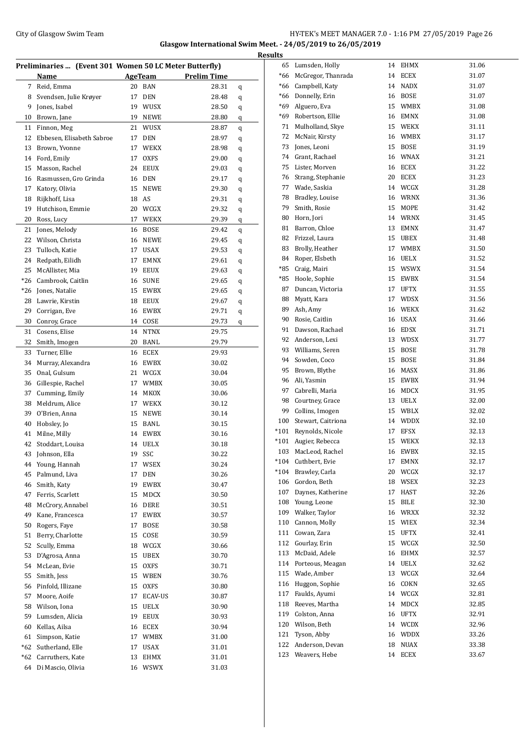### City of Glasgow Swim Team Team Frameters Music City of Glasgow Swim Team Frameters Music City of Glasgow Swim Team Frameters Music City of Glasgow Swim Team Frameters Music City of Glasgow Swim Team Frameters Music City of **Glasgow International Swim Meet. - 24/05/2019 to 26/05/2019**

|       |                                                        |    |                |                    |         | <b>Results</b>  |
|-------|--------------------------------------------------------|----|----------------|--------------------|---------|-----------------|
|       | Preliminaries  (Event 301 Women 50 LC Meter Butterfly) |    |                |                    |         | 6               |
|       | Name                                                   |    | <b>AgeTeam</b> | <b>Prelim Time</b> |         | $*6$            |
|       | 7 Reid, Emma                                           |    | 20 BAN         | 28.31              | q       | $*6$            |
| 8     | Svendsen, Julie Krøyer                                 |    | 17 DEN         | 28.48              | q       | $*6$            |
| 9     | Jones, Isabel                                          |    | 19 WUSX        | 28.50              | q       | $*6$            |
| 10    | Brown, Jane                                            |    | 19 NEWE        | 28.80              | q       | $*6$            |
| 11    | Finnon, Meg                                            |    | 21 WUSX        | 28.87              | $\bf q$ | 7               |
| 12    | Ebbesen, Elisabeth Sabroe                              |    | 17 DEN         | 28.97              | q       | 7               |
| 13    | Brown, Yvonne                                          |    | 17 WEKX        | 28.98              | q       | 7               |
| 14    | Ford, Emily                                            |    | 17 OXFS        | 29.00              | q       | 7.              |
| 15    | Masson, Rachel                                         |    | 24 EEUX        | 29.03              | q       | 7               |
| 16    | Rasmussen, Gro Grinda                                  |    | 16 DEN         | 29.17              | q       | $\overline{7}$  |
| 17    | Katory, Olivia                                         |    | 15 NEWE        | 29.30              | q       | 7               |
| 18    | Rijkhoff, Lisa                                         |    | 18 AS          | 29.31              | q       | 7               |
| 19    | Hutchison, Emmie                                       |    | 20 WCGX        | 29.32              | q       | $\overline{7}$  |
| 20    | Ross, Lucy                                             |    | 17 WEKX        | 29.39              | q       | 8               |
| 21    | Jones, Melody                                          |    | 16 BOSE        | 29.42              | q       | 8               |
|       | 22 Wilson, Christa                                     |    | 16 NEWE        | 29.45              | q       | 8               |
| 23    | Tulloch, Katie                                         |    | 17 USAX        | 29.53              | q       | 8               |
| 24    | Redpath, Eilidh                                        |    | 17 EMNX        | 29.61              | q       | 8               |
| 25    | McAllister, Mia                                        |    | 19 EEUX        | 29.63              | q       | $*8$            |
| $*26$ | Cambrook, Caitlin                                      |    | 16 SUNE        | 29.65              | q       | *8              |
|       | *26 Jones, Natalie                                     |    | 15 EWBX        | 29.65              | q       | 8               |
| 28    | Lawrie, Kirstin                                        |    | 18 EEUX        | 29.67              | q       | 8               |
| 29    | Corrigan, Eve                                          |    | 16 EWBX        | 29.71              | q       | 8               |
| 30    | Conroy, Grace                                          |    | 14 COSE        | 29.73              | q       | 9               |
| 31    | Cosens, Elise                                          |    | 14 NTNX        | 29.75              |         | 9               |
| 32    | Smith, Imogen                                          |    | 20 BANL        | 29.79              |         | 9               |
| 33    | Turner, Ellie                                          |    | 16 ECEX        | 29.93              |         | 9               |
| 34    | Murray, Alexandra                                      |    | 16 EWBX        | 30.02              |         | 9.              |
| 35    | Onal, Gulsum                                           |    | 21 WCGX        | 30.04              |         | 9               |
|       | 36 Gillespie, Rachel                                   |    | 17 WMBX        | 30.05              |         | 9               |
| 37    | Cumming, Emily                                         |    | 14 MKOX        | 30.06              |         | 9               |
| 38    | Meldrum, Alice                                         |    | 17 WEKX        | 30.12              |         | 9               |
| 39    | O'Brien, Anna                                          |    | 15 NEWE        | 30.14              |         | 9               |
| 40    | Hobsley, Jo                                            |    | 15 BANL        | 30.15              |         | 10              |
| 41    | Milne, Milly                                           |    | 14 EWBX        | 30.16              |         | $*10$           |
| 42    | Stoddart, Louisa                                       |    | 14 UELX        | 30.18              |         | $*10$           |
|       | 43 Johnson, Ella                                       | 19 | SSC            | 30.22              |         | 10 <sup>°</sup> |
| 44    | Young, Hannah                                          | 17 | WSEX           | 30.24              |         | $*10.$          |
| 45    | Palmund, Liva                                          | 17 | <b>DEN</b>     | 30.26              |         | $*10.$          |
| 46    | Smith, Katy                                            | 19 | EWBX           | 30.47              |         | 10              |
| 47    | Ferris, Scarlett                                       | 15 | MDCX           | 30.50              |         | 10              |
| 48    | McCrory, Annabel                                       |    | 16 DERE        | 30.51              |         | 10 <sub>1</sub> |
| 49    | Kane, Francesca                                        |    | 17 EWBX        | 30.57              |         | $10^{\circ}$    |
| 50    | Rogers, Faye                                           | 17 | <b>BOSE</b>    | 30.58              |         | 11              |
| 51    | Berry, Charlotte                                       |    | 15 COSE        | 30.59              |         | 11              |
| 52    | Scully, Emma                                           |    | 18 WCGX        | 30.66              |         | 11              |
| 53    | D'Agrosa, Anna                                         |    | 15 UBEX        | 30.70              |         | 11              |
| 54    | McLean, Evie                                           |    | 15 OXFS        | 30.71              |         | 11 <sub>1</sub> |
| 55    | Smith, Jess                                            |    | 15 WBEN        | 30.76              |         | 11              |
| 56    | Pinfold, Illizane                                      |    | 15 OXFS        | 30.80              |         | 11              |
| 57    | Moore, Aoife                                           | 17 | ECAV-US        | 30.87              |         | 11              |
|       | 58 Wilson, Iona                                        |    | 15 UELX        | 30.90              |         | 11              |
|       | 59 Lumsden, Alicia                                     |    | 19 EEUX        | 30.93              |         | $11^{\circ}$    |
| 60    | Kellas, Ailsa                                          |    | 16 ECEX        | 30.94              |         | 12              |
| 61    | Simpson, Katie                                         |    | 17 WMBX        | 31.00              |         | 12              |
| $*62$ | Sutherland, Elle                                       | 17 | USAX           | 31.01              |         | 12              |
| $*62$ | Carruthers, Kate                                       | 13 | EHMX           | 31.01              |         | 12              |
|       | 64 Di Mascio, Olivia                                   |    | 16 WSWX        | 31.03              |         |                 |
|       |                                                        |    |                |                    |         |                 |

| 65     | Lumsden, Holly        | 14 | <b>EHMX</b> | 31.06 |
|--------|-----------------------|----|-------------|-------|
| *66    | McGregor, Thanrada    | 14 | <b>ECEX</b> | 31.07 |
| *66    | Campbell, Katy        | 14 | <b>NADX</b> | 31.07 |
| *66    | Donnelly, Erin        | 16 | <b>BOSE</b> | 31.07 |
| *69    | Alguero, Eva          | 15 | WMBX        | 31.08 |
| *69    | Robertson, Ellie      | 16 | <b>EMNX</b> | 31.08 |
| 71     | Mulholland, Skye      | 15 | <b>WEKX</b> | 31.11 |
| 72     | McNair, Kirsty        | 16 | WMBX        | 31.17 |
| 73     | Jones, Leoni          | 15 | <b>BOSE</b> | 31.19 |
| 74     | Grant, Rachael        | 16 | WNAX        | 31.21 |
| 75     | Lister, Morven        | 16 | <b>ECEX</b> | 31.22 |
| 76     | Strang, Stephanie     | 20 | ECEX        | 31.23 |
| 77     | Wade, Saskia          |    |             |       |
|        |                       | 14 | WCGX        | 31.28 |
| 78     | Bradley, Louise       | 16 | WRNX        | 31.36 |
| 79     | Smith, Rosie          | 15 | MOPE        | 31.42 |
| 80     | Horn, Jori            | 14 | <b>WRNX</b> | 31.45 |
| 81     | Barron, Chloe         | 13 | <b>EMNX</b> | 31.47 |
| 82     | Frizzel, Laura        | 15 | <b>UBEX</b> | 31.48 |
| 83     | Brolly, Heather       | 17 | <b>WMBX</b> | 31.50 |
| 84     | Roper, Elsbeth        | 16 | UELX        | 31.52 |
| *85    | Craig, Mairi          | 15 | <b>WSWX</b> | 31.54 |
| *85    | Hoole, Sophie         | 15 | EWBX        | 31.54 |
| 87     | Duncan, Victoria      | 17 | UFTX        | 31.55 |
| 88     | Myatt, Kara           | 17 | <b>WDSX</b> | 31.56 |
| 89     | Ash, Amy              | 16 | WEKX        | 31.62 |
| 90     | Rosie, Caitlin        | 16 | USAX        | 31.66 |
| 91     | Dawson, Rachael       | 16 | EDSX        | 31.71 |
| 92     | Anderson, Lexi        | 13 | <b>WDSX</b> | 31.77 |
| 93     | Williams, Seren       | 15 | <b>BOSE</b> | 31.78 |
| 94     | Sowden, Coco          | 15 | <b>BOSE</b> | 31.84 |
| 95     | Brown, Blythe         | 16 | MASX        | 31.86 |
| 96     | Ali, Yasmin           | 15 | EWBX        | 31.94 |
| 97     | Cabrelli, Maria       | 16 | MDCX        | 31.95 |
| 98     | Courtney, Grace       | 13 | UELX        | 32.00 |
| 99     | Collins, Imogen       | 15 | WBLX        | 32.02 |
| 100    | Stewart, Caitriona    | 14 | WDDX        | 32.10 |
|        |                       |    |             |       |
|        | *101 Reynolds, Nicole | 17 | EFSX        | 32.13 |
| $*101$ | Augier, Rebecca       | 15 | WEKX        | 32.13 |
| 103    | MacLeod, Rachel       | 16 | <b>EWBX</b> | 32.15 |
| $*104$ | Cuthbert, Evie        | 17 | EMNX        | 32.17 |
| $*104$ | Brawley, Carla        | 20 | WCGX        | 32.17 |
| 106    | Gordon, Beth          | 18 | WSEX        | 32.23 |
| 107    | Daynes, Katherine     | 17 | HAST        | 32.26 |
| 108    | Young, Leone          | 15 | BILE        | 32.30 |
| 109    | Walker, Taylor        | 16 | <b>WRXX</b> | 32.32 |
| 110    | Cannon, Molly         | 15 | WIEX        | 32.34 |
| 111    | Cowan, Zara           | 15 | UFTX        | 32.41 |
| 112    | Gourlay, Erin         | 15 | WCGX        | 32.50 |
| 113    | McDaid, Adele         | 16 | EHMX        | 32.57 |
| 114    | Porteous, Meagan      | 14 | UELX        | 32.62 |
| 115    | Wade, Amber           | 13 | WCGX        | 32.64 |
| 116    | Huggon, Sophie        | 16 | COKN        | 32.65 |
| 117    | Faulds, Ayumi         | 14 | WCGX        | 32.81 |
| 118    | Reeves, Martha        | 14 | MDCX        | 32.85 |
| 119    | Colston, Anna         | 16 | UFTX        | 32.91 |
| 120    | Wilson, Beth          | 14 | <b>WCDX</b> | 32.96 |
| 121    | Tyson, Abby           | 16 | WDDX        | 33.26 |
| 122    | Anderson, Devan       | 18 | <b>NUAX</b> | 33.38 |
| 123    | Weavers, Hebe         | 14 |             |       |
|        |                       |    | ECEX        | 33.67 |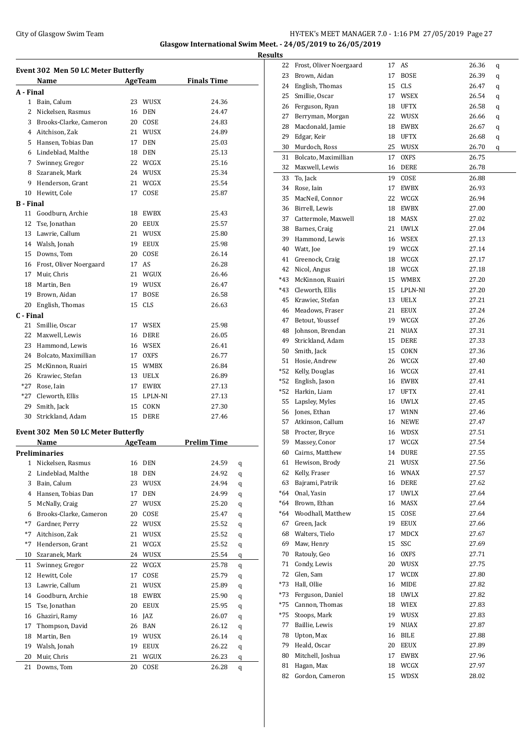### City of Glasgow Swim Team Team Team Fermi Management City of Glasgow Swim Team Fermi Management City of Glasgow Swim Team Fermi Management City of Glasgow Swim Team Fermi Management City of Glasgow Swim Team Fermi Manageme **Glasgow International Swim Meet. - 24/05/2019 to 26/05/2019**

**Results**

|                  | Event 302 Men 50 LC Meter Butterfly<br>Name |    | <b>AgeTeam</b> | <b>Finals Time</b> |   |
|------------------|---------------------------------------------|----|----------------|--------------------|---|
| A - Final        |                                             |    |                |                    |   |
|                  | 1 Bain, Calum                               | 23 | WUSX           | 24.36              |   |
|                  | 2 Nickelsen, Rasmus                         | 16 | <b>DEN</b>     | 24.47              |   |
|                  | 3 Brooks-Clarke, Cameron                    |    | 20 COSE        | 24.83              |   |
|                  | 4 Aitchison, Zak                            |    | 21 WUSX        | 24.89              |   |
|                  | 5 Hansen, Tobias Dan                        | 17 | <b>DEN</b>     | 25.03              |   |
|                  | 6 Lindeblad, Malthe                         | 18 | DEN            | 25.13              |   |
|                  | 7 Swinney, Gregor                           |    | 22 WCGX        | 25.16              |   |
|                  | 8 Szaranek, Mark                            |    | 24 WUSX        | 25.34              |   |
|                  |                                             |    |                |                    |   |
|                  | 9 Henderson, Grant                          |    | 21 WCGX        | 25.54              |   |
|                  | 10 Hewitt, Cole                             | 17 | COSE           | 25.87              |   |
| <b>B</b> - Final |                                             |    |                |                    |   |
|                  | 11 Goodburn, Archie                         |    | 18 EWBX        | 25.43              |   |
|                  | 12 Tse, Jonathan                            |    | 20 EEUX        | 25.57              |   |
|                  | 13 Lawrie, Callum                           |    | 21 WUSX        | 25.80              |   |
|                  | 14 Walsh, Jonah                             |    | 19 EEUX        | 25.98              |   |
|                  | 15 Downs, Tom                               |    | 20 COSE        | 26.14              |   |
|                  | 16 Frost, Oliver Noergaard                  | 17 | AS             | 26.28              |   |
| 17               | Muir, Chris                                 |    | 21 WGUX        | 26.46              |   |
|                  | 18 Martin, Ben                              |    | 19 WUSX        | 26.47              |   |
|                  | 19 Brown, Aidan                             | 17 | <b>BOSE</b>    | 26.58              |   |
| 20               | English, Thomas                             | 15 | CLS            | 26.63              |   |
| C - Final        |                                             |    |                |                    |   |
|                  | 21 Smillie, Oscar                           |    | 17 WSEX        | 25.98              |   |
|                  | 22 Maxwell, Lewis                           |    | 16 DERE        | 26.05              |   |
|                  | 23 Hammond, Lewis                           |    | 16 WSEX        | 26.41              |   |
|                  | 24 Bolcato, Maximillian                     |    | 17 OXFS        | 26.77              |   |
|                  | 25 McKinnon, Ruairi                         |    | 15 WMBX        | 26.84              |   |
|                  | 26 Krawiec, Stefan                          |    | 13 UELX        | 26.89              |   |
| *27              | Rose, Iain                                  |    | 17 EWBX        | 27.13              |   |
|                  | *27 Cleworth, Ellis                         |    | 15 LPLN-NI     | 27.13              |   |
|                  | 29 Smith, Jack                              |    | 15 COKN        | 27.30              |   |
|                  |                                             |    | DERE           |                    |   |
| 30               | Strickland, Adam                            | 15 |                | 27.46              |   |
|                  | Event 302 Men 50 LC Meter Butterfly         |    |                |                    |   |
|                  | Name                                        |    | AgeTeam        | <b>Prelim Time</b> |   |
|                  | Preliminaries                               |    |                |                    |   |
| 1                | Nickelsen, Rasmus                           | 16 | <b>DEN</b>     | 24.59              | q |
| 2                | Lindeblad, Malthe                           | 18 | <b>DEN</b>     | 24.92              | q |
| 3                | Bain, Calum                                 | 23 | WUSX           | 24.94              | q |
| 4                | Hansen, Tobias Dan                          | 17 | DEN            | 24.99              | q |
| 5                | McNally, Craig                              | 27 | WUSX           | 25.20              | q |
| 6                | Brooks-Clarke, Cameron                      | 20 | COSE           | 25.47              | q |
| $*7$             | Gardner, Perry                              | 22 | <b>WUSX</b>    | 25.52              | q |
| $*7$             | Aitchison, Zak                              | 21 | WUSX           | 25.52              | q |
| $*7$             | Henderson, Grant                            | 21 | WCGX           | 25.52              | q |
| 10               | Szaranek, Mark                              | 24 | WUSX           | 25.54              | q |
| 11               | Swinney, Gregor                             | 22 | WCGX           | 25.78              | q |
| 12               | Hewitt, Cole                                | 17 | COSE           | 25.79              | q |
| 13               | Lawrie, Callum                              | 21 | WUSX           | 25.89              | q |
| 14               | Goodburn, Archie                            | 18 | EWBX           | 25.90              | q |
| 15               | Tse, Jonathan                               | 20 | EEUX           | 25.95              | q |
| 16               | Ghaziri, Ramy                               | 16 | JAZ            | 26.07              |   |
| 17               | Thompson, David                             | 26 | BAN            | 26.12              | q |
|                  |                                             |    |                |                    | q |
| 18               | Martin, Ben                                 | 19 | WUSX           | 26.14              | q |
| 19               | Walsh, Jonah                                | 19 | EEUX           | 26.22              | q |
| 20               | Muir, Chris                                 | 21 | WGUX           | 26.23              | q |
| 21               | Downs, Tom                                  | 20 | COSE           | 26.28              | q |

| 22  | Frost, Oliver Noergaard | 17 | AS          | 26.36 | q |
|-----|-------------------------|----|-------------|-------|---|
| 23  | Brown, Aidan            | 17 | <b>BOSE</b> | 26.39 | q |
| 24  | English, Thomas         | 15 | CLS         | 26.47 | q |
| 25  | Smillie, Oscar          | 17 | WSEX        | 26.54 | q |
|     | 26 Ferguson, Ryan       | 18 | UFTX        | 26.58 | q |
| 27  | Berryman, Morgan        | 22 | WUSX        | 26.66 | q |
| 28  | Macdonald, Jamie        | 18 | <b>EWBX</b> | 26.67 | q |
| 29  | Edgar, Keir             | 18 | <b>UFTX</b> | 26.68 | q |
| 30  | Murdoch, Ross           | 25 | WUSX        | 26.70 | q |
| 31  | Bolcato, Maximillian    | 17 | <b>OXFS</b> | 26.75 |   |
| 32  | Maxwell, Lewis          | 16 | <b>DERE</b> | 26.78 |   |
| 33  | To, Jack                | 19 | COSE        | 26.88 |   |
| 34  | Rose, Iain              | 17 | EWBX        | 26.93 |   |
| 35  | MacNeil, Connor         | 22 | WCGX        | 26.94 |   |
|     | 36 Birrell, Lewis       | 18 | EWBX        | 27.00 |   |
| 37  | Cattermole, Maxwell     | 18 | MASX        | 27.02 |   |
|     | 38 Barnes, Craig        | 21 | <b>UWLX</b> | 27.04 |   |
|     | 39 Hammond, Lewis       | 16 | WSEX        | 27.13 |   |
| 40  | Watt, Joe               | 19 | WCGX        | 27.14 |   |
| 41  | Greenock, Craig         | 18 | WCGX        | 27.17 |   |
| 42  | Nicol, Angus            | 18 | WCGX        | 27.18 |   |
| *43 | McKinnon, Ruairi        | 15 | WMBX        | 27.20 |   |
| *43 | Cleworth, Ellis         | 15 | LPLN-NI     | 27.20 |   |
| 45  | Krawiec. Stefan         | 13 | <b>UELX</b> | 27.21 |   |
| 46  | Meadows, Fraser         | 21 | EEUX        | 27.24 |   |
| 47  | Betout, Youssef         | 19 | WCGX        | 27.26 |   |
|     | 48 Johnson, Brendan     | 21 | <b>NUAX</b> | 27.31 |   |
| 49  | Strickland, Adam        | 15 | DERE        | 27.33 |   |
|     | 50 Smith, Jack          | 15 | COKN        | 27.36 |   |
|     | 51 Hosie, Andrew        | 26 | WCGX        | 27.40 |   |
|     | *52 Kelly, Douglas      | 16 | WCGX        | 27.41 |   |
| *52 | English, Jason          | 16 | EWBX        | 27.41 |   |
|     | *52 Harkin, Liam        | 17 | <b>UFTX</b> | 27.41 |   |
|     | 55 Lapsley, Myles       | 16 | UWLX        | 27.45 |   |
|     | 56 Jones, Ethan         | 17 | <b>WINN</b> | 27.46 |   |
|     | 57 Atkinson, Callum     | 16 | <b>NEWE</b> | 27.47 |   |
|     | 58 Procter, Bryce       |    | 16 WDSX     | 27.51 |   |
| 59  | Massey, Conor           | 17 | WCGX        | 27.54 |   |
| 60  | Cairns, Matthew         | 14 | <b>DURE</b> | 27.55 |   |
| 61  | Hewison, Brody          |    | 21 WUSX     | 27.56 |   |
| 62  | Kelly, Fraser           | 16 | WNAX        | 27.57 |   |
|     | 63 Bajrami, Patrik      | 16 | DERE        | 27.62 |   |
|     | *64 Onal, Yasin         | 17 | UWLX        | 27.64 |   |
|     | *64 Brown, Ethan        | 16 | MASX        | 27.64 |   |
|     | *64 Woodhall, Matthew   | 15 | COSE        | 27.64 |   |
| 67  | Green, Jack             | 19 | <b>EEUX</b> | 27.66 |   |
|     | 68 Walters, Tielo       | 17 | MDCX        | 27.67 |   |
| 69  | Maw, Henry              | 15 | SSC         | 27.69 |   |
| 70  | Ratouly, Geo            | 16 | OXFS        | 27.71 |   |
| 71  | Condy, Lewis            | 20 | WUSX        | 27.75 |   |
| 72  | Glen, Sam               | 17 | <b>WCDX</b> | 27.80 |   |
|     | *73 Hall, Ollie         | 16 | MIDE        | 27.82 |   |
|     | *73 Ferguson, Daniel    | 18 | UWLX        | 27.82 |   |
| *75 | Cannon, Thomas          | 18 | WIEX        | 27.83 |   |
| *75 | Stoops, Mark            | 19 | WUSX        | 27.83 |   |
| 77  | Baillie, Lewis          | 19 | NUAX        | 27.87 |   |
| 78  | Upton, Max              | 16 | BILE        | 27.88 |   |
| 79  | Heald, Oscar            | 20 | EEUX        | 27.89 |   |
| 80  | Mitchell, Joshua        | 17 | EWBX        | 27.96 |   |
| 81  | Hagan, Max              | 18 | WCGX        | 27.97 |   |
| 82  | Gordon, Cameron         | 15 | WDSX        | 28.02 |   |
|     |                         |    |             |       |   |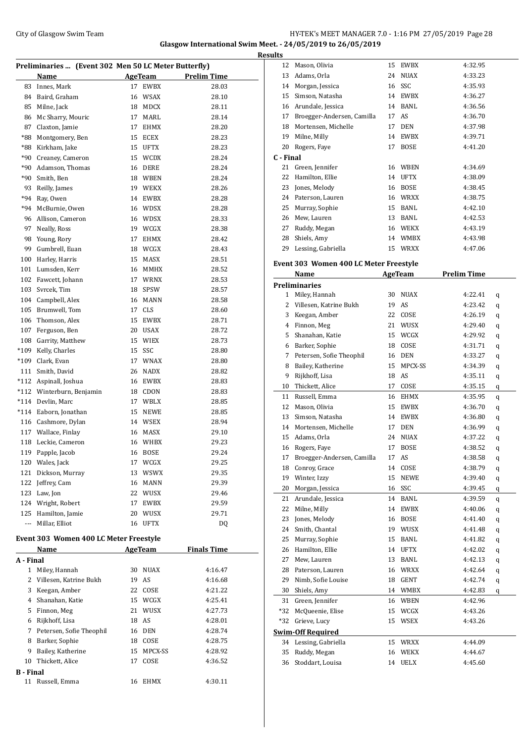### City of Glasgow Swim Team Team Feam Fermi States of Glasgow Swim Team Feam Fermi States of Glasgow Swim Team Fermi States of Glasgow Swim Team Fermi States of Glasgow Swim Team Fermi States of Glasgow Swim Team Fermi State **Glasgow International Swim Meet. - 24/05/2019 to 26/05/2019**

|                  |                                                      |    |                        |                    | <b>Results</b>                 |
|------------------|------------------------------------------------------|----|------------------------|--------------------|--------------------------------|
|                  | Preliminaries  (Event 302 Men 50 LC Meter Butterfly) |    |                        |                    | 1                              |
|                  | Name                                                 |    | <b>AgeTeam</b>         | <b>Prelim Time</b> | 1                              |
| 83               | Innes, Mark                                          | 17 | EWBX                   | 28.03              | 1                              |
| 84               | Baird, Graham                                        |    | 16 WSAX                | 28.10              | 1                              |
| 85               | Milne, Jack                                          |    | 18 MDCX                | 28.11              | 1                              |
| 86               | Mc Sharry, Mouric                                    |    | 17 MARL                | 28.14              | 1                              |
| 87               | Claxton, Jamie                                       | 17 | EHMX                   | 28.20              | 1                              |
| *88              | Montgomery, Ben                                      | 15 | ECEX                   | 28.23              | $\mathbf{1}$<br>$\overline{2}$ |
| *88              | Kirkham, Jake                                        |    | 15 UFTX                | 28.23              |                                |
|                  | *90 Creaney, Cameron                                 |    | 15 WCDX                | 28.24              | C - I<br>2                     |
| *90              | Adamson, Thomas                                      |    | 16 DERE                | 28.24              | $\overline{2}$                 |
| *90              | Smith, Ben                                           |    | 18 WBEN                | 28.24              | $\overline{c}$                 |
| 93<br>$*94$      | Reilly, James                                        |    | 19 WEKX                | 28.26              | $\overline{c}$                 |
|                  | Ray, Owen                                            |    | 14 EWBX                | 28.28              | $\overline{c}$                 |
|                  | *94 McBurnie, Owen                                   |    | 16 WDSX                | 28.28              | 2                              |
|                  | 96 Allison, Cameron                                  |    | 16 WDSX                | 28.33<br>28.38     | $\overline{c}$                 |
| 97               | Neally, Ross                                         |    | 19 WCGX                |                    | 2                              |
| 98               | Young, Rory                                          | 17 | EHMX                   | 28.42              | 2                              |
| 99               | Gumbrell, Euan                                       |    | 18 WCGX                | 28.43              |                                |
| 100              | Harley, Harris                                       | 15 | MASX                   | 28.51              | Eve                            |
| 101              | Lumsden, Kerr                                        |    | 16 MMHX                | 28.52              |                                |
| 102              | Fawcett, Johann                                      |    | 17 WRNX                | 28.53<br>28.57     | Pre                            |
| 103              | Svrcek, Tim                                          |    | 18 SPSW                |                    |                                |
| 104              | Campbell, Alex                                       | 16 | <b>MANN</b>            | 28.58              |                                |
| 105              | Brumwell, Tom                                        | 17 | <b>CLS</b>             | 28.60              |                                |
| 106              | Thomson, Alex                                        | 15 | EWBX                   | 28.71              |                                |
| 107              | Ferguson, Ben                                        |    | 20 USAX                | 28.72              |                                |
|                  | 108 Garrity, Matthew                                 |    | 15 WIEX                | 28.73              |                                |
|                  | *109 Kelly, Charles                                  | 15 | SSC                    | 28.80              |                                |
|                  | *109 Clark, Evan                                     |    | 17 WNAX                | 28.80              |                                |
|                  | 111 Smith, David                                     |    | 26 NADX                | 28.82              |                                |
|                  | *112 Aspinall, Joshua                                |    | 16 EWBX<br>18 CDON     | 28.83<br>28.83     | 1                              |
|                  | *112 Winterburn, Benjamin                            |    |                        |                    | 1                              |
|                  | *114 Devlin, Marc<br>*114 Eaborn, Jonathan           | 15 | 17 WBLX<br><b>NEWE</b> | 28.85<br>28.85     | 1                              |
|                  | 116 Cashmore, Dylan                                  |    | 14 WSEX                | 28.94              | 1                              |
|                  | 117 Wallace, Finlay                                  |    | 16 MASX                |                    | 1                              |
|                  | 118 Leckie, Cameron                                  |    | 16 WHBX                | 29.10<br>29.23     | 1                              |
|                  |                                                      |    | 16 BOSE                | 29.24              | 1                              |
| 120              | 119 Papple, Jacob<br>Wales, Jack                     | 17 | WCGX                   | 29.25              | 1                              |
| 121              | Dickson, Murray                                      |    | 13 WSWX                | 29.35              | 1                              |
| 122              | Jeffrey, Cam                                         |    | 16 MANN                | 29.39              | 1                              |
|                  | 123 Law, Jon                                         |    | 22 WUSX                | 29.46              | 2                              |
|                  | 124 Wright, Robert                                   | 17 | EWBX                   | 29.59              | 2                              |
|                  | 125 Hamilton, Jamie                                  |    | 20 WUSX                | 29.71              | 2                              |
| ---              | Millar, Elliot                                       |    | 16 UFTX                | DQ                 | 2                              |
|                  |                                                      |    |                        |                    | 2                              |
|                  | Event 303 Women 400 LC Meter Freestyle               |    |                        |                    | $\overline{c}$                 |
|                  | Name                                                 |    | AgeTeam                | <b>Finals Time</b> | 2                              |
| A - Final        |                                                      |    |                        |                    | $\overline{c}$                 |
| 1                | Miley, Hannah                                        |    | 30 NUAX                | 4:16.47            | $\overline{c}$                 |
| 2                | Villesen, Katrine Bukh                               | 19 | AS                     | 4:16.68            | $\overline{c}$                 |
| 3                | Keegan, Amber                                        | 22 | COSE                   | 4:21.22            | 3                              |
|                  | 4 Shanahan, Katie                                    |    | 15 WCGX                | 4:25.41            | 3                              |
|                  | 5 Finnon, Meg                                        |    | 21 WUSX                | 4:27.73            | *3                             |
|                  | 6 Rijkhoff, Lisa                                     |    | 18 AS                  | 4:28.01            | *3                             |
|                  | 7 Petersen, Sofie Theophil                           |    | 16 DEN                 | 4:28.74            | <u>Swi</u>                     |
| 8                | Barker, Sophie                                       | 18 | COSE                   | 4:28.75            | 3                              |
| 9                | Bailey, Katherine                                    | 15 | MPCX-SS                | 4:28.92            | 3                              |
|                  | 10 Thickett, Alice                                   | 17 | COSE                   | 4:36.52            | 3                              |
| <b>B</b> - Final |                                                      |    |                        |                    |                                |
| 11               | Russell, Emma                                        |    | 16 EHMX                | 4:30.11            |                                |

| 12        | Mason, Olivia                          | 15 | EWBX         | 4:32.95            |         |
|-----------|----------------------------------------|----|--------------|--------------------|---------|
| 13        | Adams, Orla                            | 24 | NUAX         | 4:33.23            |         |
|           | 14 Morgan, Jessica                     | 16 | SSC          | 4:35.93            |         |
|           | 15 Simson, Natasha                     |    | 14 EWBX      | 4:36.27            |         |
|           | 16 Arundale, Jessica                   |    | 14 BANL      | 4:36.56            |         |
|           | 17 Broegger-Andersen, Camilla          |    | 17 AS        | 4:36.70            |         |
|           | 18 Mortensen, Michelle                 |    | 17 DEN       | 4:37.98            |         |
|           | 19 Milne, Milly                        |    | 14 EWBX      | 4:39.71            |         |
|           | 20 Rogers, Faye                        | 17 | <b>BOSE</b>  | 4:41.20            |         |
| C - Final |                                        |    |              |                    |         |
|           | 21 Green, Jennifer                     |    | 16 WBEN      | 4:34.69            |         |
| 22        | Hamilton, Ellie                        |    | 14 UFTX      | 4:38.09            |         |
| 23        | Jones, Melody                          |    | 16 BOSE      | 4:38.45            |         |
|           | 24 Paterson, Lauren                    |    | 16 WRXX      | 4:38.75            |         |
| 25        | Murray, Sophie                         |    | 15 BANL      | 4:42.10            |         |
|           | 26 Mew, Lauren                         |    | 13 BANL      | 4:42.53            |         |
|           | 27 Ruddy, Megan                        |    | 16 WEKX      | 4:43.19            |         |
| 28        | Shiels, Amy                            |    | 14 WMBX      | 4:43.98            |         |
|           | 29 Lessing, Gabriella                  |    | 15 WRXX      | 4:47.06            |         |
|           |                                        |    |              |                    |         |
|           | Event 303 Women 400 LC Meter Freestyle |    |              |                    |         |
|           | Name                                   |    | AgeTeam      | <b>Prelim Time</b> |         |
|           | <b>Preliminaries</b>                   |    |              |                    |         |
|           | 1 Miley, Hannah                        | 30 | NUAX         | 4:22.41            | q       |
|           | 2 Villesen, Katrine Bukh               |    | 19 AS        | 4:23.42            | q       |
|           | 3 Keegan, Amber                        |    | 22 COSE      | 4:26.19            | q       |
|           | 4 Finnon, Meg                          | 21 | WUSX         | 4:29.40            | q       |
| 5.        | Shanahan, Katie                        |    | 15 WCGX      | 4:29.92            | q       |
| 6         | Barker, Sophie                         |    | 18 COSE      | 4:31.71            | q       |
| 7         | Petersen, Sofie Theophil               |    | 16 DEN       | 4:33.27            | q       |
| 8         | Bailey, Katherine                      | 15 | MPCX-SS      | 4:34.39            | q       |
| 9         | Rijkhoff, Lisa                         |    | 18 AS        | 4:35.11            | q       |
| 10        | Thickett, Alice                        | 17 | COSE         | 4:35.15            | q       |
| 11        | Russell, Emma                          |    | 16 EHMX      | 4:35.95            | q       |
| 12        | Mason, Olivia                          |    | 15 EWBX      | 4:36.70            | q       |
| 13        | Simson, Natasha                        |    | 14 EWBX      | 4:36.80            | q       |
|           | 14 Mortensen, Michelle                 |    | 17 DEN       | 4:36.99            | q       |
| 15        | Adams, Orla                            |    | 24 NUAX      | 4:37.22            | q       |
|           | 16 Rogers, Faye                        |    | 17 BOSE      | 4:38.52            | q       |
|           | 17 Broegger-Andersen, Camilla          |    | 17 AS        | 4:38.58            | $\bf q$ |
|           | 18 Conroy, Grace                       |    | 14 COSE      | 4:38.79            | q       |
| 19        | Winter, Izzy                           | 15 | ${\tt NEWE}$ | 4:39.40            | q       |
| 20        | Morgan, Jessica                        | 16 | SSC          | 4:39.45            | q       |
| 21        | Arundale, Jessica                      | 14 | BANL         | 4:39.59            | q       |
| 22        | Milne, Milly                           | 14 | EWBX         | 4:40.06            |         |
| 23        | Jones, Melody                          | 16 | BOSE         | 4:41.40            | q       |
| 24        | Smith, Chantal                         | 19 | WUSX         | 4:41.48            | q       |
| 25        | Murray, Sophie                         | 15 | BANL         | 4:41.82            | q       |
| 26        | Hamilton, Ellie                        | 14 | UFTX         | 4:42.02            | q       |
|           | Mew, Lauren                            |    |              |                    | q       |
| 27        | Paterson, Lauren                       | 13 | BANL         | 4:42.13            | q       |
| 28        |                                        | 16 | <b>WRXX</b>  | 4:42.64            | q       |
| 29        | Nimb, Sofie Louise                     | 18 | GENT         | 4:42.74            | q       |
| 30        | Shiels, Amy                            | 14 | WMBX         | 4:42.83            | q       |
| 31        | Green, Jennifer                        | 16 | WBEN         | 4:42.96            |         |
| *32       | McQueenie, Elise                       | 15 | WCGX         | 4:43.26            |         |
| *32       | Grieve, Lucy                           | 15 | WSEX         | 4:43.26            |         |
|           | <b>Swim-Off Required</b>               |    |              |                    |         |
| 34        | Lessing, Gabriella                     | 15 | WRXX         | 4:44.09            |         |
| 35        | Ruddy, Megan                           | 16 | WEKX         | 4:44.67            |         |
| 36        | Stoddart, Louisa                       | 14 | <b>UELX</b>  | 4:45.60            |         |
|           |                                        |    |              |                    |         |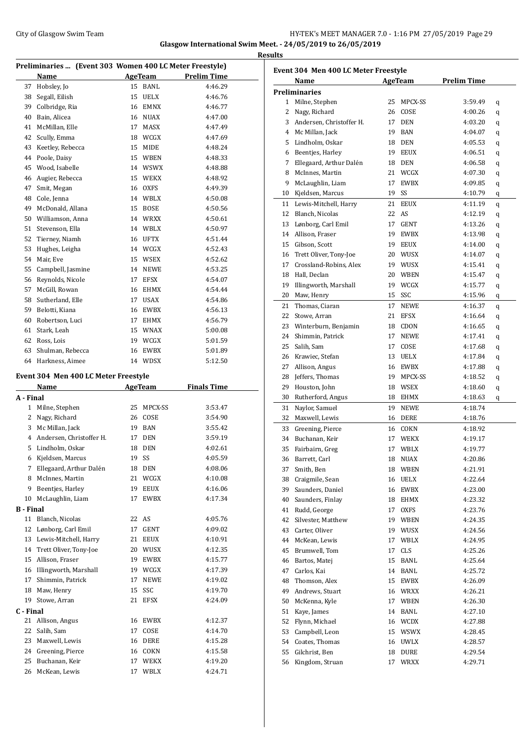#### City of Glasgow Swim Team Team Frameters Music City of Glasgow Swim Team Frameters 2.0 - 1:16 PM 27/05/2019 Page 29 **Glasgow International Swim Meet. - 24/05/2019 to 26/05/2019 Results**

|    | Preliminaries  (Event 303 Women 400 LC Meter Freestyle) |    |             |                    |  |  |  |
|----|---------------------------------------------------------|----|-------------|--------------------|--|--|--|
|    | Name                                                    |    | AgeTeam     | <b>Prelim Time</b> |  |  |  |
| 37 | Hobsley, Jo                                             | 15 | BANL        | 4:46.29            |  |  |  |
| 38 | Segall, Eilish                                          | 15 | UELX        | 4:46.76            |  |  |  |
| 39 | Colbridge, Ria                                          | 16 | <b>EMNX</b> | 4:46.77            |  |  |  |
| 40 | Bain, Alicea                                            | 16 | <b>NUAX</b> | 4:47.00            |  |  |  |
| 41 | McMillan, Elle                                          | 17 | <b>MASX</b> | 4:47.49            |  |  |  |
| 42 | Scully, Emma                                            | 18 | WCGX        | 4:47.69            |  |  |  |
| 43 | Keetley, Rebecca                                        | 15 | MIDE        | 4:48.24            |  |  |  |
| 44 | Poole, Daisy                                            | 15 | WBEN        | 4:48.33            |  |  |  |
| 45 | Wood, Isabelle                                          | 14 | <b>WSWX</b> | 4:48.88            |  |  |  |
| 46 | Augier, Rebecca                                         | 15 | WEKX        | 4:48.92            |  |  |  |
| 47 | Smit, Megan                                             | 16 | <b>OXFS</b> | 4:49.39            |  |  |  |
| 48 | Cole, Jenna                                             | 14 | WBLX        | 4:50.08            |  |  |  |
| 49 | McDonald, Allana                                        | 15 | <b>BOSE</b> | 4:50.56            |  |  |  |
| 50 | Williamson, Anna                                        | 14 | WRXX        | 4:50.61            |  |  |  |
| 51 | Stevenson, Ella                                         | 14 | WBLX        | 4:50.97            |  |  |  |
| 52 | Tierney, Niamh                                          | 16 | <b>UFTX</b> | 4:51.44            |  |  |  |
| 53 | Hughes, Leigha                                          | 14 | WCGX        | 4:52.43            |  |  |  |
| 54 | Mair, Eve                                               | 15 | <b>WSEX</b> | 4:52.62            |  |  |  |
| 55 | Campbell, Jasmine                                       | 14 | <b>NEWE</b> | 4:53.25            |  |  |  |
| 56 | Reynolds, Nicole                                        | 17 | <b>EFSX</b> | 4:54.07            |  |  |  |
| 57 | McGill, Rowan                                           | 16 | EHMX        | 4:54.44            |  |  |  |
| 58 | Sutherland, Elle                                        | 17 | <b>USAX</b> | 4:54.86            |  |  |  |
| 59 | Belotti, Kiana                                          | 16 | <b>EWBX</b> | 4:56.13            |  |  |  |
| 60 | Robertson, Luci                                         | 17 | EHMX        | 4:56.79            |  |  |  |
| 61 | Stark, Leah                                             | 15 | <b>WNAX</b> | 5:00.08            |  |  |  |
| 62 | Ross, Lois                                              | 19 | WCGX        | 5:01.59            |  |  |  |
| 63 | Shulman, Rebecca                                        | 16 | <b>EWBX</b> | 5:01.89            |  |  |  |
| 64 | Harkness, Aimee                                         | 14 | WDSX        | 5:12.50            |  |  |  |
|    |                                                         |    |             |                    |  |  |  |

#### **Event 304 Men 400 LC Meter Freestyle**

|                  | Name                     |    | <b>AgeTeam</b> | <b>Finals Time</b> |
|------------------|--------------------------|----|----------------|--------------------|
| A - Final        |                          |    |                |                    |
| $\mathbf{1}$     | Milne, Stephen           | 25 | MPCX-SS        | 3:53.47            |
| 2                | Nagy, Richard            | 26 | COSE           | 3:54.90            |
| 3                | Mc Millan, Jack          | 19 | <b>BAN</b>     | 3:55.42            |
| 4                | Andersen, Christoffer H. | 17 | <b>DEN</b>     | 3:59.19            |
| 5                | Lindholm. Oskar          | 18 | <b>DEN</b>     | 4:02.61            |
| 6                | Kjeldsen, Marcus         | 19 | SS             | 4:05.59            |
| 7                | Ellegaard, Arthur Dalén  | 18 | <b>DEN</b>     | 4:08.06            |
| 8                | McInnes, Martin          | 21 | WCGX           | 4:10.08            |
| 9                | Beentjes, Harley         | 19 | <b>EEUX</b>    | 4:16.06            |
| 10               | McLaughlin, Liam         | 17 | <b>EWBX</b>    | 4:17.34            |
| <b>B</b> - Final |                          |    |                |                    |
| 11               | Blanch, Nicolas          | 22 | AS             | 4:05.76            |
| 12               | Lønborg, Carl Emil       | 17 | <b>GENT</b>    | 4:09.02            |
| 13               | Lewis-Mitchell, Harry    | 21 | EEUX           | 4:10.91            |
| 14               | Trett Oliver, Tony-Joe   | 20 | WUSX           | 4:12.35            |
| 15               | Allison, Fraser          | 19 | <b>EWBX</b>    | 4:15.77            |
| 16               | Illingworth, Marshall    | 19 | WCGX           | 4:17.39            |
| 17               | Shimmin, Patrick         | 17 | <b>NEWE</b>    | 4:19.02            |
| 18               | Maw, Henry               | 15 | SSC            | 4:19.70            |
| 19               | Stowe, Arran             | 21 | <b>EFSX</b>    | 4:24.09            |
| C - Final        |                          |    |                |                    |
| 21               | Allison, Angus           | 16 | <b>EWBX</b>    | 4:12.37            |
| 22               | Salih, Sam               | 17 | COSE           | 4:14.70            |
| 23               | Maxwell, Lewis           | 16 | <b>DERE</b>    | 4:15.28            |
| 24               | Greening, Pierce         | 16 | COKN           | 4:15.58            |
| 25               | Buchanan, Keir           | 17 | <b>WEKX</b>    | 4:19.20            |
| 26               | McKean, Lewis            | 17 | WBLX           | 4:24.71            |
|                  |                          |    |                |                    |

| Event 304 Men 400 LC Meter Freestyle |                          |    |                |                    |   |  |
|--------------------------------------|--------------------------|----|----------------|--------------------|---|--|
|                                      | Name                     |    | <b>AgeTeam</b> | <b>Prelim Time</b> |   |  |
|                                      | <b>Preliminaries</b>     |    |                |                    |   |  |
| 1                                    | Milne, Stephen           | 25 | MPCX-SS        | 3:59.49            | q |  |
| 2                                    | Nagy, Richard            | 26 | COSE           | 4:00.26            | q |  |
| 3                                    | Andersen, Christoffer H. | 17 | <b>DEN</b>     | 4:03.20            | q |  |
|                                      | 4 Mc Millan, Jack        | 19 | BAN            | 4:04.07            | q |  |
| 5                                    | Lindholm, Oskar          |    | 18 DEN         | 4:05.53            | q |  |
| 6                                    | Beentjes, Harley         |    | 19 EEUX        | 4:06.51            | q |  |
| 7                                    | Ellegaard, Arthur Dalén  |    | 18 DEN         | 4:06.58            | q |  |
| 8                                    | McInnes, Martin          |    | 21 WCGX        | 4:07.30            | q |  |
| 9                                    | McLaughlin, Liam         | 17 | EWBX           | 4:09.85            | q |  |
| 10                                   | Kjeldsen, Marcus         | 19 | SS             | 4:10.79            | q |  |
| 11                                   | Lewis-Mitchell, Harry    | 21 | <b>EEUX</b>    | 4:11.19            | q |  |
| 12                                   | Blanch, Nicolas          | 22 | AS             | 4:12.19            | q |  |
| 13                                   | Lønborg, Carl Emil       | 17 | GENT           | 4:13.26            | q |  |
| 14                                   | Allison, Fraser          | 19 | EWBX           | 4:13.98            | q |  |
| 15                                   | Gibson, Scott            | 19 | <b>EEUX</b>    | 4:14.00            | q |  |
| 16                                   | Trett Oliver, Tony-Joe   | 20 | WUSX           | 4:14.07            | q |  |
| 17                                   | Crossland-Robins, Alex   |    | 19 WUSX        | 4:15.41            | q |  |
| 18                                   | Hall, Declan             |    | 20 WBEN        | 4:15.47            | q |  |
| 19                                   | Illingworth, Marshall    |    | 19 WCGX        | 4:15.77            | q |  |
| 20                                   | Maw, Henry               |    | 15 SSC         | 4:15.96            | q |  |
| 21                                   | Thomas, Ciaran           | 17 | <b>NEWE</b>    | 4:16.37            | q |  |
| 22                                   | Stowe, Arran             | 21 | EFSX           | 4:16.64            | q |  |
| 23                                   | Winterburn, Benjamin     |    | 18 CDON        | 4:16.65            | q |  |
| 24                                   | Shimmin, Patrick         | 17 | NEWE           | 4:17.41            | q |  |
| 25                                   | Salih, Sam               | 17 | COSE           | 4:17.68            | q |  |
| 26                                   | Krawiec, Stefan          | 13 | UELX           | 4:17.84            | q |  |
| 27                                   | Allison, Angus           | 16 | EWBX           | 4:17.88            | q |  |
| 28                                   | Jeffers, Thomas          | 19 | MPCX-SS        | 4:18.52            | q |  |
| 29                                   | Houston, John            | 18 | WSEX           | 4:18.60            | q |  |
| 30                                   | Rutherford, Angus        | 18 | EHMX           | 4:18.63            | q |  |
| 31                                   | Naylor, Samuel           | 19 | <b>NEWE</b>    | 4:18.74            |   |  |
| 32                                   | Maxwell, Lewis           | 16 | DERE           | 4:18.76            |   |  |
| 33                                   | Greening, Pierce         | 16 | COKN           | 4:18.92            |   |  |
| 34                                   | Buchanan, Keir           | 17 | <b>WEKX</b>    | 4:19.17            |   |  |
| 35                                   | Fairbairn, Greg          | 17 | WBLX           | 4:19.77            |   |  |
| 36                                   | Barrett, Carl            | 18 | <b>NUAX</b>    | 4:20.86            |   |  |
| 37                                   | Smith, Ben               |    | 18 WBEN        | 4:21.91            |   |  |
| 38                                   | Craigmile, Sean          | 16 | UELX           | 4:22.64            |   |  |
| 39                                   | Saunders, Daniel         |    | 16 EWBX        | 4:23.00            |   |  |
| 40                                   | Saunders, Finlay         |    | 18 EHMX        | 4:23.32            |   |  |
| 41                                   | Rudd, George             | 17 | <b>OXFS</b>    | 4:23.76            |   |  |
| 42                                   | Silvester, Matthew       | 19 | WBEN           | 4:24.35            |   |  |
| 43                                   | Carter, Oliver           | 19 | WUSX           | 4:24.56            |   |  |
| 44                                   | McKean, Lewis            | 17 | WBLX           | 4:24.95            |   |  |
| 45                                   | Brumwell, Tom            | 17 | CLS            | 4:25.26            |   |  |
| 46                                   | Bartos, Matej            |    | BANL           | 4:25.64            |   |  |
| 47                                   | Carlos, Kai              | 15 |                |                    |   |  |
|                                      |                          | 14 | BANL           | 4:25.72            |   |  |
| 48                                   | Thomson, Alex            | 15 | EWBX           | 4:26.09            |   |  |
| 49                                   | Andrews, Stuart          |    | 16 WRXX        | 4:26.21            |   |  |
| 50                                   | McKenna, Kyle            |    | 17 WBEN        | 4:26.30            |   |  |
| 51                                   | Kaye, James              |    | 14 BANL        | 4:27.10            |   |  |
| 52                                   | Flynn, Michael           |    | 16 WCDX        | 4:27.88            |   |  |
| 53                                   | Campbell, Leon           | 15 | WSWX           | 4:28.45            |   |  |
| 54                                   | Coates, Thomas           | 16 | UWLX           | 4:28.57            |   |  |
| 55                                   | Gilchrist, Ben           | 18 | DURE           | 4:29.54            |   |  |
| 56                                   | Kingdom, Struan          | 17 | WRXX           | 4:29.71            |   |  |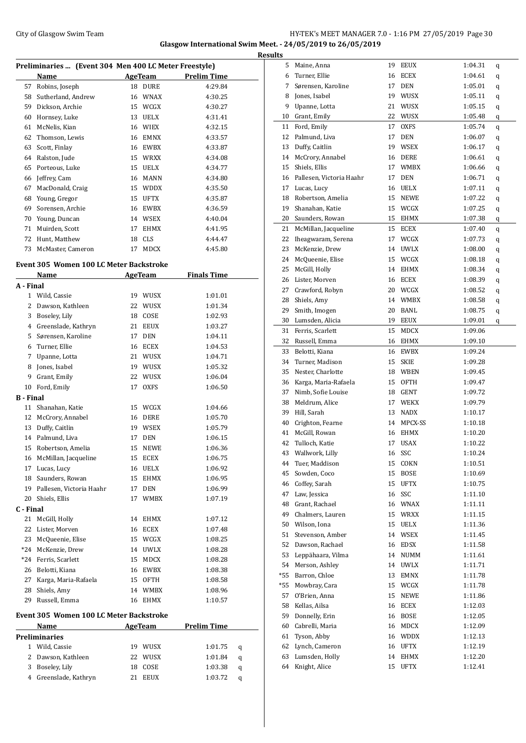## City of Glasgow Swim Team Team Frameters Music City of Glasgow Swim Team Frameters 1.0 - 1:16 PM 27/05/2019 Page 30 **Glasgow International Swim Meet. - 24/05/2019 to 26/05/2019**

|    | Preliminaries  (Event 304 Men 400 LC Meter Freestyle) |    |             |                    |  |  |  |
|----|-------------------------------------------------------|----|-------------|--------------------|--|--|--|
|    | Name                                                  |    | AgeTeam     | <b>Prelim Time</b> |  |  |  |
| 57 | Robins, Joseph                                        | 18 | <b>DURE</b> | 4:29.84            |  |  |  |
| 58 | Sutherland, Andrew                                    | 16 | <b>WNAX</b> | 4:30.25            |  |  |  |
| 59 | Dickson, Archie                                       | 15 | <b>WCGX</b> | 4:30.27            |  |  |  |
| 60 | Hornsey, Luke                                         | 13 | <b>UELX</b> | 4:31.41            |  |  |  |
| 61 | McNelis, Kian                                         | 16 | <b>WIEX</b> | 4:32.15            |  |  |  |
| 62 | Thomson, Lewis                                        | 16 | <b>EMNX</b> | 4:33.57            |  |  |  |
| 63 | Scott, Finlay                                         | 16 | <b>EWBX</b> | 4:33.87            |  |  |  |
| 64 | Ralston, Jude                                         | 15 | <b>WRXX</b> | 4:34.08            |  |  |  |
| 65 | Porteous, Luke                                        | 15 | <b>UELX</b> | 4:34.77            |  |  |  |
| 66 | Jeffrey, Cam                                          | 16 | <b>MANN</b> | 4:34.80            |  |  |  |
| 67 | MacDonald, Craig                                      | 15 | <b>WDDX</b> | 4:35.50            |  |  |  |
| 68 | Young, Gregor                                         | 15 | <b>UFTX</b> | 4:35.87            |  |  |  |
| 69 | Sorensen, Archie                                      | 16 | <b>EWBX</b> | 4:36.59            |  |  |  |
| 70 | Young, Duncan                                         | 14 | <b>WSEX</b> | 4:40.04            |  |  |  |
| 71 | Muirden, Scott                                        | 17 | <b>EHMX</b> | 4:41.95            |  |  |  |
| 72 | Hunt, Matthew                                         | 18 | <b>CLS</b>  | 4:44.47            |  |  |  |
| 73 | McMaster, Cameron                                     | 17 | <b>MDCX</b> | 4:45.80            |  |  |  |

# **Event 305 Women 100 LC Meter Backstroke**

|           | Name                                    |    | <b>AgeTeam</b> | <b>Finals Time</b> |   |
|-----------|-----------------------------------------|----|----------------|--------------------|---|
| A - Final |                                         |    |                |                    |   |
| 1         | Wild, Cassie                            |    | 19 WUSX        | 1:01.01            |   |
| 2         | Dawson, Kathleen                        | 22 | WUSX           | 1:01.34            |   |
| 3         | Boseley, Lily                           |    | 18 COSE        | 1:02.93            |   |
|           | 4 Greenslade, Kathryn                   |    | 21 EEUX        | 1:03.27            |   |
| 5         | Sørensen, Karoline                      | 17 | <b>DEN</b>     | 1:04.11            |   |
| 6         | Turner, Ellie                           | 16 | ECEX           | 1:04.53            |   |
| 7         | Upanne, Lotta                           |    | 21 WUSX        | 1:04.71            |   |
| 8         | Jones, Isabel                           |    | 19 WUSX        | 1:05.32            |   |
| 9         | Grant, Emily                            | 22 | WUSX           | 1:06.04            |   |
| 10        | Ford, Emily                             | 17 | <b>OXFS</b>    | 1:06.50            |   |
| B - Final |                                         |    |                |                    |   |
| 11        | Shanahan, Katie                         | 15 | WCGX           | 1:04.66            |   |
| 12        | McCrory, Annabel                        | 16 | DERE           | 1:05.70            |   |
| 13        | Duffy, Caitlin                          |    | 19 WSEX        | 1:05.79            |   |
| 14        | Palmund, Liva                           | 17 | DEN            | 1:06.15            |   |
| 15        | Robertson, Amelia                       | 15 | NEWE           | 1:06.36            |   |
| 16        | McMillan, Jacqueline                    | 15 | ECEX           | 1:06.75            |   |
| 17        | Lucas, Lucy                             |    | 16 UELX        | 1:06.92            |   |
| 18        | Saunders, Rowan                         |    | 15 EHMX        | 1:06.95            |   |
| 19        | Pallesen, Victoria Haahr                | 17 | <b>DEN</b>     | 1:06.99            |   |
| 20        | Shiels, Ellis                           | 17 | <b>WMBX</b>    | 1:07.19            |   |
| C - Final |                                         |    |                |                    |   |
| 21        | McGill, Holly                           | 14 | <b>EHMX</b>    | 1:07.12            |   |
| 22        | Lister, Morven                          | 16 | <b>ECEX</b>    | 1:07.48            |   |
| 23        | McQueenie, Elise                        | 15 | WCGX           | 1:08.25            |   |
| $*24$     | McKenzie, Drew                          |    | 14 UWLX        | 1:08.28            |   |
| $*24$     | Ferris, Scarlett                        | 15 | <b>MDCX</b>    | 1:08.28            |   |
| 26        | Belotti, Kiana                          |    | 16 EWBX        | 1:08.38            |   |
| 27        | Karga, Maria-Rafaela                    |    | 15 OFTH        | 1:08.58            |   |
| 28        | Shiels, Amy                             | 14 | <b>WMBX</b>    | 1:08.96            |   |
| 29        | Russell, Emma                           | 16 | <b>EHMX</b>    | 1:10.57            |   |
|           | Event 305 Women 100 LC Meter Backstroke |    |                |                    |   |
|           | Name                                    |    | AgeTeam        | <b>Prelim Time</b> |   |
|           | <b>Preliminaries</b>                    |    |                |                    |   |
| 1         | Wild, Cassie                            |    | 19 WUSX        | 1:01.75            | q |
| 2         | Dawson, Kathleen                        | 22 | WUSX           | 1:01.84            | q |

 Boseley, Lily 18 COSE 1:03.38 q Greenslade, Kathryn 21 EEUX 1:03.72 q

| <b>Results</b> |                             |    |             |         |        |
|----------------|-----------------------------|----|-------------|---------|--------|
| 5              | Maine, Anna                 |    | 19 EEUX     | 1:04.31 | q      |
| 6              | Turner, Ellie               |    | 16 ECEX     | 1:04.61 | q      |
| 7              | Sørensen, Karoline          |    | 17 DEN      | 1:05.01 | q      |
| 8              | Jones, Isabel               |    | 19 WUSX     | 1:05.11 | q      |
| 9              | Upanne, Lotta               | 21 | WUSX        | 1:05.15 | q      |
| 10             | Grant, Emily                |    | 22 WUSX     | 1:05.48 | q      |
| 11             | Ford, Emily                 |    | 17 OXFS     | 1:05.74 | q      |
|                | 12 Palmund, Liva            | 17 | <b>DEN</b>  | 1:06.07 | q      |
|                | 13 Duffy, Caitlin           |    | 19 WSEX     | 1:06.17 | q      |
|                | 14 McCrory, Annabel         |    | 16 DERE     | 1:06.61 | q      |
|                | 15 Shiels, Ellis            |    | 17 WMBX     | 1:06.66 | q      |
|                | 16 Pallesen, Victoria Haahr |    | 17 DEN      | 1:06.71 | q      |
|                | 17 Lucas, Lucy              |    | 16 UELX     | 1:07.11 | q      |
|                | 18 Robertson, Amelia        |    | 15 NEWE     | 1:07.22 | q      |
|                | 19 Shanahan, Katie          |    | 15 WCGX     | 1:07.25 | q      |
|                | 20 Saunders, Rowan          |    | 15 EHMX     | 1:07.38 | q      |
| 21             | McMillan, Jacqueline        |    | 15 ECEX     | 1:07.40 | q      |
| 22             | Iheagwaram, Serena          |    | 17 WCGX     | 1:07.73 | q      |
| 23             | McKenzie, Drew              |    | 14 UWLX     | 1:08.00 | q      |
| 24             | McQueenie, Elise            |    | 15 WCGX     | 1:08.18 | q      |
| 25             | McGill, Holly               |    | 14 EHMX     | 1:08.34 | q      |
| 26             | Lister, Morven              |    | 16 ECEX     | 1:08.39 | q      |
| 27             | Crawford, Robyn             |    | 20 WCGX     | 1:08.52 | q      |
|                | 28 Shiels, Amy              |    | 14 WMBX     | 1:08.58 |        |
| 29             | Smith, Imogen               |    | 20 BANL     | 1:08.75 | q<br>q |
|                | 30 Lumsden, Alicia          |    | 19 EEUX     | 1:09.01 | q      |
|                | 31 Ferris, Scarlett         | 15 | MDCX        | 1:09.06 |        |
| 32             | Russell, Emma               |    | 16 EHMX     | 1:09.10 |        |
| 33             | Belotti, Kiana              |    | 16 EWBX     | 1:09.24 |        |
| 34             | Turner, Madison             |    | 15 SKIE     | 1:09.28 |        |
| 35             | Nester, Charlotte           |    | 18 WBEN     | 1:09.45 |        |
|                | 36 Karga, Maria-Rafaela     |    | 15 OFTH     | 1:09.47 |        |
| 37             | Nimb, Sofie Louise          |    | 18 GENT     | 1:09.72 |        |
| 38             | Meldrum, Alice              |    | 17 WEKX     | 1:09.79 |        |
| 39             | Hill, Sarah                 |    | 13 NADX     | 1:10.17 |        |
| 40             | Crighton, Fearne            |    | 14 MPCX-SS  | 1:10.18 |        |
| 41             | McGill, Rowan               | 16 | EHMX        | 1:10.20 |        |
| 42             | Tulloch, Katie              | 17 | <b>USAX</b> | 1:10.22 |        |
| 43             | Wallwork, Lilly             |    | 16 SSC      | 1:10.24 |        |
| 44             | Tuer, Maddison              |    | 15 COKN     | 1:10.51 |        |
| 45             | Sowden, Coco                |    | 15 BOSE     | 1:10.69 |        |
| 46             | Coffey, Sarah               |    | 15 UFTX     | 1:10.75 |        |
| 47             | Law, Jessica                |    | 16 SSC      | 1:11.10 |        |
| 48             | Grant, Rachael              |    | 16 WNAX     | 1:11.11 |        |
| 49             | Chalmers. Lauren            |    | 15 WRXX     | 1:11.15 |        |
| 50             | Wilson, Iona                |    | 15 UELX     | 1:11.36 |        |
| 51             | Stevenson, Amber            |    | 14 WSEX     | 1:11.45 |        |
| 52             | Dawson, Rachael             |    | 16 EDSX     | 1:11.58 |        |
| 53             | Leppähaara, Vilma           | 14 | NUMM        | 1:11.61 |        |
| 54             | Merson, Ashley              |    | 14 UWLX     | 1:11.71 |        |
| $*55$          | Barron, Chloe               |    | 13 EMNX     | 1:11.78 |        |
| *55            | Mowbray, Cara               |    | 15 WCGX     | 1:11.78 |        |
| 57             | O'Brien, Anna               | 15 | NEWE        | 1:11.86 |        |
| 58             | Kellas, Ailsa               |    | 16 ECEX     | 1:12.03 |        |
| 59             | Donnelly, Erin              |    | 16 BOSE     | 1:12.05 |        |
| 60             | Cabrelli, Maria             |    | 16 MDCX     | 1:12.09 |        |
| 61             | Tyson, Abby                 |    | 16 WDDX     | 1:12.13 |        |
| 62             | Lynch, Cameron              |    | 16 UFTX     | 1:12.19 |        |
| 63             | Lumsden, Holly              | 14 | EHMX        | 1:12.20 |        |
| 64             | Knight, Alice               | 15 | <b>UFTX</b> | 1:12.41 |        |
|                |                             |    |             |         |        |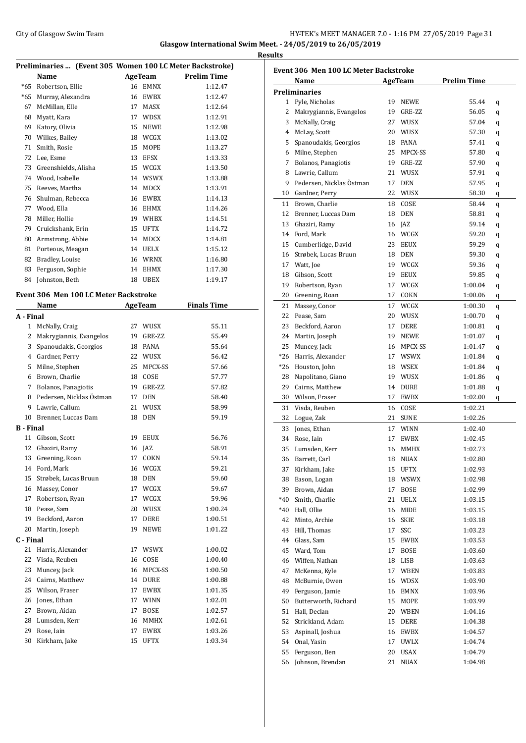#### City of Glasgow Swim Team **HY-TEK's MEET MANAGER 7.0 - 1:16 PM 27/05/2019** Page 31 **Glasgow International Swim Meet. - 24/05/2019 to 26/05/2019**

**Results**

 $\overline{a}$ 

**Preliminaries ... (Event 305 Women 100 LC Meter Backstroke) Name AgeTeam Prelim Time** \*65 Robertson, Ellie 16 EMNX 1:12.47 \*65 Murray, Alexandra 16 EWBX 1:12.47 McMillan, Elle 17 MASX 1:12.64 Myatt, Kara 17 WDSX 1:12.91 Katory, Olivia 15 NEWE 1:12.98 Wilkes, Bailey 18 WCGX 1:13.02 Smith, Rosie 15 MOPE 1:13.27 Lee, Esme 13 EFSX 1:13.33 73 Greenshields, Alisha 15 WCGX 1:13.50 Wood, Isabelle 14 WSWX 1:13.88 Reeves, Martha 14 MDCX 1:13.91 Shulman, Rebecca 16 EWBX 1:14.13 Wood, Ella 16 EHMX 1:14.26 Miller, Hollie 19 WHBX 1:14.51 Cruickshank, Erin 15 UFTX 1:14.72 Armstrong, Abbie 14 MDCX 1:14.81 81 Porteous, Meagan 14 UELX 1:15.12 82 Bradley, Louise 16 WRNX 1:16.80 Ferguson, Sophie 14 EHMX 1:17.30 Johnston, Beth 18 UBEX 1:19.17 **Event 306 Men 100 LC Meter Backstroke Name AgeTeam Finals Time A - Final** McNally, Craig 27 WUSX 55.11 2 Makrygiannis, Evangelos 19 GRE-ZZ 55.49 Spanoudakis, Georgios 18 PANA 55.64 Gardner, Perry 22 WUSX 56.42 Milne, Stephen 25 MPCX-SS 57.66 Brown, Charlie 18 COSE 57.77 Bolanos, Panagiotis 19 GRE-ZZ 57.82 8 Pedersen, Nicklas Östman 17 DEN 58.40 Lawrie, Callum 21 WUSX 58.99 10 Brenner, Luccas Dam 18 DEN 59.19 **B - Final** Gibson, Scott 19 EEUX 56.76 Ghaziri, Ramy 16 JAZ 58.91 13 Greening, Roan 17 COKN 59.14 Ford, Mark 16 WCGX 59.21 Strøbek, Lucas Bruun 18 DEN 59.60 16 Massey, Conor 17 WCGX 59.67 17 Robertson, Ryan 17 WCGX 59.96 Pease, Sam 20 WUSX 1:00.24 Beckford, Aaron 17 DERE 1:00.51 Martin, Joseph 19 NEWE 1:01.22 **C - Final** 21 Harris, Alexander 17 WSWX 1:00.02 Visda, Reuben 16 COSE 1:00.40 23 Muncey, Jack 16 MPCX-SS 1:00.50 Cairns, Matthew 14 DURE 1:00.88 Wilson, Fraser 17 EWBX 1:01.35

 Jones, Ethan 17 WINN 1:02.01 Brown, Aidan 17 BOSE 1:02.57 Lumsden, Kerr 16 MMHX 1:02.61 Rose, Iain 17 EWBX 1:03.26 Kirkham, Jake 15 UFTX 1:03.34

| Event 306  Men 100 LC Meter Backstroke |                          |    |             |             |   |  |  |
|----------------------------------------|--------------------------|----|-------------|-------------|---|--|--|
|                                        | Name                     |    | AgeTeam     | Prelim Time |   |  |  |
|                                        | <b>Preliminaries</b>     |    |             |             |   |  |  |
| 1                                      | Pyle, Nicholas           | 19 | NEWE        | 55.44       | q |  |  |
| 2                                      | Makrygiannis, Evangelos  | 19 | GRE-ZZ      | 56.05       | q |  |  |
| 3                                      | McNally, Craig           |    | 27 WUSX     | 57.04       | q |  |  |
| 4                                      | McLay, Scott             |    | 20 WUSX     | 57.30       | q |  |  |
| 5                                      | Spanoudakis, Georgios    |    | 18 PANA     | 57.41       | q |  |  |
| 6                                      | Milne, Stephen           |    | 25 MPCX-SS  | 57.80       | q |  |  |
| 7                                      | Bolanos, Panagiotis      | 19 | GRE-ZZ      | 57.90       | q |  |  |
| 8                                      | Lawrie, Callum           | 21 | WUSX        | 57.91       | q |  |  |
| 9                                      | Pedersen, Nicklas Östman | 17 | <b>DEN</b>  | 57.95       | q |  |  |
| 10                                     | Gardner, Perry           |    | 22 WUSX     | 58.30       | q |  |  |
| 11                                     | Brown, Charlie           | 18 | COSE        | 58.44       | q |  |  |
| 12                                     | Brenner, Luccas Dam      |    | 18 DEN      | 58.81       | q |  |  |
| 13                                     | Ghaziri, Ramy            |    | 16 JAZ      | 59.14       | q |  |  |
| 14                                     | Ford, Mark               |    | 16 WCGX     | 59.20       |   |  |  |
| 15                                     | Cumberlidge, David       |    | 23 EEUX     | 59.29       | q |  |  |
|                                        | Strøbek, Lucas Bruun     |    | 18 DEN      |             | q |  |  |
| 16<br>17                               |                          |    | 19 WCGX     | 59.30       | q |  |  |
|                                        | Watt, Joe                |    |             | 59.36       | q |  |  |
| 18                                     | Gibson, Scott            |    | 19 EEUX     | 59.85       | q |  |  |
| 19                                     | Robertson, Ryan          | 17 | WCGX        | 1:00.04     | q |  |  |
| 20                                     | Greening, Roan           | 17 | COKN        | 1:00.06     | q |  |  |
| 21                                     | Massey, Conor            | 17 | WCGX        | 1:00.30     | q |  |  |
| 22                                     | Pease, Sam               | 20 | WUSX        | 1:00.70     | q |  |  |
| 23                                     | Beckford, Aaron          | 17 | DERE        | 1:00.81     | q |  |  |
| 24                                     | Martin, Joseph           | 19 | <b>NEWE</b> | 1:01.07     | q |  |  |
| 25                                     | Muncey, Jack             | 16 | MPCX-SS     | 1:01.47     | q |  |  |
| $*26$                                  | Harris, Alexander        | 17 | WSWX        | 1:01.84     | q |  |  |
| *26                                    | Houston, John            |    | 18 WSEX     | 1:01.84     | q |  |  |
| 28                                     | Napolitano, Giano        |    | 19 WUSX     | 1:01.86     | q |  |  |
| 29                                     | Cairns, Matthew          |    | 14 DURE     | 1:01.88     | q |  |  |
| 30                                     | Wilson, Fraser           | 17 | EWBX        | 1:02.00     | q |  |  |
| 31                                     | Visda, Reuben            | 16 | COSE        | 1:02.21     |   |  |  |
| 32                                     | Logue, Zak               | 21 | SUNE        | 1:02.26     |   |  |  |
| 33                                     | Jones, Ethan             |    | 17 WINN     | 1:02.40     |   |  |  |
| 34                                     | Rose, Iain               | 17 | <b>EWBX</b> | 1:02.45     |   |  |  |
| 35                                     | Lumsden, Kerr            | 16 | <b>MMHX</b> | 1:02.73     |   |  |  |
|                                        | 36 Barrett, Carl         |    | 18 NUAX     | 1:02.80     |   |  |  |
| 37                                     | Kirkham, Jake            | 15 | <b>UFTX</b> | 1:02.93     |   |  |  |
| 38                                     | Eason, Logan             | 18 | WSWX        | 1:02.98     |   |  |  |
| 39                                     | Brown, Aidan             | 17 | <b>BOSE</b> | 1:02.99     |   |  |  |
| $*40$                                  | Smith, Charlie           | 21 | UELX        | 1:03.15     |   |  |  |
| *40                                    | Hall, Ollie              | 16 | MIDE        | 1:03.15     |   |  |  |
| 42                                     | Minto, Archie            | 16 | <b>SKIE</b> | 1:03.18     |   |  |  |
| 43                                     | Hill, Thomas             | 17 | SSC         | 1:03.23     |   |  |  |
| 44                                     | Glass, Sam               | 15 | EWBX        | 1:03.53     |   |  |  |
| 45                                     | Ward, Tom                | 17 | BOSE        | 1:03.60     |   |  |  |
| 46                                     | Wiffen, Nathan           | 18 | LISB        | 1:03.63     |   |  |  |
| 47                                     | McKenna, Kyle            | 17 | WBEN        | 1:03.83     |   |  |  |
|                                        |                          |    |             |             |   |  |  |
| 48                                     | McBurnie, Owen           | 16 | WDSX        | 1:03.90     |   |  |  |
| 49                                     | Ferguson, Jamie          | 16 | EMNX        | 1:03.96     |   |  |  |
| 50                                     | Butterworth, Richard     | 15 | MOPE        | 1:03.99     |   |  |  |
| 51                                     | Hall, Declan             | 20 | WBEN        | 1:04.16     |   |  |  |
| 52                                     | Strickland, Adam         | 15 | DERE        | 1:04.38     |   |  |  |
| 53                                     | Aspinall, Joshua         | 16 | EWBX        | 1:04.57     |   |  |  |
| 54                                     | Onal, Yasin              | 17 | UWLX        | 1:04.74     |   |  |  |
| 55                                     | Ferguson, Ben            | 20 | USAX        | 1:04.79     |   |  |  |
| 56                                     | Johnson, Brendan         | 21 | NUAX        | 1:04.98     |   |  |  |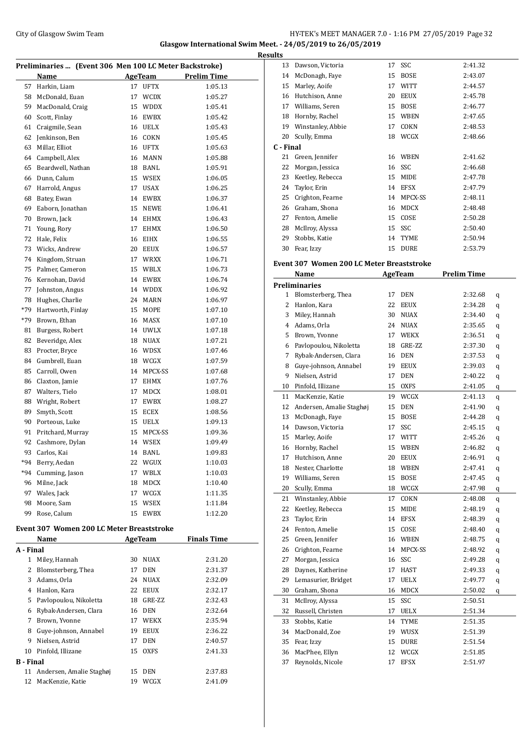### City of Glasgow Swim Team Team Team Fermic Manager 2.0 - 1:16 PM 27/05/2019 Page 32 **Glasgow International Swim Meet. - 24/05/2019 to 26/05/2019**

**Results**

| Preliminaries  (Event 306 Men 100 LC Meter Backstroke) |                                           |    |                |                    |  |
|--------------------------------------------------------|-------------------------------------------|----|----------------|--------------------|--|
|                                                        | Name                                      |    | <b>AgeTeam</b> | <b>Prelim Time</b> |  |
| 57                                                     | Harkin, Liam                              | 17 | <b>UFTX</b>    | 1:05.13            |  |
| 58                                                     | McDonald, Euan                            | 17 | <b>WCDX</b>    | 1:05.27            |  |
| 59                                                     | MacDonald, Craig                          | 15 | <b>WDDX</b>    | 1:05.41            |  |
| 60                                                     | Scott, Finlay                             | 16 | <b>EWBX</b>    | 1:05.42            |  |
| 61                                                     | Craigmile, Sean                           | 16 | <b>UELX</b>    | 1:05.43            |  |
| 62                                                     | Jenkinson, Ben                            | 16 | COKN           | 1:05.45            |  |
| 63                                                     | Millar, Elliot                            | 16 | <b>UFTX</b>    | 1:05.63            |  |
| 64                                                     | Campbell, Alex                            | 16 | MANN           | 1:05.88            |  |
| 65                                                     | Beardwell, Nathan                         |    | 18 BANL        | 1:05.91            |  |
| 66                                                     | Dunn, Calum                               | 15 | WSEX           | 1:06.05            |  |
| 67                                                     | Harrold, Angus                            | 17 | USAX           | 1:06.25            |  |
| 68                                                     | Batey, Ewan                               | 14 | EWBX           | 1:06.37            |  |
| 69                                                     | Eaborn, Jonathan                          | 15 | NEWE           | 1:06.41            |  |
| 70                                                     | Brown, Jack                               | 14 | EHMX           | 1:06.43            |  |
| 71                                                     | Young, Rory                               | 17 | <b>EHMX</b>    | 1:06.50            |  |
| 72                                                     | Hale, Felix                               | 16 | <b>EIHX</b>    | 1:06.55            |  |
| 73                                                     | Wicks, Andrew                             | 20 | <b>EEUX</b>    | 1:06.57            |  |
| 74                                                     | Kingdom, Struan                           | 17 | <b>WRXX</b>    | 1:06.71            |  |
| 75                                                     | Palmer, Cameron                           | 15 | <b>WBLX</b>    | 1:06.73            |  |
| 76                                                     | Kernohan, David                           |    | 14 EWBX        | 1:06.74            |  |
| 77                                                     | Johnston, Angus                           |    | 14 WDDX        | 1:06.92            |  |
| 78                                                     | Hughes, Charlie                           | 24 | MARN           | 1:06.97            |  |
| *79                                                    | Hartworth, Finlay                         | 15 | MOPE           | 1:07.10            |  |
| *79                                                    | Brown, Ethan                              | 16 | MASX           | 1:07.10            |  |
| 81                                                     | Burgess, Robert                           | 14 | <b>UWLX</b>    | 1:07.18            |  |
| 82                                                     | Beveridge, Alex                           | 18 | NUAX           | 1:07.21            |  |
| 83                                                     | Procter, Bryce                            | 16 | <b>WDSX</b>    | 1:07.46            |  |
| 84                                                     | Gumbrell, Euan                            |    | 18 WCGX        | 1:07.59            |  |
| 85                                                     | Carroll, Owen                             | 14 | MPCX-SS        | 1:07.68            |  |
| 86                                                     | Claxton, Jamie                            | 17 | EHMX           | 1:07.76            |  |
| 87                                                     | Walters, Tielo                            | 17 | MDCX           | 1:08.01            |  |
| 88                                                     | Wright, Robert                            | 17 | EWBX           | 1:08.27            |  |
| 89                                                     | Smyth, Scott                              | 15 | ECEX           | 1:08.56            |  |
| 90                                                     | Porteous, Luke                            | 15 | UELX           | 1:09.13            |  |
| 91                                                     | Pritchard, Murray                         | 15 | MPCX-SS        | 1:09.36            |  |
| 92                                                     | Cashmore, Dylan                           | 14 | WSEX           | 1:09.49            |  |
| 93                                                     | Carlos, Kai                               | 14 | BANL           | 1:09.83            |  |
| *94                                                    | Berry, Aedan                              | 22 | WGUX           | 1:10.03            |  |
| $*94$                                                  | Cumming, Jason                            | 17 | WBLX           | 1:10.03            |  |
| 96                                                     | Milne, Jack                               | 18 | MDCX           | 1:10.40            |  |
| 97                                                     | Wales, Jack                               | 17 | WCGX           | 1:11.35            |  |
| 98                                                     | Moore, Sam                                | 15 | WSEX           | 1:11.84            |  |
| 99                                                     | Rose, Calum                               | 15 | EWBX           | 1:12.20            |  |
|                                                        | Event 307 Women 200 LC Meter Breaststroke |    |                |                    |  |

|                  | Name                     |    | AgeTeam     | <b>Finals Time</b> |
|------------------|--------------------------|----|-------------|--------------------|
| A - Final        |                          |    |             |                    |
| 1                | Miley, Hannah            | 30 | <b>NUAX</b> | 2:31.20            |
| 2                | Blomsterberg, Thea       | 17 | <b>DEN</b>  | 2:31.37            |
| 3                | Adams, Orla              | 24 | <b>NUAX</b> | 2:32.09            |
| 4                | Hanlon, Kara             | 22 | <b>EEUX</b> | 2:32.17            |
| 5.               | Pavlopoulou, Nikoletta   | 18 | GRE-ZZ      | 2:32.43            |
| 6                | Rybak-Andersen, Clara    | 16 | <b>DEN</b>  | 2:32.64            |
| 7                | Brown, Yvonne            | 17 | <b>WEKX</b> | 2:35.94            |
| 8                | Guye-johnson, Annabel    | 19 | <b>EEUX</b> | 2:36.22            |
| 9                | Nielsen, Astrid          | 17 | <b>DEN</b>  | 2:40.57            |
| 10               | Pinfold, Illizane        | 15 | <b>OXFS</b> | 2:41.33            |
| <b>B</b> - Final |                          |    |             |                    |
| 11               | Andersen, Amalie Staghøj | 15 | <b>DEN</b>  | 2:37.83            |
| 12               | MacKenzie, Katie         | 19 | WCGX        | 2:41.09            |
|                  |                          |    |             |                    |

| 13        | Dawson, Victoria                                 | 17 | SSC            | 2:41.32            |   |
|-----------|--------------------------------------------------|----|----------------|--------------------|---|
| 14        | McDonagh, Faye                                   | 15 | <b>BOSE</b>    | 2:43.07            |   |
|           | 15 Marley, Aoife                                 |    | 17 WITT        | 2:44.57            |   |
|           | 16 Hutchison, Anne                               |    | 20 EEUX        | 2:45.78            |   |
|           | 17 Williams, Seren                               |    | 15 BOSE        | 2:46.77            |   |
|           | 18 Hornby, Rachel                                |    | 15 WBEN        | 2:47.65            |   |
|           | 19 Winstanley, Abbie                             | 17 | COKN           | 2:48.53            |   |
| 20        | Scully, Emma                                     | 18 | WCGX           | 2:48.66            |   |
| C - Final |                                                  |    |                |                    |   |
| 21        | Green, Jennifer                                  | 16 | WBEN           | 2:41.62            |   |
| 22        | Morgan, Jessica                                  |    | 16 SSC         | 2:46.68            |   |
| 23        |                                                  |    | 15 MIDE        | 2:47.78            |   |
|           | Keetley, Rebecca                                 |    |                |                    |   |
| 24        | Taylor, Erin                                     |    | 14 EFSX        | 2:47.79            |   |
| 25        | Crighton, Fearne                                 |    | 14 MPCX-SS     | 2:48.11            |   |
|           | 26 Graham, Shona                                 |    | 16 MDCX        | 2:48.48            |   |
|           | 27 Fenton, Amelie                                | 15 | COSE           | 2:50.28            |   |
|           | 28 McIlroy, Alyssa                               |    | 15 SSC         | 2:50.40            |   |
| 29        | Stobbs, Katie                                    |    | 14 TYME        | 2:50.94            |   |
| 30        | Fear, Izzy                                       | 15 | DURE           | 2:53.79            |   |
|           | <b>Event 307 Women 200 LC Meter Breaststroke</b> |    |                |                    |   |
|           |                                                  |    |                |                    |   |
|           | Name                                             |    | <b>AgeTeam</b> | <b>Prelim Time</b> |   |
|           | <b>Preliminaries</b>                             |    |                |                    |   |
|           | 1 Blomsterberg, Thea                             | 17 | DEN            | 2:32.68            | q |
|           | 2 Hanlon, Kara                                   |    | 22 EEUX        | 2:34.28            | q |
|           | 3 Miley, Hannah                                  | 30 | NUAX           | 2:34.40            | q |
|           | 4 Adams, Orla                                    |    | 24 NUAX        | 2:35.65            | q |
|           | 5 Brown, Yvonne                                  |    | 17 WEKX        | 2:36.51            | q |
|           | 6 Pavlopoulou, Nikoletta                         |    | 18 GRE-ZZ      | 2:37.30            | q |
| 7         | Rybak-Andersen, Clara                            |    | 16 DEN         | 2:37.53            | q |
| 8         | Guye-johnson, Annabel                            |    | 19 EEUX        | 2:39.03            | q |
| 9         | Nielsen, Astrid                                  |    | 17 DEN         | 2:40.22            | q |
| 10        | Pinfold, Illizane                                | 15 | OXFS           | 2:41.05            | q |
| 11        | MacKenzie, Katie                                 |    | 19 WCGX        | 2:41.13            | q |
| 12        | Andersen, Amalie Staghøj                         | 15 | DEN            | 2:41.90            | q |
| 13        | McDonagh, Faye                                   | 15 | BOSE           | 2:44.28            | q |
|           | 14 Dawson, Victoria                              | 17 | SSC            | 2:45.15            | q |
| 15        | Marley, Aoife                                    | 17 | WITT           | 2:45.26            | q |
| 16        | Hornby, Rachel                                   | 15 | WBEN           | 2:46.82            | q |
| 17        | Hutchison, Anne                                  | 20 | <b>EEUX</b>    | 2:46.91            |   |
| 18        | Nester, Charlotte                                | 18 | WBEN           | 2:47.41            | q |
| 19        | Williams, Seren                                  | 15 | <b>BOSE</b>    | 2:47.45            | q |
| 20        | Scully, Emma                                     |    | ${\sf WCGX}$   |                    | q |
|           |                                                  | 18 |                | 2:47.98            | q |
| 21        | Winstanley, Abbie                                | 17 | COKN           | 2:48.08            | q |
| 22        | Keetley, Rebecca                                 | 15 | MIDE           | 2:48.19            | q |
| 23        | Taylor, Erin                                     | 14 | <b>EFSX</b>    | 2:48.39            | q |
| 24        | Fenton, Amelie                                   | 15 | COSE           | 2:48.40            | q |
| 25        | Green, Jennifer                                  | 16 | WBEN           | 2:48.75            | q |
| 26        | Crighton, Fearne                                 | 14 | MPCX-SS        | 2:48.92            | q |
| 27        | Morgan, Jessica                                  | 16 | SSC            | 2:49.28            | q |
| 28        | Daynes, Katherine                                | 17 | HAST           | 2:49.33            | q |
| 29        | Lemasurier, Bridget                              | 17 | UELX           | 2:49.77            | q |
| 30        | Graham, Shona                                    | 16 | MDCX           | 2:50.02            | q |
| 31        | McIlroy, Alyssa                                  | 15 | SSC            | 2:50.51            |   |
| 32        | Russell, Christen                                | 17 | UELX           | 2:51.34            |   |
| 33        | Stobbs, Katie                                    | 14 | TYME           | 2:51.35            |   |
| 34        | MacDonald, Zoe                                   | 19 | WUSX           | 2:51.39            |   |
| 35        | Fear, Izzy                                       | 15 | DURE           | 2:51.54            |   |
| 36        | MacPhee, Ellyn                                   | 12 | WCGX           | 2:51.85            |   |
| 37        | Reynolds, Nicole                                 | 17 | <b>EFSX</b>    | 2:51.97            |   |
|           |                                                  |    |                |                    |   |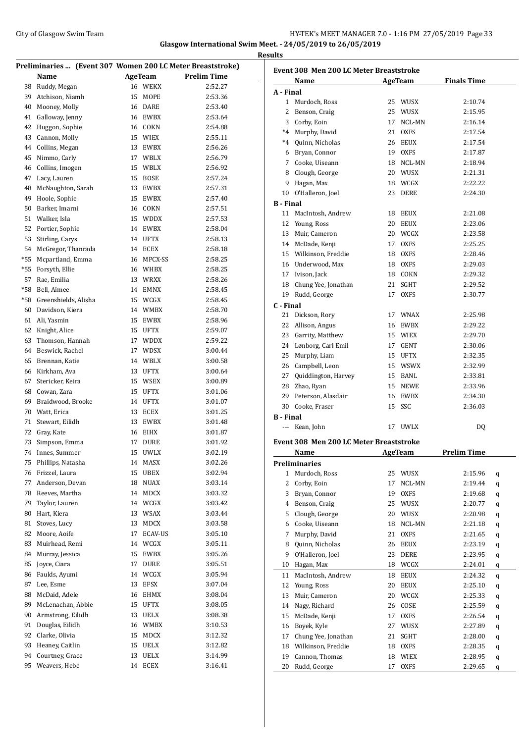#### City of Glasgow Swim Team **HY-TEK's MEET MANAGER 7.0 - 1:16 PM 27/05/2019** Page 33 **Glasgow International Swim Meet. - 24/05/2019 to 26/05/2019**

**Results**

**Preliminaries ... (Event 307 Women 200 LC Meter Breaststroke) Name AgeTeam Prelim Time**  Ruddy, Megan 16 WEKX 2:52.27 Atchison, Niamh 15 MOPE 2:53.36 Mooney, Molly 16 DARE 2:53.40 Galloway, Jenny 16 EWBX 2:53.64 Huggon, Sophie 16 COKN 2:54.88 Cannon, Molly 15 WIEX 2:55.11 Collins, Megan 13 EWBX 2:56.26 Nimmo, Carly 17 WBLX 2:56.79 Collins, Imogen 15 WBLX 2:56.92 Lacy, Lauren 15 BOSE 2:57.24 48 McNaughton, Sarah 13 EWBX 2:57.31 Hoole, Sophie 15 EWBX 2:57.40 Barker, Imarni 16 COKN 2:57.51 Walker, Isla 15 WDDX 2:57.53 Portier, Sophie 14 EWBX 2:58.04 Stirling, Carys 14 UFTX 2:58.13 McGregor, Thanrada 14 ECEX 2:58.18 \*55 Mcpartland, Emma 16 MPCX-SS 2:58.25 \*55 Forsyth, Ellie 16 WHBX 2:58.25 Rae, Emilia 13 WRXX 2:58.26 \*58 Bell, Aimee 14 EMNX 2:58.45 \*58 Greenshields, Alisha 15 WCGX 2:58.45 Davidson, Kiera 14 WMBX 2:58.70 Ali, Yasmin 15 EWBX 2:58.96 Knight, Alice 15 UFTX 2:59.07 Thomson, Hannah 17 WDDX 2:59.22 Beswick, Rachel 17 WDSX 3:00.44 Brennan, Katie 14 WBLX 3:00.58 Kirkham, Ava 13 UFTX 3:00.64 Stericker, Keira 15 WSEX 3:00.89 Cowan, Zara 15 UFTX 3:01.06 Braidwood, Brooke 14 UFTX 3:01.07 Watt, Erica 13 ECEX 3:01.25 Stewart, Eilidh 13 EWBX 3:01.48 Gray, Kate 16 EIHX 3:01.87 Simpson, Emma 17 DURE 3:01.92 Innes, Summer 15 UWLX 3:02.19 Phillips, Natasha 14 MASX 3:02.26 Frizzel, Laura 15 UBEX 3:02.94 Anderson, Devan 18 NUAX 3:03.14 Reeves, Martha 14 MDCX 3:03.32 Taylor, Lauren 14 WCGX 3:03.42 80 Hart, Kiera 13 WSAX 3:03.44 Stoves, Lucy 13 MDCX 3:03.58 82 Moore, Aoife 17 ECAV-US 3:05.10 Muirhead, Remi 14 WCGX 3:05.11 84 Murray, Jessica 15 EWBX 3:05.26 85 Joyce, Ciara 17 DURE 3:05.51 Faulds, Ayumi 14 WCGX 3:05.94 Lee, Esme 13 EFSX 3:07.04 McDaid, Adele 16 EHMX 3:08.04 McLenachan, Abbie 15 UFTX 3:08.05 Armstrong, Eilidh 13 UELX 3:08.38 91 Douglas, Eilidh 16 WMBX 3:10.53 Clarke, Olivia 15 MDCX 3:12.32 Heaney, Caitlin 15 UELX 3:12.82 Courtney, Grace 13 UELX 3:14.99 Weavers, Hebe 14 ECEX 3:16.41

| <b>Finals Time</b><br><b>AgeTeam</b><br>Name<br>A - Final<br>25 WUSX<br>1 Murdoch, Ross<br>2:10.74<br>2<br>Benson, Craig<br>25<br>WUSX<br>2:15.95<br>3 Corby, Eoin<br>NCL-MN<br>17<br>2:16.14<br>*4 Murphy, David<br>21 OXFS<br>2:17.54<br>*4 Quinn, Nicholas<br>26 EEUX<br>2:17.54<br>6 Bryan, Connor<br>19 OXFS<br>2:17.87<br>7 Cooke, Uiseann<br>18 NCL-MN<br>2:18.94<br>8 Clough, George<br>20 WUSX<br>2:21.31<br>9 Hagan, Max<br>18 WCGX<br>2:22.22<br>10 O'Halleron, Joel<br>23<br>DERE<br>2:24.30<br><b>B</b> - Final<br>MacIntosh, Andrew<br>11<br>18 EEUX<br>2:21.08<br>12 Young, Ross<br>20 EEUX<br>2:23.06<br>13 Muir, Cameron<br>20 WCGX<br>2:23.58<br>2:25.25<br>14 McDade, Kenji<br>17 OXFS<br>15 Wilkinson, Freddie<br>18 OXFS<br>2:28.46<br>16 Underwood, Max<br>18 OXFS<br>2:29.03<br>17 Ivison, Jack<br>18 COKN<br>2:29.32<br>18 Chung Yee, Jonathan<br>21 SGHT<br>2:29.52<br>19 Rudd, George<br>17<br><b>OXFS</b><br>2:30.77<br>C - Final<br>21 Dickson, Rory<br>17 WNAX<br>2:25.98<br>22 Allison, Angus<br>16 EWBX<br>2:29.22<br>23 Garrity, Matthew<br>15 WIEX<br>2:29.70<br>24 Lønborg, Carl Emil<br>17 GENT<br>2:30.06<br>25 Murphy, Liam<br>15 UFTX<br>2:32.35<br>26 Campbell, Leon<br>15 WSWX<br>2:32.99<br>27 Quiddington, Harvey<br>15 BANL<br>2:33.81<br>28 Zhao, Ryan<br>15 NEWE<br>2:33.96<br>29 Peterson, Alasdair<br>16 EWBX<br>2:34.30<br>30 Cooke, Fraser<br>15<br>SSC<br>2:36.03<br><b>B</b> - Final<br>--- Kean, John<br>17 UWLX<br>DQ<br>Event 308 Men 200 LC Meter Breaststroke<br><b>Prelim Time</b><br>Name<br><b>AgeTeam</b><br><b>Preliminaries</b><br>Murdoch, Ross<br>25<br>1<br>WUSX<br>2:15.96<br>q<br>2<br>Corby, Eoin<br>17<br>NCL-MN<br>2:19.44<br>q<br>3<br>Bryan, Connor<br><b>OXFS</b><br>19<br>2:19.68<br>q<br>Benson, Craig<br>4<br>25<br>WUSX<br>2:20.77<br>q<br>Clough, George<br>5<br>20<br>WUSX<br>2:20.98<br>q<br>Cooke, Uiseann<br>NCL-MN<br>6<br>18<br>2:21.18<br>q<br>Murphy, David<br>21<br>7<br><b>OXFS</b><br>2:21.65<br>q<br>8<br>Quinn, Nicholas<br>26<br>2:23.19<br>EEUX<br>q<br>9<br>O'Halleron, Joel<br>23<br>DERE<br>2:23.95<br>q<br>Hagan, Max<br>18<br>10<br>WCGX<br>2:24.01<br>q<br>MacIntosh, Andrew<br>11<br>18<br>EEUX<br>2:24.32<br>q<br>12<br>Young, Ross<br>20<br>EEUX<br>2:25.10<br>q<br>13<br>Muir, Cameron<br>20<br>WCGX<br>2:25.33<br>q<br>Nagy, Richard<br>COSE<br>2:25.59<br>14<br>26<br>q<br>15<br>McDade, Kenji<br>17<br><b>OXFS</b><br>2:26.54<br>q<br>Boyek, Kyle<br>16<br>27<br>WUSX<br>2:27.89<br>q<br>17<br>Chung Yee, Jonathan<br>21<br>SGHT<br>2:28.00<br>q<br>18<br>Wilkinson, Freddie<br>18<br><b>OXFS</b><br>2:28.35<br>q<br>19<br>Cannon, Thomas<br>WIEX<br>18<br>2:28.95<br>q<br>Rudd, George<br>20<br>17<br><b>OXFS</b><br>2:29.65<br>q | <b>Event 308 Men 200 LC Meter Breaststroke</b> |  |  |
|----------------------------------------------------------------------------------------------------------------------------------------------------------------------------------------------------------------------------------------------------------------------------------------------------------------------------------------------------------------------------------------------------------------------------------------------------------------------------------------------------------------------------------------------------------------------------------------------------------------------------------------------------------------------------------------------------------------------------------------------------------------------------------------------------------------------------------------------------------------------------------------------------------------------------------------------------------------------------------------------------------------------------------------------------------------------------------------------------------------------------------------------------------------------------------------------------------------------------------------------------------------------------------------------------------------------------------------------------------------------------------------------------------------------------------------------------------------------------------------------------------------------------------------------------------------------------------------------------------------------------------------------------------------------------------------------------------------------------------------------------------------------------------------------------------------------------------------------------------------------------------------------------------------------------------------------------------------------------------------------------------------------------------------------------------------------------------------------------------------------------------------------------------------------------------------------------------------------------------------------------------------------------------------------------------------------------------------------------------------------------------------------------------------------------------------------------------------------------------------------------------------------------------------------------------------------------------------------------------------------------------------------------------------------------------------------------------------------------------------------|------------------------------------------------|--|--|
|                                                                                                                                                                                                                                                                                                                                                                                                                                                                                                                                                                                                                                                                                                                                                                                                                                                                                                                                                                                                                                                                                                                                                                                                                                                                                                                                                                                                                                                                                                                                                                                                                                                                                                                                                                                                                                                                                                                                                                                                                                                                                                                                                                                                                                                                                                                                                                                                                                                                                                                                                                                                                                                                                                                                              |                                                |  |  |
|                                                                                                                                                                                                                                                                                                                                                                                                                                                                                                                                                                                                                                                                                                                                                                                                                                                                                                                                                                                                                                                                                                                                                                                                                                                                                                                                                                                                                                                                                                                                                                                                                                                                                                                                                                                                                                                                                                                                                                                                                                                                                                                                                                                                                                                                                                                                                                                                                                                                                                                                                                                                                                                                                                                                              |                                                |  |  |
|                                                                                                                                                                                                                                                                                                                                                                                                                                                                                                                                                                                                                                                                                                                                                                                                                                                                                                                                                                                                                                                                                                                                                                                                                                                                                                                                                                                                                                                                                                                                                                                                                                                                                                                                                                                                                                                                                                                                                                                                                                                                                                                                                                                                                                                                                                                                                                                                                                                                                                                                                                                                                                                                                                                                              |                                                |  |  |
|                                                                                                                                                                                                                                                                                                                                                                                                                                                                                                                                                                                                                                                                                                                                                                                                                                                                                                                                                                                                                                                                                                                                                                                                                                                                                                                                                                                                                                                                                                                                                                                                                                                                                                                                                                                                                                                                                                                                                                                                                                                                                                                                                                                                                                                                                                                                                                                                                                                                                                                                                                                                                                                                                                                                              |                                                |  |  |
|                                                                                                                                                                                                                                                                                                                                                                                                                                                                                                                                                                                                                                                                                                                                                                                                                                                                                                                                                                                                                                                                                                                                                                                                                                                                                                                                                                                                                                                                                                                                                                                                                                                                                                                                                                                                                                                                                                                                                                                                                                                                                                                                                                                                                                                                                                                                                                                                                                                                                                                                                                                                                                                                                                                                              |                                                |  |  |
|                                                                                                                                                                                                                                                                                                                                                                                                                                                                                                                                                                                                                                                                                                                                                                                                                                                                                                                                                                                                                                                                                                                                                                                                                                                                                                                                                                                                                                                                                                                                                                                                                                                                                                                                                                                                                                                                                                                                                                                                                                                                                                                                                                                                                                                                                                                                                                                                                                                                                                                                                                                                                                                                                                                                              |                                                |  |  |
|                                                                                                                                                                                                                                                                                                                                                                                                                                                                                                                                                                                                                                                                                                                                                                                                                                                                                                                                                                                                                                                                                                                                                                                                                                                                                                                                                                                                                                                                                                                                                                                                                                                                                                                                                                                                                                                                                                                                                                                                                                                                                                                                                                                                                                                                                                                                                                                                                                                                                                                                                                                                                                                                                                                                              |                                                |  |  |
|                                                                                                                                                                                                                                                                                                                                                                                                                                                                                                                                                                                                                                                                                                                                                                                                                                                                                                                                                                                                                                                                                                                                                                                                                                                                                                                                                                                                                                                                                                                                                                                                                                                                                                                                                                                                                                                                                                                                                                                                                                                                                                                                                                                                                                                                                                                                                                                                                                                                                                                                                                                                                                                                                                                                              |                                                |  |  |
|                                                                                                                                                                                                                                                                                                                                                                                                                                                                                                                                                                                                                                                                                                                                                                                                                                                                                                                                                                                                                                                                                                                                                                                                                                                                                                                                                                                                                                                                                                                                                                                                                                                                                                                                                                                                                                                                                                                                                                                                                                                                                                                                                                                                                                                                                                                                                                                                                                                                                                                                                                                                                                                                                                                                              |                                                |  |  |
|                                                                                                                                                                                                                                                                                                                                                                                                                                                                                                                                                                                                                                                                                                                                                                                                                                                                                                                                                                                                                                                                                                                                                                                                                                                                                                                                                                                                                                                                                                                                                                                                                                                                                                                                                                                                                                                                                                                                                                                                                                                                                                                                                                                                                                                                                                                                                                                                                                                                                                                                                                                                                                                                                                                                              |                                                |  |  |
|                                                                                                                                                                                                                                                                                                                                                                                                                                                                                                                                                                                                                                                                                                                                                                                                                                                                                                                                                                                                                                                                                                                                                                                                                                                                                                                                                                                                                                                                                                                                                                                                                                                                                                                                                                                                                                                                                                                                                                                                                                                                                                                                                                                                                                                                                                                                                                                                                                                                                                                                                                                                                                                                                                                                              |                                                |  |  |
|                                                                                                                                                                                                                                                                                                                                                                                                                                                                                                                                                                                                                                                                                                                                                                                                                                                                                                                                                                                                                                                                                                                                                                                                                                                                                                                                                                                                                                                                                                                                                                                                                                                                                                                                                                                                                                                                                                                                                                                                                                                                                                                                                                                                                                                                                                                                                                                                                                                                                                                                                                                                                                                                                                                                              |                                                |  |  |
|                                                                                                                                                                                                                                                                                                                                                                                                                                                                                                                                                                                                                                                                                                                                                                                                                                                                                                                                                                                                                                                                                                                                                                                                                                                                                                                                                                                                                                                                                                                                                                                                                                                                                                                                                                                                                                                                                                                                                                                                                                                                                                                                                                                                                                                                                                                                                                                                                                                                                                                                                                                                                                                                                                                                              |                                                |  |  |
|                                                                                                                                                                                                                                                                                                                                                                                                                                                                                                                                                                                                                                                                                                                                                                                                                                                                                                                                                                                                                                                                                                                                                                                                                                                                                                                                                                                                                                                                                                                                                                                                                                                                                                                                                                                                                                                                                                                                                                                                                                                                                                                                                                                                                                                                                                                                                                                                                                                                                                                                                                                                                                                                                                                                              |                                                |  |  |
|                                                                                                                                                                                                                                                                                                                                                                                                                                                                                                                                                                                                                                                                                                                                                                                                                                                                                                                                                                                                                                                                                                                                                                                                                                                                                                                                                                                                                                                                                                                                                                                                                                                                                                                                                                                                                                                                                                                                                                                                                                                                                                                                                                                                                                                                                                                                                                                                                                                                                                                                                                                                                                                                                                                                              |                                                |  |  |
|                                                                                                                                                                                                                                                                                                                                                                                                                                                                                                                                                                                                                                                                                                                                                                                                                                                                                                                                                                                                                                                                                                                                                                                                                                                                                                                                                                                                                                                                                                                                                                                                                                                                                                                                                                                                                                                                                                                                                                                                                                                                                                                                                                                                                                                                                                                                                                                                                                                                                                                                                                                                                                                                                                                                              |                                                |  |  |
|                                                                                                                                                                                                                                                                                                                                                                                                                                                                                                                                                                                                                                                                                                                                                                                                                                                                                                                                                                                                                                                                                                                                                                                                                                                                                                                                                                                                                                                                                                                                                                                                                                                                                                                                                                                                                                                                                                                                                                                                                                                                                                                                                                                                                                                                                                                                                                                                                                                                                                                                                                                                                                                                                                                                              |                                                |  |  |
|                                                                                                                                                                                                                                                                                                                                                                                                                                                                                                                                                                                                                                                                                                                                                                                                                                                                                                                                                                                                                                                                                                                                                                                                                                                                                                                                                                                                                                                                                                                                                                                                                                                                                                                                                                                                                                                                                                                                                                                                                                                                                                                                                                                                                                                                                                                                                                                                                                                                                                                                                                                                                                                                                                                                              |                                                |  |  |
|                                                                                                                                                                                                                                                                                                                                                                                                                                                                                                                                                                                                                                                                                                                                                                                                                                                                                                                                                                                                                                                                                                                                                                                                                                                                                                                                                                                                                                                                                                                                                                                                                                                                                                                                                                                                                                                                                                                                                                                                                                                                                                                                                                                                                                                                                                                                                                                                                                                                                                                                                                                                                                                                                                                                              |                                                |  |  |
|                                                                                                                                                                                                                                                                                                                                                                                                                                                                                                                                                                                                                                                                                                                                                                                                                                                                                                                                                                                                                                                                                                                                                                                                                                                                                                                                                                                                                                                                                                                                                                                                                                                                                                                                                                                                                                                                                                                                                                                                                                                                                                                                                                                                                                                                                                                                                                                                                                                                                                                                                                                                                                                                                                                                              |                                                |  |  |
|                                                                                                                                                                                                                                                                                                                                                                                                                                                                                                                                                                                                                                                                                                                                                                                                                                                                                                                                                                                                                                                                                                                                                                                                                                                                                                                                                                                                                                                                                                                                                                                                                                                                                                                                                                                                                                                                                                                                                                                                                                                                                                                                                                                                                                                                                                                                                                                                                                                                                                                                                                                                                                                                                                                                              |                                                |  |  |
|                                                                                                                                                                                                                                                                                                                                                                                                                                                                                                                                                                                                                                                                                                                                                                                                                                                                                                                                                                                                                                                                                                                                                                                                                                                                                                                                                                                                                                                                                                                                                                                                                                                                                                                                                                                                                                                                                                                                                                                                                                                                                                                                                                                                                                                                                                                                                                                                                                                                                                                                                                                                                                                                                                                                              |                                                |  |  |
|                                                                                                                                                                                                                                                                                                                                                                                                                                                                                                                                                                                                                                                                                                                                                                                                                                                                                                                                                                                                                                                                                                                                                                                                                                                                                                                                                                                                                                                                                                                                                                                                                                                                                                                                                                                                                                                                                                                                                                                                                                                                                                                                                                                                                                                                                                                                                                                                                                                                                                                                                                                                                                                                                                                                              |                                                |  |  |
|                                                                                                                                                                                                                                                                                                                                                                                                                                                                                                                                                                                                                                                                                                                                                                                                                                                                                                                                                                                                                                                                                                                                                                                                                                                                                                                                                                                                                                                                                                                                                                                                                                                                                                                                                                                                                                                                                                                                                                                                                                                                                                                                                                                                                                                                                                                                                                                                                                                                                                                                                                                                                                                                                                                                              |                                                |  |  |
|                                                                                                                                                                                                                                                                                                                                                                                                                                                                                                                                                                                                                                                                                                                                                                                                                                                                                                                                                                                                                                                                                                                                                                                                                                                                                                                                                                                                                                                                                                                                                                                                                                                                                                                                                                                                                                                                                                                                                                                                                                                                                                                                                                                                                                                                                                                                                                                                                                                                                                                                                                                                                                                                                                                                              |                                                |  |  |
|                                                                                                                                                                                                                                                                                                                                                                                                                                                                                                                                                                                                                                                                                                                                                                                                                                                                                                                                                                                                                                                                                                                                                                                                                                                                                                                                                                                                                                                                                                                                                                                                                                                                                                                                                                                                                                                                                                                                                                                                                                                                                                                                                                                                                                                                                                                                                                                                                                                                                                                                                                                                                                                                                                                                              |                                                |  |  |
|                                                                                                                                                                                                                                                                                                                                                                                                                                                                                                                                                                                                                                                                                                                                                                                                                                                                                                                                                                                                                                                                                                                                                                                                                                                                                                                                                                                                                                                                                                                                                                                                                                                                                                                                                                                                                                                                                                                                                                                                                                                                                                                                                                                                                                                                                                                                                                                                                                                                                                                                                                                                                                                                                                                                              |                                                |  |  |
|                                                                                                                                                                                                                                                                                                                                                                                                                                                                                                                                                                                                                                                                                                                                                                                                                                                                                                                                                                                                                                                                                                                                                                                                                                                                                                                                                                                                                                                                                                                                                                                                                                                                                                                                                                                                                                                                                                                                                                                                                                                                                                                                                                                                                                                                                                                                                                                                                                                                                                                                                                                                                                                                                                                                              |                                                |  |  |
|                                                                                                                                                                                                                                                                                                                                                                                                                                                                                                                                                                                                                                                                                                                                                                                                                                                                                                                                                                                                                                                                                                                                                                                                                                                                                                                                                                                                                                                                                                                                                                                                                                                                                                                                                                                                                                                                                                                                                                                                                                                                                                                                                                                                                                                                                                                                                                                                                                                                                                                                                                                                                                                                                                                                              |                                                |  |  |
|                                                                                                                                                                                                                                                                                                                                                                                                                                                                                                                                                                                                                                                                                                                                                                                                                                                                                                                                                                                                                                                                                                                                                                                                                                                                                                                                                                                                                                                                                                                                                                                                                                                                                                                                                                                                                                                                                                                                                                                                                                                                                                                                                                                                                                                                                                                                                                                                                                                                                                                                                                                                                                                                                                                                              |                                                |  |  |
|                                                                                                                                                                                                                                                                                                                                                                                                                                                                                                                                                                                                                                                                                                                                                                                                                                                                                                                                                                                                                                                                                                                                                                                                                                                                                                                                                                                                                                                                                                                                                                                                                                                                                                                                                                                                                                                                                                                                                                                                                                                                                                                                                                                                                                                                                                                                                                                                                                                                                                                                                                                                                                                                                                                                              |                                                |  |  |
|                                                                                                                                                                                                                                                                                                                                                                                                                                                                                                                                                                                                                                                                                                                                                                                                                                                                                                                                                                                                                                                                                                                                                                                                                                                                                                                                                                                                                                                                                                                                                                                                                                                                                                                                                                                                                                                                                                                                                                                                                                                                                                                                                                                                                                                                                                                                                                                                                                                                                                                                                                                                                                                                                                                                              |                                                |  |  |
|                                                                                                                                                                                                                                                                                                                                                                                                                                                                                                                                                                                                                                                                                                                                                                                                                                                                                                                                                                                                                                                                                                                                                                                                                                                                                                                                                                                                                                                                                                                                                                                                                                                                                                                                                                                                                                                                                                                                                                                                                                                                                                                                                                                                                                                                                                                                                                                                                                                                                                                                                                                                                                                                                                                                              |                                                |  |  |
|                                                                                                                                                                                                                                                                                                                                                                                                                                                                                                                                                                                                                                                                                                                                                                                                                                                                                                                                                                                                                                                                                                                                                                                                                                                                                                                                                                                                                                                                                                                                                                                                                                                                                                                                                                                                                                                                                                                                                                                                                                                                                                                                                                                                                                                                                                                                                                                                                                                                                                                                                                                                                                                                                                                                              |                                                |  |  |
|                                                                                                                                                                                                                                                                                                                                                                                                                                                                                                                                                                                                                                                                                                                                                                                                                                                                                                                                                                                                                                                                                                                                                                                                                                                                                                                                                                                                                                                                                                                                                                                                                                                                                                                                                                                                                                                                                                                                                                                                                                                                                                                                                                                                                                                                                                                                                                                                                                                                                                                                                                                                                                                                                                                                              |                                                |  |  |
|                                                                                                                                                                                                                                                                                                                                                                                                                                                                                                                                                                                                                                                                                                                                                                                                                                                                                                                                                                                                                                                                                                                                                                                                                                                                                                                                                                                                                                                                                                                                                                                                                                                                                                                                                                                                                                                                                                                                                                                                                                                                                                                                                                                                                                                                                                                                                                                                                                                                                                                                                                                                                                                                                                                                              |                                                |  |  |
|                                                                                                                                                                                                                                                                                                                                                                                                                                                                                                                                                                                                                                                                                                                                                                                                                                                                                                                                                                                                                                                                                                                                                                                                                                                                                                                                                                                                                                                                                                                                                                                                                                                                                                                                                                                                                                                                                                                                                                                                                                                                                                                                                                                                                                                                                                                                                                                                                                                                                                                                                                                                                                                                                                                                              |                                                |  |  |
|                                                                                                                                                                                                                                                                                                                                                                                                                                                                                                                                                                                                                                                                                                                                                                                                                                                                                                                                                                                                                                                                                                                                                                                                                                                                                                                                                                                                                                                                                                                                                                                                                                                                                                                                                                                                                                                                                                                                                                                                                                                                                                                                                                                                                                                                                                                                                                                                                                                                                                                                                                                                                                                                                                                                              |                                                |  |  |
|                                                                                                                                                                                                                                                                                                                                                                                                                                                                                                                                                                                                                                                                                                                                                                                                                                                                                                                                                                                                                                                                                                                                                                                                                                                                                                                                                                                                                                                                                                                                                                                                                                                                                                                                                                                                                                                                                                                                                                                                                                                                                                                                                                                                                                                                                                                                                                                                                                                                                                                                                                                                                                                                                                                                              |                                                |  |  |
|                                                                                                                                                                                                                                                                                                                                                                                                                                                                                                                                                                                                                                                                                                                                                                                                                                                                                                                                                                                                                                                                                                                                                                                                                                                                                                                                                                                                                                                                                                                                                                                                                                                                                                                                                                                                                                                                                                                                                                                                                                                                                                                                                                                                                                                                                                                                                                                                                                                                                                                                                                                                                                                                                                                                              |                                                |  |  |
|                                                                                                                                                                                                                                                                                                                                                                                                                                                                                                                                                                                                                                                                                                                                                                                                                                                                                                                                                                                                                                                                                                                                                                                                                                                                                                                                                                                                                                                                                                                                                                                                                                                                                                                                                                                                                                                                                                                                                                                                                                                                                                                                                                                                                                                                                                                                                                                                                                                                                                                                                                                                                                                                                                                                              |                                                |  |  |
|                                                                                                                                                                                                                                                                                                                                                                                                                                                                                                                                                                                                                                                                                                                                                                                                                                                                                                                                                                                                                                                                                                                                                                                                                                                                                                                                                                                                                                                                                                                                                                                                                                                                                                                                                                                                                                                                                                                                                                                                                                                                                                                                                                                                                                                                                                                                                                                                                                                                                                                                                                                                                                                                                                                                              |                                                |  |  |
|                                                                                                                                                                                                                                                                                                                                                                                                                                                                                                                                                                                                                                                                                                                                                                                                                                                                                                                                                                                                                                                                                                                                                                                                                                                                                                                                                                                                                                                                                                                                                                                                                                                                                                                                                                                                                                                                                                                                                                                                                                                                                                                                                                                                                                                                                                                                                                                                                                                                                                                                                                                                                                                                                                                                              |                                                |  |  |
|                                                                                                                                                                                                                                                                                                                                                                                                                                                                                                                                                                                                                                                                                                                                                                                                                                                                                                                                                                                                                                                                                                                                                                                                                                                                                                                                                                                                                                                                                                                                                                                                                                                                                                                                                                                                                                                                                                                                                                                                                                                                                                                                                                                                                                                                                                                                                                                                                                                                                                                                                                                                                                                                                                                                              |                                                |  |  |
|                                                                                                                                                                                                                                                                                                                                                                                                                                                                                                                                                                                                                                                                                                                                                                                                                                                                                                                                                                                                                                                                                                                                                                                                                                                                                                                                                                                                                                                                                                                                                                                                                                                                                                                                                                                                                                                                                                                                                                                                                                                                                                                                                                                                                                                                                                                                                                                                                                                                                                                                                                                                                                                                                                                                              |                                                |  |  |
|                                                                                                                                                                                                                                                                                                                                                                                                                                                                                                                                                                                                                                                                                                                                                                                                                                                                                                                                                                                                                                                                                                                                                                                                                                                                                                                                                                                                                                                                                                                                                                                                                                                                                                                                                                                                                                                                                                                                                                                                                                                                                                                                                                                                                                                                                                                                                                                                                                                                                                                                                                                                                                                                                                                                              |                                                |  |  |
|                                                                                                                                                                                                                                                                                                                                                                                                                                                                                                                                                                                                                                                                                                                                                                                                                                                                                                                                                                                                                                                                                                                                                                                                                                                                                                                                                                                                                                                                                                                                                                                                                                                                                                                                                                                                                                                                                                                                                                                                                                                                                                                                                                                                                                                                                                                                                                                                                                                                                                                                                                                                                                                                                                                                              |                                                |  |  |
|                                                                                                                                                                                                                                                                                                                                                                                                                                                                                                                                                                                                                                                                                                                                                                                                                                                                                                                                                                                                                                                                                                                                                                                                                                                                                                                                                                                                                                                                                                                                                                                                                                                                                                                                                                                                                                                                                                                                                                                                                                                                                                                                                                                                                                                                                                                                                                                                                                                                                                                                                                                                                                                                                                                                              |                                                |  |  |
|                                                                                                                                                                                                                                                                                                                                                                                                                                                                                                                                                                                                                                                                                                                                                                                                                                                                                                                                                                                                                                                                                                                                                                                                                                                                                                                                                                                                                                                                                                                                                                                                                                                                                                                                                                                                                                                                                                                                                                                                                                                                                                                                                                                                                                                                                                                                                                                                                                                                                                                                                                                                                                                                                                                                              |                                                |  |  |
|                                                                                                                                                                                                                                                                                                                                                                                                                                                                                                                                                                                                                                                                                                                                                                                                                                                                                                                                                                                                                                                                                                                                                                                                                                                                                                                                                                                                                                                                                                                                                                                                                                                                                                                                                                                                                                                                                                                                                                                                                                                                                                                                                                                                                                                                                                                                                                                                                                                                                                                                                                                                                                                                                                                                              |                                                |  |  |
|                                                                                                                                                                                                                                                                                                                                                                                                                                                                                                                                                                                                                                                                                                                                                                                                                                                                                                                                                                                                                                                                                                                                                                                                                                                                                                                                                                                                                                                                                                                                                                                                                                                                                                                                                                                                                                                                                                                                                                                                                                                                                                                                                                                                                                                                                                                                                                                                                                                                                                                                                                                                                                                                                                                                              |                                                |  |  |
|                                                                                                                                                                                                                                                                                                                                                                                                                                                                                                                                                                                                                                                                                                                                                                                                                                                                                                                                                                                                                                                                                                                                                                                                                                                                                                                                                                                                                                                                                                                                                                                                                                                                                                                                                                                                                                                                                                                                                                                                                                                                                                                                                                                                                                                                                                                                                                                                                                                                                                                                                                                                                                                                                                                                              |                                                |  |  |
|                                                                                                                                                                                                                                                                                                                                                                                                                                                                                                                                                                                                                                                                                                                                                                                                                                                                                                                                                                                                                                                                                                                                                                                                                                                                                                                                                                                                                                                                                                                                                                                                                                                                                                                                                                                                                                                                                                                                                                                                                                                                                                                                                                                                                                                                                                                                                                                                                                                                                                                                                                                                                                                                                                                                              |                                                |  |  |
|                                                                                                                                                                                                                                                                                                                                                                                                                                                                                                                                                                                                                                                                                                                                                                                                                                                                                                                                                                                                                                                                                                                                                                                                                                                                                                                                                                                                                                                                                                                                                                                                                                                                                                                                                                                                                                                                                                                                                                                                                                                                                                                                                                                                                                                                                                                                                                                                                                                                                                                                                                                                                                                                                                                                              |                                                |  |  |
|                                                                                                                                                                                                                                                                                                                                                                                                                                                                                                                                                                                                                                                                                                                                                                                                                                                                                                                                                                                                                                                                                                                                                                                                                                                                                                                                                                                                                                                                                                                                                                                                                                                                                                                                                                                                                                                                                                                                                                                                                                                                                                                                                                                                                                                                                                                                                                                                                                                                                                                                                                                                                                                                                                                                              |                                                |  |  |
|                                                                                                                                                                                                                                                                                                                                                                                                                                                                                                                                                                                                                                                                                                                                                                                                                                                                                                                                                                                                                                                                                                                                                                                                                                                                                                                                                                                                                                                                                                                                                                                                                                                                                                                                                                                                                                                                                                                                                                                                                                                                                                                                                                                                                                                                                                                                                                                                                                                                                                                                                                                                                                                                                                                                              |                                                |  |  |
|                                                                                                                                                                                                                                                                                                                                                                                                                                                                                                                                                                                                                                                                                                                                                                                                                                                                                                                                                                                                                                                                                                                                                                                                                                                                                                                                                                                                                                                                                                                                                                                                                                                                                                                                                                                                                                                                                                                                                                                                                                                                                                                                                                                                                                                                                                                                                                                                                                                                                                                                                                                                                                                                                                                                              |                                                |  |  |
|                                                                                                                                                                                                                                                                                                                                                                                                                                                                                                                                                                                                                                                                                                                                                                                                                                                                                                                                                                                                                                                                                                                                                                                                                                                                                                                                                                                                                                                                                                                                                                                                                                                                                                                                                                                                                                                                                                                                                                                                                                                                                                                                                                                                                                                                                                                                                                                                                                                                                                                                                                                                                                                                                                                                              |                                                |  |  |
|                                                                                                                                                                                                                                                                                                                                                                                                                                                                                                                                                                                                                                                                                                                                                                                                                                                                                                                                                                                                                                                                                                                                                                                                                                                                                                                                                                                                                                                                                                                                                                                                                                                                                                                                                                                                                                                                                                                                                                                                                                                                                                                                                                                                                                                                                                                                                                                                                                                                                                                                                                                                                                                                                                                                              |                                                |  |  |
|                                                                                                                                                                                                                                                                                                                                                                                                                                                                                                                                                                                                                                                                                                                                                                                                                                                                                                                                                                                                                                                                                                                                                                                                                                                                                                                                                                                                                                                                                                                                                                                                                                                                                                                                                                                                                                                                                                                                                                                                                                                                                                                                                                                                                                                                                                                                                                                                                                                                                                                                                                                                                                                                                                                                              |                                                |  |  |
|                                                                                                                                                                                                                                                                                                                                                                                                                                                                                                                                                                                                                                                                                                                                                                                                                                                                                                                                                                                                                                                                                                                                                                                                                                                                                                                                                                                                                                                                                                                                                                                                                                                                                                                                                                                                                                                                                                                                                                                                                                                                                                                                                                                                                                                                                                                                                                                                                                                                                                                                                                                                                                                                                                                                              |                                                |  |  |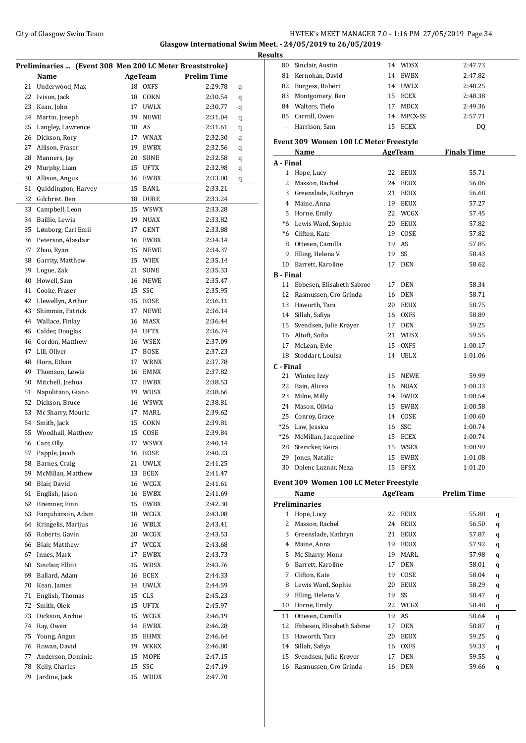#### City of Glasgow Swim Team **HY-TEK's MEET MANAGER 7.0 - 1:16 PM 27/05/2019** Page 34 **Glasgow International Swim Meet. - 24/05/2019 to 26/05/2019**

#### **Results Preliminaries ... (Event 308 Men 200 LC Meter Breaststroke) Name AgeTeam Prelim Time**  Underwood, Max 18 OXFS 2:29.78 q Ivison, Jack 18 COKN 2:30.54 q Kean, John 17 UWLX 2:30.77 q Martin, Joseph 19 NEWE 2:31.04 q Langley, Lawrence 18 AS 2:31.61 q Dickson, Rory 17 WNAX 2:32.30 q Allison, Fraser 19 EWBX 2:32.56 q Manners, Jay 20 SUNE 2:32.58 q Murphy, Liam 15 UFTX 2:32.98 q Allison, Angus 16 EWBX 2:33.00 q Quiddington, Harvey 15 BANL 2:33.21 Gilchrist, Ben 18 DURE 2:33.24 Campbell, Leon 15 WSWX 2:33.28 Baillie, Lewis 19 NUAX 2:33.82 Lønborg, Carl Emil 17 GENT 2:33.88 Peterson, Alasdair 16 EWBX 2:34.14 Zhao, Ryan 15 NEWE 2:34.37 Garrity, Matthew 15 WIEX 2:35.14 Logue, Zak 21 SUNE 2:35.33 Howell, Sam 16 NEWE 2:35.47 Cooke, Fraser 15 SSC 2:35.95 Llewellyn, Arthur 15 BOSE 2:36.11 Shimmin, Patrick 17 NEWE 2:36.14 Wallace, Finlay 16 MASX 2:36.44 Calder, Douglas 14 UFTX 2:36.74 Gordon, Matthew 16 WSEX 2:37.09 Lill, Oliver 17 BOSE 2:37.23 Horn, Ethan 17 WRNX 2:37.78 Thomson, Lewis 16 EMNX 2:37.82 Mitchell, Joshua 17 EWBX 2:38.53 Napolitano, Giano 19 WUSX 2:38.66 Dickson, Bruce 16 WSWX 2:38.81 Mc Sharry, Mouric 17 MARL 2:39.62 Smith, Jack 15 COKN 2:39.81 Woodhall, Matthew 15 COSE 2:39.84 Carr, Olly 17 WSWX 2:40.14 Papple, Jacob 16 BOSE 2:40.23 Barnes, Craig 21 UWLX 2:41.25 McMillan, Matthew 13 ECEX 2:41.47 Blair, David 16 WCGX 2:41.61 English, Jason 16 EWBX 2:41.69

 Bremner, Finn 15 EWBX 2:42.30 Farquharson, Adam 18 WCGX 2:43.08 Kringelis, Marijus 16 WBLX 2:43.41 Roberts, Gavin 20 WCGX 2:43.53 Blair, Matthew 17 WCGX 2:43.68 Innes, Mark 17 EWBX 2:43.73 Sinclair, Elliot 15 WDSX 2:43.76 Ballard, Adam 16 ECEX 2:44.33 Kean, James 14 UWLX 2:44.59 English, Thomas 15 CLS 2:45.23 Smith, Olek 15 UFTX 2:45.97 Dickson, Archie 15 WCGX 2:46.19 Ray, Owen 14 EWBX 2:46.28 Young, Angus 15 EHMX 2:46.64 Rowan, David 19 WKKX 2:46.80 Anderson, Dominic 15 MOPE 2:47.15 Kelly, Charles 15 SSC 2:47.19 Jardine, Jack 15 WDDX 2:47.70

| 80               | Sinclair, Austin                       |    | 14 WDSX     | 2:47.73            |          |
|------------------|----------------------------------------|----|-------------|--------------------|----------|
| 81               | Kernohan, David                        |    | 14 EWBX     | 2:47.82            |          |
| 82               | Burgess, Robert                        |    | 14 UWLX     | 2:48.25            |          |
| 83               | Montgomery, Ben                        |    | 15 ECEX     | 2:48.38            |          |
|                  | 84 Walters, Tielo                      | 17 | MDCX        | 2:49.36            |          |
|                  | 85 Carroll, Owen                       | 14 | MPCX-SS     | 2:57.71            |          |
| $\cdots$         | Harrison, Sam                          | 15 | ECEX        | DQ                 |          |
|                  | Event 309 Women 100 LC Meter Freestyle |    |             |                    |          |
|                  | Name                                   |    | AgeTeam     | <b>Finals Time</b> |          |
| A - Final        |                                        |    |             |                    |          |
| 1                | Hope, Lucy                             | 22 | EEUX        | 55.71              |          |
| 2                | Masson, Rachel                         | 24 | EEUX        | 56.06              |          |
|                  | 3 Greenslade, Kathryn                  | 21 | EEUX        | 56.68              |          |
|                  | 4 Maine, Anna                          |    | 19 EEUX     | 57.27              |          |
|                  | 5 Horne, Emily                         |    | 22 WCGX     | 57.45              |          |
|                  | *6 Lewis Ward, Sophie                  |    | 20 EEUX     | 57.82              |          |
|                  | *6 Clifton, Kate                       |    | 19 COSE     | 57.82              |          |
|                  | 8 Ottesen, Camilla                     |    | 19 AS       | 57.85              |          |
| 9                | Elling, Helena V.                      | 19 | SS          | 58.43              |          |
| 10               | Barrett, Karoline                      | 17 | <b>DEN</b>  | 58.62              |          |
| <b>B</b> - Final |                                        |    |             |                    |          |
| 11               | Ebbesen, Elisabeth Sabroe              | 17 | DEN         | 58.34              |          |
| 12               | Rasmussen, Gro Grinda                  |    | 16 DEN      | 58.71              |          |
| 13               | Haworth, Tara                          | 20 | EEUX        | 58.75              |          |
|                  | 14 Sillah, Safiya                      | 16 | OXFS        | 58.89              |          |
| 15               | Svendsen, Julie Krøyer                 |    | 17 DEN      | 59.25              |          |
|                  | 16 Altoft, Sofia                       |    | 21 WUSX     | 59.55              |          |
|                  | 17 McLean, Evie                        | 15 | OXFS        | 1:00.17            |          |
| 18               | Stoddart, Louisa                       |    | 14 UELX     | 1:01.06            |          |
| C - Final        |                                        |    |             |                    |          |
| 21               | Winter, Izzy                           | 15 | NEWE        | 59.99              |          |
| 22               | Bain, Alicea                           | 16 | NUAX        | 1:00.33            |          |
| 23               | Milne, Milly                           |    | 14 EWBX     | 1:00.54            |          |
| 24               | Mason, Olivia                          | 15 | EWBX        | 1:00.58            |          |
| 25               | Conroy, Grace                          | 14 | COSE        | 1:00.60            |          |
| $*26$            | Law, Jessica                           | 16 | SSC         | 1:00.74            |          |
| $*26$            | McMillan, Jacqueline                   | 15 | ECEX        | 1:00.74            |          |
| 28               | Stericker, Keira                       |    | 15 WSEX     | 1:00.99            |          |
|                  | 29 Jones, Natalie                      |    | 15 EWBX     | 1:01.08            |          |
| 30               | Dolenc Luznar, Neza                    | 15 | <b>EFSX</b> | 1:01.20            |          |
|                  |                                        |    |             |                    |          |
|                  | Event 309 Women 100 LC Meter Freestyle |    |             |                    |          |
|                  | Name                                   |    | AgeTeam     | <b>Prelim Time</b> |          |
|                  | <b>Preliminaries</b>                   |    |             |                    |          |
| $\mathbf{1}$     | Hope, Lucy                             | 22 | EEUX        | 55.88              | q        |
| 2                | Masson, Rachel                         | 24 | EEUX        | 56.50              | q        |
| 3                | Greenslade, Kathryn                    | 21 | EEUX        | 57.87              | q        |
| 4                | Maine, Anna                            | 19 | EEUX        | 57.92              | q        |
| 5                | Mc Sharry, Mona                        | 19 | MARL        | 57.98              | q        |
| 6                | Barrett, Karoline                      | 17 | <b>DEN</b>  | 58.01              | q        |
| 7                | Clifton, Kate                          | 19 | COSE        | 58.04              | q        |
| 8                | Lewis Ward, Sophie                     | 20 | EEUX        | 58.29              | q        |
| 9                | Elling, Helena V.                      | 19 | SS          | 58.47              | q        |
| 10               | Horne, Emily                           | 22 | WCGX        | 58.48              | q        |
| 11               | Ottesen, Camilla                       | 19 | AS          | 58.64              | q        |
|                  | 12 Ehhesen Elisabeth Sahroe 17 DEN     |    |             | 58.87              | $\Omega$ |

| 12 Ebbesen, Elisabeth Sabroe | 17 DEN  | 58.87<br>a d      |
|------------------------------|---------|-------------------|
| 13 Haworth, Tara             | 20 EEUX | 59.25<br>$\alpha$ |
| 14 Sillah, Safiya            | 16 OXFS | 59.33<br>- a      |
| 15 Svendsen, Julie Krøyer    | 17 DEN  | 59.55<br>$\alpha$ |
| 16 Rasmussen, Gro Grinda     | 16 DEN  | 59.66<br>a        |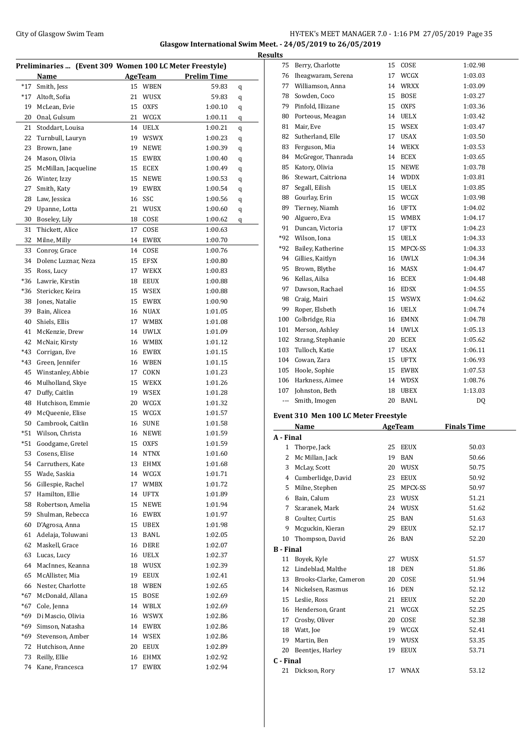#### City of Glasgow Swim Team Team Team Fermic Management of the HY-TEK's MEET MANAGER 7.0 - 1:16 PM 27/05/2019 Page 35 **Glasgow International Swim Meet. - 24/05/2019 to 26/05/2019**

| Preliminaries  (Event 309 Women 100 LC Meter Freestyle) |                      |    |             |                    |   |  |
|---------------------------------------------------------|----------------------|----|-------------|--------------------|---|--|
|                                                         | Name                 |    | AgeTeam     | <b>Prelim Time</b> |   |  |
| $*17$                                                   | Smith, Jess          | 15 | WBEN        | 59.83              | q |  |
| $*17$                                                   | Altoft, Sofia        | 21 | WUSX        | 59.83              | q |  |
| 19                                                      | McLean, Evie         | 15 | <b>OXFS</b> | 1:00.10            | q |  |
| 20                                                      | Onal, Gulsum         | 21 | WCGX        | 1:00.11            | q |  |
| 21                                                      | Stoddart, Louisa     | 14 | <b>UELX</b> | 1:00.21            | q |  |
| 22                                                      | Turnbull, Lauryn     | 19 | <b>WSWX</b> | 1:00.23            | q |  |
| 23                                                      | Brown, Jane          | 19 | NEWE        | 1:00.39            | q |  |
| 24                                                      | Mason, Olivia        | 15 | EWBX        | 1:00.40            | q |  |
| 25                                                      | McMillan, Jacqueline | 15 | ECEX        | 1:00.49            | q |  |
| 26                                                      | Winter, Izzy         | 15 | NEWE        | 1:00.53            | q |  |
| 27                                                      | Smith, Katy          | 19 | EWBX        | 1:00.54            | q |  |
| 28                                                      | Law, Jessica         | 16 | SSC         | 1:00.56            | q |  |
| 29                                                      | Upanne, Lotta        | 21 | WUSX        | 1:00.60            | q |  |
| 30                                                      | Boseley, Lily        | 18 | COSE        | 1:00.62            | q |  |
| 31                                                      | Thickett, Alice      | 17 | COSE        | 1:00.63            |   |  |
| 32                                                      | Milne, Milly         | 14 | EWBX        | 1:00.70            |   |  |
| 33                                                      | Conroy, Grace        | 14 | COSE        | 1:00.76            |   |  |
| 34                                                      | Dolenc Luznar, Neza  | 15 | <b>EFSX</b> | 1:00.80            |   |  |
| 35                                                      | Ross, Lucy           | 17 | WEKX        | 1:00.83            |   |  |
| *36                                                     | Lawrie, Kirstin      | 18 | <b>EEUX</b> | 1:00.88            |   |  |
| *36                                                     | Stericker, Keira     | 15 | <b>WSEX</b> | 1:00.88            |   |  |
| 38                                                      | Jones, Natalie       | 15 | EWBX        | 1:00.90            |   |  |
| 39                                                      | Bain, Alicea         | 16 | NUAX        | 1:01.05            |   |  |
| 40                                                      | Shiels, Ellis        | 17 | WMBX        | 1:01.08            |   |  |
| 41                                                      | McKenzie, Drew       | 14 | UWLX        | 1:01.09            |   |  |
| 42                                                      | McNair, Kirsty       |    | 16 WMBX     | 1:01.12            |   |  |
| *43                                                     | Corrigan, Eve        | 16 | EWBX        | 1:01.15            |   |  |
| *43                                                     | Green, Jennifer      | 16 | WBEN        | 1:01.15            |   |  |
| 45                                                      | Winstanley, Abbie    | 17 | COKN        | 1:01.23            |   |  |
| 46                                                      | Mulholland, Skye     | 15 | WEKX        | 1:01.26            |   |  |
| 47                                                      | Duffy, Caitlin       | 19 | WSEX        | 1:01.28            |   |  |
| 48                                                      | Hutchison, Emmie     | 20 | WCGX        | 1:01.32            |   |  |
| 49                                                      | McQueenie, Elise     | 15 | WCGX        | 1:01.57            |   |  |
| 50                                                      | Cambrook, Caitlin    | 16 | <b>SUNE</b> | 1:01.58            |   |  |
| $*51$                                                   | Wilson, Christa      | 16 | NEWE        | 1:01.59            |   |  |
| *51                                                     | Goodgame, Gretel     | 15 | <b>OXFS</b> | 1:01.59            |   |  |
|                                                         | 53 Cosens, Elise     |    | 14 NTNX     | 1:01.60            |   |  |
| 54                                                      | Carruthers, Kate     | 13 | EHMX        | 1:01.68            |   |  |
| 55                                                      | Wade, Saskia         | 14 | WCGX        | 1:01.71            |   |  |
| 56                                                      | Gillespie, Rachel    | 17 | WMBX        | 1:01.72            |   |  |
| 57                                                      | Hamilton, Ellie      | 14 | UFTX        | 1:01.89            |   |  |
| 58                                                      | Robertson, Amelia    | 15 | NEWE        | 1:01.94            |   |  |
| 59                                                      | Shulman, Rebecca     | 16 | EWBX        | 1:01.97            |   |  |
| 60                                                      | D'Agrosa, Anna       | 15 | UBEX        | 1:01.98            |   |  |
| 61                                                      | Adelaja, Toluwani    | 13 | BANL        | 1:02.05            |   |  |
| 62                                                      | Maskell, Grace       | 16 | DERE        | 1:02.07            |   |  |
| 63                                                      | Lucas, Lucy          | 16 | UELX        | 1:02.37            |   |  |
| 64                                                      | MacInnes, Keanna     | 18 | WUSX        | 1:02.39            |   |  |
| 65                                                      | McAllister, Mia      | 19 | EEUX        | 1:02.41            |   |  |
| 66                                                      | Nester, Charlotte    | 18 | WBEN        | 1:02.65            |   |  |
| $*67$                                                   | McDonald, Allana     | 15 | BOSE        | 1:02.69            |   |  |
| $*67$                                                   | Cole, Jenna          | 14 | WBLX        | 1:02.69            |   |  |
| *69                                                     | Di Mascio, Olivia    | 16 | <b>WSWX</b> | 1:02.86            |   |  |
| *69                                                     | Simson, Natasha      | 14 | EWBX        | 1:02.86            |   |  |
| *69                                                     | Stevenson, Amber     |    | 14 WSEX     | 1:02.86            |   |  |
| 72                                                      | Hutchison, Anne      | 20 | EEUX        | 1:02.89            |   |  |
| 73                                                      | Reilly, Ellie        | 16 | EHMX        | 1:02.92            |   |  |
| 74                                                      | Kane, Francesca      | 17 | EWBX        | 1:02.94            |   |  |

| <b>Results</b>   |                                          |    |            |                    |  |  |
|------------------|------------------------------------------|----|------------|--------------------|--|--|
|                  | 75 Berry, Charlotte                      |    | 15 COSE    | 1:02.98            |  |  |
|                  | 76 Iheagwaram, Serena                    |    | 17 WCGX    | 1:03.03            |  |  |
|                  | 77 Williamson, Anna                      |    | 14 WRXX    | 1:03.09            |  |  |
|                  | 78 Sowden, Coco                          |    | 15 BOSE    | 1:03.27            |  |  |
|                  | 79 Pinfold, Illizane                     |    | 15 OXFS    | 1:03.36            |  |  |
|                  | 80 Porteous, Meagan                      |    | 14 UELX    | 1:03.42            |  |  |
|                  | 81 Mair, Eve                             |    | 15 WSEX    | 1:03.47            |  |  |
|                  | 82 Sutherland, Elle                      |    | 17 USAX    | 1:03.50            |  |  |
|                  | 83 Ferguson, Mia                         |    | 14 WEKX    | 1:03.53            |  |  |
|                  | 84 McGregor, Thanrada                    |    | 14 ECEX    | 1:03.65            |  |  |
|                  | 85 Katory, Olivia                        |    | 15 NEWE    | 1:03.78            |  |  |
|                  | 86 Stewart, Caitriona                    |    | 14 WDDX    | 1:03.81            |  |  |
|                  | 87 Segall, Eilish                        |    | 15 UELX    | 1:03.85            |  |  |
|                  | 88 Gourlay, Erin                         |    | 15 WCGX    | 1:03.98            |  |  |
|                  | 89 Tierney, Niamh                        |    | 16 UFTX    | 1:04.02            |  |  |
|                  | 90 Alguero, Eva                          |    | 15 WMBX    | 1:04.17            |  |  |
|                  | 91 Duncan, Victoria                      |    | 17 UFTX    | 1:04.23            |  |  |
|                  | *92 Wilson, Iona                         |    | 15 UELX    | 1:04.33            |  |  |
|                  | *92 Bailey, Katherine                    |    | 15 MPCX-SS | 1:04.33            |  |  |
|                  | 94 Gillies, Kaitlyn                      |    | 16 UWLX    | 1:04.34            |  |  |
|                  | 95 Brown, Blythe                         |    | 16 MASX    | 1:04.47            |  |  |
|                  | 96 Kellas, Ailsa                         |    | 16 ECEX    | 1:04.48            |  |  |
|                  | 97 Dawson, Rachael                       |    | 16 EDSX    | 1:04.55            |  |  |
|                  | 98 Craig, Mairi                          |    | 15 WSWX    | 1:04.62            |  |  |
|                  | 99 Roper, Elsbeth                        |    | 16 UELX    | 1:04.74            |  |  |
|                  | 100 Colbridge, Ria                       |    | 16 EMNX    | 1:04.78            |  |  |
|                  | 101 Merson, Ashley                       |    | 14 UWLX    | 1:05.13            |  |  |
|                  | 102 Strang, Stephanie                    |    | 20 ECEX    | 1:05.62            |  |  |
|                  | 103 Tulloch, Katie                       |    | 17 USAX    | 1:06.11            |  |  |
|                  | 104 Cowan, Zara                          |    | 15 UFTX    | 1:06.93            |  |  |
|                  | 105 Hoole, Sophie                        |    | 15 EWBX    | 1:07.53            |  |  |
|                  | 106 Harkness, Aimee                      |    | 14 WDSX    | 1:08.76            |  |  |
|                  | 107 Johnston, Beth                       |    | 18 UBEX    | 1:13.03            |  |  |
|                  | Smith, Imogen                            |    | 20 BANL    | DQ                 |  |  |
|                  |                                          |    |            |                    |  |  |
|                  | Event 310 Men 100 LC Meter Freestyle     |    |            |                    |  |  |
|                  | Name                                     |    | AgeTeam    | <b>Finals Time</b> |  |  |
| A - Final        |                                          |    |            |                    |  |  |
|                  | 1 Thorpe, Jack                           |    | 25 EEUX    | 50.03              |  |  |
|                  | 2 Mc Millan, Jack                        |    | 19 BAN     | 50.66              |  |  |
|                  | 3 McLay, Scott                           | 20 | WUSX       | 50.75              |  |  |
|                  | 4 Cumberlidge, David<br>5 Milne, Stephen | 23 | EEUX       | 50.92              |  |  |
|                  | 6 Bain, Calum                            | 25 | MPCX-SS    | 50.97              |  |  |
|                  |                                          | 23 | WUSX       | 51.21              |  |  |
|                  | 7 Szaranek, Mark                         |    | 24 WUSX    | 51.62              |  |  |
|                  | 8 Coulter, Curtis<br>9 Mcguckin, Kieran  | 25 | BAN        | 51.63              |  |  |
|                  |                                          | 29 | EEUX       | 52.17              |  |  |
|                  | 10 Thompson, David                       | 26 | BAN        | 52.20              |  |  |
| <b>B</b> - Final |                                          |    |            |                    |  |  |
|                  | 11 Boyek, Kyle                           |    | 27 WUSX    | 51.57              |  |  |
|                  | 12 Lindeblad, Malthe                     | 18 | DEN        | 51.86              |  |  |
|                  | 13 Brooks-Clarke, Cameron                | 20 | COSE       | 51.94              |  |  |
|                  | 14 Nickelsen, Rasmus                     |    | 16 DEN     | 52.12              |  |  |
|                  | 15 Leslie, Ross                          | 21 | EEUX       | 52.20              |  |  |
|                  | 16 Henderson, Grant                      |    | 21 WCGX    | 52.25              |  |  |

 Crosby, Oliver 20 COSE 52.38 Watt, Joe 19 WCGX 52.41 Martin, Ben 19 WUSX 53.35 Beentjes, Harley 19 EEUX 53.71

Dickson, Rory 17 WNAX 53.12

**C - Final**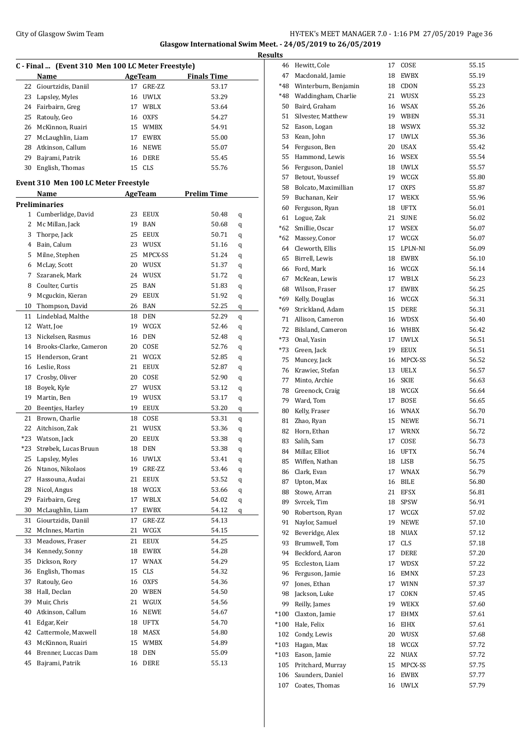### City of Glasgow Swim Team Team Feam Fermi States of Glasgow Swim Team Feam Fermi States of Glasgow Swim Team Fermi States of Glasgow Swim Team Fermi States of Glasgow Swim Team Fermi States of Glasgow Swim Team Fermi State **Glasgow International Swim Meet. - 24/05/2019 to 26/05/2019**

| C - Final  (Event 310 Men 100 LC Meter Freestyle) |                                      |    |             |                    |        |  |
|---------------------------------------------------|--------------------------------------|----|-------------|--------------------|--------|--|
|                                                   | Name                                 |    | AgeTeam     | <b>Finals Time</b> |        |  |
| 22                                                | Giourtzidis, Daniil                  | 17 | GRE-ZZ      | 53.17              |        |  |
| 23                                                | Lapsley, Myles                       | 16 | UWLX        | 53.29              |        |  |
|                                                   | 24 Fairbairn, Greg                   |    | 17 WBLX     | 53.64              |        |  |
| 25                                                | Ratouly, Geo                         |    | 16 OXFS     | 54.27              |        |  |
|                                                   | 26 McKinnon, Ruairi                  |    | 15 WMBX     | 54.91              |        |  |
|                                                   | 27 McLaughlin, Liam                  |    | 17 EWBX     | 55.00              |        |  |
|                                                   | 28 Atkinson, Callum                  |    | 16 NEWE     | 55.07              |        |  |
| 29                                                | Bajrami, Patrik                      |    | 16 DERE     | 55.45              |        |  |
| 30                                                | English, Thomas                      |    | 15 CLS      | 55.76              |        |  |
|                                                   | Event 310 Men 100 LC Meter Freestyle |    |             |                    |        |  |
|                                                   | Name                                 |    | AgeTeam     | <b>Prelim Time</b> |        |  |
|                                                   | <b>Preliminaries</b>                 |    |             |                    |        |  |
|                                                   | 1 Cumberlidge, David                 | 23 | <b>EEUX</b> | 50.48              | q      |  |
|                                                   | 2 Mc Millan, Jack                    | 19 | BAN         | 50.68              | q      |  |
| 3                                                 | Thorpe, Jack                         | 25 | <b>EEUX</b> | 50.71              | q      |  |
|                                                   | 4 Bain, Calum                        |    | 23 WUSX     | 51.16              | q      |  |
| 5                                                 | Milne, Stephen                       | 25 | MPCX-SS     | 51.24              | q      |  |
| 6                                                 | McLay, Scott                         |    | 20 WUSX     | 51.37              | q      |  |
| 7                                                 | Szaranek, Mark                       |    | 24 WUSX     | 51.72              | q      |  |
| 8                                                 | Coulter, Curtis                      |    | 25 BAN      | 51.83              | q      |  |
| 9                                                 | Mcguckin, Kieran                     |    | 29 EEUX     | 51.92              |        |  |
| 10                                                | Thompson, David                      |    | 26 BAN      | 52.25              | q<br>q |  |
| 11                                                | Lindeblad, Malthe                    |    | 18 DEN      | 52.29              |        |  |
|                                                   |                                      |    |             |                    | q      |  |
| 12                                                | Watt, Joe                            |    | 19 WCGX     | 52.46              | q      |  |
| 13                                                | Nickelsen, Rasmus                    |    | 16 DEN      | 52.48              | q      |  |
| 14                                                | Brooks-Clarke, Cameron               |    | 20 COSE     | 52.76              | q      |  |
| 15                                                | Henderson, Grant                     | 21 | <b>WCGX</b> | 52.85              | q      |  |
| 16                                                | Leslie, Ross                         | 21 | EEUX        | 52.87              | q      |  |
| 17                                                | Crosby, Oliver                       | 20 | COSE        | 52.90              | q      |  |
| 18                                                | Boyek, Kyle                          | 27 | <b>WUSX</b> | 53.12              | q      |  |
| 19                                                | Martin, Ben                          |    | 19 WUSX     | 53.17              | q      |  |
| 20                                                | Beentjes, Harley                     |    | 19 EEUX     | 53.20              | q      |  |
|                                                   | 21 Brown, Charlie                    |    | 18 COSE     | 53.31              | q      |  |
|                                                   | 22 Aitchison, Zak                    | 21 | WUSX        | 53.36              | q      |  |
| *23                                               | Watson, Jack                         | 20 | EEUX        | 53.38              | q      |  |
| $*23$                                             | Strøbek, Lucas Bruun                 | 18 | <b>DEN</b>  | 53.38              | q      |  |
| 25                                                | Lapsley, Myles                       | 16 | <b>UWLX</b> | 53.41              | q      |  |
| 26                                                | Ntanos, Nikolaos                     | 19 | GRE-ZZ      | 53.46              | q      |  |
| 27                                                | Hassouna, Audai                      | 21 | EEUX        | 53.52              | q      |  |
| 28                                                | Nicol, Angus                         | 18 | WCGX        | 53.66              | q      |  |
| 29                                                | Fairbairn, Greg                      | 17 | <b>WBLX</b> | 54.02              | q      |  |
| 30                                                | McLaughlin, Liam                     | 17 | EWBX        | 54.12              | q      |  |
| 31                                                | Giourtzidis, Daniil                  | 17 | GRE-ZZ      | 54.13              |        |  |
| 32                                                | McInnes, Martin                      | 21 | WCGX        | 54.15              |        |  |
| 33                                                | Meadows, Fraser                      | 21 | EEUX        | 54.25              |        |  |
| 34                                                | Kennedy, Sonny                       | 18 | EWBX        | 54.28              |        |  |
| 35                                                | Dickson, Rory                        | 17 | <b>WNAX</b> | 54.29              |        |  |
| 36                                                | English, Thomas                      | 15 | <b>CLS</b>  | 54.32              |        |  |
| 37                                                | Ratouly, Geo                         | 16 | <b>OXFS</b> | 54.36              |        |  |
| 38                                                | Hall, Declan                         |    | 20 WBEN     | 54.50              |        |  |
| 39                                                | Muir, Chris                          | 21 | WGUX        | 54.56              |        |  |
| 40                                                | Atkinson, Callum                     | 16 | NEWE        | 54.67              |        |  |
| 41                                                | Edgar, Keir                          | 18 | UFTX        | 54.70              |        |  |
| 42                                                | Cattermole, Maxwell                  | 18 | MASX        | 54.80              |        |  |
| 43                                                | McKinnon, Ruairi                     | 15 | WMBX        | 54.89              |        |  |
| 44                                                | Brenner, Luccas Dam                  | 18 | DEN         | 55.09              |        |  |
|                                                   |                                      |    |             |                    |        |  |
| 45                                                | Bajrami, Patrik                      | 16 | DERE        | 55.13              |        |  |

| <b>Results</b> |                                  |          |              |                |
|----------------|----------------------------------|----------|--------------|----------------|
|                | 46 Hewitt, Cole                  | 17       | COSE         | 55.15          |
| 47             | Macdonald, Jamie                 | 18       | EWBX         | 55.19          |
|                | *48 Winterburn, Benjamin         |          | 18 CDON      | 55.23          |
|                | *48 Waddingham, Charlie          |          | 21 WUSX      | 55.23          |
|                | 50 Baird, Graham                 |          | 16 WSAX      | 55.26          |
|                | 51 Silvester, Matthew            |          | 19 WBEN      | 55.31          |
|                | 52 Eason, Logan                  |          | 18 WSWX      | 55.32          |
| 53             | Kean, John                       |          | 17 UWLX      | 55.36          |
|                | 54 Ferguson, Ben                 |          | 20 USAX      | 55.42          |
|                | 55 Hammond, Lewis                |          | 16 WSEX      | 55.54          |
|                | 56 Ferguson, Daniel              |          | 18 UWLX      | 55.57          |
|                | 57 Betout, Youssef               |          | 19 WCGX      | 55.80          |
|                | 58 Bolcato, Maximillian          |          | 17 OXFS      | 55.87          |
|                | 59 Buchanan, Keir                |          | 17 WEKX      | 55.96          |
|                | 60 Ferguson, Ryan                |          | 18 UFTX      | 56.01          |
|                | 61 Logue, Zak                    |          | 21 SUNE      | 56.02          |
|                | *62 Smillie, Oscar               |          | 17 WSEX      | 56.07          |
|                | *62 Massey, Conor                |          | 17 WCGX      | 56.07          |
|                | 64 Cleworth, Ellis               |          | 15 LPLN-NI   | 56.09          |
|                | 65 Birrell, Lewis                |          | 18 EWBX      | 56.10          |
|                | 66 Ford, Mark                    |          | 16 WCGX      | 56.14          |
| 67             | McKean, Lewis                    |          | 17 WBLX      | 56.23          |
|                | 68 Wilson, Fraser                |          | 17 EWBX      | 56.25          |
|                | *69 Kelly, Douglas               |          | 16 WCGX      | 56.31          |
|                | *69 Strickland, Adam             |          | 15 DERE      | 56.31          |
|                | 71 Allison, Cameron              |          | 16 WDSX      | 56.40          |
|                | 72 Bilsland, Cameron             |          | 16 WHBX      | 56.42          |
|                | *73 Onal, Yasin                  |          | 17 UWLX      | 56.51          |
|                | *73 Green, Jack                  |          | 19 EEUX      | 56.51          |
|                | 75 Muncey, Jack                  |          | 16 MPCX-SS   | 56.52          |
|                | 76 Krawiec, Stefan               |          | 13 UELX      | 56.57          |
| 77             | Minto, Archie                    |          | 16 SKIE      | 56.63          |
|                | 78 Greenock, Craig               |          | 18 WCGX      | 56.64          |
|                | 79 Ward, Tom                     |          | 17 BOSE      | 56.65          |
|                | 80 Kelly, Fraser                 |          | 16 WNAX      | 56.70          |
| 81             | Zhao, Ryan                       |          | 15 NEWE      | 56.71          |
| 82             | Horn, Ethan                      | 17       | <b>WRNX</b>  | 56.72          |
| 83             | Salih, Sam                       | 17       | COSE         | 56.73          |
| 84<br>85       | Millar, Elliot<br>Wiffen, Nathan |          | 16 UFTX      | 56.74<br>56.75 |
| 86             | Clark, Evan                      | 18<br>17 | LISB<br>WNAX | 56.79          |
| 87             | Upton, Max                       | 16       | BILE         | 56.80          |
| 88             | Stowe, Arran                     | 21       | EFSX         | 56.81          |
| 89             | Svrcek, Tim                      | 18       | SPSW         | 56.91          |
| 90             | Robertson, Ryan                  |          | 17 WCGX      | 57.02          |
| 91             | Naylor, Samuel                   | 19       | NEWE         | 57.10          |
| 92             | Beveridge, Alex                  | 18       | <b>NUAX</b>  | 57.12          |
| 93             | Brumwell, Tom                    | 17       | <b>CLS</b>   | 57.18          |
| 94             | Beckford, Aaron                  | 17       | DERE         | 57.20          |
|                | 95 Eccleston, Liam               | 17       | WDSX         | 57.22          |
|                | 96 Ferguson, Jamie               | 16       | EMNX         | 57.23          |
| 97             | Jones, Ethan                     |          | 17 WINN      | 57.37          |
| 98             | Jackson, Luke                    | 17       | COKN         | 57.45          |
| 99             | Reilly, James                    |          | 19 WEKX      | 57.60          |
| $^*100$        | Claxton, Jamie                   | 17       | EHMX         | 57.61          |
| $*100$         | Hale, Felix                      | 16       | EIHX         | 57.61          |
| 102            | Condy, Lewis                     |          | 20 WUSX      | 57.68          |
| $*103$         | Hagan, Max                       |          | 18 WCGX      | 57.72          |
| $*103$         | Eason, Jamie                     | 22       | <b>NUAX</b>  | 57.72          |
| 105            | Pritchard, Murray                | 15       | MPCX-SS      | 57.75          |
| 106            | Saunders, Daniel                 | 16       | EWBX         | 57.77          |
| 107            | Coates, Thomas                   |          | 16 UWLX      | 57.79          |